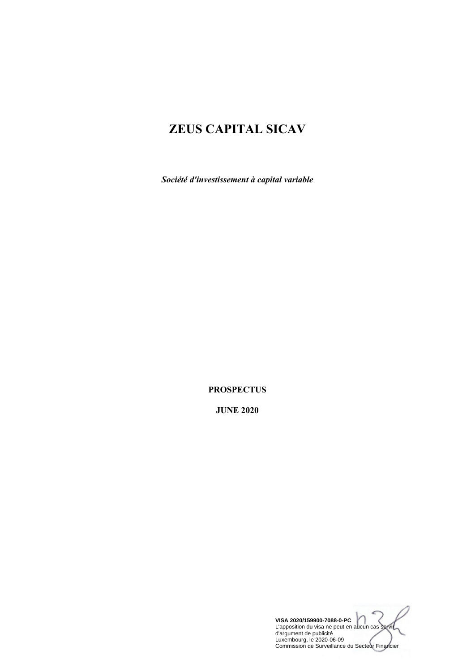# **ZEUS CAPITAL SICAV**

*Société d'investissement à capital variable* 

**PROSPECTUS** 

**JUNE 2020**

**VISA 2020/159900-7088-0-PC** L'apposition du visa ne peut en aucun cas servir d'argument de publicité Luxembourg, le 2020-06-09 Commission de Surveillance du Secteur Financier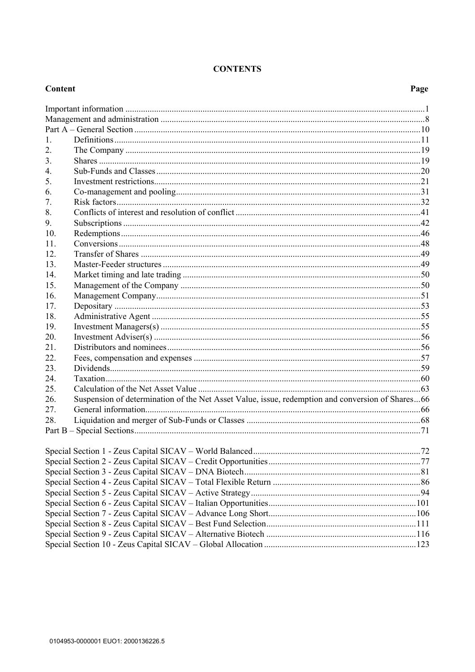# **CONTENTS**

# Content

| 1.  |                                                                                                  |  |
|-----|--------------------------------------------------------------------------------------------------|--|
| 2.  |                                                                                                  |  |
| 3.  |                                                                                                  |  |
| 4.  |                                                                                                  |  |
| 5.  |                                                                                                  |  |
| 6.  |                                                                                                  |  |
| 7.  |                                                                                                  |  |
| 8.  |                                                                                                  |  |
| 9.  |                                                                                                  |  |
| 10. |                                                                                                  |  |
| 11. |                                                                                                  |  |
| 12. |                                                                                                  |  |
| 13. |                                                                                                  |  |
| 14. |                                                                                                  |  |
| 15. |                                                                                                  |  |
| 16. |                                                                                                  |  |
| 17. |                                                                                                  |  |
| 18. |                                                                                                  |  |
| 19. |                                                                                                  |  |
| 20. |                                                                                                  |  |
| 21. |                                                                                                  |  |
| 22. |                                                                                                  |  |
| 23. |                                                                                                  |  |
| 24. |                                                                                                  |  |
| 25. |                                                                                                  |  |
| 26. | Suspension of determination of the Net Asset Value, issue, redemption and conversion of Shares66 |  |
| 27. |                                                                                                  |  |
| 28. |                                                                                                  |  |
|     |                                                                                                  |  |
|     |                                                                                                  |  |
|     |                                                                                                  |  |
|     |                                                                                                  |  |
|     |                                                                                                  |  |
|     |                                                                                                  |  |
|     |                                                                                                  |  |
|     |                                                                                                  |  |
|     |                                                                                                  |  |
|     |                                                                                                  |  |
|     |                                                                                                  |  |
|     |                                                                                                  |  |
|     |                                                                                                  |  |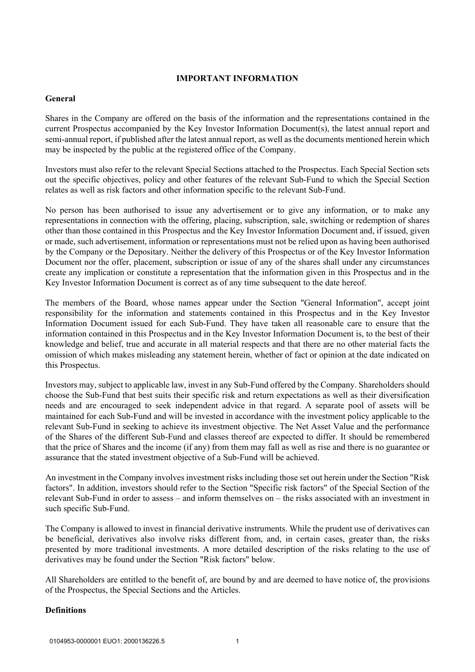# **IMPORTANT INFORMATION**

# **General**

Shares in the Company are offered on the basis of the information and the representations contained in the current Prospectus accompanied by the Key Investor Information Document(s), the latest annual report and semi-annual report, if published after the latest annual report, as well as the documents mentioned herein which may be inspected by the public at the registered office of the Company.

Investors must also refer to the relevant Special Sections attached to the Prospectus. Each Special Section sets out the specific objectives, policy and other features of the relevant Sub-Fund to which the Special Section relates as well as risk factors and other information specific to the relevant Sub-Fund.

No person has been authorised to issue any advertisement or to give any information, or to make any representations in connection with the offering, placing, subscription, sale, switching or redemption of shares other than those contained in this Prospectus and the Key Investor Information Document and, if issued, given or made, such advertisement, information or representations must not be relied upon as having been authorised by the Company or the Depositary. Neither the delivery of this Prospectus or of the Key Investor Information Document nor the offer, placement, subscription or issue of any of the shares shall under any circumstances create any implication or constitute a representation that the information given in this Prospectus and in the Key Investor Information Document is correct as of any time subsequent to the date hereof.

The members of the Board, whose names appear under the Section "General Information", accept joint responsibility for the information and statements contained in this Prospectus and in the Key Investor Information Document issued for each Sub-Fund. They have taken all reasonable care to ensure that the information contained in this Prospectus and in the Key Investor Information Document is, to the best of their knowledge and belief, true and accurate in all material respects and that there are no other material facts the omission of which makes misleading any statement herein, whether of fact or opinion at the date indicated on this Prospectus.

Investors may, subject to applicable law, invest in any Sub-Fund offered by the Company. Shareholders should choose the Sub-Fund that best suits their specific risk and return expectations as well as their diversification needs and are encouraged to seek independent advice in that regard. A separate pool of assets will be maintained for each Sub-Fund and will be invested in accordance with the investment policy applicable to the relevant Sub-Fund in seeking to achieve its investment objective. The Net Asset Value and the performance of the Shares of the different Sub-Fund and classes thereof are expected to differ. It should be remembered that the price of Shares and the income (if any) from them may fall as well as rise and there is no guarantee or assurance that the stated investment objective of a Sub-Fund will be achieved.

An investment in the Company involves investment risks including those set out herein under the Section "Risk factors". In addition, investors should refer to the Section "Specific risk factors" of the Special Section of the relevant Sub-Fund in order to assess – and inform themselves on – the risks associated with an investment in such specific Sub-Fund.

The Company is allowed to invest in financial derivative instruments. While the prudent use of derivatives can be beneficial, derivatives also involve risks different from, and, in certain cases, greater than, the risks presented by more traditional investments. A more detailed description of the risks relating to the use of derivatives may be found under the Section "Risk factors" below.

All Shareholders are entitled to the benefit of, are bound by and are deemed to have notice of, the provisions of the Prospectus, the Special Sections and the Articles.

# **Definitions**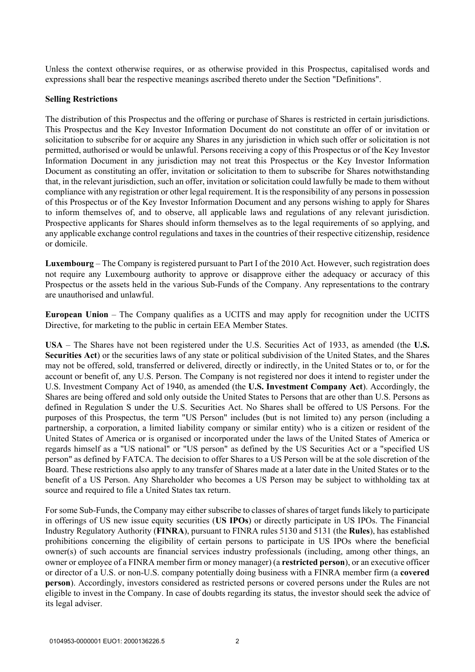Unless the context otherwise requires, or as otherwise provided in this Prospectus, capitalised words and expressions shall bear the respective meanings ascribed thereto under the Section "Definitions".

#### **Selling Restrictions**

The distribution of this Prospectus and the offering or purchase of Shares is restricted in certain jurisdictions. This Prospectus and the Key Investor Information Document do not constitute an offer of or invitation or solicitation to subscribe for or acquire any Shares in any jurisdiction in which such offer or solicitation is not permitted, authorised or would be unlawful. Persons receiving a copy of this Prospectus or of the Key Investor Information Document in any jurisdiction may not treat this Prospectus or the Key Investor Information Document as constituting an offer, invitation or solicitation to them to subscribe for Shares notwithstanding that, in the relevant jurisdiction, such an offer, invitation or solicitation could lawfully be made to them without compliance with any registration or other legal requirement. It is the responsibility of any persons in possession of this Prospectus or of the Key Investor Information Document and any persons wishing to apply for Shares to inform themselves of, and to observe, all applicable laws and regulations of any relevant jurisdiction. Prospective applicants for Shares should inform themselves as to the legal requirements of so applying, and any applicable exchange control regulations and taxes in the countries of their respective citizenship, residence or domicile.

**Luxembourg** – The Company is registered pursuant to Part I of the 2010 Act. However, such registration does not require any Luxembourg authority to approve or disapprove either the adequacy or accuracy of this Prospectus or the assets held in the various Sub-Funds of the Company. Any representations to the contrary are unauthorised and unlawful.

**European Union** – The Company qualifies as a UCITS and may apply for recognition under the UCITS Directive, for marketing to the public in certain EEA Member States.

**USA** – The Shares have not been registered under the U.S. Securities Act of 1933, as amended (the **U.S. Securities Act**) or the securities laws of any state or political subdivision of the United States, and the Shares may not be offered, sold, transferred or delivered, directly or indirectly, in the United States or to, or for the account or benefit of, any U.S. Person. The Company is not registered nor does it intend to register under the U.S. Investment Company Act of 1940, as amended (the **U.S. Investment Company Act**). Accordingly, the Shares are being offered and sold only outside the United States to Persons that are other than U.S. Persons as defined in Regulation S under the U.S. Securities Act. No Shares shall be offered to US Persons. For the purposes of this Prospectus, the term "US Person" includes (but is not limited to) any person (including a partnership, a corporation, a limited liability company or similar entity) who is a citizen or resident of the United States of America or is organised or incorporated under the laws of the United States of America or regards himself as a "US national" or "US person" as defined by the US Securities Act or a "specified US person" as defined by FATCA. The decision to offer Shares to a US Person will be at the sole discretion of the Board. These restrictions also apply to any transfer of Shares made at a later date in the United States or to the benefit of a US Person. Any Shareholder who becomes a US Person may be subject to withholding tax at source and required to file a United States tax return.

For some Sub-Funds, the Company may either subscribe to classes of shares of target funds likely to participate in offerings of US new issue equity securities (**US IPOs**) or directly participate in US IPOs. The Financial Industry Regulatory Authority (**FINRA**), pursuant to FINRA rules 5130 and 5131 (the **Rules**), has established prohibitions concerning the eligibility of certain persons to participate in US IPOs where the beneficial owner(s) of such accounts are financial services industry professionals (including, among other things, an owner or employee of a FINRA member firm or money manager) (a **restricted person**), or an executive officer or director of a U.S. or non-U.S. company potentially doing business with a FINRA member firm (a **covered person**). Accordingly, investors considered as restricted persons or covered persons under the Rules are not eligible to invest in the Company. In case of doubts regarding its status, the investor should seek the advice of its legal adviser.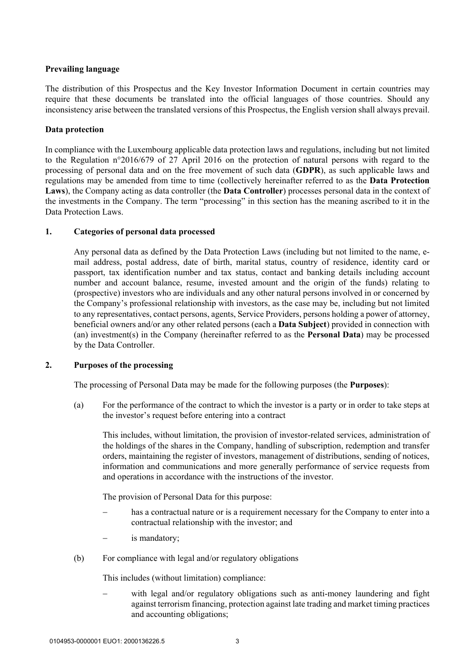# **Prevailing language**

The distribution of this Prospectus and the Key Investor Information Document in certain countries may require that these documents be translated into the official languages of those countries. Should any inconsistency arise between the translated versions of this Prospectus, the English version shall always prevail.

# **Data protection**

In compliance with the Luxembourg applicable data protection laws and regulations, including but not limited to the Regulation n°2016/679 of 27 April 2016 on the protection of natural persons with regard to the processing of personal data and on the free movement of such data (**GDPR**), as such applicable laws and regulations may be amended from time to time (collectively hereinafter referred to as the **Data Protection Laws**), the Company acting as data controller (the **Data Controller**) processes personal data in the context of the investments in the Company. The term "processing" in this section has the meaning ascribed to it in the Data Protection Laws.

# **1. Categories of personal data processed**

Any personal data as defined by the Data Protection Laws (including but not limited to the name, email address, postal address, date of birth, marital status, country of residence, identity card or passport, tax identification number and tax status, contact and banking details including account number and account balance, resume, invested amount and the origin of the funds) relating to (prospective) investors who are individuals and any other natural persons involved in or concerned by the Company's professional relationship with investors, as the case may be, including but not limited to any representatives, contact persons, agents, Service Providers, persons holding a power of attorney, beneficial owners and/or any other related persons (each a **Data Subject**) provided in connection with (an) investment(s) in the Company (hereinafter referred to as the **Personal Data**) may be processed by the Data Controller.

# **2. Purposes of the processing**

The processing of Personal Data may be made for the following purposes (the **Purposes**):

(a) For the performance of the contract to which the investor is a party or in order to take steps at the investor's request before entering into a contract

This includes, without limitation, the provision of investor-related services, administration of the holdings of the shares in the Company, handling of subscription, redemption and transfer orders, maintaining the register of investors, management of distributions, sending of notices, information and communications and more generally performance of service requests from and operations in accordance with the instructions of the investor.

The provision of Personal Data for this purpose:

- has a contractual nature or is a requirement necessary for the Company to enter into a contractual relationship with the investor; and
- is mandatory;
- (b) For compliance with legal and/or regulatory obligations

This includes (without limitation) compliance:

 with legal and/or regulatory obligations such as anti-money laundering and fight against terrorism financing, protection against late trading and market timing practices and accounting obligations;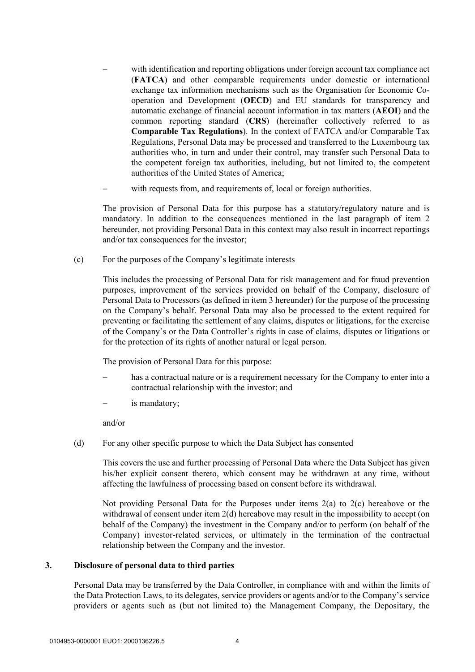- with identification and reporting obligations under foreign account tax compliance act (**FATCA**) and other comparable requirements under domestic or international exchange tax information mechanisms such as the Organisation for Economic Cooperation and Development (**OECD**) and EU standards for transparency and automatic exchange of financial account information in tax matters (**AEOI**) and the common reporting standard (**CRS**) (hereinafter collectively referred to as **Comparable Tax Regulations**). In the context of FATCA and/or Comparable Tax Regulations, Personal Data may be processed and transferred to the Luxembourg tax authorities who, in turn and under their control, may transfer such Personal Data to the competent foreign tax authorities, including, but not limited to, the competent authorities of the United States of America;
- with requests from, and requirements of, local or foreign authorities.

The provision of Personal Data for this purpose has a statutory/regulatory nature and is mandatory. In addition to the consequences mentioned in the last paragraph of item 2 hereunder, not providing Personal Data in this context may also result in incorrect reportings and/or tax consequences for the investor;

(c) For the purposes of the Company's legitimate interests

This includes the processing of Personal Data for risk management and for fraud prevention purposes, improvement of the services provided on behalf of the Company, disclosure of Personal Data to Processors (as defined in item 3 hereunder) for the purpose of the processing on the Company's behalf. Personal Data may also be processed to the extent required for preventing or facilitating the settlement of any claims, disputes or litigations, for the exercise of the Company's or the Data Controller's rights in case of claims, disputes or litigations or for the protection of its rights of another natural or legal person.

The provision of Personal Data for this purpose:

- has a contractual nature or is a requirement necessary for the Company to enter into a contractual relationship with the investor; and
- is mandatory;

and/or

(d) For any other specific purpose to which the Data Subject has consented

This covers the use and further processing of Personal Data where the Data Subject has given his/her explicit consent thereto, which consent may be withdrawn at any time, without affecting the lawfulness of processing based on consent before its withdrawal.

Not providing Personal Data for the Purposes under items  $2(a)$  to  $2(c)$  hereabove or the withdrawal of consent under item 2(d) hereabove may result in the impossibility to accept (on behalf of the Company) the investment in the Company and/or to perform (on behalf of the Company) investor-related services, or ultimately in the termination of the contractual relationship between the Company and the investor.

#### **3. Disclosure of personal data to third parties**

Personal Data may be transferred by the Data Controller, in compliance with and within the limits of the Data Protection Laws, to its delegates, service providers or agents and/or to the Company's service providers or agents such as (but not limited to) the Management Company, the Depositary, the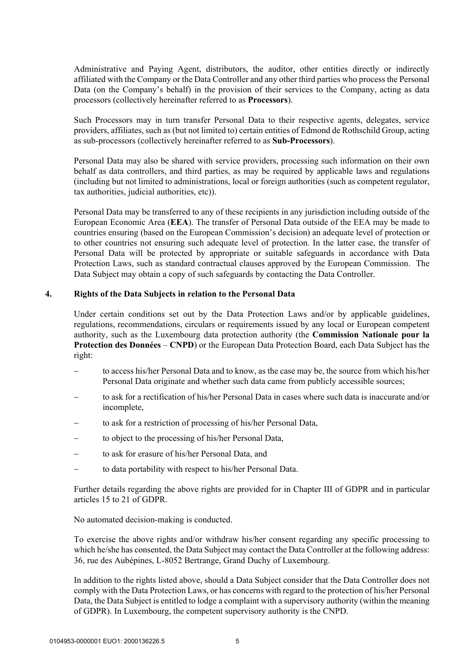Administrative and Paying Agent, distributors, the auditor, other entities directly or indirectly affiliated with the Company or the Data Controller and any other third parties who process the Personal Data (on the Company's behalf) in the provision of their services to the Company, acting as data processors (collectively hereinafter referred to as **Processors**).

Such Processors may in turn transfer Personal Data to their respective agents, delegates, service providers, affiliates, such as (but not limited to) certain entities of Edmond de Rothschild Group, acting as sub-processors (collectively hereinafter referred to as **Sub-Processors**).

Personal Data may also be shared with service providers, processing such information on their own behalf as data controllers, and third parties, as may be required by applicable laws and regulations (including but not limited to administrations, local or foreign authorities (such as competent regulator, tax authorities, judicial authorities, etc)).

Personal Data may be transferred to any of these recipients in any jurisdiction including outside of the European Economic Area (**EEA**). The transfer of Personal Data outside of the EEA may be made to countries ensuring (based on the European Commission's decision) an adequate level of protection or to other countries not ensuring such adequate level of protection. In the latter case, the transfer of Personal Data will be protected by appropriate or suitable safeguards in accordance with Data Protection Laws, such as standard contractual clauses approved by the European Commission. The Data Subject may obtain a copy of such safeguards by contacting the Data Controller.

# **4. Rights of the Data Subjects in relation to the Personal Data**

Under certain conditions set out by the Data Protection Laws and/or by applicable guidelines, regulations, recommendations, circulars or requirements issued by any local or European competent authority, such as the Luxembourg data protection authority (the **Commission Nationale pour la Protection des Données** – **CNPD**) or the European Data Protection Board, each Data Subject has the right:

- to access his/her Personal Data and to know, as the case may be, the source from which his/her Personal Data originate and whether such data came from publicly accessible sources;
- to ask for a rectification of his/her Personal Data in cases where such data is inaccurate and/or incomplete,
- to ask for a restriction of processing of his/her Personal Data,
- to object to the processing of his/her Personal Data,
- to ask for erasure of his/her Personal Data, and
- to data portability with respect to his/her Personal Data.

Further details regarding the above rights are provided for in Chapter III of GDPR and in particular articles 15 to 21 of GDPR.

No automated decision-making is conducted.

To exercise the above rights and/or withdraw his/her consent regarding any specific processing to which he/she has consented, the Data Subject may contact the Data Controller at the following address: 36, rue des Aubépines, L-8052 Bertrange, Grand Duchy of Luxembourg.

In addition to the rights listed above, should a Data Subject consider that the Data Controller does not comply with the Data Protection Laws, or has concerns with regard to the protection of his/her Personal Data, the Data Subject is entitled to lodge a complaint with a supervisory authority (within the meaning of GDPR). In Luxembourg, the competent supervisory authority is the CNPD.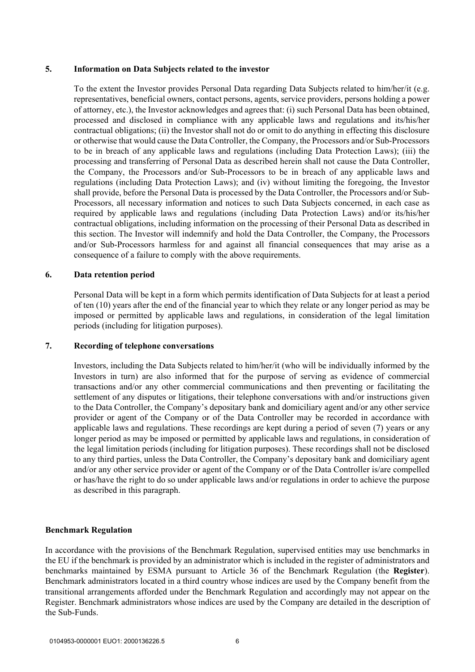### **5. Information on Data Subjects related to the investor**

To the extent the Investor provides Personal Data regarding Data Subjects related to him/her/it (e.g. representatives, beneficial owners, contact persons, agents, service providers, persons holding a power of attorney, etc.), the Investor acknowledges and agrees that: (i) such Personal Data has been obtained, processed and disclosed in compliance with any applicable laws and regulations and its/his/her contractual obligations; (ii) the Investor shall not do or omit to do anything in effecting this disclosure or otherwise that would cause the Data Controller, the Company, the Processors and/or Sub-Processors to be in breach of any applicable laws and regulations (including Data Protection Laws); (iii) the processing and transferring of Personal Data as described herein shall not cause the Data Controller, the Company, the Processors and/or Sub-Processors to be in breach of any applicable laws and regulations (including Data Protection Laws); and (iv) without limiting the foregoing, the Investor shall provide, before the Personal Data is processed by the Data Controller, the Processors and/or Sub-Processors, all necessary information and notices to such Data Subjects concerned, in each case as required by applicable laws and regulations (including Data Protection Laws) and/or its/his/her contractual obligations, including information on the processing of their Personal Data as described in this section. The Investor will indemnify and hold the Data Controller, the Company, the Processors and/or Sub-Processors harmless for and against all financial consequences that may arise as a consequence of a failure to comply with the above requirements.

# **6. Data retention period**

Personal Data will be kept in a form which permits identification of Data Subjects for at least a period of ten (10) years after the end of the financial year to which they relate or any longer period as may be imposed or permitted by applicable laws and regulations, in consideration of the legal limitation periods (including for litigation purposes).

### **7. Recording of telephone conversations**

Investors, including the Data Subjects related to him/her/it (who will be individually informed by the Investors in turn) are also informed that for the purpose of serving as evidence of commercial transactions and/or any other commercial communications and then preventing or facilitating the settlement of any disputes or litigations, their telephone conversations with and/or instructions given to the Data Controller, the Company's depositary bank and domiciliary agent and/or any other service provider or agent of the Company or of the Data Controller may be recorded in accordance with applicable laws and regulations. These recordings are kept during a period of seven (7) years or any longer period as may be imposed or permitted by applicable laws and regulations, in consideration of the legal limitation periods (including for litigation purposes). These recordings shall not be disclosed to any third parties, unless the Data Controller, the Company's depositary bank and domiciliary agent and/or any other service provider or agent of the Company or of the Data Controller is/are compelled or has/have the right to do so under applicable laws and/or regulations in order to achieve the purpose as described in this paragraph.

# **Benchmark Regulation**

In accordance with the provisions of the Benchmark Regulation, supervised entities may use benchmarks in the EU if the benchmark is provided by an administrator which is included in the register of administrators and benchmarks maintained by ESMA pursuant to Article 36 of the Benchmark Regulation (the **Register**). Benchmark administrators located in a third country whose indices are used by the Company benefit from the transitional arrangements afforded under the Benchmark Regulation and accordingly may not appear on the Register. Benchmark administrators whose indices are used by the Company are detailed in the description of the Sub-Funds.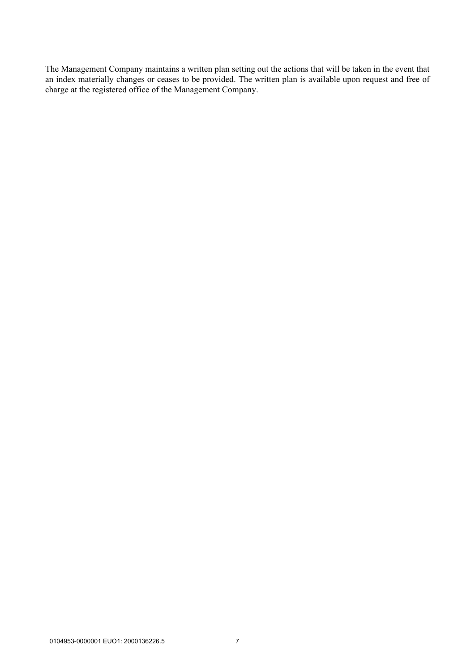The Management Company maintains a written plan setting out the actions that will be taken in the event that an index materially changes or ceases to be provided. The written plan is available upon request and free of charge at the registered office of the Management Company.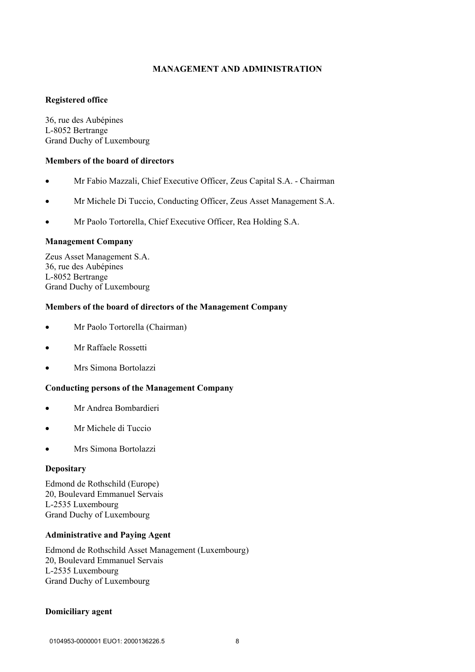# **MANAGEMENT AND ADMINISTRATION**

# **Registered office**

36, rue des Aubépines L-8052 Bertrange Grand Duchy of Luxembourg

#### **Members of the board of directors**

- Mr Fabio Mazzali, Chief Executive Officer, Zeus Capital S.A. Chairman
- Mr Michele Di Tuccio, Conducting Officer, Zeus Asset Management S.A.
- Mr Paolo Tortorella, Chief Executive Officer, Rea Holding S.A.

#### **Management Company**

Zeus Asset Management S.A. 36, rue des Aubépines L-8052 Bertrange Grand Duchy of Luxembourg

#### **Members of the board of directors of the Management Company**

- Mr Paolo Tortorella (Chairman)
- Mr Raffaele Rossetti
- Mrs Simona Bortolazzi

# **Conducting persons of the Management Company**

- Mr Andrea Bombardieri
- Mr Michele di Tuccio
- Mrs Simona Bortolazzi

### **Depositary**

Edmond de Rothschild (Europe) 20, Boulevard Emmanuel Servais L-2535 Luxembourg Grand Duchy of Luxembourg

#### **Administrative and Paying Agent**

Edmond de Rothschild Asset Management (Luxembourg) 20, Boulevard Emmanuel Servais L-2535 Luxembourg Grand Duchy of Luxembourg

#### **Domiciliary agent**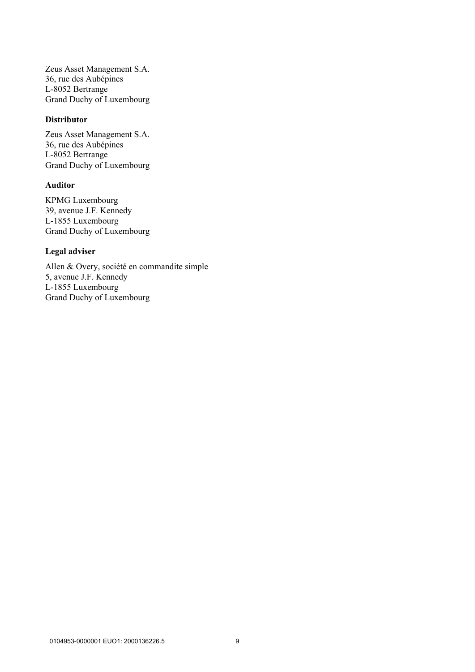Zeus Asset Management S.A. 36, rue des Aubépines L-8052 Bertrange Grand Duchy of Luxembourg

# **Distributor**

Zeus Asset Management S.A. 36, rue des Aubépines L-8052 Bertrange Grand Duchy of Luxembourg

# **Auditor**

KPMG Luxembourg 39, avenue J.F. Kennedy L-1855 Luxembourg Grand Duchy of Luxembourg

# **Legal adviser**

Allen & Overy, société en commandite simple 5, avenue J.F. Kennedy L-1855 Luxembourg Grand Duchy of Luxembourg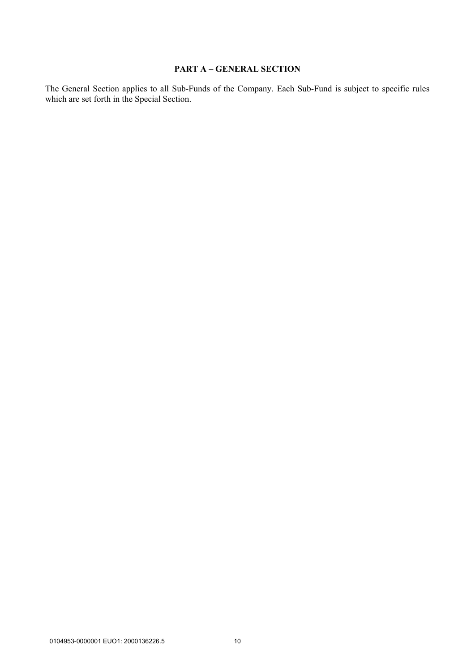# **PART A – GENERAL SECTION**

The General Section applies to all Sub-Funds of the Company. Each Sub-Fund is subject to specific rules which are set forth in the Special Section.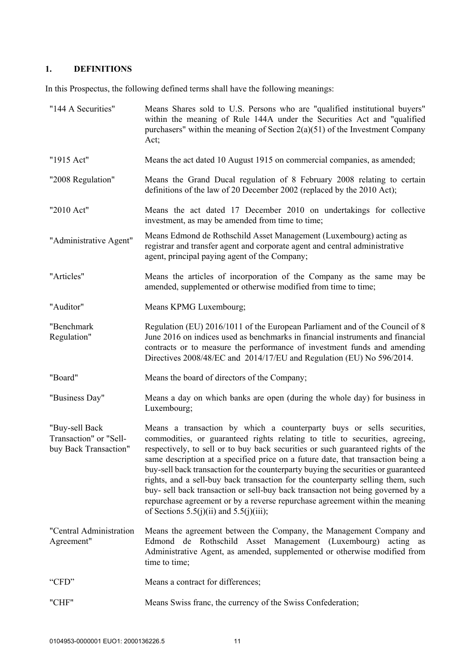# **1. DEFINITIONS**

In this Prospectus, the following defined terms shall have the following meanings:

| "144 A Securities"                                                | Means Shares sold to U.S. Persons who are "qualified institutional buyers"<br>within the meaning of Rule 144A under the Securities Act and "qualified<br>purchasers" within the meaning of Section $2(a)(51)$ of the Investment Company<br>Act;                                                                                                                                                                                                                                                                                                                                                                                                                                                                           |
|-------------------------------------------------------------------|---------------------------------------------------------------------------------------------------------------------------------------------------------------------------------------------------------------------------------------------------------------------------------------------------------------------------------------------------------------------------------------------------------------------------------------------------------------------------------------------------------------------------------------------------------------------------------------------------------------------------------------------------------------------------------------------------------------------------|
| "1915 Act"                                                        | Means the act dated 10 August 1915 on commercial companies, as amended;                                                                                                                                                                                                                                                                                                                                                                                                                                                                                                                                                                                                                                                   |
| "2008 Regulation"                                                 | Means the Grand Ducal regulation of 8 February 2008 relating to certain<br>definitions of the law of 20 December 2002 (replaced by the 2010 Act);                                                                                                                                                                                                                                                                                                                                                                                                                                                                                                                                                                         |
| "2010 Act"                                                        | Means the act dated 17 December 2010 on undertakings for collective<br>investment, as may be amended from time to time;                                                                                                                                                                                                                                                                                                                                                                                                                                                                                                                                                                                                   |
| "Administrative Agent"                                            | Means Edmond de Rothschild Asset Management (Luxembourg) acting as<br>registrar and transfer agent and corporate agent and central administrative<br>agent, principal paying agent of the Company;                                                                                                                                                                                                                                                                                                                                                                                                                                                                                                                        |
| "Articles"                                                        | Means the articles of incorporation of the Company as the same may be<br>amended, supplemented or otherwise modified from time to time;                                                                                                                                                                                                                                                                                                                                                                                                                                                                                                                                                                                   |
| "Auditor"                                                         | Means KPMG Luxembourg;                                                                                                                                                                                                                                                                                                                                                                                                                                                                                                                                                                                                                                                                                                    |
| "Benchmark<br>Regulation"                                         | Regulation (EU) 2016/1011 of the European Parliament and of the Council of 8<br>June 2016 on indices used as benchmarks in financial instruments and financial<br>contracts or to measure the performance of investment funds and amending<br>Directives 2008/48/EC and 2014/17/EU and Regulation (EU) No 596/2014.                                                                                                                                                                                                                                                                                                                                                                                                       |
| "Board"                                                           | Means the board of directors of the Company;                                                                                                                                                                                                                                                                                                                                                                                                                                                                                                                                                                                                                                                                              |
| "Business Day"                                                    | Means a day on which banks are open (during the whole day) for business in<br>Luxembourg;                                                                                                                                                                                                                                                                                                                                                                                                                                                                                                                                                                                                                                 |
| "Buy-sell Back<br>Transaction" or "Sell-<br>buy Back Transaction" | Means a transaction by which a counterparty buys or sells securities,<br>commodities, or guaranteed rights relating to title to securities, agreeing,<br>respectively, to sell or to buy back securities or such guaranteed rights of the<br>same description at a specified price on a future date, that transaction being a<br>buy-sell back transaction for the counterparty buying the securities or guaranteed<br>rights, and a sell-buy back transaction for the counterparty selling them, such<br>buy- sell back transaction or sell-buy back transaction not being governed by a<br>repurchase agreement or by a reverse repurchase agreement within the meaning<br>of Sections $5.5(j)(ii)$ and $5.5(j)(iii)$ ; |
| "Central Administration<br>Agreement"                             | Means the agreement between the Company, the Management Company and<br>Edmond de Rothschild Asset Management (Luxembourg)<br>acting as<br>Administrative Agent, as amended, supplemented or otherwise modified from<br>time to time;                                                                                                                                                                                                                                                                                                                                                                                                                                                                                      |
| "CFD"                                                             | Means a contract for differences;                                                                                                                                                                                                                                                                                                                                                                                                                                                                                                                                                                                                                                                                                         |
| "CHF"                                                             | Means Swiss franc, the currency of the Swiss Confederation;                                                                                                                                                                                                                                                                                                                                                                                                                                                                                                                                                                                                                                                               |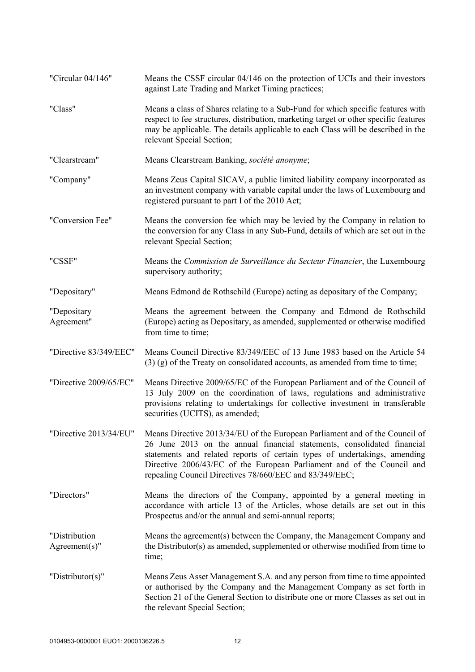| "Circular 04/146"                 | Means the CSSF circular 04/146 on the protection of UCIs and their investors<br>against Late Trading and Market Timing practices;                                                                                                                                                                                                                                        |
|-----------------------------------|--------------------------------------------------------------------------------------------------------------------------------------------------------------------------------------------------------------------------------------------------------------------------------------------------------------------------------------------------------------------------|
| "Class"                           | Means a class of Shares relating to a Sub-Fund for which specific features with<br>respect to fee structures, distribution, marketing target or other specific features<br>may be applicable. The details applicable to each Class will be described in the<br>relevant Special Section;                                                                                 |
| "Clearstream"                     | Means Clearstream Banking, société anonyme;                                                                                                                                                                                                                                                                                                                              |
| "Company"                         | Means Zeus Capital SICAV, a public limited liability company incorporated as<br>an investment company with variable capital under the laws of Luxembourg and<br>registered pursuant to part I of the 2010 Act;                                                                                                                                                           |
| "Conversion Fee"                  | Means the conversion fee which may be levied by the Company in relation to<br>the conversion for any Class in any Sub-Fund, details of which are set out in the<br>relevant Special Section;                                                                                                                                                                             |
| "CSSF"                            | Means the Commission de Surveillance du Secteur Financier, the Luxembourg<br>supervisory authority;                                                                                                                                                                                                                                                                      |
| "Depositary"                      | Means Edmond de Rothschild (Europe) acting as depositary of the Company;                                                                                                                                                                                                                                                                                                 |
| "Depositary<br>Agreement"         | Means the agreement between the Company and Edmond de Rothschild<br>(Europe) acting as Depositary, as amended, supplemented or otherwise modified<br>from time to time;                                                                                                                                                                                                  |
| "Directive 83/349/EEC"            | Means Council Directive 83/349/EEC of 13 June 1983 based on the Article 54<br>$(3)$ (g) of the Treaty on consolidated accounts, as amended from time to time;                                                                                                                                                                                                            |
| "Directive 2009/65/EC"            | Means Directive 2009/65/EC of the European Parliament and of the Council of<br>13 July 2009 on the coordination of laws, regulations and administrative<br>provisions relating to undertakings for collective investment in transferable<br>securities (UCITS), as amended;                                                                                              |
| "Directive 2013/34/EU"            | Means Directive 2013/34/EU of the European Parliament and of the Council of<br>26 June 2013 on the annual financial statements, consolidated financial<br>statements and related reports of certain types of undertakings, amending<br>Directive 2006/43/EC of the European Parliament and of the Council and<br>repealing Council Directives 78/660/EEC and 83/349/EEC; |
| "Directors"                       | Means the directors of the Company, appointed by a general meeting in<br>accordance with article 13 of the Articles, whose details are set out in this<br>Prospectus and/or the annual and semi-annual reports;                                                                                                                                                          |
| "Distribution<br>$Agreement(s)$ " | Means the agreement(s) between the Company, the Management Company and<br>the Distributor(s) as amended, supplemented or otherwise modified from time to<br>time;                                                                                                                                                                                                        |
| "Distributor(s)"                  | Means Zeus Asset Management S.A. and any person from time to time appointed<br>or authorised by the Company and the Management Company as set forth in<br>Section 21 of the General Section to distribute one or more Classes as set out in<br>the relevant Special Section;                                                                                             |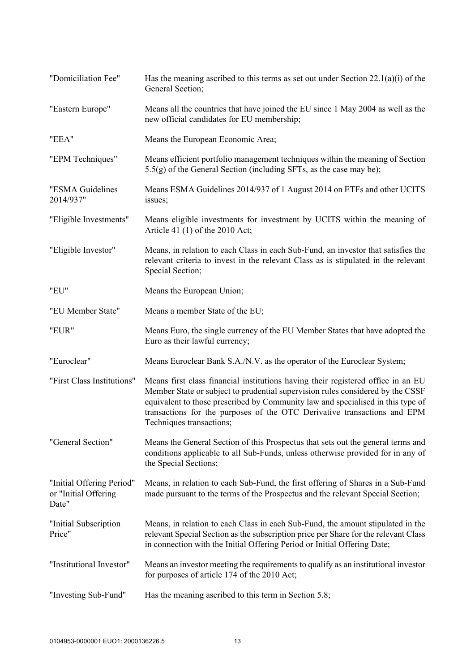| "Domiciliation Fee"                                        | Has the meaning ascribed to this terms as set out under Section $22.1(a)(i)$ of the<br>General Section;                                                                                                                                                                                                                                                       |
|------------------------------------------------------------|---------------------------------------------------------------------------------------------------------------------------------------------------------------------------------------------------------------------------------------------------------------------------------------------------------------------------------------------------------------|
| "Eastern Europe"                                           | Means all the countries that have joined the EU since 1 May 2004 as well as the<br>new official candidates for EU membership;                                                                                                                                                                                                                                 |
| "EEA"                                                      | Means the European Economic Area;                                                                                                                                                                                                                                                                                                                             |
| "EPM Techniques"                                           | Means efficient portfolio management techniques within the meaning of Section<br>$5.5(g)$ of the General Section (including SFTs, as the case may be);                                                                                                                                                                                                        |
| "ESMA Guidelines<br>2014/937"                              | Means ESMA Guidelines 2014/937 of 1 August 2014 on ETFs and other UCITS<br>issues;                                                                                                                                                                                                                                                                            |
| "Eligible Investments"                                     | Means eligible investments for investment by UCITS within the meaning of<br>Article 41 (1) of the 2010 Act;                                                                                                                                                                                                                                                   |
| "Eligible Investor"                                        | Means, in relation to each Class in each Sub-Fund, an investor that satisfies the<br>relevant criteria to invest in the relevant Class as is stipulated in the relevant<br>Special Section;                                                                                                                                                                   |
| "EU"                                                       | Means the European Union;                                                                                                                                                                                                                                                                                                                                     |
| "EU Member State"                                          | Means a member State of the EU;                                                                                                                                                                                                                                                                                                                               |
| "EUR"                                                      | Means Euro, the single currency of the EU Member States that have adopted the<br>Euro as their lawful currency;                                                                                                                                                                                                                                               |
| "Euroclear"                                                | Means Euroclear Bank S.A./N.V. as the operator of the Euroclear System;                                                                                                                                                                                                                                                                                       |
| "First Class Institutions"                                 | Means first class financial institutions having their registered office in an EU<br>Member State or subject to prudential supervision rules considered by the CSSF<br>equivalent to those prescribed by Community law and specialised in this type of<br>transactions for the purposes of the OTC Derivative transactions and EPM<br>Techniques transactions; |
| "General Section"                                          | Means the General Section of this Prospectus that sets out the general terms and<br>conditions applicable to all Sub-Funds, unless otherwise provided for in any of<br>the Special Sections;                                                                                                                                                                  |
| "Initial Offering Period"<br>or "Initial Offering<br>Date" | Means, in relation to each Sub-Fund, the first offering of Shares in a Sub-Fund<br>made pursuant to the terms of the Prospectus and the relevant Special Section;                                                                                                                                                                                             |
| "Initial Subscription<br>Price"                            | Means, in relation to each Class in each Sub-Fund, the amount stipulated in the<br>relevant Special Section as the subscription price per Share for the relevant Class<br>in connection with the Initial Offering Period or Initial Offering Date;                                                                                                            |
| "Institutional Investor"                                   | Means an investor meeting the requirements to qualify as an institutional investor<br>for purposes of article 174 of the 2010 Act;                                                                                                                                                                                                                            |
| "Investing Sub-Fund"                                       | Has the meaning ascribed to this term in Section 5.8;                                                                                                                                                                                                                                                                                                         |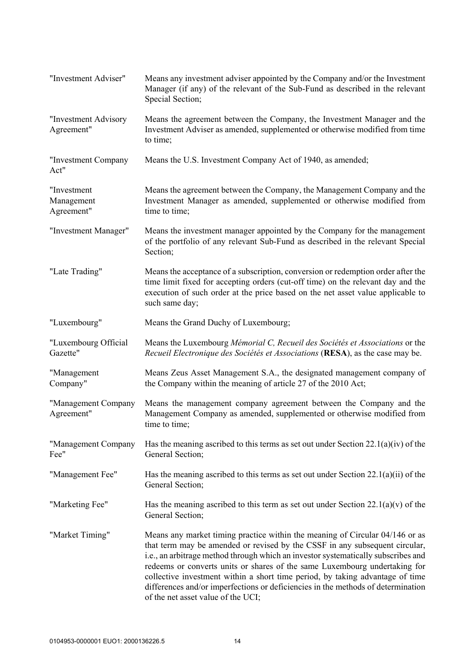| "Investment Adviser"                    | Means any investment adviser appointed by the Company and/or the Investment<br>Manager (if any) of the relevant of the Sub-Fund as described in the relevant<br>Special Section;                                                                                                                                                                                                                                                                                                                                                          |
|-----------------------------------------|-------------------------------------------------------------------------------------------------------------------------------------------------------------------------------------------------------------------------------------------------------------------------------------------------------------------------------------------------------------------------------------------------------------------------------------------------------------------------------------------------------------------------------------------|
| "Investment Advisory<br>Agreement"      | Means the agreement between the Company, the Investment Manager and the<br>Investment Adviser as amended, supplemented or otherwise modified from time<br>to time;                                                                                                                                                                                                                                                                                                                                                                        |
| "Investment Company<br>Act"             | Means the U.S. Investment Company Act of 1940, as amended;                                                                                                                                                                                                                                                                                                                                                                                                                                                                                |
| "Investment<br>Management<br>Agreement" | Means the agreement between the Company, the Management Company and the<br>Investment Manager as amended, supplemented or otherwise modified from<br>time to time;                                                                                                                                                                                                                                                                                                                                                                        |
| "Investment Manager"                    | Means the investment manager appointed by the Company for the management<br>of the portfolio of any relevant Sub-Fund as described in the relevant Special<br>Section;                                                                                                                                                                                                                                                                                                                                                                    |
| "Late Trading"                          | Means the acceptance of a subscription, conversion or redemption order after the<br>time limit fixed for accepting orders (cut-off time) on the relevant day and the<br>execution of such order at the price based on the net asset value applicable to<br>such same day;                                                                                                                                                                                                                                                                 |
| "Luxembourg"                            | Means the Grand Duchy of Luxembourg;                                                                                                                                                                                                                                                                                                                                                                                                                                                                                                      |
| "Luxembourg Official<br>Gazette"        | Means the Luxembourg Mémorial C, Recueil des Sociétés et Associations or the<br>Recueil Electronique des Sociétés et Associations (RESA), as the case may be.                                                                                                                                                                                                                                                                                                                                                                             |
| "Management<br>Company"                 | Means Zeus Asset Management S.A., the designated management company of<br>the Company within the meaning of article 27 of the 2010 Act;                                                                                                                                                                                                                                                                                                                                                                                                   |
| "Management Company<br>Agreement"       | Means the management company agreement between the Company and the<br>Management Company as amended, supplemented or otherwise modified from<br>time to time;                                                                                                                                                                                                                                                                                                                                                                             |
| "Management Company<br>Fee"             | Has the meaning ascribed to this terms as set out under Section 22.1(a)(iv) of the<br>General Section;                                                                                                                                                                                                                                                                                                                                                                                                                                    |
| "Management Fee"                        | Has the meaning ascribed to this terms as set out under Section $22.1(a)(ii)$ of the<br>General Section;                                                                                                                                                                                                                                                                                                                                                                                                                                  |
| "Marketing Fee"                         | Has the meaning ascribed to this term as set out under Section $22.1(a)(v)$ of the<br>General Section;                                                                                                                                                                                                                                                                                                                                                                                                                                    |
| "Market Timing"                         | Means any market timing practice within the meaning of Circular 04/146 or as<br>that term may be amended or revised by the CSSF in any subsequent circular,<br>i.e., an arbitrage method through which an investor systematically subscribes and<br>redeems or converts units or shares of the same Luxembourg undertaking for<br>collective investment within a short time period, by taking advantage of time<br>differences and/or imperfections or deficiencies in the methods of determination<br>of the net asset value of the UCI; |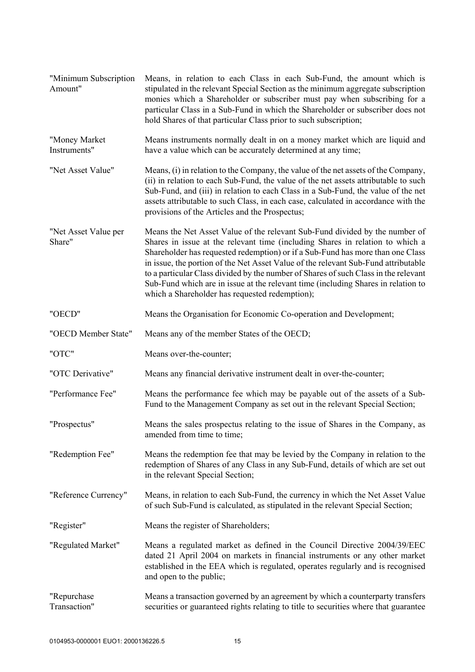| "Minimum Subscription<br>Amount" | Means, in relation to each Class in each Sub-Fund, the amount which is<br>stipulated in the relevant Special Section as the minimum aggregate subscription<br>monies which a Shareholder or subscriber must pay when subscribing for a<br>particular Class in a Sub-Fund in which the Shareholder or subscriber does not<br>hold Shares of that particular Class prior to such subscription;                                                                                                                                                                       |
|----------------------------------|--------------------------------------------------------------------------------------------------------------------------------------------------------------------------------------------------------------------------------------------------------------------------------------------------------------------------------------------------------------------------------------------------------------------------------------------------------------------------------------------------------------------------------------------------------------------|
| "Money Market<br>Instruments"    | Means instruments normally dealt in on a money market which are liquid and<br>have a value which can be accurately determined at any time;                                                                                                                                                                                                                                                                                                                                                                                                                         |
| "Net Asset Value"                | Means, (i) in relation to the Company, the value of the net assets of the Company,<br>(ii) in relation to each Sub-Fund, the value of the net assets attributable to such<br>Sub-Fund, and (iii) in relation to each Class in a Sub-Fund, the value of the net<br>assets attributable to such Class, in each case, calculated in accordance with the<br>provisions of the Articles and the Prospectus;                                                                                                                                                             |
| "Net Asset Value per<br>Share"   | Means the Net Asset Value of the relevant Sub-Fund divided by the number of<br>Shares in issue at the relevant time (including Shares in relation to which a<br>Shareholder has requested redemption) or if a Sub-Fund has more than one Class<br>in issue, the portion of the Net Asset Value of the relevant Sub-Fund attributable<br>to a particular Class divided by the number of Shares of such Class in the relevant<br>Sub-Fund which are in issue at the relevant time (including Shares in relation to<br>which a Shareholder has requested redemption); |
| "OECD"                           | Means the Organisation for Economic Co-operation and Development;                                                                                                                                                                                                                                                                                                                                                                                                                                                                                                  |
| "OECD Member State"              | Means any of the member States of the OECD;                                                                                                                                                                                                                                                                                                                                                                                                                                                                                                                        |
| "OTC"                            | Means over-the-counter;                                                                                                                                                                                                                                                                                                                                                                                                                                                                                                                                            |
| "OTC Derivative"                 | Means any financial derivative instrument dealt in over-the-counter;                                                                                                                                                                                                                                                                                                                                                                                                                                                                                               |
| "Performance Fee"                | Means the performance fee which may be payable out of the assets of a Sub-<br>Fund to the Management Company as set out in the relevant Special Section;                                                                                                                                                                                                                                                                                                                                                                                                           |
| "Prospectus"                     | Means the sales prospectus relating to the issue of Shares in the Company, as<br>amended from time to time;                                                                                                                                                                                                                                                                                                                                                                                                                                                        |
| "Redemption Fee"                 | Means the redemption fee that may be levied by the Company in relation to the<br>redemption of Shares of any Class in any Sub-Fund, details of which are set out<br>in the relevant Special Section;                                                                                                                                                                                                                                                                                                                                                               |
| "Reference Currency"             | Means, in relation to each Sub-Fund, the currency in which the Net Asset Value<br>of such Sub-Fund is calculated, as stipulated in the relevant Special Section;                                                                                                                                                                                                                                                                                                                                                                                                   |
| "Register"                       | Means the register of Shareholders;                                                                                                                                                                                                                                                                                                                                                                                                                                                                                                                                |
| "Regulated Market"               | Means a regulated market as defined in the Council Directive 2004/39/EEC<br>dated 21 April 2004 on markets in financial instruments or any other market<br>established in the EEA which is regulated, operates regularly and is recognised<br>and open to the public;                                                                                                                                                                                                                                                                                              |
| "Repurchase<br>Transaction"      | Means a transaction governed by an agreement by which a counterparty transfers<br>securities or guaranteed rights relating to title to securities where that guarantee                                                                                                                                                                                                                                                                                                                                                                                             |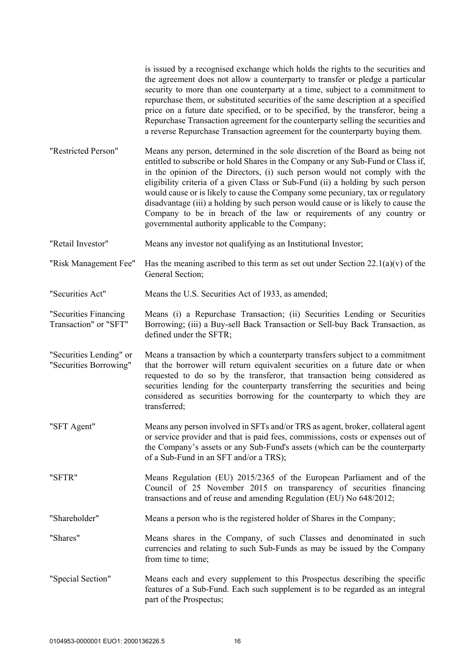|                                                   | is issued by a recognised exchange which holds the rights to the securities and<br>the agreement does not allow a counterparty to transfer or pledge a particular<br>security to more than one counterparty at a time, subject to a commitment to<br>repurchase them, or substituted securities of the same description at a specified<br>price on a future date specified, or to be specified, by the transferor, being a<br>Repurchase Transaction agreement for the counterparty selling the securities and<br>a reverse Repurchase Transaction agreement for the counterparty buying them.                                          |
|---------------------------------------------------|-----------------------------------------------------------------------------------------------------------------------------------------------------------------------------------------------------------------------------------------------------------------------------------------------------------------------------------------------------------------------------------------------------------------------------------------------------------------------------------------------------------------------------------------------------------------------------------------------------------------------------------------|
| "Restricted Person"                               | Means any person, determined in the sole discretion of the Board as being not<br>entitled to subscribe or hold Shares in the Company or any Sub-Fund or Class if,<br>in the opinion of the Directors, (i) such person would not comply with the<br>eligibility criteria of a given Class or Sub-Fund (ii) a holding by such person<br>would cause or is likely to cause the Company some pecuniary, tax or regulatory<br>disadvantage (iii) a holding by such person would cause or is likely to cause the<br>Company to be in breach of the law or requirements of any country or<br>governmental authority applicable to the Company; |
| "Retail Investor"                                 | Means any investor not qualifying as an Institutional Investor;                                                                                                                                                                                                                                                                                                                                                                                                                                                                                                                                                                         |
| "Risk Management Fee"                             | Has the meaning ascribed to this term as set out under Section $22.1(a)(v)$ of the<br>General Section;                                                                                                                                                                                                                                                                                                                                                                                                                                                                                                                                  |
| "Securities Act"                                  | Means the U.S. Securities Act of 1933, as amended;                                                                                                                                                                                                                                                                                                                                                                                                                                                                                                                                                                                      |
| "Securities Financing<br>Transaction" or "SFT"    | Means (i) a Repurchase Transaction; (ii) Securities Lending or Securities<br>Borrowing; (iii) a Buy-sell Back Transaction or Sell-buy Back Transaction, as<br>defined under the SFTR;                                                                                                                                                                                                                                                                                                                                                                                                                                                   |
| "Securities Lending" or<br>"Securities Borrowing" | Means a transaction by which a counterparty transfers subject to a commitment<br>that the borrower will return equivalent securities on a future date or when<br>requested to do so by the transferor, that transaction being considered as<br>securities lending for the counterparty transferring the securities and being<br>considered as securities borrowing for the counterparty to which they are<br>transferred;                                                                                                                                                                                                               |
| "SFT Agent"                                       | Means any person involved in SFTs and/or TRS as agent, broker, collateral agent<br>or service provider and that is paid fees, commissions, costs or expenses out of<br>the Company's assets or any Sub-Fund's assets (which can be the counterparty<br>of a Sub-Fund in an SFT and/or a TRS);                                                                                                                                                                                                                                                                                                                                           |
| "SFTR"                                            | Means Regulation (EU) 2015/2365 of the European Parliament and of the<br>Council of 25 November 2015 on transparency of securities financing<br>transactions and of reuse and amending Regulation (EU) No 648/2012;                                                                                                                                                                                                                                                                                                                                                                                                                     |
| "Shareholder"                                     | Means a person who is the registered holder of Shares in the Company;                                                                                                                                                                                                                                                                                                                                                                                                                                                                                                                                                                   |
| "Shares"                                          | Means shares in the Company, of such Classes and denominated in such<br>currencies and relating to such Sub-Funds as may be issued by the Company<br>from time to time;                                                                                                                                                                                                                                                                                                                                                                                                                                                                 |
| "Special Section"                                 | Means each and every supplement to this Prospectus describing the specific<br>features of a Sub-Fund. Each such supplement is to be regarded as an integral<br>part of the Prospectus;                                                                                                                                                                                                                                                                                                                                                                                                                                                  |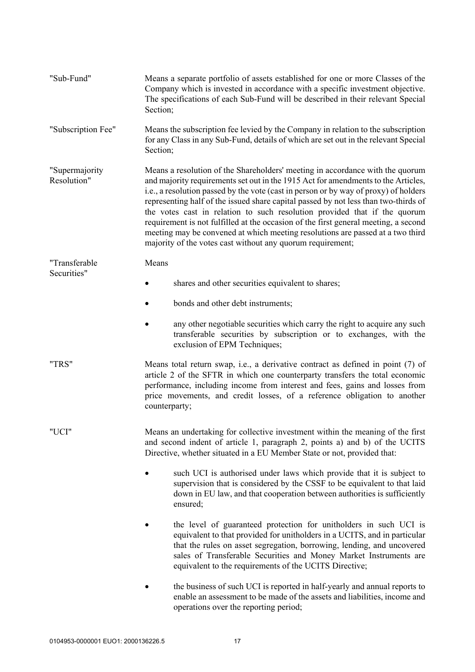| "Sub-Fund"                    | Means a separate portfolio of assets established for one or more Classes of the<br>Company which is invested in accordance with a specific investment objective.<br>The specifications of each Sub-Fund will be described in their relevant Special<br>Section;                                                                                                                                                                                                                                                                                                                                                                                                       |
|-------------------------------|-----------------------------------------------------------------------------------------------------------------------------------------------------------------------------------------------------------------------------------------------------------------------------------------------------------------------------------------------------------------------------------------------------------------------------------------------------------------------------------------------------------------------------------------------------------------------------------------------------------------------------------------------------------------------|
| "Subscription Fee"            | Means the subscription fee levied by the Company in relation to the subscription<br>for any Class in any Sub-Fund, details of which are set out in the relevant Special<br>Section;                                                                                                                                                                                                                                                                                                                                                                                                                                                                                   |
| "Supermajority<br>Resolution" | Means a resolution of the Shareholders' meeting in accordance with the quorum<br>and majority requirements set out in the 1915 Act for amendments to the Articles,<br>i.e., a resolution passed by the vote (cast in person or by way of proxy) of holders<br>representing half of the issued share capital passed by not less than two-thirds of<br>the votes cast in relation to such resolution provided that if the quorum<br>requirement is not fulfilled at the occasion of the first general meeting, a second<br>meeting may be convened at which meeting resolutions are passed at a two third<br>majority of the votes cast without any quorum requirement; |
| "Transferable                 | Means                                                                                                                                                                                                                                                                                                                                                                                                                                                                                                                                                                                                                                                                 |
| Securities"                   | shares and other securities equivalent to shares;                                                                                                                                                                                                                                                                                                                                                                                                                                                                                                                                                                                                                     |
|                               | bonds and other debt instruments;                                                                                                                                                                                                                                                                                                                                                                                                                                                                                                                                                                                                                                     |
|                               | any other negotiable securities which carry the right to acquire any such<br>transferable securities by subscription or to exchanges, with the<br>exclusion of EPM Techniques;                                                                                                                                                                                                                                                                                                                                                                                                                                                                                        |
| "TRS"                         | Means total return swap, i.e., a derivative contract as defined in point (7) of<br>article 2 of the SFTR in which one counterparty transfers the total economic<br>performance, including income from interest and fees, gains and losses from<br>price movements, and credit losses, of a reference obligation to another<br>counterparty;                                                                                                                                                                                                                                                                                                                           |
| "UCI"                         | Means an undertaking for collective investment within the meaning of the first<br>and second indent of article 1, paragraph 2, points a) and b) of the UCITS<br>Directive, whether situated in a EU Member State or not, provided that:                                                                                                                                                                                                                                                                                                                                                                                                                               |
|                               | such UCI is authorised under laws which provide that it is subject to<br>supervision that is considered by the CSSF to be equivalent to that laid<br>down in EU law, and that cooperation between authorities is sufficiently<br>ensured;                                                                                                                                                                                                                                                                                                                                                                                                                             |
|                               | the level of guaranteed protection for unitholders in such UCI is<br>equivalent to that provided for unitholders in a UCITS, and in particular<br>that the rules on asset segregation, borrowing, lending, and uncovered<br>sales of Transferable Securities and Money Market Instruments are<br>equivalent to the requirements of the UCITS Directive;                                                                                                                                                                                                                                                                                                               |
|                               | the business of such UCI is reported in half-yearly and annual reports to<br>enable an assessment to be made of the assets and liabilities, income and<br>operations over the reporting period;                                                                                                                                                                                                                                                                                                                                                                                                                                                                       |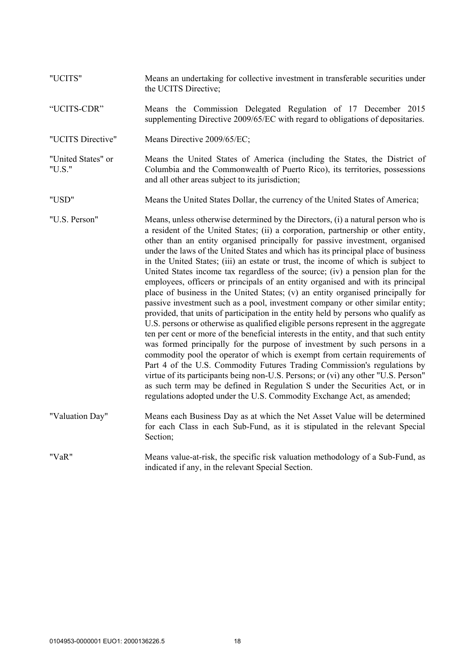| "UCITS"                      | Means an undertaking for collective investment in transferable securities under<br>the UCITS Directive;                                                                                                                                                                                                                                                                                                                                                                                                                                                                                                                                                                                                                                                                                                                                                                                                                                                                                                                                                                                                                                                                                                                                                                                                                                                                                                                                                                                                                              |
|------------------------------|--------------------------------------------------------------------------------------------------------------------------------------------------------------------------------------------------------------------------------------------------------------------------------------------------------------------------------------------------------------------------------------------------------------------------------------------------------------------------------------------------------------------------------------------------------------------------------------------------------------------------------------------------------------------------------------------------------------------------------------------------------------------------------------------------------------------------------------------------------------------------------------------------------------------------------------------------------------------------------------------------------------------------------------------------------------------------------------------------------------------------------------------------------------------------------------------------------------------------------------------------------------------------------------------------------------------------------------------------------------------------------------------------------------------------------------------------------------------------------------------------------------------------------------|
| "UCITS-CDR"                  | Means the Commission Delegated Regulation of 17 December 2015<br>supplementing Directive 2009/65/EC with regard to obligations of depositaries.                                                                                                                                                                                                                                                                                                                                                                                                                                                                                                                                                                                                                                                                                                                                                                                                                                                                                                                                                                                                                                                                                                                                                                                                                                                                                                                                                                                      |
| "UCITS Directive"            | Means Directive 2009/65/EC;                                                                                                                                                                                                                                                                                                                                                                                                                                                                                                                                                                                                                                                                                                                                                                                                                                                                                                                                                                                                                                                                                                                                                                                                                                                                                                                                                                                                                                                                                                          |
| "United States" or<br>"U.S." | Means the United States of America (including the States, the District of<br>Columbia and the Commonwealth of Puerto Rico), its territories, possessions<br>and all other areas subject to its jurisdiction;                                                                                                                                                                                                                                                                                                                                                                                                                                                                                                                                                                                                                                                                                                                                                                                                                                                                                                                                                                                                                                                                                                                                                                                                                                                                                                                         |
| "USD"                        | Means the United States Dollar, the currency of the United States of America;                                                                                                                                                                                                                                                                                                                                                                                                                                                                                                                                                                                                                                                                                                                                                                                                                                                                                                                                                                                                                                                                                                                                                                                                                                                                                                                                                                                                                                                        |
| "U.S. Person"                | Means, unless otherwise determined by the Directors, (i) a natural person who is<br>a resident of the United States; (ii) a corporation, partnership or other entity,<br>other than an entity organised principally for passive investment, organised<br>under the laws of the United States and which has its principal place of business<br>in the United States; (iii) an estate or trust, the income of which is subject to<br>United States income tax regardless of the source; (iv) a pension plan for the<br>employees, officers or principals of an entity organised and with its principal<br>place of business in the United States; (v) an entity organised principally for<br>passive investment such as a pool, investment company or other similar entity;<br>provided, that units of participation in the entity held by persons who qualify as<br>U.S. persons or otherwise as qualified eligible persons represent in the aggregate<br>ten per cent or more of the beneficial interests in the entity, and that such entity<br>was formed principally for the purpose of investment by such persons in a<br>commodity pool the operator of which is exempt from certain requirements of<br>Part 4 of the U.S. Commodity Futures Trading Commission's regulations by<br>virtue of its participants being non-U.S. Persons; or (vi) any other "U.S. Person"<br>as such term may be defined in Regulation S under the Securities Act, or in<br>regulations adopted under the U.S. Commodity Exchange Act, as amended; |
| "Valuation Day"              | Means each Business Day as at which the Net Asset Value will be determined<br>for each Class in each Sub-Fund, as it is stipulated in the relevant Special<br>Section;                                                                                                                                                                                                                                                                                                                                                                                                                                                                                                                                                                                                                                                                                                                                                                                                                                                                                                                                                                                                                                                                                                                                                                                                                                                                                                                                                               |
| "VaR"                        | Means value-at-risk, the specific risk valuation methodology of a Sub-Fund, as<br>indicated if any, in the relevant Special Section.                                                                                                                                                                                                                                                                                                                                                                                                                                                                                                                                                                                                                                                                                                                                                                                                                                                                                                                                                                                                                                                                                                                                                                                                                                                                                                                                                                                                 |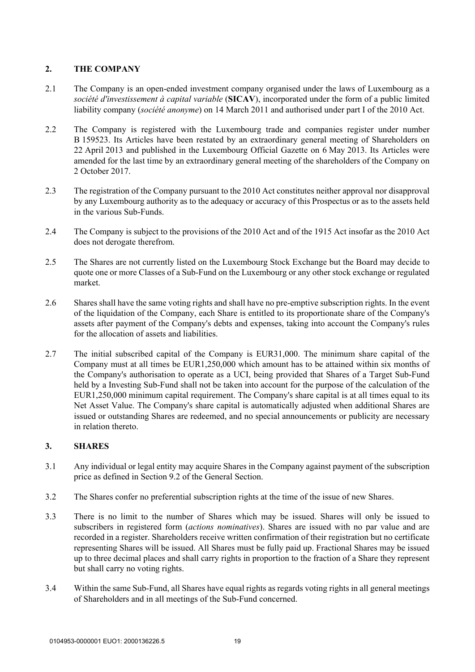# **2. THE COMPANY**

- 2.1 The Company is an open-ended investment company organised under the laws of Luxembourg as a *société d'investissement à capital variable* (**SICAV**), incorporated under the form of a public limited liability company (*société anonyme*) on 14 March 2011 and authorised under part I of the 2010 Act.
- 2.2 The Company is registered with the Luxembourg trade and companies register under number B 159523. Its Articles have been restated by an extraordinary general meeting of Shareholders on 22 April 2013 and published in the Luxembourg Official Gazette on 6 May 2013. Its Articles were amended for the last time by an extraordinary general meeting of the shareholders of the Company on 2 October 2017.
- 2.3 The registration of the Company pursuant to the 2010 Act constitutes neither approval nor disapproval by any Luxembourg authority as to the adequacy or accuracy of this Prospectus or as to the assets held in the various Sub-Funds.
- 2.4 The Company is subject to the provisions of the 2010 Act and of the 1915 Act insofar as the 2010 Act does not derogate therefrom.
- 2.5 The Shares are not currently listed on the Luxembourg Stock Exchange but the Board may decide to quote one or more Classes of a Sub-Fund on the Luxembourg or any other stock exchange or regulated market.
- 2.6 Shares shall have the same voting rights and shall have no pre-emptive subscription rights. In the event of the liquidation of the Company, each Share is entitled to its proportionate share of the Company's assets after payment of the Company's debts and expenses, taking into account the Company's rules for the allocation of assets and liabilities.
- 2.7 The initial subscribed capital of the Company is EUR31,000. The minimum share capital of the Company must at all times be EUR1,250,000 which amount has to be attained within six months of the Company's authorisation to operate as a UCI, being provided that Shares of a Target Sub-Fund held by a Investing Sub-Fund shall not be taken into account for the purpose of the calculation of the EUR1,250,000 minimum capital requirement. The Company's share capital is at all times equal to its Net Asset Value. The Company's share capital is automatically adjusted when additional Shares are issued or outstanding Shares are redeemed, and no special announcements or publicity are necessary in relation thereto.

# **3. SHARES**

- 3.1 Any individual or legal entity may acquire Shares in the Company against payment of the subscription price as defined in Section 9.2 of the General Section.
- 3.2 The Shares confer no preferential subscription rights at the time of the issue of new Shares.
- 3.3 There is no limit to the number of Shares which may be issued. Shares will only be issued to subscribers in registered form (*actions nominatives*). Shares are issued with no par value and are recorded in a register. Shareholders receive written confirmation of their registration but no certificate representing Shares will be issued. All Shares must be fully paid up. Fractional Shares may be issued up to three decimal places and shall carry rights in proportion to the fraction of a Share they represent but shall carry no voting rights.
- 3.4 Within the same Sub-Fund, all Shares have equal rights as regards voting rights in all general meetings of Shareholders and in all meetings of the Sub-Fund concerned.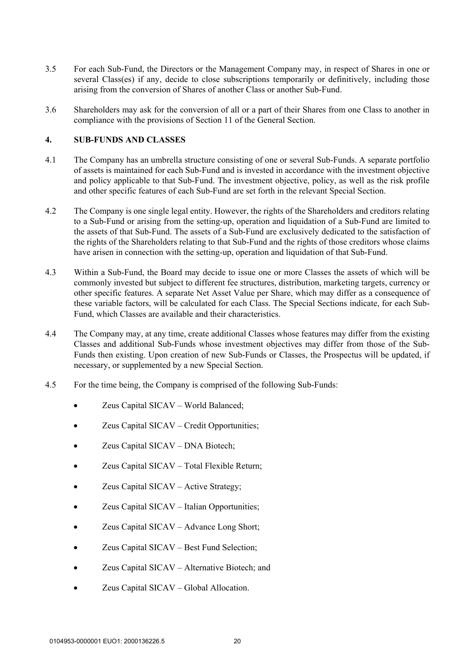- 3.5 For each Sub-Fund, the Directors or the Management Company may, in respect of Shares in one or several Class(es) if any, decide to close subscriptions temporarily or definitively, including those arising from the conversion of Shares of another Class or another Sub-Fund.
- 3.6 Shareholders may ask for the conversion of all or a part of their Shares from one Class to another in compliance with the provisions of Section 11 of the General Section.

# **4. SUB-FUNDS AND CLASSES**

- 4.1 The Company has an umbrella structure consisting of one or several Sub-Funds. A separate portfolio of assets is maintained for each Sub-Fund and is invested in accordance with the investment objective and policy applicable to that Sub-Fund. The investment objective, policy, as well as the risk profile and other specific features of each Sub-Fund are set forth in the relevant Special Section.
- 4.2 The Company is one single legal entity. However, the rights of the Shareholders and creditors relating to a Sub-Fund or arising from the setting-up, operation and liquidation of a Sub-Fund are limited to the assets of that Sub-Fund. The assets of a Sub-Fund are exclusively dedicated to the satisfaction of the rights of the Shareholders relating to that Sub-Fund and the rights of those creditors whose claims have arisen in connection with the setting-up, operation and liquidation of that Sub-Fund.
- 4.3 Within a Sub-Fund, the Board may decide to issue one or more Classes the assets of which will be commonly invested but subject to different fee structures, distribution, marketing targets, currency or other specific features. A separate Net Asset Value per Share, which may differ as a consequence of these variable factors, will be calculated for each Class. The Special Sections indicate, for each Sub-Fund, which Classes are available and their characteristics.
- 4.4 The Company may, at any time, create additional Classes whose features may differ from the existing Classes and additional Sub-Funds whose investment objectives may differ from those of the Sub-Funds then existing. Upon creation of new Sub-Funds or Classes, the Prospectus will be updated, if necessary, or supplemented by a new Special Section.
- 4.5 For the time being, the Company is comprised of the following Sub-Funds:
	- Zeus Capital SICAV World Balanced;
	- Zeus Capital SICAV Credit Opportunities;
	- Zeus Capital SICAV DNA Biotech;
	- Zeus Capital SICAV Total Flexible Return;
	- Zeus Capital SICAV Active Strategy;
	- Zeus Capital SICAV Italian Opportunities;
	- Zeus Capital SICAV Advance Long Short;
	- Zeus Capital SICAV Best Fund Selection;
	- Zeus Capital SICAV Alternative Biotech; and
	- Zeus Capital SICAV Global Allocation.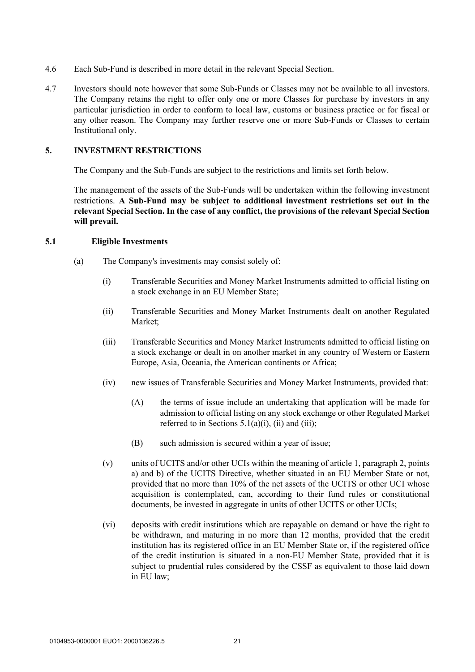- 4.6 Each Sub-Fund is described in more detail in the relevant Special Section.
- 4.7 Investors should note however that some Sub-Funds or Classes may not be available to all investors. The Company retains the right to offer only one or more Classes for purchase by investors in any particular jurisdiction in order to conform to local law, customs or business practice or for fiscal or any other reason. The Company may further reserve one or more Sub-Funds or Classes to certain Institutional only.

#### **5. INVESTMENT RESTRICTIONS**

The Company and the Sub-Funds are subject to the restrictions and limits set forth below.

The management of the assets of the Sub-Funds will be undertaken within the following investment restrictions. **A Sub-Fund may be subject to additional investment restrictions set out in the relevant Special Section. In the case of any conflict, the provisions of the relevant Special Section will prevail.** 

#### **5.1 Eligible Investments**

- (a) The Company's investments may consist solely of:
	- (i) Transferable Securities and Money Market Instruments admitted to official listing on a stock exchange in an EU Member State;
	- (ii) Transferable Securities and Money Market Instruments dealt on another Regulated Market;
	- (iii) Transferable Securities and Money Market Instruments admitted to official listing on a stock exchange or dealt in on another market in any country of Western or Eastern Europe, Asia, Oceania, the American continents or Africa;
	- (iv) new issues of Transferable Securities and Money Market Instruments, provided that:
		- (A) the terms of issue include an undertaking that application will be made for admission to official listing on any stock exchange or other Regulated Market referred to in Sections  $5.1(a)(i)$ , (ii) and (iii);
		- (B) such admission is secured within a year of issue;
	- (v) units of UCITS and/or other UCIs within the meaning of article 1, paragraph 2, points a) and b) of the UCITS Directive, whether situated in an EU Member State or not, provided that no more than 10% of the net assets of the UCITS or other UCI whose acquisition is contemplated, can, according to their fund rules or constitutional documents, be invested in aggregate in units of other UCITS or other UCIs;
	- (vi) deposits with credit institutions which are repayable on demand or have the right to be withdrawn, and maturing in no more than 12 months, provided that the credit institution has its registered office in an EU Member State or, if the registered office of the credit institution is situated in a non-EU Member State, provided that it is subject to prudential rules considered by the CSSF as equivalent to those laid down in EU law;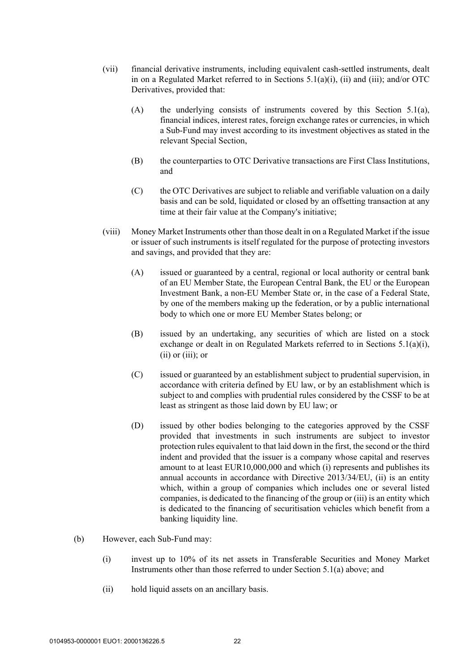- (vii) financial derivative instruments, including equivalent cash-settled instruments, dealt in on a Regulated Market referred to in Sections  $5.1(a)(i)$ , (ii) and (iii); and/or OTC Derivatives, provided that:
	- (A) the underlying consists of instruments covered by this Section  $5.1(a)$ , financial indices, interest rates, foreign exchange rates or currencies, in which a Sub-Fund may invest according to its investment objectives as stated in the relevant Special Section,
	- (B) the counterparties to OTC Derivative transactions are First Class Institutions, and
	- (C) the OTC Derivatives are subject to reliable and verifiable valuation on a daily basis and can be sold, liquidated or closed by an offsetting transaction at any time at their fair value at the Company's initiative;
- (viii) Money Market Instruments other than those dealt in on a Regulated Market if the issue or issuer of such instruments is itself regulated for the purpose of protecting investors and savings, and provided that they are:
	- (A) issued or guaranteed by a central, regional or local authority or central bank of an EU Member State, the European Central Bank, the EU or the European Investment Bank, a non-EU Member State or, in the case of a Federal State, by one of the members making up the federation, or by a public international body to which one or more EU Member States belong; or
	- (B) issued by an undertaking, any securities of which are listed on a stock exchange or dealt in on Regulated Markets referred to in Sections 5.1(a)(i), (ii) or (iii); or
	- (C) issued or guaranteed by an establishment subject to prudential supervision, in accordance with criteria defined by EU law, or by an establishment which is subject to and complies with prudential rules considered by the CSSF to be at least as stringent as those laid down by EU law; or
	- (D) issued by other bodies belonging to the categories approved by the CSSF provided that investments in such instruments are subject to investor protection rules equivalent to that laid down in the first, the second or the third indent and provided that the issuer is a company whose capital and reserves amount to at least EUR10,000,000 and which (i) represents and publishes its annual accounts in accordance with Directive 2013/34/EU, (ii) is an entity which, within a group of companies which includes one or several listed companies, is dedicated to the financing of the group or (iii) is an entity which is dedicated to the financing of securitisation vehicles which benefit from a banking liquidity line.
- (b) However, each Sub-Fund may:
	- (i) invest up to 10% of its net assets in Transferable Securities and Money Market Instruments other than those referred to under Section 5.1(a) above; and
	- (ii) hold liquid assets on an ancillary basis.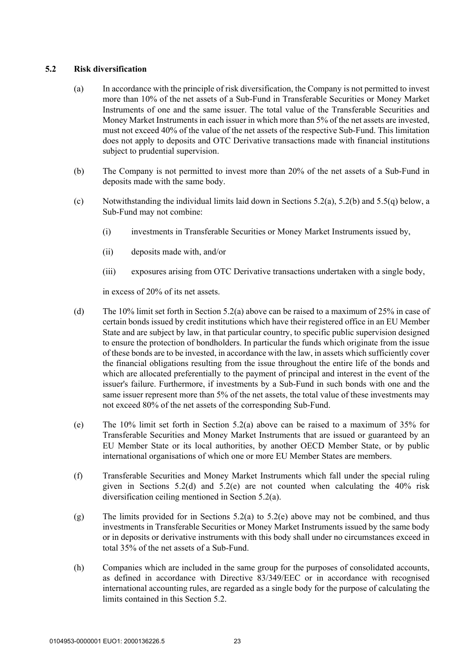# **5.2 Risk diversification**

- (a) In accordance with the principle of risk diversification, the Company is not permitted to invest more than 10% of the net assets of a Sub-Fund in Transferable Securities or Money Market Instruments of one and the same issuer. The total value of the Transferable Securities and Money Market Instruments in each issuer in which more than 5% of the net assets are invested, must not exceed 40% of the value of the net assets of the respective Sub-Fund. This limitation does not apply to deposits and OTC Derivative transactions made with financial institutions subject to prudential supervision.
- (b) The Company is not permitted to invest more than 20% of the net assets of a Sub-Fund in deposits made with the same body.
- (c) Notwithstanding the individual limits laid down in Sections 5.2(a), 5.2(b) and 5.5(q) below, a Sub-Fund may not combine:
	- (i) investments in Transferable Securities or Money Market Instruments issued by,
	- (ii) deposits made with, and/or
	- (iii) exposures arising from OTC Derivative transactions undertaken with a single body,

in excess of 20% of its net assets.

- (d) The 10% limit set forth in Section 5.2(a) above can be raised to a maximum of 25% in case of certain bonds issued by credit institutions which have their registered office in an EU Member State and are subject by law, in that particular country, to specific public supervision designed to ensure the protection of bondholders. In particular the funds which originate from the issue of these bonds are to be invested, in accordance with the law, in assets which sufficiently cover the financial obligations resulting from the issue throughout the entire life of the bonds and which are allocated preferentially to the payment of principal and interest in the event of the issuer's failure. Furthermore, if investments by a Sub-Fund in such bonds with one and the same issuer represent more than 5% of the net assets, the total value of these investments may not exceed 80% of the net assets of the corresponding Sub-Fund.
- (e) The  $10\%$  limit set forth in Section 5.2(a) above can be raised to a maximum of 35% for Transferable Securities and Money Market Instruments that are issued or guaranteed by an EU Member State or its local authorities, by another OECD Member State, or by public international organisations of which one or more EU Member States are members.
- (f) Transferable Securities and Money Market Instruments which fall under the special ruling given in Sections  $5.2(d)$  and  $5.2(e)$  are not counted when calculating the 40% risk diversification ceiling mentioned in Section 5.2(a).
- (g) The limits provided for in Sections 5.2(a) to 5.2(e) above may not be combined, and thus investments in Transferable Securities or Money Market Instruments issued by the same body or in deposits or derivative instruments with this body shall under no circumstances exceed in total 35% of the net assets of a Sub-Fund.
- (h) Companies which are included in the same group for the purposes of consolidated accounts, as defined in accordance with Directive 83/349/EEC or in accordance with recognised international accounting rules, are regarded as a single body for the purpose of calculating the limits contained in this Section 5.2.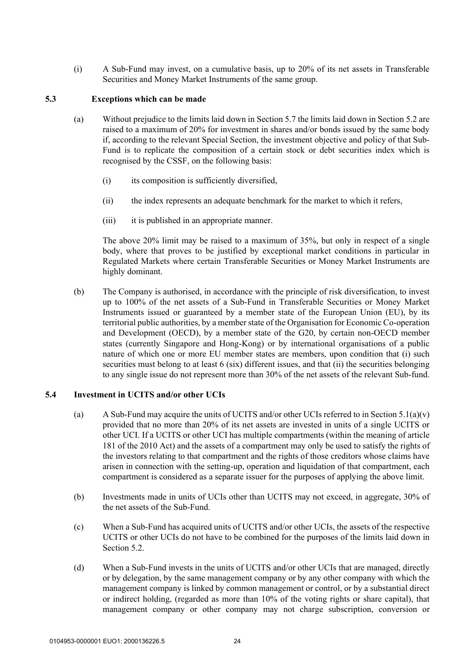(i) A Sub-Fund may invest, on a cumulative basis, up to 20% of its net assets in Transferable Securities and Money Market Instruments of the same group.

### **5.3 Exceptions which can be made**

- (a) Without prejudice to the limits laid down in Section 5.7 the limits laid down in Section 5.2 are raised to a maximum of 20% for investment in shares and/or bonds issued by the same body if, according to the relevant Special Section, the investment objective and policy of that Sub-Fund is to replicate the composition of a certain stock or debt securities index which is recognised by the CSSF, on the following basis:
	- (i) its composition is sufficiently diversified,
	- (ii) the index represents an adequate benchmark for the market to which it refers,
	- (iii) it is published in an appropriate manner.

The above 20% limit may be raised to a maximum of 35%, but only in respect of a single body, where that proves to be justified by exceptional market conditions in particular in Regulated Markets where certain Transferable Securities or Money Market Instruments are highly dominant.

(b) The Company is authorised, in accordance with the principle of risk diversification, to invest up to 100% of the net assets of a Sub-Fund in Transferable Securities or Money Market Instruments issued or guaranteed by a member state of the European Union (EU), by its territorial public authorities, by a member state of the Organisation for Economic Co-operation and Development (OECD), by a member state of the G20, by certain non-OECD member states (currently Singapore and Hong-Kong) or by international organisations of a public nature of which one or more EU member states are members, upon condition that (i) such securities must belong to at least 6 (six) different issues, and that (ii) the securities belonging to any single issue do not represent more than 30% of the net assets of the relevant Sub-fund.

#### **5.4 Investment in UCITS and/or other UCIs**

- (a) A Sub-Fund may acquire the units of UCITS and/or other UCIs referred to in Section 5.1(a)(v) provided that no more than 20% of its net assets are invested in units of a single UCITS or other UCI. If a UCITS or other UCI has multiple compartments (within the meaning of article 181 of the 2010 Act) and the assets of a compartment may only be used to satisfy the rights of the investors relating to that compartment and the rights of those creditors whose claims have arisen in connection with the setting-up, operation and liquidation of that compartment, each compartment is considered as a separate issuer for the purposes of applying the above limit.
- (b) Investments made in units of UCIs other than UCITS may not exceed, in aggregate, 30% of the net assets of the Sub-Fund.
- (c) When a Sub-Fund has acquired units of UCITS and/or other UCIs, the assets of the respective UCITS or other UCIs do not have to be combined for the purposes of the limits laid down in Section 5.2.
- (d) When a Sub-Fund invests in the units of UCITS and/or other UCIs that are managed, directly or by delegation, by the same management company or by any other company with which the management company is linked by common management or control, or by a substantial direct or indirect holding, (regarded as more than 10% of the voting rights or share capital), that management company or other company may not charge subscription, conversion or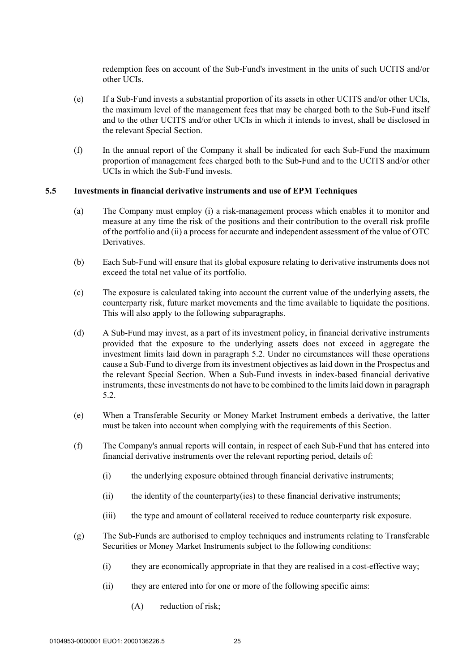redemption fees on account of the Sub-Fund's investment in the units of such UCITS and/or other UCIs.

- (e) If a Sub-Fund invests a substantial proportion of its assets in other UCITS and/or other UCIs, the maximum level of the management fees that may be charged both to the Sub-Fund itself and to the other UCITS and/or other UCIs in which it intends to invest, shall be disclosed in the relevant Special Section.
- (f) In the annual report of the Company it shall be indicated for each Sub-Fund the maximum proportion of management fees charged both to the Sub-Fund and to the UCITS and/or other UCIs in which the Sub-Fund invests.

# **5.5 Investments in financial derivative instruments and use of EPM Techniques**

- (a) The Company must employ (i) a risk-management process which enables it to monitor and measure at any time the risk of the positions and their contribution to the overall risk profile of the portfolio and (ii) a process for accurate and independent assessment of the value of OTC Derivatives.
- (b) Each Sub-Fund will ensure that its global exposure relating to derivative instruments does not exceed the total net value of its portfolio.
- (c) The exposure is calculated taking into account the current value of the underlying assets, the counterparty risk, future market movements and the time available to liquidate the positions. This will also apply to the following subparagraphs.
- (d) A Sub-Fund may invest, as a part of its investment policy, in financial derivative instruments provided that the exposure to the underlying assets does not exceed in aggregate the investment limits laid down in paragraph 5.2. Under no circumstances will these operations cause a Sub-Fund to diverge from its investment objectives as laid down in the Prospectus and the relevant Special Section. When a Sub-Fund invests in index-based financial derivative instruments, these investments do not have to be combined to the limits laid down in paragraph 5.2.
- (e) When a Transferable Security or Money Market Instrument embeds a derivative, the latter must be taken into account when complying with the requirements of this Section.
- (f) The Company's annual reports will contain, in respect of each Sub-Fund that has entered into financial derivative instruments over the relevant reporting period, details of:
	- (i) the underlying exposure obtained through financial derivative instruments;
	- (ii) the identity of the counterparty(ies) to these financial derivative instruments;
	- (iii) the type and amount of collateral received to reduce counterparty risk exposure.
- (g) The Sub-Funds are authorised to employ techniques and instruments relating to Transferable Securities or Money Market Instruments subject to the following conditions:
	- (i) they are economically appropriate in that they are realised in a cost-effective way;
	- (ii) they are entered into for one or more of the following specific aims:
		- (A) reduction of risk;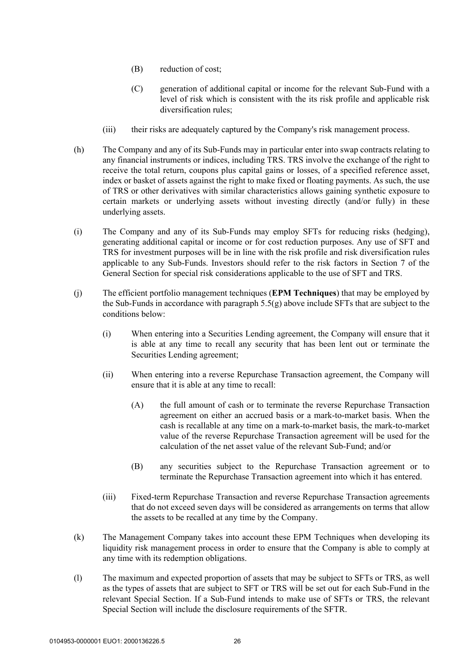- (B) reduction of cost;
- (C) generation of additional capital or income for the relevant Sub-Fund with a level of risk which is consistent with the its risk profile and applicable risk diversification rules;
- (iii) their risks are adequately captured by the Company's risk management process.
- (h) The Company and any of its Sub-Funds may in particular enter into swap contracts relating to any financial instruments or indices, including TRS. TRS involve the exchange of the right to receive the total return, coupons plus capital gains or losses, of a specified reference asset, index or basket of assets against the right to make fixed or floating payments. As such, the use of TRS or other derivatives with similar characteristics allows gaining synthetic exposure to certain markets or underlying assets without investing directly (and/or fully) in these underlying assets.
- (i) The Company and any of its Sub-Funds may employ SFTs for reducing risks (hedging), generating additional capital or income or for cost reduction purposes. Any use of SFT and TRS for investment purposes will be in line with the risk profile and risk diversification rules applicable to any Sub-Funds. Investors should refer to the risk factors in Section 7 of the General Section for special risk considerations applicable to the use of SFT and TRS.
- (j) The efficient portfolio management techniques (**EPM Techniques**) that may be employed by the Sub-Funds in accordance with paragraph  $5.5(g)$  above include SFTs that are subject to the conditions below:
	- (i) When entering into a Securities Lending agreement, the Company will ensure that it is able at any time to recall any security that has been lent out or terminate the Securities Lending agreement;
	- (ii) When entering into a reverse Repurchase Transaction agreement, the Company will ensure that it is able at any time to recall:
		- (A) the full amount of cash or to terminate the reverse Repurchase Transaction agreement on either an accrued basis or a mark-to-market basis. When the cash is recallable at any time on a mark-to-market basis, the mark-to-market value of the reverse Repurchase Transaction agreement will be used for the calculation of the net asset value of the relevant Sub-Fund; and/or
		- (B) any securities subject to the Repurchase Transaction agreement or to terminate the Repurchase Transaction agreement into which it has entered.
	- (iii) Fixed-term Repurchase Transaction and reverse Repurchase Transaction agreements that do not exceed seven days will be considered as arrangements on terms that allow the assets to be recalled at any time by the Company.
- (k) The Management Company takes into account these EPM Techniques when developing its liquidity risk management process in order to ensure that the Company is able to comply at any time with its redemption obligations.
- (l) The maximum and expected proportion of assets that may be subject to SFTs or TRS, as well as the types of assets that are subject to SFT or TRS will be set out for each Sub-Fund in the relevant Special Section. If a Sub-Fund intends to make use of SFTs or TRS, the relevant Special Section will include the disclosure requirements of the SFTR.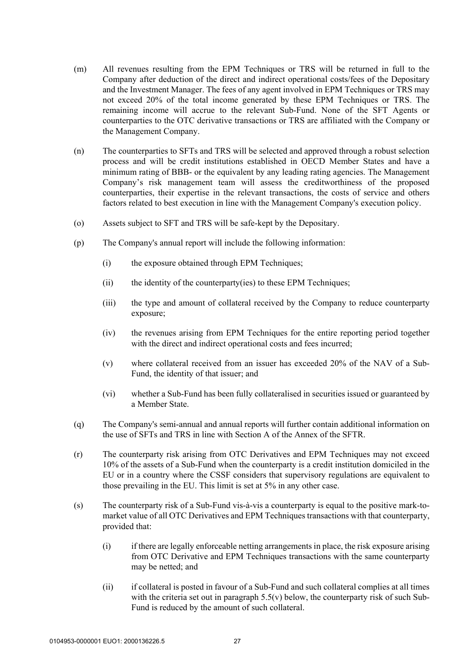- (m) All revenues resulting from the EPM Techniques or TRS will be returned in full to the Company after deduction of the direct and indirect operational costs/fees of the Depositary and the Investment Manager. The fees of any agent involved in EPM Techniques or TRS may not exceed 20% of the total income generated by these EPM Techniques or TRS. The remaining income will accrue to the relevant Sub-Fund. None of the SFT Agents or counterparties to the OTC derivative transactions or TRS are affiliated with the Company or the Management Company.
- (n) The counterparties to SFTs and TRS will be selected and approved through a robust selection process and will be credit institutions established in OECD Member States and have a minimum rating of BBB- or the equivalent by any leading rating agencies. The Management Company's risk management team will assess the creditworthiness of the proposed counterparties, their expertise in the relevant transactions, the costs of service and others factors related to best execution in line with the Management Company's execution policy.
- (o) Assets subject to SFT and TRS will be safe-kept by the Depositary.
- (p) The Company's annual report will include the following information:
	- (i) the exposure obtained through EPM Techniques;
	- (ii) the identity of the counterparty(ies) to these EPM Techniques;
	- (iii) the type and amount of collateral received by the Company to reduce counterparty exposure;
	- (iv) the revenues arising from EPM Techniques for the entire reporting period together with the direct and indirect operational costs and fees incurred;
	- (v) where collateral received from an issuer has exceeded 20% of the NAV of a Sub-Fund, the identity of that issuer; and
	- (vi) whether a Sub-Fund has been fully collateralised in securities issued or guaranteed by a Member State.
- (q) The Company's semi-annual and annual reports will further contain additional information on the use of SFTs and TRS in line with Section A of the Annex of the SFTR.
- (r) The counterparty risk arising from OTC Derivatives and EPM Techniques may not exceed 10% of the assets of a Sub-Fund when the counterparty is a credit institution domiciled in the EU or in a country where the CSSF considers that supervisory regulations are equivalent to those prevailing in the EU. This limit is set at 5% in any other case.
- (s) The counterparty risk of a Sub-Fund vis-à-vis a counterparty is equal to the positive mark-tomarket value of all OTC Derivatives and EPM Techniques transactions with that counterparty, provided that:
	- (i) if there are legally enforceable netting arrangements in place, the risk exposure arising from OTC Derivative and EPM Techniques transactions with the same counterparty may be netted; and
	- (ii) if collateral is posted in favour of a Sub-Fund and such collateral complies at all times with the criteria set out in paragraph  $5.5(v)$  below, the counterparty risk of such Sub-Fund is reduced by the amount of such collateral.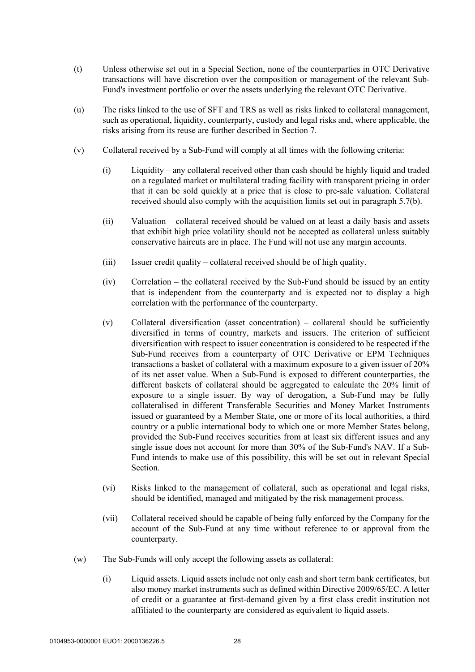- (t) Unless otherwise set out in a Special Section, none of the counterparties in OTC Derivative transactions will have discretion over the composition or management of the relevant Sub-Fund's investment portfolio or over the assets underlying the relevant OTC Derivative.
- (u) The risks linked to the use of SFT and TRS as well as risks linked to collateral management, such as operational, liquidity, counterparty, custody and legal risks and, where applicable, the risks arising from its reuse are further described in Section 7.
- (v) Collateral received by a Sub-Fund will comply at all times with the following criteria:
	- (i) Liquidity any collateral received other than cash should be highly liquid and traded on a regulated market or multilateral trading facility with transparent pricing in order that it can be sold quickly at a price that is close to pre-sale valuation. Collateral received should also comply with the acquisition limits set out in paragraph 5.7(b).
	- (ii) Valuation collateral received should be valued on at least a daily basis and assets that exhibit high price volatility should not be accepted as collateral unless suitably conservative haircuts are in place. The Fund will not use any margin accounts.
	- (iii) Issuer credit quality collateral received should be of high quality.
	- (iv) Correlation the collateral received by the Sub-Fund should be issued by an entity that is independent from the counterparty and is expected not to display a high correlation with the performance of the counterparty.
	- (v) Collateral diversification (asset concentration) collateral should be sufficiently diversified in terms of country, markets and issuers. The criterion of sufficient diversification with respect to issuer concentration is considered to be respected if the Sub-Fund receives from a counterparty of OTC Derivative or EPM Techniques transactions a basket of collateral with a maximum exposure to a given issuer of 20% of its net asset value. When a Sub-Fund is exposed to different counterparties, the different baskets of collateral should be aggregated to calculate the 20% limit of exposure to a single issuer. By way of derogation, a Sub-Fund may be fully collateralised in different Transferable Securities and Money Market Instruments issued or guaranteed by a Member State, one or more of its local authorities, a third country or a public international body to which one or more Member States belong, provided the Sub-Fund receives securities from at least six different issues and any single issue does not account for more than 30% of the Sub-Fund's NAV. If a Sub-Fund intends to make use of this possibility, this will be set out in relevant Special Section.
	- (vi) Risks linked to the management of collateral, such as operational and legal risks, should be identified, managed and mitigated by the risk management process.
	- (vii) Collateral received should be capable of being fully enforced by the Company for the account of the Sub-Fund at any time without reference to or approval from the counterparty.
- (w) The Sub-Funds will only accept the following assets as collateral:
	- (i) Liquid assets. Liquid assets include not only cash and short term bank certificates, but also money market instruments such as defined within Directive 2009/65/EC. A letter of credit or a guarantee at first-demand given by a first class credit institution not affiliated to the counterparty are considered as equivalent to liquid assets.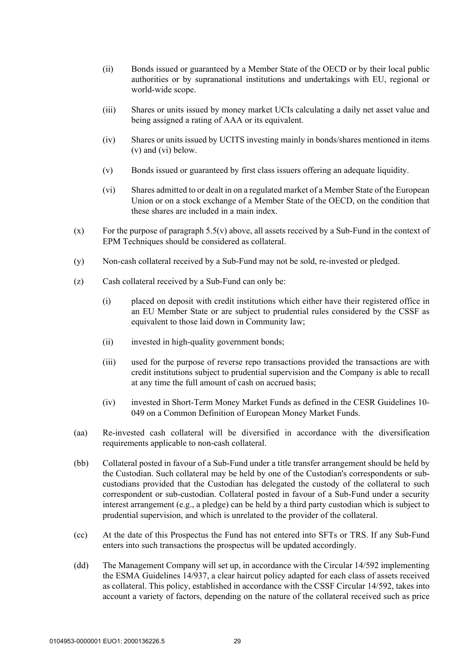- (ii) Bonds issued or guaranteed by a Member State of the OECD or by their local public authorities or by supranational institutions and undertakings with EU, regional or world-wide scope.
- (iii) Shares or units issued by money market UCIs calculating a daily net asset value and being assigned a rating of AAA or its equivalent.
- (iv) Shares or units issued by UCITS investing mainly in bonds/shares mentioned in items (v) and (vi) below.
- (v) Bonds issued or guaranteed by first class issuers offering an adequate liquidity.
- (vi) Shares admitted to or dealt in on a regulated market of a Member State of the European Union or on a stock exchange of a Member State of the OECD, on the condition that these shares are included in a main index.
- $(x)$  For the purpose of paragraph 5.5(v) above, all assets received by a Sub-Fund in the context of EPM Techniques should be considered as collateral.
- (y) Non-cash collateral received by a Sub-Fund may not be sold, re-invested or pledged.
- (z) Cash collateral received by a Sub-Fund can only be:
	- (i) placed on deposit with credit institutions which either have their registered office in an EU Member State or are subject to prudential rules considered by the CSSF as equivalent to those laid down in Community law;
	- (ii) invested in high-quality government bonds;
	- (iii) used for the purpose of reverse repo transactions provided the transactions are with credit institutions subject to prudential supervision and the Company is able to recall at any time the full amount of cash on accrued basis;
	- (iv) invested in Short-Term Money Market Funds as defined in the CESR Guidelines 10- 049 on a Common Definition of European Money Market Funds.
- (aa) Re-invested cash collateral will be diversified in accordance with the diversification requirements applicable to non-cash collateral.
- (bb) Collateral posted in favour of a Sub-Fund under a title transfer arrangement should be held by the Custodian. Such collateral may be held by one of the Custodian's correspondents or subcustodians provided that the Custodian has delegated the custody of the collateral to such correspondent or sub-custodian. Collateral posted in favour of a Sub-Fund under a security interest arrangement (e.g., a pledge) can be held by a third party custodian which is subject to prudential supervision, and which is unrelated to the provider of the collateral.
- (cc) At the date of this Prospectus the Fund has not entered into SFTs or TRS. If any Sub-Fund enters into such transactions the prospectus will be updated accordingly.
- (dd) The Management Company will set up, in accordance with the Circular 14/592 implementing the ESMA Guidelines 14/937, a clear haircut policy adapted for each class of assets received as collateral. This policy, established in accordance with the CSSF Circular 14/592, takes into account a variety of factors, depending on the nature of the collateral received such as price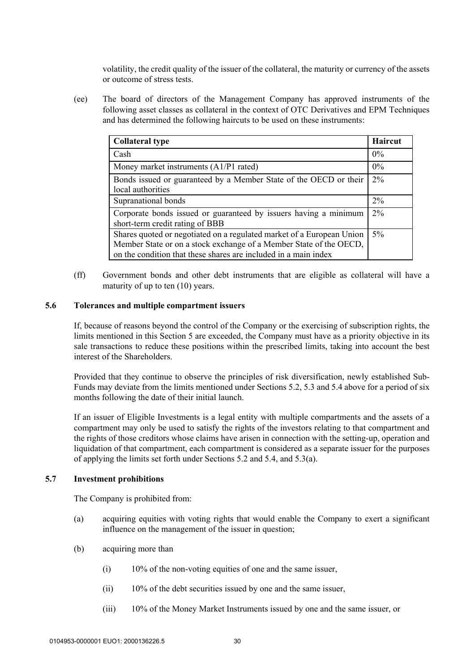volatility, the credit quality of the issuer of the collateral, the maturity or currency of the assets or outcome of stress tests.

(ee) The board of directors of the Management Company has approved instruments of the following asset classes as collateral in the context of OTC Derivatives and EPM Techniques and has determined the following haircuts to be used on these instruments:

| <b>Collateral type</b>                                                                                                                                                                                         | Haircut |
|----------------------------------------------------------------------------------------------------------------------------------------------------------------------------------------------------------------|---------|
| Cash                                                                                                                                                                                                           | $0\%$   |
| Money market instruments $(A1/P1$ rated)                                                                                                                                                                       | $0\%$   |
| Bonds issued or guaranteed by a Member State of the OECD or their<br>local authorities                                                                                                                         | $2\%$   |
| Supranational bonds                                                                                                                                                                                            | 2%      |
| Corporate bonds issued or guaranteed by issuers having a minimum<br>short-term credit rating of BBB                                                                                                            | $2\%$   |
| Shares quoted or negotiated on a regulated market of a European Union<br>Member State or on a stock exchange of a Member State of the OECD,<br>on the condition that these shares are included in a main index | $5\%$   |

(ff) Government bonds and other debt instruments that are eligible as collateral will have a maturity of up to ten (10) years.

# **5.6 Tolerances and multiple compartment issuers**

If, because of reasons beyond the control of the Company or the exercising of subscription rights, the limits mentioned in this Section 5 are exceeded, the Company must have as a priority objective in its sale transactions to reduce these positions within the prescribed limits, taking into account the best interest of the Shareholders.

Provided that they continue to observe the principles of risk diversification, newly established Sub-Funds may deviate from the limits mentioned under Sections 5.2, 5.3 and 5.4 above for a period of six months following the date of their initial launch.

If an issuer of Eligible Investments is a legal entity with multiple compartments and the assets of a compartment may only be used to satisfy the rights of the investors relating to that compartment and the rights of those creditors whose claims have arisen in connection with the setting-up, operation and liquidation of that compartment, each compartment is considered as a separate issuer for the purposes of applying the limits set forth under Sections 5.2 and 5.4, and 5.3(a).

# **5.7 Investment prohibitions**

The Company is prohibited from:

- (a) acquiring equities with voting rights that would enable the Company to exert a significant influence on the management of the issuer in question;
- (b) acquiring more than
	- (i) 10% of the non-voting equities of one and the same issuer,
	- (ii) 10% of the debt securities issued by one and the same issuer,
	- (iii) 10% of the Money Market Instruments issued by one and the same issuer, or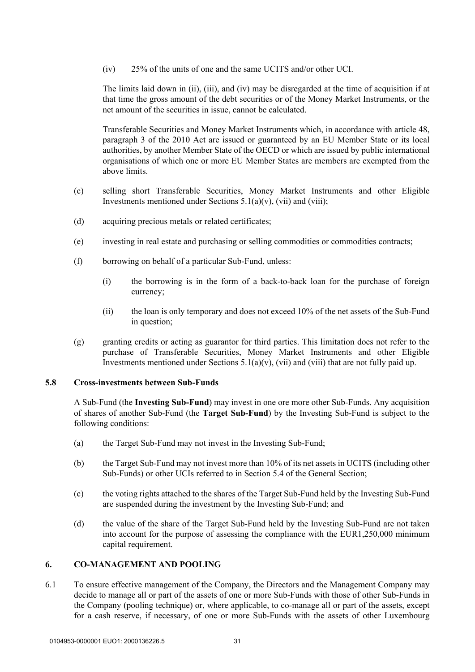(iv) 25% of the units of one and the same UCITS and/or other UCI.

The limits laid down in (ii), (iii), and (iv) may be disregarded at the time of acquisition if at that time the gross amount of the debt securities or of the Money Market Instruments, or the net amount of the securities in issue, cannot be calculated.

Transferable Securities and Money Market Instruments which, in accordance with article 48, paragraph 3 of the 2010 Act are issued or guaranteed by an EU Member State or its local authorities, by another Member State of the OECD or which are issued by public international organisations of which one or more EU Member States are members are exempted from the above limits.

- (c) selling short Transferable Securities, Money Market Instruments and other Eligible Investments mentioned under Sections  $5.1(a)(v)$ , (vii) and (viii);
- (d) acquiring precious metals or related certificates;
- (e) investing in real estate and purchasing or selling commodities or commodities contracts;
- (f) borrowing on behalf of a particular Sub-Fund, unless:
	- (i) the borrowing is in the form of a back-to-back loan for the purchase of foreign currency;
	- (ii) the loan is only temporary and does not exceed 10% of the net assets of the Sub-Fund in question;
- (g) granting credits or acting as guarantor for third parties. This limitation does not refer to the purchase of Transferable Securities, Money Market Instruments and other Eligible Investments mentioned under Sections  $5.1(a)(v)$ , (vii) and (viii) that are not fully paid up.

# **5.8 Cross-investments between Sub-Funds**

A Sub-Fund (the **Investing Sub-Fund**) may invest in one ore more other Sub-Funds. Any acquisition of shares of another Sub-Fund (the **Target Sub-Fund**) by the Investing Sub-Fund is subject to the following conditions:

- (a) the Target Sub-Fund may not invest in the Investing Sub-Fund;
- (b) the Target Sub-Fund may not invest more than 10% of its net assets in UCITS (including other Sub-Funds) or other UCIs referred to in Section 5.4 of the General Section;
- (c) the voting rights attached to the shares of the Target Sub-Fund held by the Investing Sub-Fund are suspended during the investment by the Investing Sub-Fund; and
- (d) the value of the share of the Target Sub-Fund held by the Investing Sub-Fund are not taken into account for the purpose of assessing the compliance with the EUR1,250,000 minimum capital requirement.

# **6. CO-MANAGEMENT AND POOLING**

6.1 To ensure effective management of the Company, the Directors and the Management Company may decide to manage all or part of the assets of one or more Sub-Funds with those of other Sub-Funds in the Company (pooling technique) or, where applicable, to co-manage all or part of the assets, except for a cash reserve, if necessary, of one or more Sub-Funds with the assets of other Luxembourg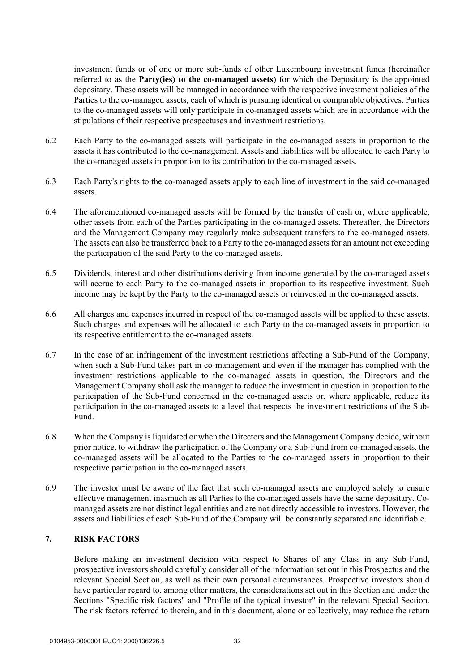investment funds or of one or more sub-funds of other Luxembourg investment funds (hereinafter referred to as the **Party(ies) to the co-managed assets**) for which the Depositary is the appointed depositary. These assets will be managed in accordance with the respective investment policies of the Parties to the co-managed assets, each of which is pursuing identical or comparable objectives. Parties to the co-managed assets will only participate in co-managed assets which are in accordance with the stipulations of their respective prospectuses and investment restrictions.

- 6.2 Each Party to the co-managed assets will participate in the co-managed assets in proportion to the assets it has contributed to the co-management. Assets and liabilities will be allocated to each Party to the co-managed assets in proportion to its contribution to the co-managed assets.
- 6.3 Each Party's rights to the co-managed assets apply to each line of investment in the said co-managed assets.
- 6.4 The aforementioned co-managed assets will be formed by the transfer of cash or, where applicable, other assets from each of the Parties participating in the co-managed assets. Thereafter, the Directors and the Management Company may regularly make subsequent transfers to the co-managed assets. The assets can also be transferred back to a Party to the co-managed assets for an amount not exceeding the participation of the said Party to the co-managed assets.
- 6.5 Dividends, interest and other distributions deriving from income generated by the co-managed assets will accrue to each Party to the co-managed assets in proportion to its respective investment. Such income may be kept by the Party to the co-managed assets or reinvested in the co-managed assets.
- 6.6 All charges and expenses incurred in respect of the co-managed assets will be applied to these assets. Such charges and expenses will be allocated to each Party to the co-managed assets in proportion to its respective entitlement to the co-managed assets.
- 6.7 In the case of an infringement of the investment restrictions affecting a Sub-Fund of the Company, when such a Sub-Fund takes part in co-management and even if the manager has complied with the investment restrictions applicable to the co-managed assets in question, the Directors and the Management Company shall ask the manager to reduce the investment in question in proportion to the participation of the Sub-Fund concerned in the co-managed assets or, where applicable, reduce its participation in the co-managed assets to a level that respects the investment restrictions of the Sub-Fund.
- 6.8 When the Company is liquidated or when the Directors and the Management Company decide, without prior notice, to withdraw the participation of the Company or a Sub-Fund from co-managed assets, the co-managed assets will be allocated to the Parties to the co-managed assets in proportion to their respective participation in the co-managed assets.
- 6.9 The investor must be aware of the fact that such co-managed assets are employed solely to ensure effective management inasmuch as all Parties to the co-managed assets have the same depositary. Comanaged assets are not distinct legal entities and are not directly accessible to investors. However, the assets and liabilities of each Sub-Fund of the Company will be constantly separated and identifiable.

# **7. RISK FACTORS**

Before making an investment decision with respect to Shares of any Class in any Sub-Fund, prospective investors should carefully consider all of the information set out in this Prospectus and the relevant Special Section, as well as their own personal circumstances. Prospective investors should have particular regard to, among other matters, the considerations set out in this Section and under the Sections "Specific risk factors" and "Profile of the typical investor" in the relevant Special Section. The risk factors referred to therein, and in this document, alone or collectively, may reduce the return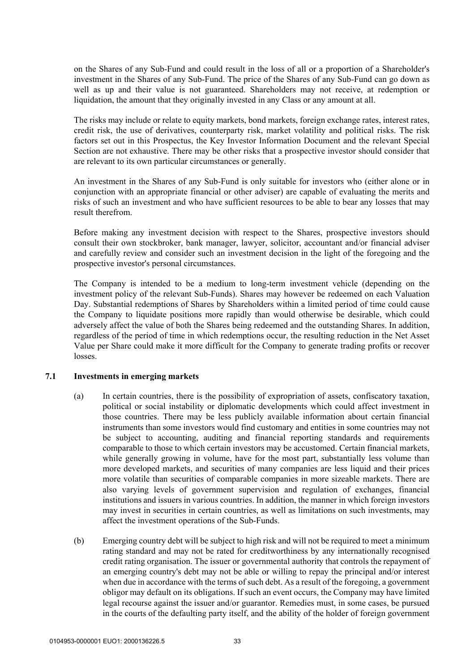on the Shares of any Sub-Fund and could result in the loss of all or a proportion of a Shareholder's investment in the Shares of any Sub-Fund. The price of the Shares of any Sub-Fund can go down as well as up and their value is not guaranteed. Shareholders may not receive, at redemption or liquidation, the amount that they originally invested in any Class or any amount at all.

The risks may include or relate to equity markets, bond markets, foreign exchange rates, interest rates, credit risk, the use of derivatives, counterparty risk, market volatility and political risks. The risk factors set out in this Prospectus, the Key Investor Information Document and the relevant Special Section are not exhaustive. There may be other risks that a prospective investor should consider that are relevant to its own particular circumstances or generally.

An investment in the Shares of any Sub-Fund is only suitable for investors who (either alone or in conjunction with an appropriate financial or other adviser) are capable of evaluating the merits and risks of such an investment and who have sufficient resources to be able to bear any losses that may result therefrom.

Before making any investment decision with respect to the Shares, prospective investors should consult their own stockbroker, bank manager, lawyer, solicitor, accountant and/or financial adviser and carefully review and consider such an investment decision in the light of the foregoing and the prospective investor's personal circumstances.

The Company is intended to be a medium to long-term investment vehicle (depending on the investment policy of the relevant Sub-Funds). Shares may however be redeemed on each Valuation Day. Substantial redemptions of Shares by Shareholders within a limited period of time could cause the Company to liquidate positions more rapidly than would otherwise be desirable, which could adversely affect the value of both the Shares being redeemed and the outstanding Shares. In addition, regardless of the period of time in which redemptions occur, the resulting reduction in the Net Asset Value per Share could make it more difficult for the Company to generate trading profits or recover losses.

# **7.1 Investments in emerging markets**

- (a) In certain countries, there is the possibility of expropriation of assets, confiscatory taxation, political or social instability or diplomatic developments which could affect investment in those countries. There may be less publicly available information about certain financial instruments than some investors would find customary and entities in some countries may not be subject to accounting, auditing and financial reporting standards and requirements comparable to those to which certain investors may be accustomed. Certain financial markets, while generally growing in volume, have for the most part, substantially less volume than more developed markets, and securities of many companies are less liquid and their prices more volatile than securities of comparable companies in more sizeable markets. There are also varying levels of government supervision and regulation of exchanges, financial institutions and issuers in various countries. In addition, the manner in which foreign investors may invest in securities in certain countries, as well as limitations on such investments, may affect the investment operations of the Sub-Funds.
- (b) Emerging country debt will be subject to high risk and will not be required to meet a minimum rating standard and may not be rated for creditworthiness by any internationally recognised credit rating organisation. The issuer or governmental authority that controls the repayment of an emerging country's debt may not be able or willing to repay the principal and/or interest when due in accordance with the terms of such debt. As a result of the foregoing, a government obligor may default on its obligations. If such an event occurs, the Company may have limited legal recourse against the issuer and/or guarantor. Remedies must, in some cases, be pursued in the courts of the defaulting party itself, and the ability of the holder of foreign government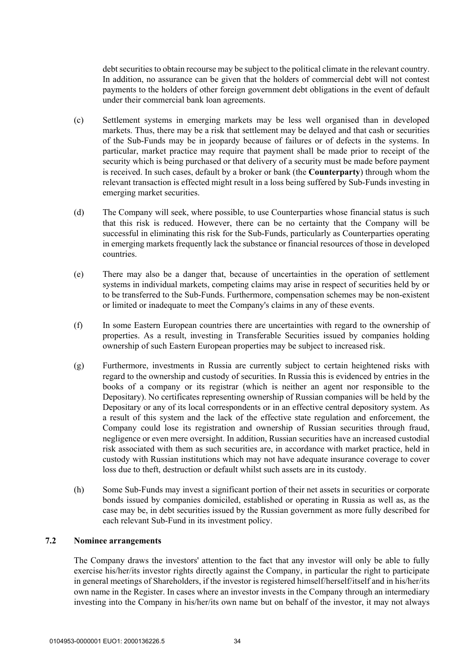debt securities to obtain recourse may be subject to the political climate in the relevant country. In addition, no assurance can be given that the holders of commercial debt will not contest payments to the holders of other foreign government debt obligations in the event of default under their commercial bank loan agreements.

- (c) Settlement systems in emerging markets may be less well organised than in developed markets. Thus, there may be a risk that settlement may be delayed and that cash or securities of the Sub-Funds may be in jeopardy because of failures or of defects in the systems. In particular, market practice may require that payment shall be made prior to receipt of the security which is being purchased or that delivery of a security must be made before payment is received. In such cases, default by a broker or bank (the **Counterparty**) through whom the relevant transaction is effected might result in a loss being suffered by Sub-Funds investing in emerging market securities.
- (d) The Company will seek, where possible, to use Counterparties whose financial status is such that this risk is reduced. However, there can be no certainty that the Company will be successful in eliminating this risk for the Sub-Funds, particularly as Counterparties operating in emerging markets frequently lack the substance or financial resources of those in developed countries.
- (e) There may also be a danger that, because of uncertainties in the operation of settlement systems in individual markets, competing claims may arise in respect of securities held by or to be transferred to the Sub-Funds. Furthermore, compensation schemes may be non-existent or limited or inadequate to meet the Company's claims in any of these events.
- (f) In some Eastern European countries there are uncertainties with regard to the ownership of properties. As a result, investing in Transferable Securities issued by companies holding ownership of such Eastern European properties may be subject to increased risk.
- (g) Furthermore, investments in Russia are currently subject to certain heightened risks with regard to the ownership and custody of securities. In Russia this is evidenced by entries in the books of a company or its registrar (which is neither an agent nor responsible to the Depositary). No certificates representing ownership of Russian companies will be held by the Depositary or any of its local correspondents or in an effective central depository system. As a result of this system and the lack of the effective state regulation and enforcement, the Company could lose its registration and ownership of Russian securities through fraud, negligence or even mere oversight. In addition, Russian securities have an increased custodial risk associated with them as such securities are, in accordance with market practice, held in custody with Russian institutions which may not have adequate insurance coverage to cover loss due to theft, destruction or default whilst such assets are in its custody.
- (h) Some Sub-Funds may invest a significant portion of their net assets in securities or corporate bonds issued by companies domiciled, established or operating in Russia as well as, as the case may be, in debt securities issued by the Russian government as more fully described for each relevant Sub-Fund in its investment policy.

# **7.2 Nominee arrangements**

The Company draws the investors' attention to the fact that any investor will only be able to fully exercise his/her/its investor rights directly against the Company, in particular the right to participate in general meetings of Shareholders, if the investor is registered himself/herself/itself and in his/her/its own name in the Register. In cases where an investor invests in the Company through an intermediary investing into the Company in his/her/its own name but on behalf of the investor, it may not always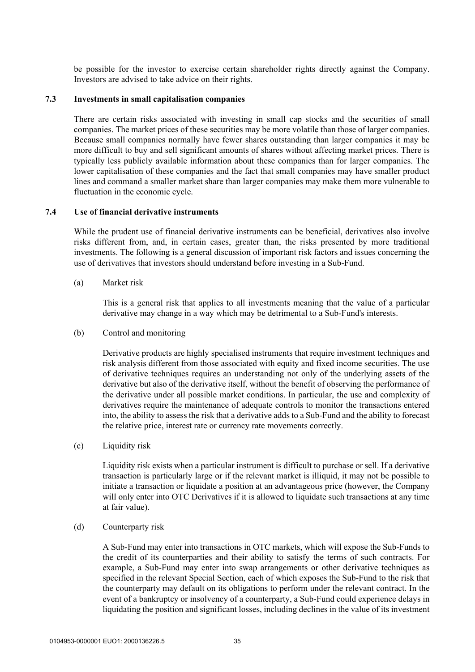be possible for the investor to exercise certain shareholder rights directly against the Company. Investors are advised to take advice on their rights.

#### **7.3 Investments in small capitalisation companies**

There are certain risks associated with investing in small cap stocks and the securities of small companies. The market prices of these securities may be more volatile than those of larger companies. Because small companies normally have fewer shares outstanding than larger companies it may be more difficult to buy and sell significant amounts of shares without affecting market prices. There is typically less publicly available information about these companies than for larger companies. The lower capitalisation of these companies and the fact that small companies may have smaller product lines and command a smaller market share than larger companies may make them more vulnerable to fluctuation in the economic cycle.

#### **7.4 Use of financial derivative instruments**

While the prudent use of financial derivative instruments can be beneficial, derivatives also involve risks different from, and, in certain cases, greater than, the risks presented by more traditional investments. The following is a general discussion of important risk factors and issues concerning the use of derivatives that investors should understand before investing in a Sub-Fund.

(a) Market risk

This is a general risk that applies to all investments meaning that the value of a particular derivative may change in a way which may be detrimental to a Sub-Fund's interests.

(b) Control and monitoring

Derivative products are highly specialised instruments that require investment techniques and risk analysis different from those associated with equity and fixed income securities. The use of derivative techniques requires an understanding not only of the underlying assets of the derivative but also of the derivative itself, without the benefit of observing the performance of the derivative under all possible market conditions. In particular, the use and complexity of derivatives require the maintenance of adequate controls to monitor the transactions entered into, the ability to assess the risk that a derivative adds to a Sub-Fund and the ability to forecast the relative price, interest rate or currency rate movements correctly.

(c) Liquidity risk

Liquidity risk exists when a particular instrument is difficult to purchase or sell. If a derivative transaction is particularly large or if the relevant market is illiquid, it may not be possible to initiate a transaction or liquidate a position at an advantageous price (however, the Company will only enter into OTC Derivatives if it is allowed to liquidate such transactions at any time at fair value).

#### (d) Counterparty risk

A Sub-Fund may enter into transactions in OTC markets, which will expose the Sub-Funds to the credit of its counterparties and their ability to satisfy the terms of such contracts. For example, a Sub-Fund may enter into swap arrangements or other derivative techniques as specified in the relevant Special Section, each of which exposes the Sub-Fund to the risk that the counterparty may default on its obligations to perform under the relevant contract. In the event of a bankruptcy or insolvency of a counterparty, a Sub-Fund could experience delays in liquidating the position and significant losses, including declines in the value of its investment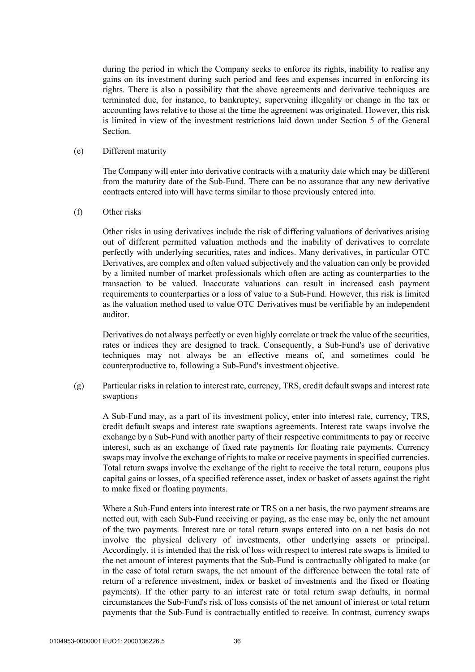during the period in which the Company seeks to enforce its rights, inability to realise any gains on its investment during such period and fees and expenses incurred in enforcing its rights. There is also a possibility that the above agreements and derivative techniques are terminated due, for instance, to bankruptcy, supervening illegality or change in the tax or accounting laws relative to those at the time the agreement was originated. However, this risk is limited in view of the investment restrictions laid down under Section 5 of the General Section.

#### (e) Different maturity

The Company will enter into derivative contracts with a maturity date which may be different from the maturity date of the Sub-Fund. There can be no assurance that any new derivative contracts entered into will have terms similar to those previously entered into.

#### (f) Other risks

Other risks in using derivatives include the risk of differing valuations of derivatives arising out of different permitted valuation methods and the inability of derivatives to correlate perfectly with underlying securities, rates and indices. Many derivatives, in particular OTC Derivatives, are complex and often valued subjectively and the valuation can only be provided by a limited number of market professionals which often are acting as counterparties to the transaction to be valued. Inaccurate valuations can result in increased cash payment requirements to counterparties or a loss of value to a Sub-Fund. However, this risk is limited as the valuation method used to value OTC Derivatives must be verifiable by an independent auditor.

Derivatives do not always perfectly or even highly correlate or track the value of the securities, rates or indices they are designed to track. Consequently, a Sub-Fund's use of derivative techniques may not always be an effective means of, and sometimes could be counterproductive to, following a Sub-Fund's investment objective.

(g) Particular risks in relation to interest rate, currency, TRS, credit default swaps and interest rate swaptions

A Sub-Fund may, as a part of its investment policy, enter into interest rate, currency, TRS, credit default swaps and interest rate swaptions agreements. Interest rate swaps involve the exchange by a Sub-Fund with another party of their respective commitments to pay or receive interest, such as an exchange of fixed rate payments for floating rate payments. Currency swaps may involve the exchange of rights to make or receive payments in specified currencies. Total return swaps involve the exchange of the right to receive the total return, coupons plus capital gains or losses, of a specified reference asset, index or basket of assets against the right to make fixed or floating payments.

Where a Sub-Fund enters into interest rate or TRS on a net basis, the two payment streams are netted out, with each Sub-Fund receiving or paying, as the case may be, only the net amount of the two payments. Interest rate or total return swaps entered into on a net basis do not involve the physical delivery of investments, other underlying assets or principal. Accordingly, it is intended that the risk of loss with respect to interest rate swaps is limited to the net amount of interest payments that the Sub-Fund is contractually obligated to make (or in the case of total return swaps, the net amount of the difference between the total rate of return of a reference investment, index or basket of investments and the fixed or floating payments). If the other party to an interest rate or total return swap defaults, in normal circumstances the Sub-Fund's risk of loss consists of the net amount of interest or total return payments that the Sub-Fund is contractually entitled to receive. In contrast, currency swaps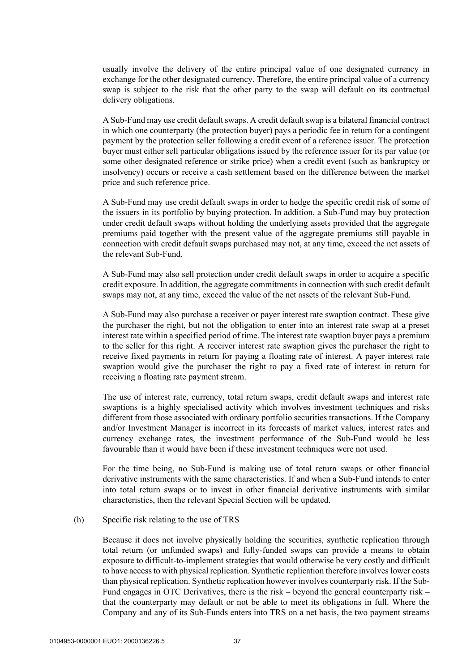usually involve the delivery of the entire principal value of one designated currency in exchange for the other designated currency. Therefore, the entire principal value of a currency swap is subject to the risk that the other party to the swap will default on its contractual delivery obligations.

A Sub-Fund may use credit default swaps. A credit default swap is a bilateral financial contract in which one counterparty (the protection buyer) pays a periodic fee in return for a contingent payment by the protection seller following a credit event of a reference issuer. The protection buyer must either sell particular obligations issued by the reference issuer for its par value (or some other designated reference or strike price) when a credit event (such as bankruptcy or insolvency) occurs or receive a cash settlement based on the difference between the market price and such reference price.

A Sub-Fund may use credit default swaps in order to hedge the specific credit risk of some of the issuers in its portfolio by buying protection. In addition, a Sub-Fund may buy protection under credit default swaps without holding the underlying assets provided that the aggregate premiums paid together with the present value of the aggregate premiums still payable in connection with credit default swaps purchased may not, at any time, exceed the net assets of the relevant Sub-Fund.

A Sub-Fund may also sell protection under credit default swaps in order to acquire a specific credit exposure. In addition, the aggregate commitments in connection with such credit default swaps may not, at any time, exceed the value of the net assets of the relevant Sub-Fund.

A Sub-Fund may also purchase a receiver or payer interest rate swaption contract. These give the purchaser the right, but not the obligation to enter into an interest rate swap at a preset interest rate within a specified period of time. The interest rate swaption buyer pays a premium to the seller for this right. A receiver interest rate swaption gives the purchaser the right to receive fixed payments in return for paying a floating rate of interest. A payer interest rate swaption would give the purchaser the right to pay a fixed rate of interest in return for receiving a floating rate payment stream.

The use of interest rate, currency, total return swaps, credit default swaps and interest rate swaptions is a highly specialised activity which involves investment techniques and risks different from those associated with ordinary portfolio securities transactions. If the Company and/or Investment Manager is incorrect in its forecasts of market values, interest rates and currency exchange rates, the investment performance of the Sub-Fund would be less favourable than it would have been if these investment techniques were not used.

For the time being, no Sub-Fund is making use of total return swaps or other financial derivative instruments with the same characteristics. If and when a Sub-Fund intends to enter into total return swaps or to invest in other financial derivative instruments with similar characteristics, then the relevant Special Section will be updated.

### (h) Specific risk relating to the use of TRS

Because it does not involve physically holding the securities, synthetic replication through total return (or unfunded swaps) and fully-funded swaps can provide a means to obtain exposure to difficult-to-implement strategies that would otherwise be very costly and difficult to have access to with physical replication. Synthetic replication therefore involves lower costs than physical replication. Synthetic replication however involves counterparty risk. If the Sub-Fund engages in OTC Derivatives, there is the risk – beyond the general counterparty risk – that the counterparty may default or not be able to meet its obligations in full. Where the Company and any of its Sub-Funds enters into TRS on a net basis, the two payment streams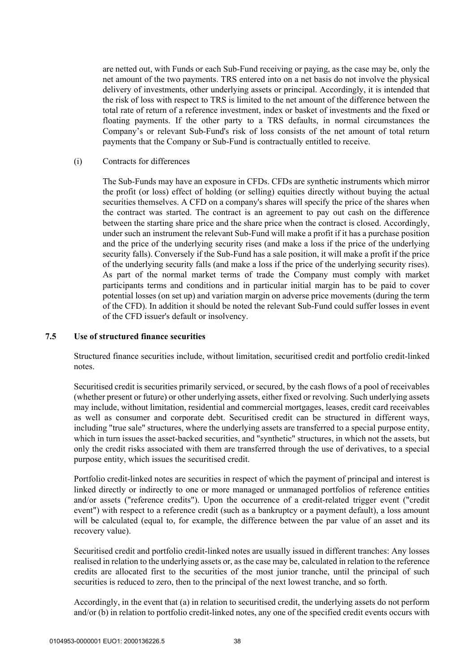are netted out, with Funds or each Sub-Fund receiving or paying, as the case may be, only the net amount of the two payments. TRS entered into on a net basis do not involve the physical delivery of investments, other underlying assets or principal. Accordingly, it is intended that the risk of loss with respect to TRS is limited to the net amount of the difference between the total rate of return of a reference investment, index or basket of investments and the fixed or floating payments. If the other party to a TRS defaults, in normal circumstances the Company's or relevant Sub-Fund's risk of loss consists of the net amount of total return payments that the Company or Sub-Fund is contractually entitled to receive.

(i) Contracts for differences

The Sub-Funds may have an exposure in CFDs. CFDs are synthetic instruments which mirror the profit (or loss) effect of holding (or selling) equities directly without buying the actual securities themselves. A CFD on a company's shares will specify the price of the shares when the contract was started. The contract is an agreement to pay out cash on the difference between the starting share price and the share price when the contract is closed. Accordingly, under such an instrument the relevant Sub-Fund will make a profit if it has a purchase position and the price of the underlying security rises (and make a loss if the price of the underlying security falls). Conversely if the Sub-Fund has a sale position, it will make a profit if the price of the underlying security falls (and make a loss if the price of the underlying security rises). As part of the normal market terms of trade the Company must comply with market participants terms and conditions and in particular initial margin has to be paid to cover potential losses (on set up) and variation margin on adverse price movements (during the term of the CFD). In addition it should be noted the relevant Sub-Fund could suffer losses in event of the CFD issuer's default or insolvency.

#### **7.5 Use of structured finance securities**

Structured finance securities include, without limitation, securitised credit and portfolio credit-linked notes.

Securitised credit is securities primarily serviced, or secured, by the cash flows of a pool of receivables (whether present or future) or other underlying assets, either fixed or revolving. Such underlying assets may include, without limitation, residential and commercial mortgages, leases, credit card receivables as well as consumer and corporate debt. Securitised credit can be structured in different ways, including "true sale" structures, where the underlying assets are transferred to a special purpose entity, which in turn issues the asset-backed securities, and "synthetic" structures, in which not the assets, but only the credit risks associated with them are transferred through the use of derivatives, to a special purpose entity, which issues the securitised credit.

Portfolio credit-linked notes are securities in respect of which the payment of principal and interest is linked directly or indirectly to one or more managed or unmanaged portfolios of reference entities and/or assets ("reference credits"). Upon the occurrence of a credit-related trigger event ("credit event") with respect to a reference credit (such as a bankruptcy or a payment default), a loss amount will be calculated (equal to, for example, the difference between the par value of an asset and its recovery value).

Securitised credit and portfolio credit-linked notes are usually issued in different tranches: Any losses realised in relation to the underlying assets or, as the case may be, calculated in relation to the reference credits are allocated first to the securities of the most junior tranche, until the principal of such securities is reduced to zero, then to the principal of the next lowest tranche, and so forth.

Accordingly, in the event that (a) in relation to securitised credit, the underlying assets do not perform and/or (b) in relation to portfolio credit-linked notes, any one of the specified credit events occurs with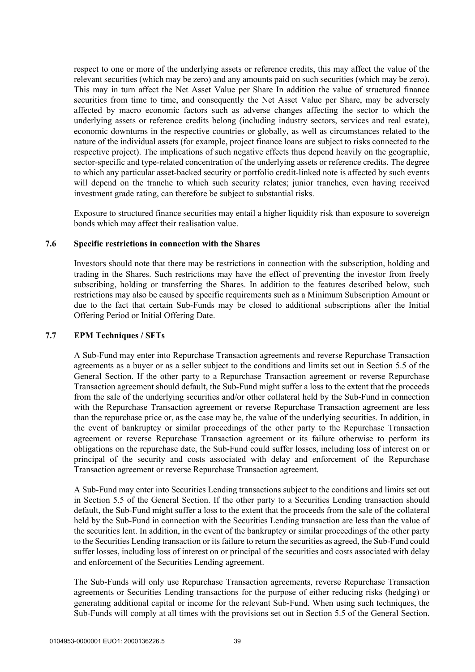respect to one or more of the underlying assets or reference credits, this may affect the value of the relevant securities (which may be zero) and any amounts paid on such securities (which may be zero). This may in turn affect the Net Asset Value per Share In addition the value of structured finance securities from time to time, and consequently the Net Asset Value per Share, may be adversely affected by macro economic factors such as adverse changes affecting the sector to which the underlying assets or reference credits belong (including industry sectors, services and real estate), economic downturns in the respective countries or globally, as well as circumstances related to the nature of the individual assets (for example, project finance loans are subject to risks connected to the respective project). The implications of such negative effects thus depend heavily on the geographic, sector-specific and type-related concentration of the underlying assets or reference credits. The degree to which any particular asset-backed security or portfolio credit-linked note is affected by such events will depend on the tranche to which such security relates; junior tranches, even having received investment grade rating, can therefore be subject to substantial risks.

Exposure to structured finance securities may entail a higher liquidity risk than exposure to sovereign bonds which may affect their realisation value.

### **7.6 Specific restrictions in connection with the Shares**

Investors should note that there may be restrictions in connection with the subscription, holding and trading in the Shares. Such restrictions may have the effect of preventing the investor from freely subscribing, holding or transferring the Shares. In addition to the features described below, such restrictions may also be caused by specific requirements such as a Minimum Subscription Amount or due to the fact that certain Sub-Funds may be closed to additional subscriptions after the Initial Offering Period or Initial Offering Date.

#### **7.7 EPM Techniques / SFTs**

A Sub-Fund may enter into Repurchase Transaction agreements and reverse Repurchase Transaction agreements as a buyer or as a seller subject to the conditions and limits set out in Section 5.5 of the General Section. If the other party to a Repurchase Transaction agreement or reverse Repurchase Transaction agreement should default, the Sub-Fund might suffer a loss to the extent that the proceeds from the sale of the underlying securities and/or other collateral held by the Sub-Fund in connection with the Repurchase Transaction agreement or reverse Repurchase Transaction agreement are less than the repurchase price or, as the case may be, the value of the underlying securities. In addition, in the event of bankruptcy or similar proceedings of the other party to the Repurchase Transaction agreement or reverse Repurchase Transaction agreement or its failure otherwise to perform its obligations on the repurchase date, the Sub-Fund could suffer losses, including loss of interest on or principal of the security and costs associated with delay and enforcement of the Repurchase Transaction agreement or reverse Repurchase Transaction agreement.

A Sub-Fund may enter into Securities Lending transactions subject to the conditions and limits set out in Section 5.5 of the General Section. If the other party to a Securities Lending transaction should default, the Sub-Fund might suffer a loss to the extent that the proceeds from the sale of the collateral held by the Sub-Fund in connection with the Securities Lending transaction are less than the value of the securities lent. In addition, in the event of the bankruptcy or similar proceedings of the other party to the Securities Lending transaction or its failure to return the securities as agreed, the Sub-Fund could suffer losses, including loss of interest on or principal of the securities and costs associated with delay and enforcement of the Securities Lending agreement.

The Sub-Funds will only use Repurchase Transaction agreements, reverse Repurchase Transaction agreements or Securities Lending transactions for the purpose of either reducing risks (hedging) or generating additional capital or income for the relevant Sub-Fund. When using such techniques, the Sub-Funds will comply at all times with the provisions set out in Section 5.5 of the General Section.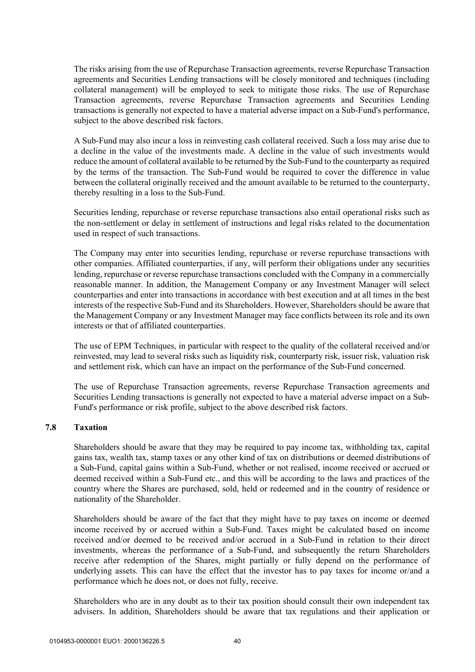The risks arising from the use of Repurchase Transaction agreements, reverse Repurchase Transaction agreements and Securities Lending transactions will be closely monitored and techniques (including collateral management) will be employed to seek to mitigate those risks. The use of Repurchase Transaction agreements, reverse Repurchase Transaction agreements and Securities Lending transactions is generally not expected to have a material adverse impact on a Sub-Fund's performance, subject to the above described risk factors.

A Sub-Fund may also incur a loss in reinvesting cash collateral received. Such a loss may arise due to a decline in the value of the investments made. A decline in the value of such investments would reduce the amount of collateral available to be returned by the Sub-Fund to the counterparty as required by the terms of the transaction. The Sub-Fund would be required to cover the difference in value between the collateral originally received and the amount available to be returned to the counterparty, thereby resulting in a loss to the Sub-Fund.

Securities lending, repurchase or reverse repurchase transactions also entail operational risks such as the non-settlement or delay in settlement of instructions and legal risks related to the documentation used in respect of such transactions.

The Company may enter into securities lending, repurchase or reverse repurchase transactions with other companies. Affiliated counterparties, if any, will perform their obligations under any securities lending, repurchase or reverse repurchase transactions concluded with the Company in a commercially reasonable manner. In addition, the Management Company or any Investment Manager will select counterparties and enter into transactions in accordance with best execution and at all times in the best interests of the respective Sub-Fund and its Shareholders. However, Shareholders should be aware that the Management Company or any Investment Manager may face conflicts between its role and its own interests or that of affiliated counterparties.

The use of EPM Techniques, in particular with respect to the quality of the collateral received and/or reinvested, may lead to several risks such as liquidity risk, counterparty risk, issuer risk, valuation risk and settlement risk, which can have an impact on the performance of the Sub-Fund concerned.

The use of Repurchase Transaction agreements, reverse Repurchase Transaction agreements and Securities Lending transactions is generally not expected to have a material adverse impact on a Sub-Fund's performance or risk profile, subject to the above described risk factors.

## **7.8 Taxation**

Shareholders should be aware that they may be required to pay income tax, withholding tax, capital gains tax, wealth tax, stamp taxes or any other kind of tax on distributions or deemed distributions of a Sub-Fund, capital gains within a Sub-Fund, whether or not realised, income received or accrued or deemed received within a Sub-Fund etc., and this will be according to the laws and practices of the country where the Shares are purchased, sold, held or redeemed and in the country of residence or nationality of the Shareholder.

Shareholders should be aware of the fact that they might have to pay taxes on income or deemed income received by or accrued within a Sub-Fund. Taxes might be calculated based on income received and/or deemed to be received and/or accrued in a Sub-Fund in relation to their direct investments, whereas the performance of a Sub-Fund, and subsequently the return Shareholders receive after redemption of the Shares, might partially or fully depend on the performance of underlying assets. This can have the effect that the investor has to pay taxes for income or/and a performance which he does not, or does not fully, receive.

Shareholders who are in any doubt as to their tax position should consult their own independent tax advisers. In addition, Shareholders should be aware that tax regulations and their application or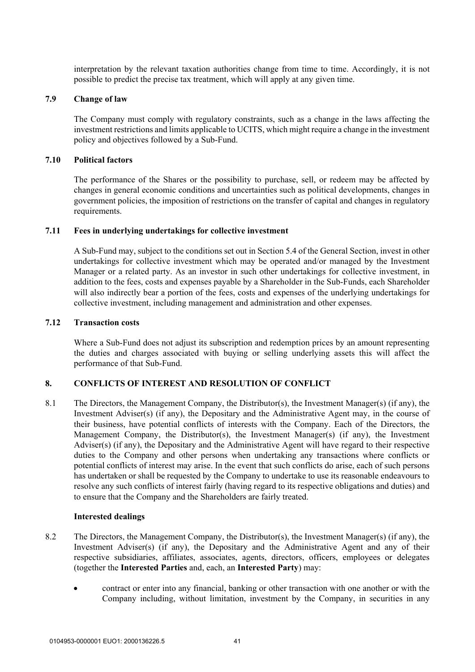interpretation by the relevant taxation authorities change from time to time. Accordingly, it is not possible to predict the precise tax treatment, which will apply at any given time.

#### **7.9 Change of law**

The Company must comply with regulatory constraints, such as a change in the laws affecting the investment restrictions and limits applicable to UCITS, which might require a change in the investment policy and objectives followed by a Sub-Fund.

#### **7.10 Political factors**

The performance of the Shares or the possibility to purchase, sell, or redeem may be affected by changes in general economic conditions and uncertainties such as political developments, changes in government policies, the imposition of restrictions on the transfer of capital and changes in regulatory requirements.

#### **7.11 Fees in underlying undertakings for collective investment**

A Sub-Fund may, subject to the conditions set out in Section 5.4 of the General Section, invest in other undertakings for collective investment which may be operated and/or managed by the Investment Manager or a related party. As an investor in such other undertakings for collective investment, in addition to the fees, costs and expenses payable by a Shareholder in the Sub-Funds, each Shareholder will also indirectly bear a portion of the fees, costs and expenses of the underlying undertakings for collective investment, including management and administration and other expenses.

#### **7.12 Transaction costs**

Where a Sub-Fund does not adjust its subscription and redemption prices by an amount representing the duties and charges associated with buying or selling underlying assets this will affect the performance of that Sub-Fund.

# **8. CONFLICTS OF INTEREST AND RESOLUTION OF CONFLICT**

8.1 The Directors, the Management Company, the Distributor(s), the Investment Manager(s) (if any), the Investment Adviser(s) (if any), the Depositary and the Administrative Agent may, in the course of their business, have potential conflicts of interests with the Company. Each of the Directors, the Management Company, the Distributor(s), the Investment Manager(s) (if any), the Investment Adviser(s) (if any), the Depositary and the Administrative Agent will have regard to their respective duties to the Company and other persons when undertaking any transactions where conflicts or potential conflicts of interest may arise. In the event that such conflicts do arise, each of such persons has undertaken or shall be requested by the Company to undertake to use its reasonable endeavours to resolve any such conflicts of interest fairly (having regard to its respective obligations and duties) and to ensure that the Company and the Shareholders are fairly treated.

### **Interested dealings**

- 8.2 The Directors, the Management Company, the Distributor(s), the Investment Manager(s) (if any), the Investment Adviser(s) (if any), the Depositary and the Administrative Agent and any of their respective subsidiaries, affiliates, associates, agents, directors, officers, employees or delegates (together the **Interested Parties** and, each, an **Interested Party**) may:
	- contract or enter into any financial, banking or other transaction with one another or with the Company including, without limitation, investment by the Company, in securities in any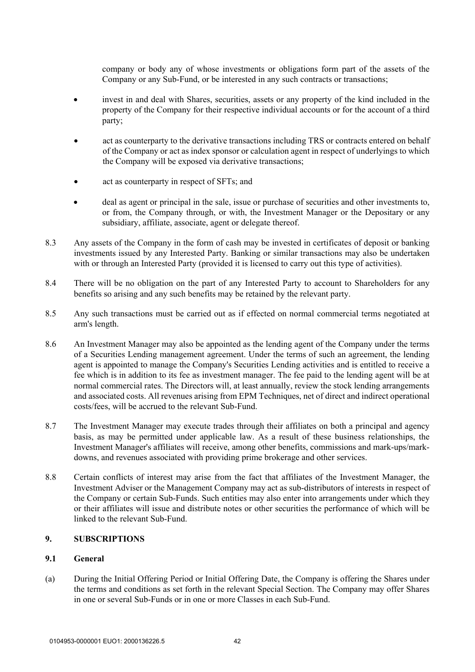company or body any of whose investments or obligations form part of the assets of the Company or any Sub-Fund, or be interested in any such contracts or transactions;

- invest in and deal with Shares, securities, assets or any property of the kind included in the property of the Company for their respective individual accounts or for the account of a third party;
- act as counterparty to the derivative transactions including TRS or contracts entered on behalf of the Company or act as index sponsor or calculation agent in respect of underlyings to which the Company will be exposed via derivative transactions;
- act as counterparty in respect of SFTs; and
- deal as agent or principal in the sale, issue or purchase of securities and other investments to, or from, the Company through, or with, the Investment Manager or the Depositary or any subsidiary, affiliate, associate, agent or delegate thereof.
- 8.3 Any assets of the Company in the form of cash may be invested in certificates of deposit or banking investments issued by any Interested Party. Banking or similar transactions may also be undertaken with or through an Interested Party (provided it is licensed to carry out this type of activities).
- 8.4 There will be no obligation on the part of any Interested Party to account to Shareholders for any benefits so arising and any such benefits may be retained by the relevant party.
- 8.5 Any such transactions must be carried out as if effected on normal commercial terms negotiated at arm's length.
- 8.6 An Investment Manager may also be appointed as the lending agent of the Company under the terms of a Securities Lending management agreement. Under the terms of such an agreement, the lending agent is appointed to manage the Company's Securities Lending activities and is entitled to receive a fee which is in addition to its fee as investment manager. The fee paid to the lending agent will be at normal commercial rates. The Directors will, at least annually, review the stock lending arrangements and associated costs. All revenues arising from EPM Techniques, net of direct and indirect operational costs/fees, will be accrued to the relevant Sub-Fund.
- 8.7 The Investment Manager may execute trades through their affiliates on both a principal and agency basis, as may be permitted under applicable law. As a result of these business relationships, the Investment Manager's affiliates will receive, among other benefits, commissions and mark-ups/markdowns, and revenues associated with providing prime brokerage and other services.
- 8.8 Certain conflicts of interest may arise from the fact that affiliates of the Investment Manager, the Investment Adviser or the Management Company may act as sub-distributors of interests in respect of the Company or certain Sub-Funds. Such entities may also enter into arrangements under which they or their affiliates will issue and distribute notes or other securities the performance of which will be linked to the relevant Sub-Fund.

# **9. SUBSCRIPTIONS**

### **9.1 General**

(a) During the Initial Offering Period or Initial Offering Date, the Company is offering the Shares under the terms and conditions as set forth in the relevant Special Section. The Company may offer Shares in one or several Sub-Funds or in one or more Classes in each Sub-Fund.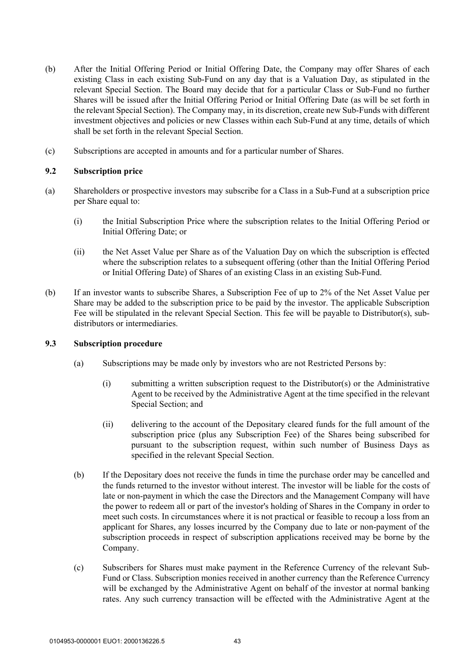- (b) After the Initial Offering Period or Initial Offering Date, the Company may offer Shares of each existing Class in each existing Sub-Fund on any day that is a Valuation Day, as stipulated in the relevant Special Section. The Board may decide that for a particular Class or Sub-Fund no further Shares will be issued after the Initial Offering Period or Initial Offering Date (as will be set forth in the relevant Special Section). The Company may, in its discretion, create new Sub-Funds with different investment objectives and policies or new Classes within each Sub-Fund at any time, details of which shall be set forth in the relevant Special Section.
- (c) Subscriptions are accepted in amounts and for a particular number of Shares.

# **9.2 Subscription price**

- (a) Shareholders or prospective investors may subscribe for a Class in a Sub-Fund at a subscription price per Share equal to:
	- (i) the Initial Subscription Price where the subscription relates to the Initial Offering Period or Initial Offering Date; or
	- (ii) the Net Asset Value per Share as of the Valuation Day on which the subscription is effected where the subscription relates to a subsequent offering (other than the Initial Offering Period or Initial Offering Date) of Shares of an existing Class in an existing Sub-Fund.
- (b) If an investor wants to subscribe Shares, a Subscription Fee of up to 2% of the Net Asset Value per Share may be added to the subscription price to be paid by the investor. The applicable Subscription Fee will be stipulated in the relevant Special Section. This fee will be payable to Distributor(s), subdistributors or intermediaries.

### **9.3 Subscription procedure**

- (a) Subscriptions may be made only by investors who are not Restricted Persons by:
	- (i) submitting a written subscription request to the Distributor(s) or the Administrative Agent to be received by the Administrative Agent at the time specified in the relevant Special Section; and
	- (ii) delivering to the account of the Depositary cleared funds for the full amount of the subscription price (plus any Subscription Fee) of the Shares being subscribed for pursuant to the subscription request, within such number of Business Days as specified in the relevant Special Section.
- (b) If the Depositary does not receive the funds in time the purchase order may be cancelled and the funds returned to the investor without interest. The investor will be liable for the costs of late or non-payment in which the case the Directors and the Management Company will have the power to redeem all or part of the investor's holding of Shares in the Company in order to meet such costs. In circumstances where it is not practical or feasible to recoup a loss from an applicant for Shares, any losses incurred by the Company due to late or non-payment of the subscription proceeds in respect of subscription applications received may be borne by the Company.
- (c) Subscribers for Shares must make payment in the Reference Currency of the relevant Sub-Fund or Class. Subscription monies received in another currency than the Reference Currency will be exchanged by the Administrative Agent on behalf of the investor at normal banking rates. Any such currency transaction will be effected with the Administrative Agent at the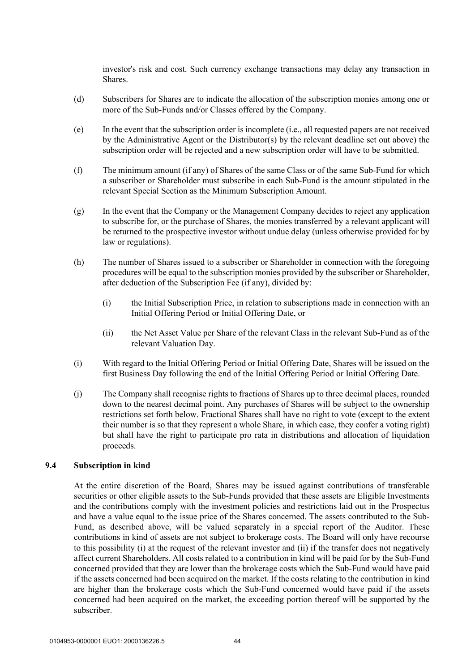investor's risk and cost. Such currency exchange transactions may delay any transaction in Shares.

- (d) Subscribers for Shares are to indicate the allocation of the subscription monies among one or more of the Sub-Funds and/or Classes offered by the Company.
- (e) In the event that the subscription order is incomplete (i.e., all requested papers are not received by the Administrative Agent or the Distributor(s) by the relevant deadline set out above) the subscription order will be rejected and a new subscription order will have to be submitted.
- (f) The minimum amount (if any) of Shares of the same Class or of the same Sub-Fund for which a subscriber or Shareholder must subscribe in each Sub-Fund is the amount stipulated in the relevant Special Section as the Minimum Subscription Amount.
- (g) In the event that the Company or the Management Company decides to reject any application to subscribe for, or the purchase of Shares, the monies transferred by a relevant applicant will be returned to the prospective investor without undue delay (unless otherwise provided for by law or regulations).
- (h) The number of Shares issued to a subscriber or Shareholder in connection with the foregoing procedures will be equal to the subscription monies provided by the subscriber or Shareholder, after deduction of the Subscription Fee (if any), divided by:
	- (i) the Initial Subscription Price, in relation to subscriptions made in connection with an Initial Offering Period or Initial Offering Date, or
	- (ii) the Net Asset Value per Share of the relevant Class in the relevant Sub-Fund as of the relevant Valuation Day.
- (i) With regard to the Initial Offering Period or Initial Offering Date, Shares will be issued on the first Business Day following the end of the Initial Offering Period or Initial Offering Date.
- (j) The Company shall recognise rights to fractions of Shares up to three decimal places, rounded down to the nearest decimal point. Any purchases of Shares will be subject to the ownership restrictions set forth below. Fractional Shares shall have no right to vote (except to the extent their number is so that they represent a whole Share, in which case, they confer a voting right) but shall have the right to participate pro rata in distributions and allocation of liquidation proceeds.

### **9.4 Subscription in kind**

At the entire discretion of the Board, Shares may be issued against contributions of transferable securities or other eligible assets to the Sub-Funds provided that these assets are Eligible Investments and the contributions comply with the investment policies and restrictions laid out in the Prospectus and have a value equal to the issue price of the Shares concerned. The assets contributed to the Sub-Fund, as described above, will be valued separately in a special report of the Auditor. These contributions in kind of assets are not subject to brokerage costs. The Board will only have recourse to this possibility (i) at the request of the relevant investor and (ii) if the transfer does not negatively affect current Shareholders. All costs related to a contribution in kind will be paid for by the Sub-Fund concerned provided that they are lower than the brokerage costs which the Sub-Fund would have paid if the assets concerned had been acquired on the market. If the costs relating to the contribution in kind are higher than the brokerage costs which the Sub-Fund concerned would have paid if the assets concerned had been acquired on the market, the exceeding portion thereof will be supported by the subscriber.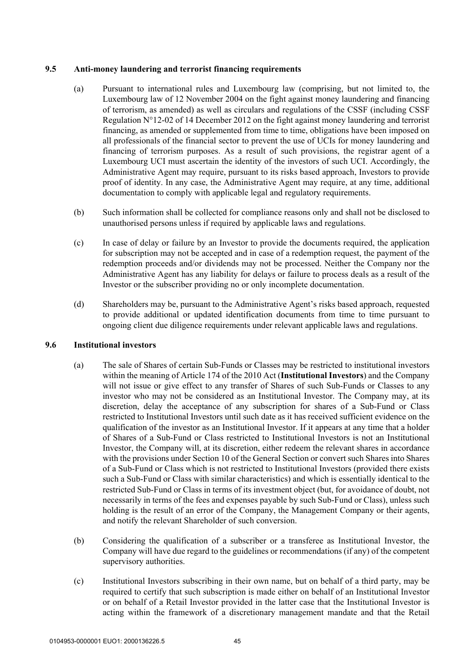### **9.5 Anti-money laundering and terrorist financing requirements**

- (a) Pursuant to international rules and Luxembourg law (comprising, but not limited to, the Luxembourg law of 12 November 2004 on the fight against money laundering and financing of terrorism, as amended) as well as circulars and regulations of the CSSF (including CSSF Regulation  $N^{\circ}12$ -02 of 14 December 2012 on the fight against money laundering and terrorist financing, as amended or supplemented from time to time, obligations have been imposed on all professionals of the financial sector to prevent the use of UCIs for money laundering and financing of terrorism purposes. As a result of such provisions, the registrar agent of a Luxembourg UCI must ascertain the identity of the investors of such UCI. Accordingly, the Administrative Agent may require, pursuant to its risks based approach, Investors to provide proof of identity. In any case, the Administrative Agent may require, at any time, additional documentation to comply with applicable legal and regulatory requirements.
- (b) Such information shall be collected for compliance reasons only and shall not be disclosed to unauthorised persons unless if required by applicable laws and regulations.
- (c) In case of delay or failure by an Investor to provide the documents required, the application for subscription may not be accepted and in case of a redemption request, the payment of the redemption proceeds and/or dividends may not be processed. Neither the Company nor the Administrative Agent has any liability for delays or failure to process deals as a result of the Investor or the subscriber providing no or only incomplete documentation.
- (d) Shareholders may be, pursuant to the Administrative Agent's risks based approach, requested to provide additional or updated identification documents from time to time pursuant to ongoing client due diligence requirements under relevant applicable laws and regulations.

### **9.6 Institutional investors**

- (a) The sale of Shares of certain Sub-Funds or Classes may be restricted to institutional investors within the meaning of Article 174 of the 2010 Act (**Institutional Investors**) and the Company will not issue or give effect to any transfer of Shares of such Sub-Funds or Classes to any investor who may not be considered as an Institutional Investor. The Company may, at its discretion, delay the acceptance of any subscription for shares of a Sub-Fund or Class restricted to Institutional Investors until such date as it has received sufficient evidence on the qualification of the investor as an Institutional Investor. If it appears at any time that a holder of Shares of a Sub-Fund or Class restricted to Institutional Investors is not an Institutional Investor, the Company will, at its discretion, either redeem the relevant shares in accordance with the provisions under Section 10 of the General Section or convert such Shares into Shares of a Sub-Fund or Class which is not restricted to Institutional Investors (provided there exists such a Sub-Fund or Class with similar characteristics) and which is essentially identical to the restricted Sub-Fund or Class in terms of its investment object (but, for avoidance of doubt, not necessarily in terms of the fees and expenses payable by such Sub-Fund or Class), unless such holding is the result of an error of the Company, the Management Company or their agents, and notify the relevant Shareholder of such conversion.
- (b) Considering the qualification of a subscriber or a transferee as Institutional Investor, the Company will have due regard to the guidelines or recommendations (if any) of the competent supervisory authorities.
- (c) Institutional Investors subscribing in their own name, but on behalf of a third party, may be required to certify that such subscription is made either on behalf of an Institutional Investor or on behalf of a Retail Investor provided in the latter case that the Institutional Investor is acting within the framework of a discretionary management mandate and that the Retail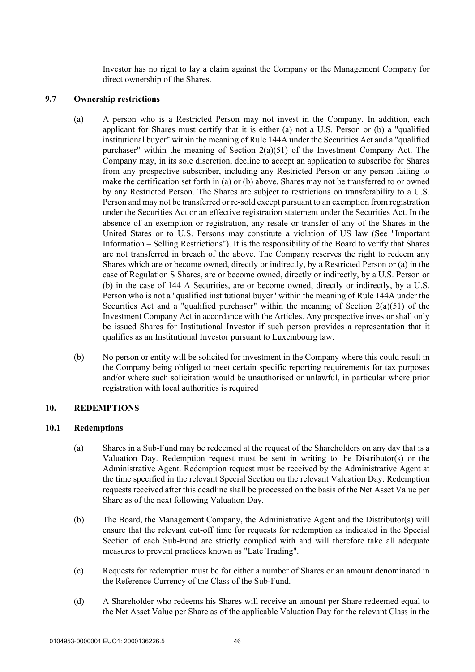Investor has no right to lay a claim against the Company or the Management Company for direct ownership of the Shares.

#### **9.7 Ownership restrictions**

- (a) A person who is a Restricted Person may not invest in the Company. In addition, each applicant for Shares must certify that it is either (a) not a U.S. Person or (b) a "qualified institutional buyer" within the meaning of Rule 144A under the Securities Act and a "qualified purchaser" within the meaning of Section 2(a)(51) of the Investment Company Act. The Company may, in its sole discretion, decline to accept an application to subscribe for Shares from any prospective subscriber, including any Restricted Person or any person failing to make the certification set forth in (a) or (b) above. Shares may not be transferred to or owned by any Restricted Person. The Shares are subject to restrictions on transferability to a U.S. Person and may not be transferred or re-sold except pursuant to an exemption from registration under the Securities Act or an effective registration statement under the Securities Act. In the absence of an exemption or registration, any resale or transfer of any of the Shares in the United States or to U.S. Persons may constitute a violation of US law (See "Important Information – Selling Restrictions"). It is the responsibility of the Board to verify that Shares are not transferred in breach of the above. The Company reserves the right to redeem any Shares which are or become owned, directly or indirectly, by a Restricted Person or (a) in the case of Regulation S Shares, are or become owned, directly or indirectly, by a U.S. Person or (b) in the case of 144 A Securities, are or become owned, directly or indirectly, by a U.S. Person who is not a "qualified institutional buyer" within the meaning of Rule 144A under the Securities Act and a "qualified purchaser" within the meaning of Section  $2(a)(51)$  of the Investment Company Act in accordance with the Articles. Any prospective investor shall only be issued Shares for Institutional Investor if such person provides a representation that it qualifies as an Institutional Investor pursuant to Luxembourg law.
- (b) No person or entity will be solicited for investment in the Company where this could result in the Company being obliged to meet certain specific reporting requirements for tax purposes and/or where such solicitation would be unauthorised or unlawful, in particular where prior registration with local authorities is required

# **10. REDEMPTIONS**

#### **10.1 Redemptions**

- (a) Shares in a Sub-Fund may be redeemed at the request of the Shareholders on any day that is a Valuation Day. Redemption request must be sent in writing to the Distributor(s) or the Administrative Agent. Redemption request must be received by the Administrative Agent at the time specified in the relevant Special Section on the relevant Valuation Day. Redemption requests received after this deadline shall be processed on the basis of the Net Asset Value per Share as of the next following Valuation Day.
- (b) The Board, the Management Company, the Administrative Agent and the Distributor(s) will ensure that the relevant cut-off time for requests for redemption as indicated in the Special Section of each Sub-Fund are strictly complied with and will therefore take all adequate measures to prevent practices known as "Late Trading".
- (c) Requests for redemption must be for either a number of Shares or an amount denominated in the Reference Currency of the Class of the Sub-Fund.
- (d) A Shareholder who redeems his Shares will receive an amount per Share redeemed equal to the Net Asset Value per Share as of the applicable Valuation Day for the relevant Class in the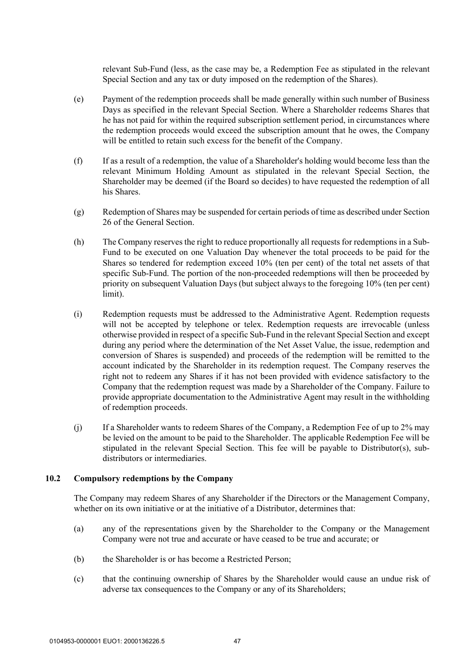relevant Sub-Fund (less, as the case may be, a Redemption Fee as stipulated in the relevant Special Section and any tax or duty imposed on the redemption of the Shares).

- (e) Payment of the redemption proceeds shall be made generally within such number of Business Days as specified in the relevant Special Section. Where a Shareholder redeems Shares that he has not paid for within the required subscription settlement period, in circumstances where the redemption proceeds would exceed the subscription amount that he owes, the Company will be entitled to retain such excess for the benefit of the Company.
- (f) If as a result of a redemption, the value of a Shareholder's holding would become less than the relevant Minimum Holding Amount as stipulated in the relevant Special Section, the Shareholder may be deemed (if the Board so decides) to have requested the redemption of all his Shares.
- (g) Redemption of Shares may be suspended for certain periods of time as described under Section 26 of the General Section.
- (h) The Company reserves the right to reduce proportionally all requests for redemptions in a Sub-Fund to be executed on one Valuation Day whenever the total proceeds to be paid for the Shares so tendered for redemption exceed 10% (ten per cent) of the total net assets of that specific Sub-Fund. The portion of the non-proceeded redemptions will then be proceeded by priority on subsequent Valuation Days (but subject always to the foregoing 10% (ten per cent) limit).
- (i) Redemption requests must be addressed to the Administrative Agent. Redemption requests will not be accepted by telephone or telex. Redemption requests are irrevocable (unless otherwise provided in respect of a specific Sub-Fund in the relevant Special Section and except during any period where the determination of the Net Asset Value, the issue, redemption and conversion of Shares is suspended) and proceeds of the redemption will be remitted to the account indicated by the Shareholder in its redemption request. The Company reserves the right not to redeem any Shares if it has not been provided with evidence satisfactory to the Company that the redemption request was made by a Shareholder of the Company. Failure to provide appropriate documentation to the Administrative Agent may result in the withholding of redemption proceeds.
- (j) If a Shareholder wants to redeem Shares of the Company, a Redemption Fee of up to 2% may be levied on the amount to be paid to the Shareholder. The applicable Redemption Fee will be stipulated in the relevant Special Section. This fee will be payable to Distributor(s), subdistributors or intermediaries.

#### **10.2 Compulsory redemptions by the Company**

The Company may redeem Shares of any Shareholder if the Directors or the Management Company, whether on its own initiative or at the initiative of a Distributor, determines that:

- (a) any of the representations given by the Shareholder to the Company or the Management Company were not true and accurate or have ceased to be true and accurate; or
- (b) the Shareholder is or has become a Restricted Person;
- (c) that the continuing ownership of Shares by the Shareholder would cause an undue risk of adverse tax consequences to the Company or any of its Shareholders;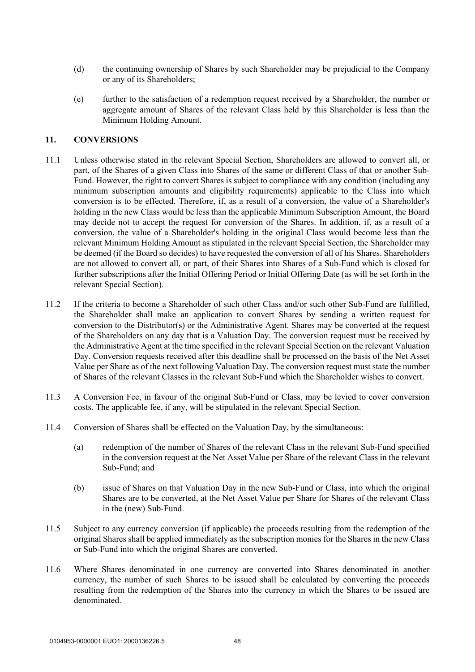- (d) the continuing ownership of Shares by such Shareholder may be prejudicial to the Company or any of its Shareholders;
- (e) further to the satisfaction of a redemption request received by a Shareholder, the number or aggregate amount of Shares of the relevant Class held by this Shareholder is less than the Minimum Holding Amount.

### **11. CONVERSIONS**

- 11.1 Unless otherwise stated in the relevant Special Section, Shareholders are allowed to convert all, or part, of the Shares of a given Class into Shares of the same or different Class of that or another Sub-Fund. However, the right to convert Shares is subject to compliance with any condition (including any minimum subscription amounts and eligibility requirements) applicable to the Class into which conversion is to be effected. Therefore, if, as a result of a conversion, the value of a Shareholder's holding in the new Class would be less than the applicable Minimum Subscription Amount, the Board may decide not to accept the request for conversion of the Shares. In addition, if, as a result of a conversion, the value of a Shareholder's holding in the original Class would become less than the relevant Minimum Holding Amount as stipulated in the relevant Special Section, the Shareholder may be deemed (if the Board so decides) to have requested the conversion of all of his Shares. Shareholders are not allowed to convert all, or part, of their Shares into Shares of a Sub-Fund which is closed for further subscriptions after the Initial Offering Period or Initial Offering Date (as will be set forth in the relevant Special Section).
- 11.2 If the criteria to become a Shareholder of such other Class and/or such other Sub-Fund are fulfilled, the Shareholder shall make an application to convert Shares by sending a written request for conversion to the Distributor(s) or the Administrative Agent. Shares may be converted at the request of the Shareholders on any day that is a Valuation Day. The conversion request must be received by the Administrative Agent at the time specified in the relevant Special Section on the relevant Valuation Day. Conversion requests received after this deadline shall be processed on the basis of the Net Asset Value per Share as of the next following Valuation Day. The conversion request must state the number of Shares of the relevant Classes in the relevant Sub-Fund which the Shareholder wishes to convert.
- 11.3 A Conversion Fee, in favour of the original Sub-Fund or Class, may be levied to cover conversion costs. The applicable fee, if any, will be stipulated in the relevant Special Section.
- 11.4 Conversion of Shares shall be effected on the Valuation Day, by the simultaneous:
	- (a) redemption of the number of Shares of the relevant Class in the relevant Sub-Fund specified in the conversion request at the Net Asset Value per Share of the relevant Class in the relevant Sub-Fund; and
	- (b) issue of Shares on that Valuation Day in the new Sub-Fund or Class, into which the original Shares are to be converted, at the Net Asset Value per Share for Shares of the relevant Class in the (new) Sub-Fund.
- 11.5 Subject to any currency conversion (if applicable) the proceeds resulting from the redemption of the original Shares shall be applied immediately as the subscription monies for the Shares in the new Class or Sub-Fund into which the original Shares are converted.
- 11.6 Where Shares denominated in one currency are converted into Shares denominated in another currency, the number of such Shares to be issued shall be calculated by converting the proceeds resulting from the redemption of the Shares into the currency in which the Shares to be issued are denominated.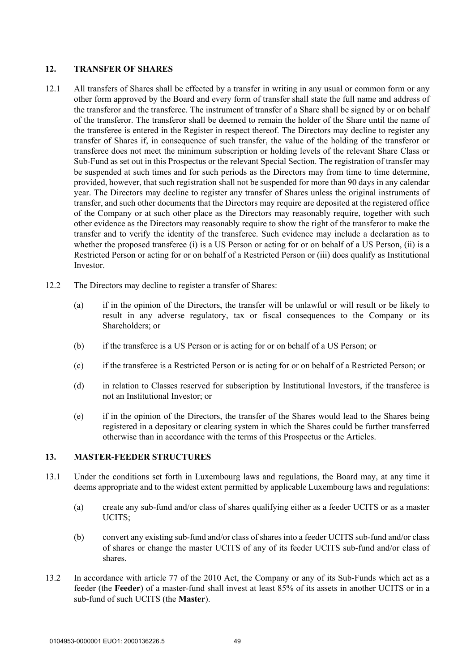# **12. TRANSFER OF SHARES**

- 12.1 All transfers of Shares shall be effected by a transfer in writing in any usual or common form or any other form approved by the Board and every form of transfer shall state the full name and address of the transferor and the transferee. The instrument of transfer of a Share shall be signed by or on behalf of the transferor. The transferor shall be deemed to remain the holder of the Share until the name of the transferee is entered in the Register in respect thereof. The Directors may decline to register any transfer of Shares if, in consequence of such transfer, the value of the holding of the transferor or transferee does not meet the minimum subscription or holding levels of the relevant Share Class or Sub-Fund as set out in this Prospectus or the relevant Special Section. The registration of transfer may be suspended at such times and for such periods as the Directors may from time to time determine, provided, however, that such registration shall not be suspended for more than 90 days in any calendar year. The Directors may decline to register any transfer of Shares unless the original instruments of transfer, and such other documents that the Directors may require are deposited at the registered office of the Company or at such other place as the Directors may reasonably require, together with such other evidence as the Directors may reasonably require to show the right of the transferor to make the transfer and to verify the identity of the transferee. Such evidence may include a declaration as to whether the proposed transferee (i) is a US Person or acting for or on behalf of a US Person, (ii) is a Restricted Person or acting for or on behalf of a Restricted Person or (iii) does qualify as Institutional Investor.
- 12.2 The Directors may decline to register a transfer of Shares:
	- (a) if in the opinion of the Directors, the transfer will be unlawful or will result or be likely to result in any adverse regulatory, tax or fiscal consequences to the Company or its Shareholders; or
	- (b) if the transferee is a US Person or is acting for or on behalf of a US Person; or
	- (c) if the transferee is a Restricted Person or is acting for or on behalf of a Restricted Person; or
	- (d) in relation to Classes reserved for subscription by Institutional Investors, if the transferee is not an Institutional Investor; or
	- (e) if in the opinion of the Directors, the transfer of the Shares would lead to the Shares being registered in a depositary or clearing system in which the Shares could be further transferred otherwise than in accordance with the terms of this Prospectus or the Articles.

### **13. MASTER-FEEDER STRUCTURES**

- 13.1 Under the conditions set forth in Luxembourg laws and regulations, the Board may, at any time it deems appropriate and to the widest extent permitted by applicable Luxembourg laws and regulations:
	- (a) create any sub-fund and/or class of shares qualifying either as a feeder UCITS or as a master UCITS;
	- (b) convert any existing sub-fund and/or class of shares into a feeder UCITS sub-fund and/or class of shares or change the master UCITS of any of its feeder UCITS sub-fund and/or class of shares.
- 13.2 In accordance with article 77 of the 2010 Act, the Company or any of its Sub-Funds which act as a feeder (the **Feeder**) of a master-fund shall invest at least 85% of its assets in another UCITS or in a sub-fund of such UCITS (the **Master**).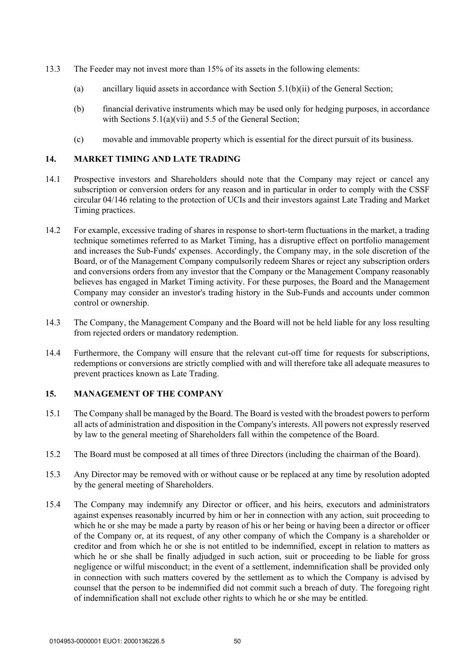- 13.3 The Feeder may not invest more than 15% of its assets in the following elements:
	- (a) ancillary liquid assets in accordance with Section 5.1(b)(ii) of the General Section;
	- (b) financial derivative instruments which may be used only for hedging purposes, in accordance with Sections 5.1(a)(vii) and 5.5 of the General Section;
	- (c) movable and immovable property which is essential for the direct pursuit of its business.

## **14. MARKET TIMING AND LATE TRADING**

- 14.1 Prospective investors and Shareholders should note that the Company may reject or cancel any subscription or conversion orders for any reason and in particular in order to comply with the CSSF circular 04/146 relating to the protection of UCIs and their investors against Late Trading and Market Timing practices.
- 14.2 For example, excessive trading of shares in response to short-term fluctuations in the market, a trading technique sometimes referred to as Market Timing, has a disruptive effect on portfolio management and increases the Sub-Funds' expenses. Accordingly, the Company may, in the sole discretion of the Board, or of the Management Company compulsorily redeem Shares or reject any subscription orders and conversions orders from any investor that the Company or the Management Company reasonably believes has engaged in Market Timing activity. For these purposes, the Board and the Management Company may consider an investor's trading history in the Sub-Funds and accounts under common control or ownership.
- 14.3 The Company, the Management Company and the Board will not be held liable for any loss resulting from rejected orders or mandatory redemption.
- 14.4 Furthermore, the Company will ensure that the relevant cut-off time for requests for subscriptions, redemptions or conversions are strictly complied with and will therefore take all adequate measures to prevent practices known as Late Trading.

### **15. MANAGEMENT OF THE COMPANY**

- 15.1 The Company shall be managed by the Board. The Board is vested with the broadest powers to perform all acts of administration and disposition in the Company's interests. All powers not expressly reserved by law to the general meeting of Shareholders fall within the competence of the Board.
- 15.2 The Board must be composed at all times of three Directors (including the chairman of the Board).
- 15.3 Any Director may be removed with or without cause or be replaced at any time by resolution adopted by the general meeting of Shareholders.
- 15.4 The Company may indemnify any Director or officer, and his heirs, executors and administrators against expenses reasonably incurred by him or her in connection with any action, suit proceeding to which he or she may be made a party by reason of his or her being or having been a director or officer of the Company or, at its request, of any other company of which the Company is a shareholder or creditor and from which he or she is not entitled to be indemnified, except in relation to matters as which he or she shall be finally adjudged in such action, suit or proceeding to be liable for gross negligence or wilful misconduct; in the event of a settlement, indemnification shall be provided only in connection with such matters covered by the settlement as to which the Company is advised by counsel that the person to be indemnified did not commit such a breach of duty. The foregoing right of indemnification shall not exclude other rights to which he or she may be entitled.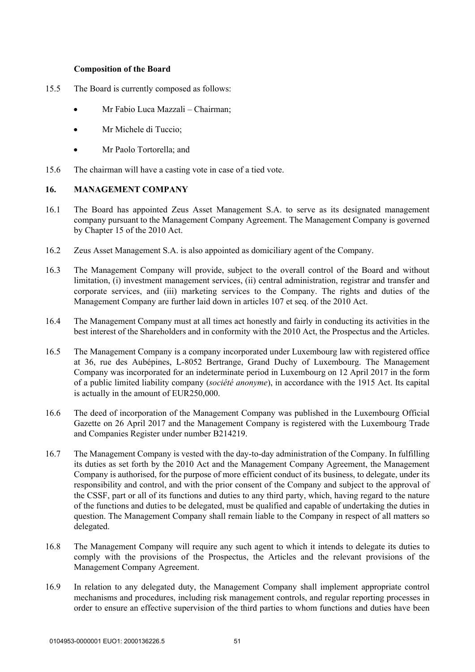### **Composition of the Board**

- 15.5 The Board is currently composed as follows:
	- Mr Fabio Luca Mazzali Chairman;
	- Mr Michele di Tuccio;
	- Mr Paolo Tortorella; and
- 15.6 The chairman will have a casting vote in case of a tied vote.

# **16. MANAGEMENT COMPANY**

- 16.1 The Board has appointed Zeus Asset Management S.A. to serve as its designated management company pursuant to the Management Company Agreement. The Management Company is governed by Chapter 15 of the 2010 Act.
- 16.2 Zeus Asset Management S.A. is also appointed as domiciliary agent of the Company.
- 16.3 The Management Company will provide, subject to the overall control of the Board and without limitation, (i) investment management services, (ii) central administration, registrar and transfer and corporate services, and (iii) marketing services to the Company. The rights and duties of the Management Company are further laid down in articles 107 et seq. of the 2010 Act.
- 16.4 The Management Company must at all times act honestly and fairly in conducting its activities in the best interest of the Shareholders and in conformity with the 2010 Act, the Prospectus and the Articles.
- 16.5 The Management Company is a company incorporated under Luxembourg law with registered office at 36, rue des Aubépines, L-8052 Bertrange, Grand Duchy of Luxembourg. The Management Company was incorporated for an indeterminate period in Luxembourg on 12 April 2017 in the form of a public limited liability company (*société anonyme*), in accordance with the 1915 Act. Its capital is actually in the amount of EUR250,000.
- 16.6 The deed of incorporation of the Management Company was published in the Luxembourg Official Gazette on 26 April 2017 and the Management Company is registered with the Luxembourg Trade and Companies Register under number B214219.
- 16.7 The Management Company is vested with the day-to-day administration of the Company. In fulfilling its duties as set forth by the 2010 Act and the Management Company Agreement, the Management Company is authorised, for the purpose of more efficient conduct of its business, to delegate, under its responsibility and control, and with the prior consent of the Company and subject to the approval of the CSSF, part or all of its functions and duties to any third party, which, having regard to the nature of the functions and duties to be delegated, must be qualified and capable of undertaking the duties in question. The Management Company shall remain liable to the Company in respect of all matters so delegated.
- 16.8 The Management Company will require any such agent to which it intends to delegate its duties to comply with the provisions of the Prospectus, the Articles and the relevant provisions of the Management Company Agreement.
- 16.9 In relation to any delegated duty, the Management Company shall implement appropriate control mechanisms and procedures, including risk management controls, and regular reporting processes in order to ensure an effective supervision of the third parties to whom functions and duties have been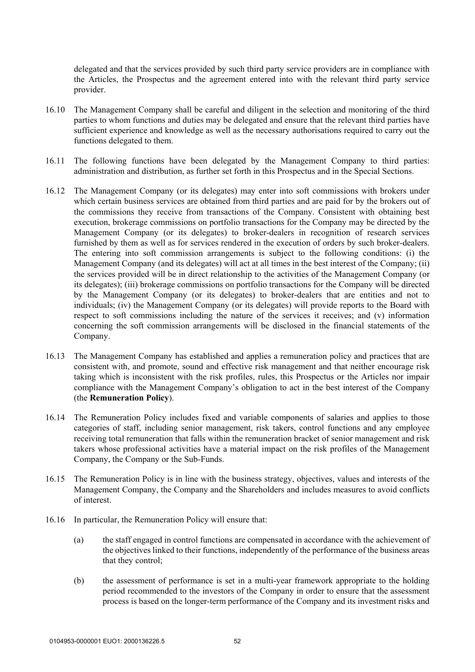delegated and that the services provided by such third party service providers are in compliance with the Articles, the Prospectus and the agreement entered into with the relevant third party service provider.

- 16.10 The Management Company shall be careful and diligent in the selection and monitoring of the third parties to whom functions and duties may be delegated and ensure that the relevant third parties have sufficient experience and knowledge as well as the necessary authorisations required to carry out the functions delegated to them.
- 16.11 The following functions have been delegated by the Management Company to third parties: administration and distribution, as further set forth in this Prospectus and in the Special Sections.
- 16.12 The Management Company (or its delegates) may enter into soft commissions with brokers under which certain business services are obtained from third parties and are paid for by the brokers out of the commissions they receive from transactions of the Company. Consistent with obtaining best execution, brokerage commissions on portfolio transactions for the Company may be directed by the Management Company (or its delegates) to broker-dealers in recognition of research services furnished by them as well as for services rendered in the execution of orders by such broker-dealers. The entering into soft commission arrangements is subject to the following conditions: (i) the Management Company (and its delegates) will act at all times in the best interest of the Company; (ii) the services provided will be in direct relationship to the activities of the Management Company (or its delegates); (iii) brokerage commissions on portfolio transactions for the Company will be directed by the Management Company (or its delegates) to broker-dealers that are entities and not to individuals; (iv) the Management Company (or its delegates) will provide reports to the Board with respect to soft commissions including the nature of the services it receives; and (v) information concerning the soft commission arrangements will be disclosed in the financial statements of the Company.
- 16.13 The Management Company has established and applies a remuneration policy and practices that are consistent with, and promote, sound and effective risk management and that neither encourage risk taking which is inconsistent with the risk profiles, rules, this Prospectus or the Articles nor impair compliance with the Management Company's obligation to act in the best interest of the Company (the **Remuneration Policy**).
- 16.14 The Remuneration Policy includes fixed and variable components of salaries and applies to those categories of staff, including senior management, risk takers, control functions and any employee receiving total remuneration that falls within the remuneration bracket of senior management and risk takers whose professional activities have a material impact on the risk profiles of the Management Company, the Company or the Sub-Funds.
- 16.15 The Remuneration Policy is in line with the business strategy, objectives, values and interests of the Management Company, the Company and the Shareholders and includes measures to avoid conflicts of interest.
- 16.16 In particular, the Remuneration Policy will ensure that:
	- (a) the staff engaged in control functions are compensated in accordance with the achievement of the objectives linked to their functions, independently of the performance of the business areas that they control;
	- (b) the assessment of performance is set in a multi-year framework appropriate to the holding period recommended to the investors of the Company in order to ensure that the assessment process is based on the longer-term performance of the Company and its investment risks and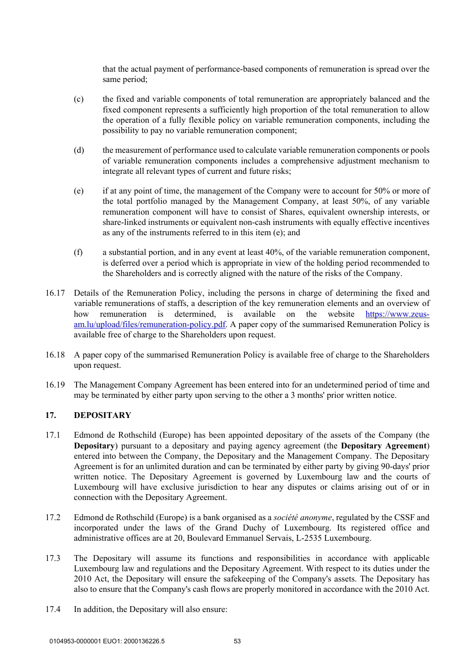that the actual payment of performance-based components of remuneration is spread over the same period;

- (c) the fixed and variable components of total remuneration are appropriately balanced and the fixed component represents a sufficiently high proportion of the total remuneration to allow the operation of a fully flexible policy on variable remuneration components, including the possibility to pay no variable remuneration component;
- (d) the measurement of performance used to calculate variable remuneration components or pools of variable remuneration components includes a comprehensive adjustment mechanism to integrate all relevant types of current and future risks;
- (e) if at any point of time, the management of the Company were to account for 50% or more of the total portfolio managed by the Management Company, at least 50%, of any variable remuneration component will have to consist of Shares, equivalent ownership interests, or share-linked instruments or equivalent non-cash instruments with equally effective incentives as any of the instruments referred to in this item (e); and
- (f) a substantial portion, and in any event at least 40%, of the variable remuneration component, is deferred over a period which is appropriate in view of the holding period recommended to the Shareholders and is correctly aligned with the nature of the risks of the Company.
- 16.17 Details of the Remuneration Policy, including the persons in charge of determining the fixed and variable remunerations of staffs, a description of the key remuneration elements and an overview of how remuneration is determined, is available on the website https://www.zeusam.lu/upload/files/remuneration-policy.pdf. A paper copy of the summarised Remuneration Policy is available free of charge to the Shareholders upon request.
- 16.18 A paper copy of the summarised Remuneration Policy is available free of charge to the Shareholders upon request.
- 16.19 The Management Company Agreement has been entered into for an undetermined period of time and may be terminated by either party upon serving to the other a 3 months' prior written notice.

### **17. DEPOSITARY**

- 17.1 Edmond de Rothschild (Europe) has been appointed depositary of the assets of the Company (the **Depositary**) pursuant to a depositary and paying agency agreement (the **Depositary Agreement**) entered into between the Company, the Depositary and the Management Company. The Depositary Agreement is for an unlimited duration and can be terminated by either party by giving 90-days' prior written notice. The Depositary Agreement is governed by Luxembourg law and the courts of Luxembourg will have exclusive jurisdiction to hear any disputes or claims arising out of or in connection with the Depositary Agreement.
- 17.2 Edmond de Rothschild (Europe) is a bank organised as a *société anonyme*, regulated by the CSSF and incorporated under the laws of the Grand Duchy of Luxembourg. Its registered office and administrative offices are at 20, Boulevard Emmanuel Servais, L-2535 Luxembourg.
- 17.3 The Depositary will assume its functions and responsibilities in accordance with applicable Luxembourg law and regulations and the Depositary Agreement. With respect to its duties under the 2010 Act, the Depositary will ensure the safekeeping of the Company's assets. The Depositary has also to ensure that the Company's cash flows are properly monitored in accordance with the 2010 Act.
- 17.4 In addition, the Depositary will also ensure: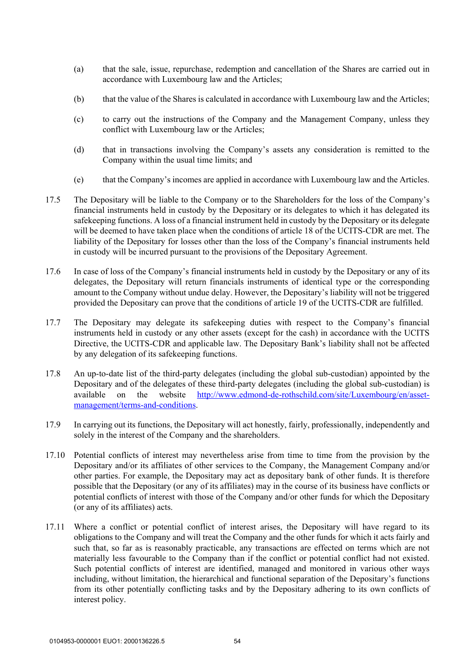- (a) that the sale, issue, repurchase, redemption and cancellation of the Shares are carried out in accordance with Luxembourg law and the Articles;
- (b) that the value of the Shares is calculated in accordance with Luxembourg law and the Articles;
- (c) to carry out the instructions of the Company and the Management Company, unless they conflict with Luxembourg law or the Articles;
- (d) that in transactions involving the Company's assets any consideration is remitted to the Company within the usual time limits; and
- (e) that the Company's incomes are applied in accordance with Luxembourg law and the Articles.
- 17.5 The Depositary will be liable to the Company or to the Shareholders for the loss of the Company's financial instruments held in custody by the Depositary or its delegates to which it has delegated its safekeeping functions. A loss of a financial instrument held in custody by the Depositary or its delegate will be deemed to have taken place when the conditions of article 18 of the UCITS-CDR are met. The liability of the Depositary for losses other than the loss of the Company's financial instruments held in custody will be incurred pursuant to the provisions of the Depositary Agreement.
- 17.6 In case of loss of the Company's financial instruments held in custody by the Depositary or any of its delegates, the Depositary will return financials instruments of identical type or the corresponding amount to the Company without undue delay. However, the Depositary's liability will not be triggered provided the Depositary can prove that the conditions of article 19 of the UCITS-CDR are fulfilled.
- 17.7 The Depositary may delegate its safekeeping duties with respect to the Company's financial instruments held in custody or any other assets (except for the cash) in accordance with the UCITS Directive, the UCITS-CDR and applicable law. The Depositary Bank's liability shall not be affected by any delegation of its safekeeping functions.
- 17.8 An up-to-date list of the third-party delegates (including the global sub-custodian) appointed by the Depositary and of the delegates of these third-party delegates (including the global sub-custodian) is available on the website http://www.edmond-de-rothschild.com/site/Luxembourg/en/assetmanagement/terms-and-conditions.
- 17.9 In carrying out its functions, the Depositary will act honestly, fairly, professionally, independently and solely in the interest of the Company and the shareholders.
- 17.10 Potential conflicts of interest may nevertheless arise from time to time from the provision by the Depositary and/or its affiliates of other services to the Company, the Management Company and/or other parties. For example, the Depositary may act as depositary bank of other funds. It is therefore possible that the Depositary (or any of its affiliates) may in the course of its business have conflicts or potential conflicts of interest with those of the Company and/or other funds for which the Depositary (or any of its affiliates) acts.
- 17.11 Where a conflict or potential conflict of interest arises, the Depositary will have regard to its obligations to the Company and will treat the Company and the other funds for which it acts fairly and such that, so far as is reasonably practicable, any transactions are effected on terms which are not materially less favourable to the Company than if the conflict or potential conflict had not existed. Such potential conflicts of interest are identified, managed and monitored in various other ways including, without limitation, the hierarchical and functional separation of the Depositary's functions from its other potentially conflicting tasks and by the Depositary adhering to its own conflicts of interest policy.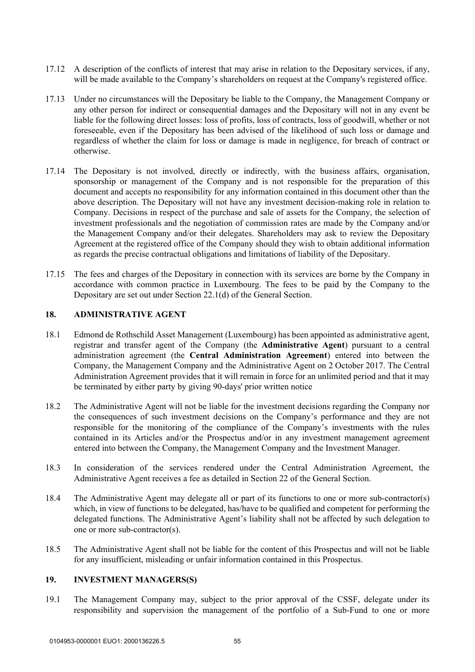- 17.12 A description of the conflicts of interest that may arise in relation to the Depositary services, if any, will be made available to the Company's shareholders on request at the Company's registered office.
- 17.13 Under no circumstances will the Depositary be liable to the Company, the Management Company or any other person for indirect or consequential damages and the Depositary will not in any event be liable for the following direct losses: loss of profits, loss of contracts, loss of goodwill, whether or not foreseeable, even if the Depositary has been advised of the likelihood of such loss or damage and regardless of whether the claim for loss or damage is made in negligence, for breach of contract or otherwise.
- 17.14 The Depositary is not involved, directly or indirectly, with the business affairs, organisation, sponsorship or management of the Company and is not responsible for the preparation of this document and accepts no responsibility for any information contained in this document other than the above description. The Depositary will not have any investment decision-making role in relation to Company. Decisions in respect of the purchase and sale of assets for the Company, the selection of investment professionals and the negotiation of commission rates are made by the Company and/or the Management Company and/or their delegates. Shareholders may ask to review the Depositary Agreement at the registered office of the Company should they wish to obtain additional information as regards the precise contractual obligations and limitations of liability of the Depositary.
- 17.15 The fees and charges of the Depositary in connection with its services are borne by the Company in accordance with common practice in Luxembourg. The fees to be paid by the Company to the Depositary are set out under Section 22.1(d) of the General Section.

#### **18. ADMINISTRATIVE AGENT**

- 18.1 Edmond de Rothschild Asset Management (Luxembourg) has been appointed as administrative agent, registrar and transfer agent of the Company (the **Administrative Agent**) pursuant to a central administration agreement (the **Central Administration Agreement**) entered into between the Company, the Management Company and the Administrative Agent on 2 October 2017. The Central Administration Agreement provides that it will remain in force for an unlimited period and that it may be terminated by either party by giving 90-days' prior written notice
- 18.2 The Administrative Agent will not be liable for the investment decisions regarding the Company nor the consequences of such investment decisions on the Company's performance and they are not responsible for the monitoring of the compliance of the Company's investments with the rules contained in its Articles and/or the Prospectus and/or in any investment management agreement entered into between the Company, the Management Company and the Investment Manager.
- 18.3 In consideration of the services rendered under the Central Administration Agreement, the Administrative Agent receives a fee as detailed in Section 22 of the General Section.
- 18.4 The Administrative Agent may delegate all or part of its functions to one or more sub-contractor(s) which, in view of functions to be delegated, has/have to be qualified and competent for performing the delegated functions. The Administrative Agent's liability shall not be affected by such delegation to one or more sub-contractor(s).
- 18.5 The Administrative Agent shall not be liable for the content of this Prospectus and will not be liable for any insufficient, misleading or unfair information contained in this Prospectus.

### **19. INVESTMENT MANAGERS(S)**

19.1 The Management Company may, subject to the prior approval of the CSSF, delegate under its responsibility and supervision the management of the portfolio of a Sub-Fund to one or more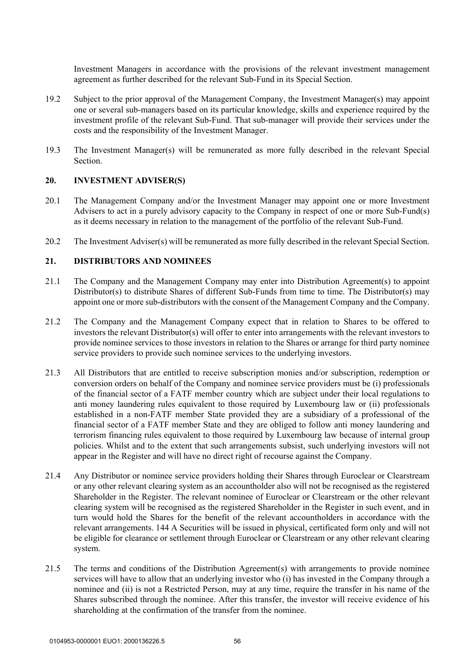Investment Managers in accordance with the provisions of the relevant investment management agreement as further described for the relevant Sub-Fund in its Special Section.

- 19.2 Subject to the prior approval of the Management Company, the Investment Manager(s) may appoint one or several sub-managers based on its particular knowledge, skills and experience required by the investment profile of the relevant Sub-Fund. That sub-manager will provide their services under the costs and the responsibility of the Investment Manager.
- 19.3 The Investment Manager(s) will be remunerated as more fully described in the relevant Special Section.

### **20. INVESTMENT ADVISER(S)**

- 20.1 The Management Company and/or the Investment Manager may appoint one or more Investment Advisers to act in a purely advisory capacity to the Company in respect of one or more Sub-Fund(s) as it deems necessary in relation to the management of the portfolio of the relevant Sub-Fund.
- 20.2 The Investment Adviser(s) will be remunerated as more fully described in the relevant Special Section.

### **21. DISTRIBUTORS AND NOMINEES**

- 21.1 The Company and the Management Company may enter into Distribution Agreement(s) to appoint Distributor(s) to distribute Shares of different Sub-Funds from time to time. The Distributor(s) may appoint one or more sub-distributors with the consent of the Management Company and the Company.
- 21.2 The Company and the Management Company expect that in relation to Shares to be offered to investors the relevant Distributor(s) will offer to enter into arrangements with the relevant investors to provide nominee services to those investors in relation to the Shares or arrange for third party nominee service providers to provide such nominee services to the underlying investors.
- 21.3 All Distributors that are entitled to receive subscription monies and/or subscription, redemption or conversion orders on behalf of the Company and nominee service providers must be (i) professionals of the financial sector of a FATF member country which are subject under their local regulations to anti money laundering rules equivalent to those required by Luxembourg law or (ii) professionals established in a non-FATF member State provided they are a subsidiary of a professional of the financial sector of a FATF member State and they are obliged to follow anti money laundering and terrorism financing rules equivalent to those required by Luxembourg law because of internal group policies. Whilst and to the extent that such arrangements subsist, such underlying investors will not appear in the Register and will have no direct right of recourse against the Company.
- 21.4 Any Distributor or nominee service providers holding their Shares through Euroclear or Clearstream or any other relevant clearing system as an accountholder also will not be recognised as the registered Shareholder in the Register. The relevant nominee of Euroclear or Clearstream or the other relevant clearing system will be recognised as the registered Shareholder in the Register in such event, and in turn would hold the Shares for the benefit of the relevant accountholders in accordance with the relevant arrangements. 144 A Securities will be issued in physical, certificated form only and will not be eligible for clearance or settlement through Euroclear or Clearstream or any other relevant clearing system.
- 21.5 The terms and conditions of the Distribution Agreement(s) with arrangements to provide nominee services will have to allow that an underlying investor who (i) has invested in the Company through a nominee and (ii) is not a Restricted Person, may at any time, require the transfer in his name of the Shares subscribed through the nominee. After this transfer, the investor will receive evidence of his shareholding at the confirmation of the transfer from the nominee.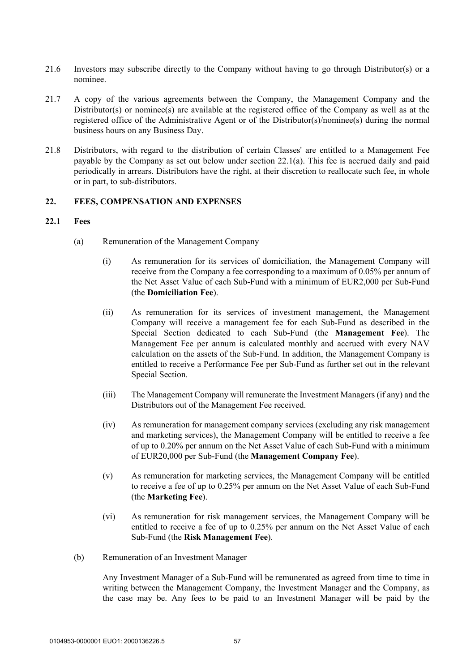- 21.6 Investors may subscribe directly to the Company without having to go through Distributor(s) or a nominee.
- 21.7 A copy of the various agreements between the Company, the Management Company and the Distributor(s) or nominee(s) are available at the registered office of the Company as well as at the registered office of the Administrative Agent or of the Distributor(s)/nominee(s) during the normal business hours on any Business Day.
- 21.8 Distributors, with regard to the distribution of certain Classes' are entitled to a Management Fee payable by the Company as set out below under section 22.1(a). This fee is accrued daily and paid periodically in arrears. Distributors have the right, at their discretion to reallocate such fee, in whole or in part, to sub-distributors.

### **22. FEES, COMPENSATION AND EXPENSES**

#### **22.1 Fees**

- (a) Remuneration of the Management Company
	- (i) As remuneration for its services of domiciliation, the Management Company will receive from the Company a fee corresponding to a maximum of 0.05% per annum of the Net Asset Value of each Sub-Fund with a minimum of EUR2,000 per Sub-Fund (the **Domiciliation Fee**).
	- (ii) As remuneration for its services of investment management, the Management Company will receive a management fee for each Sub-Fund as described in the Special Section dedicated to each Sub-Fund (the **Management Fee**). The Management Fee per annum is calculated monthly and accrued with every NAV calculation on the assets of the Sub-Fund. In addition, the Management Company is entitled to receive a Performance Fee per Sub-Fund as further set out in the relevant Special Section.
	- (iii) The Management Company will remunerate the Investment Managers (if any) and the Distributors out of the Management Fee received.
	- (iv) As remuneration for management company services (excluding any risk management and marketing services), the Management Company will be entitled to receive a fee of up to 0.20% per annum on the Net Asset Value of each Sub-Fund with a minimum of EUR20,000 per Sub-Fund (the **Management Company Fee**).
	- (v) As remuneration for marketing services, the Management Company will be entitled to receive a fee of up to 0.25% per annum on the Net Asset Value of each Sub-Fund (the **Marketing Fee**).
	- (vi) As remuneration for risk management services, the Management Company will be entitled to receive a fee of up to 0.25% per annum on the Net Asset Value of each Sub-Fund (the **Risk Management Fee**).
- (b) Remuneration of an Investment Manager

Any Investment Manager of a Sub-Fund will be remunerated as agreed from time to time in writing between the Management Company, the Investment Manager and the Company, as the case may be. Any fees to be paid to an Investment Manager will be paid by the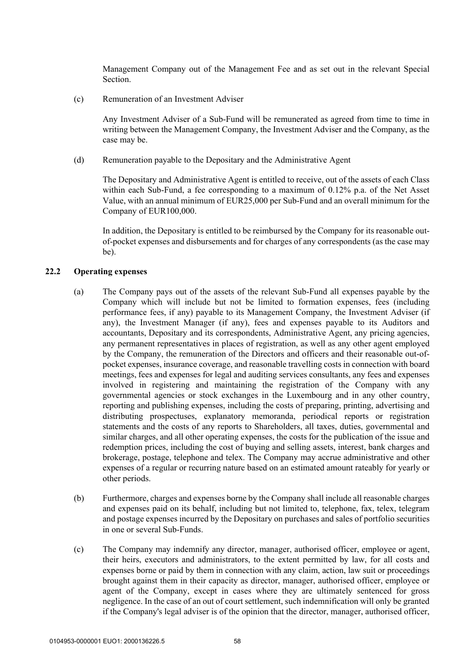Management Company out of the Management Fee and as set out in the relevant Special Section.

(c) Remuneration of an Investment Adviser

Any Investment Adviser of a Sub-Fund will be remunerated as agreed from time to time in writing between the Management Company, the Investment Adviser and the Company, as the case may be.

(d) Remuneration payable to the Depositary and the Administrative Agent

The Depositary and Administrative Agent is entitled to receive, out of the assets of each Class within each Sub-Fund, a fee corresponding to a maximum of 0.12% p.a. of the Net Asset Value, with an annual minimum of EUR25,000 per Sub-Fund and an overall minimum for the Company of EUR100,000.

In addition, the Depositary is entitled to be reimbursed by the Company for its reasonable outof-pocket expenses and disbursements and for charges of any correspondents (as the case may be).

#### **22.2 Operating expenses**

- (a) The Company pays out of the assets of the relevant Sub-Fund all expenses payable by the Company which will include but not be limited to formation expenses, fees (including performance fees, if any) payable to its Management Company, the Investment Adviser (if any), the Investment Manager (if any), fees and expenses payable to its Auditors and accountants, Depositary and its correspondents, Administrative Agent, any pricing agencies, any permanent representatives in places of registration, as well as any other agent employed by the Company, the remuneration of the Directors and officers and their reasonable out-ofpocket expenses, insurance coverage, and reasonable travelling costs in connection with board meetings, fees and expenses for legal and auditing services consultants, any fees and expenses involved in registering and maintaining the registration of the Company with any governmental agencies or stock exchanges in the Luxembourg and in any other country, reporting and publishing expenses, including the costs of preparing, printing, advertising and distributing prospectuses, explanatory memoranda, periodical reports or registration statements and the costs of any reports to Shareholders, all taxes, duties, governmental and similar charges, and all other operating expenses, the costs for the publication of the issue and redemption prices, including the cost of buying and selling assets, interest, bank charges and brokerage, postage, telephone and telex. The Company may accrue administrative and other expenses of a regular or recurring nature based on an estimated amount rateably for yearly or other periods.
- (b) Furthermore, charges and expenses borne by the Company shall include all reasonable charges and expenses paid on its behalf, including but not limited to, telephone, fax, telex, telegram and postage expenses incurred by the Depositary on purchases and sales of portfolio securities in one or several Sub-Funds.
- (c) The Company may indemnify any director, manager, authorised officer, employee or agent, their heirs, executors and administrators, to the extent permitted by law, for all costs and expenses borne or paid by them in connection with any claim, action, law suit or proceedings brought against them in their capacity as director, manager, authorised officer, employee or agent of the Company, except in cases where they are ultimately sentenced for gross negligence. In the case of an out of court settlement, such indemnification will only be granted if the Company's legal adviser is of the opinion that the director, manager, authorised officer,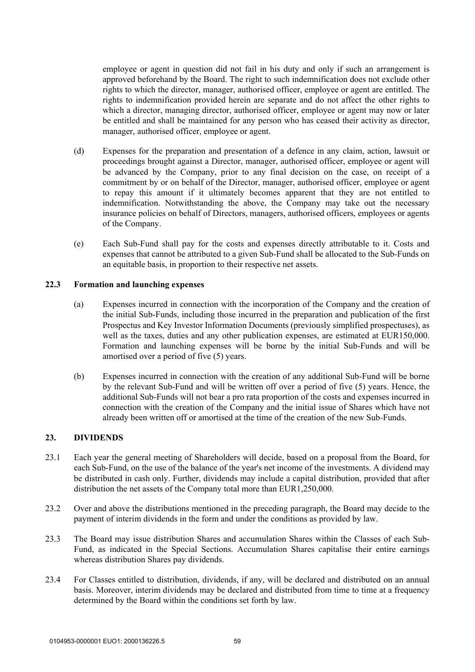employee or agent in question did not fail in his duty and only if such an arrangement is approved beforehand by the Board. The right to such indemnification does not exclude other rights to which the director, manager, authorised officer, employee or agent are entitled. The rights to indemnification provided herein are separate and do not affect the other rights to which a director, managing director, authorised officer, employee or agent may now or later be entitled and shall be maintained for any person who has ceased their activity as director, manager, authorised officer, employee or agent.

- (d) Expenses for the preparation and presentation of a defence in any claim, action, lawsuit or proceedings brought against a Director, manager, authorised officer, employee or agent will be advanced by the Company, prior to any final decision on the case, on receipt of a commitment by or on behalf of the Director, manager, authorised officer, employee or agent to repay this amount if it ultimately becomes apparent that they are not entitled to indemnification. Notwithstanding the above, the Company may take out the necessary insurance policies on behalf of Directors, managers, authorised officers, employees or agents of the Company.
- (e) Each Sub-Fund shall pay for the costs and expenses directly attributable to it. Costs and expenses that cannot be attributed to a given Sub-Fund shall be allocated to the Sub-Funds on an equitable basis, in proportion to their respective net assets.

#### **22.3 Formation and launching expenses**

- (a) Expenses incurred in connection with the incorporation of the Company and the creation of the initial Sub-Funds, including those incurred in the preparation and publication of the first Prospectus and Key Investor Information Documents (previously simplified prospectuses), as well as the taxes, duties and any other publication expenses, are estimated at EUR150,000. Formation and launching expenses will be borne by the initial Sub-Funds and will be amortised over a period of five (5) years.
- (b) Expenses incurred in connection with the creation of any additional Sub-Fund will be borne by the relevant Sub-Fund and will be written off over a period of five (5) years. Hence, the additional Sub-Funds will not bear a pro rata proportion of the costs and expenses incurred in connection with the creation of the Company and the initial issue of Shares which have not already been written off or amortised at the time of the creation of the new Sub-Funds.

# **23. DIVIDENDS**

- 23.1 Each year the general meeting of Shareholders will decide, based on a proposal from the Board, for each Sub-Fund, on the use of the balance of the year's net income of the investments. A dividend may be distributed in cash only. Further, dividends may include a capital distribution, provided that after distribution the net assets of the Company total more than EUR1,250,000.
- 23.2 Over and above the distributions mentioned in the preceding paragraph, the Board may decide to the payment of interim dividends in the form and under the conditions as provided by law.
- 23.3 The Board may issue distribution Shares and accumulation Shares within the Classes of each Sub-Fund, as indicated in the Special Sections. Accumulation Shares capitalise their entire earnings whereas distribution Shares pay dividends.
- 23.4 For Classes entitled to distribution, dividends, if any, will be declared and distributed on an annual basis. Moreover, interim dividends may be declared and distributed from time to time at a frequency determined by the Board within the conditions set forth by law.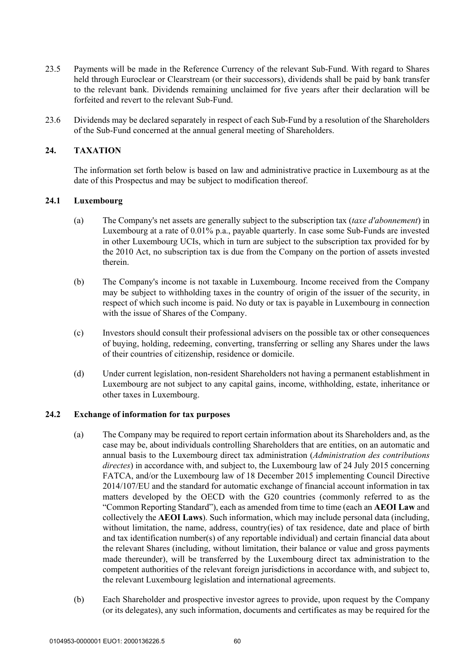- 23.5 Payments will be made in the Reference Currency of the relevant Sub-Fund. With regard to Shares held through Euroclear or Clearstream (or their successors), dividends shall be paid by bank transfer to the relevant bank. Dividends remaining unclaimed for five years after their declaration will be forfeited and revert to the relevant Sub-Fund.
- 23.6 Dividends may be declared separately in respect of each Sub-Fund by a resolution of the Shareholders of the Sub-Fund concerned at the annual general meeting of Shareholders.

# **24. TAXATION**

The information set forth below is based on law and administrative practice in Luxembourg as at the date of this Prospectus and may be subject to modification thereof.

### **24.1 Luxembourg**

- (a) The Company's net assets are generally subject to the subscription tax (*taxe d'abonnement*) in Luxembourg at a rate of 0.01% p.a., payable quarterly. In case some Sub-Funds are invested in other Luxembourg UCIs, which in turn are subject to the subscription tax provided for by the 2010 Act, no subscription tax is due from the Company on the portion of assets invested therein.
- (b) The Company's income is not taxable in Luxembourg. Income received from the Company may be subject to withholding taxes in the country of origin of the issuer of the security, in respect of which such income is paid. No duty or tax is payable in Luxembourg in connection with the issue of Shares of the Company.
- (c) Investors should consult their professional advisers on the possible tax or other consequences of buying, holding, redeeming, converting, transferring or selling any Shares under the laws of their countries of citizenship, residence or domicile.
- (d) Under current legislation, non-resident Shareholders not having a permanent establishment in Luxembourg are not subject to any capital gains, income, withholding, estate, inheritance or other taxes in Luxembourg.

### **24.2 Exchange of information for tax purposes**

- (a) The Company may be required to report certain information about its Shareholders and, as the case may be, about individuals controlling Shareholders that are entities, on an automatic and annual basis to the Luxembourg direct tax administration (*Administration des contributions directes*) in accordance with, and subject to, the Luxembourg law of 24 July 2015 concerning FATCA, and/or the Luxembourg law of 18 December 2015 implementing Council Directive 2014/107/EU and the standard for automatic exchange of financial account information in tax matters developed by the OECD with the G20 countries (commonly referred to as the "Common Reporting Standard"), each as amended from time to time (each an **AEOI Law** and collectively the **AEOI Laws**). Such information, which may include personal data (including, without limitation, the name, address, country(ies) of tax residence, date and place of birth and tax identification number(s) of any reportable individual) and certain financial data about the relevant Shares (including, without limitation, their balance or value and gross payments made thereunder), will be transferred by the Luxembourg direct tax administration to the competent authorities of the relevant foreign jurisdictions in accordance with, and subject to, the relevant Luxembourg legislation and international agreements.
- (b) Each Shareholder and prospective investor agrees to provide, upon request by the Company (or its delegates), any such information, documents and certificates as may be required for the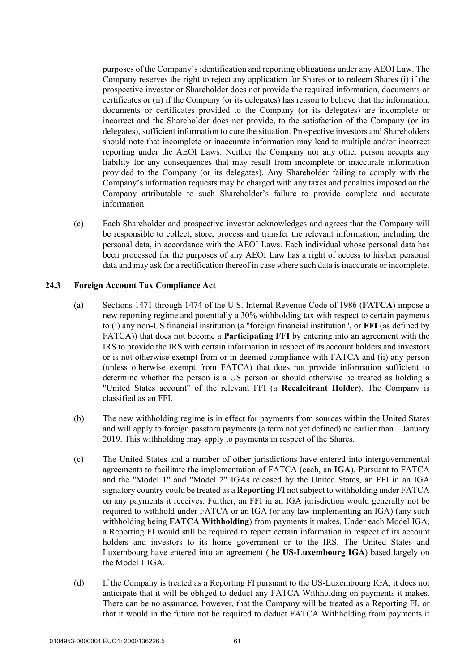purposes of the Company's identification and reporting obligations under any AEOI Law. The Company reserves the right to reject any application for Shares or to redeem Shares (i) if the prospective investor or Shareholder does not provide the required information, documents or certificates or (ii) if the Company (or its delegates) has reason to believe that the information, documents or certificates provided to the Company (or its delegates) are incomplete or incorrect and the Shareholder does not provide, to the satisfaction of the Company (or its delegates), sufficient information to cure the situation. Prospective investors and Shareholders should note that incomplete or inaccurate information may lead to multiple and/or incorrect reporting under the AEOI Laws. Neither the Company nor any other person accepts any liability for any consequences that may result from incomplete or inaccurate information provided to the Company (or its delegates). Any Shareholder failing to comply with the Company's information requests may be charged with any taxes and penalties imposed on the Company attributable to such Shareholder's failure to provide complete and accurate information.

(c) Each Shareholder and prospective investor acknowledges and agrees that the Company will be responsible to collect, store, process and transfer the relevant information, including the personal data, in accordance with the AEOI Laws. Each individual whose personal data has been processed for the purposes of any AEOI Law has a right of access to his/her personal data and may ask for a rectification thereof in case where such data is inaccurate or incomplete.

#### **24.3 Foreign Account Tax Compliance Act**

- (a) Sections 1471 through 1474 of the U.S. Internal Revenue Code of 1986 (**FATCA**) impose a new reporting regime and potentially a 30% withholding tax with respect to certain payments to (i) any non-US financial institution (a "foreign financial institution", or **FFI** (as defined by FATCA)) that does not become a **Participating FFI** by entering into an agreement with the IRS to provide the IRS with certain information in respect of its account holders and investors or is not otherwise exempt from or in deemed compliance with FATCA and (ii) any person (unless otherwise exempt from FATCA) that does not provide information sufficient to determine whether the person is a US person or should otherwise be treated as holding a "United States account" of the relevant FFI (a **Recalcitrant Holder**). The Company is classified as an FFI.
- (b) The new withholding regime is in effect for payments from sources within the United States and will apply to foreign passthru payments (a term not yet defined) no earlier than 1 January 2019. This withholding may apply to payments in respect of the Shares.
- (c) The United States and a number of other jurisdictions have entered into intergovernmental agreements to facilitate the implementation of FATCA (each, an **IGA**). Pursuant to FATCA and the "Model 1" and "Model 2" IGAs released by the United States, an FFI in an IGA signatory country could be treated as a **Reporting FI** not subject to withholding under FATCA on any payments it receives. Further, an FFI in an IGA jurisdiction would generally not be required to withhold under FATCA or an IGA (or any law implementing an IGA) (any such withholding being **FATCA Withholding**) from payments it makes. Under each Model IGA, a Reporting FI would still be required to report certain information in respect of its account holders and investors to its home government or to the IRS. The United States and Luxembourg have entered into an agreement (the **US-Luxembourg IGA**) based largely on the Model 1 IGA.
- (d) If the Company is treated as a Reporting FI pursuant to the US-Luxembourg IGA, it does not anticipate that it will be obliged to deduct any FATCA Withholding on payments it makes. There can be no assurance, however, that the Company will be treated as a Reporting FI, or that it would in the future not be required to deduct FATCA Withholding from payments it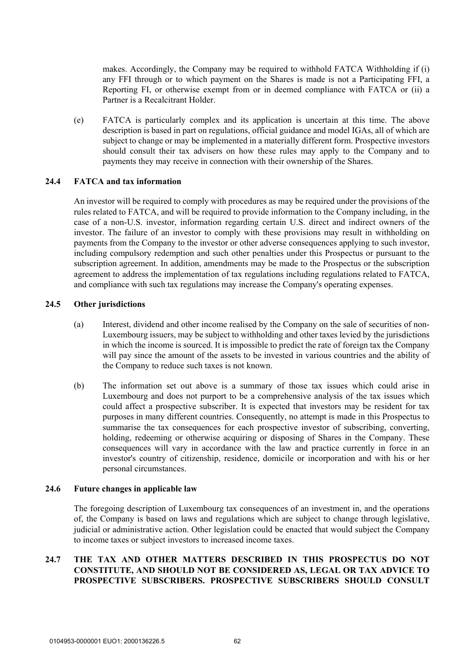makes. Accordingly, the Company may be required to withhold FATCA Withholding if (i) any FFI through or to which payment on the Shares is made is not a Participating FFI, a Reporting FI, or otherwise exempt from or in deemed compliance with FATCA or (ii) a Partner is a Recalcitrant Holder.

(e) FATCA is particularly complex and its application is uncertain at this time. The above description is based in part on regulations, official guidance and model IGAs, all of which are subject to change or may be implemented in a materially different form. Prospective investors should consult their tax advisers on how these rules may apply to the Company and to payments they may receive in connection with their ownership of the Shares.

## **24.4 FATCA and tax information**

An investor will be required to comply with procedures as may be required under the provisions of the rules related to FATCA, and will be required to provide information to the Company including, in the case of a non-U.S. investor, information regarding certain U.S. direct and indirect owners of the investor. The failure of an investor to comply with these provisions may result in withholding on payments from the Company to the investor or other adverse consequences applying to such investor, including compulsory redemption and such other penalties under this Prospectus or pursuant to the subscription agreement. In addition, amendments may be made to the Prospectus or the subscription agreement to address the implementation of tax regulations including regulations related to FATCA, and compliance with such tax regulations may increase the Company's operating expenses.

#### **24.5 Other jurisdictions**

- (a) Interest, dividend and other income realised by the Company on the sale of securities of non-Luxembourg issuers, may be subject to withholding and other taxes levied by the jurisdictions in which the income is sourced. It is impossible to predict the rate of foreign tax the Company will pay since the amount of the assets to be invested in various countries and the ability of the Company to reduce such taxes is not known.
- (b) The information set out above is a summary of those tax issues which could arise in Luxembourg and does not purport to be a comprehensive analysis of the tax issues which could affect a prospective subscriber. It is expected that investors may be resident for tax purposes in many different countries. Consequently, no attempt is made in this Prospectus to summarise the tax consequences for each prospective investor of subscribing, converting, holding, redeeming or otherwise acquiring or disposing of Shares in the Company. These consequences will vary in accordance with the law and practice currently in force in an investor's country of citizenship, residence, domicile or incorporation and with his or her personal circumstances.

#### **24.6 Future changes in applicable law**

The foregoing description of Luxembourg tax consequences of an investment in, and the operations of, the Company is based on laws and regulations which are subject to change through legislative, judicial or administrative action. Other legislation could be enacted that would subject the Company to income taxes or subject investors to increased income taxes.

# **24.7 THE TAX AND OTHER MATTERS DESCRIBED IN THIS PROSPECTUS DO NOT CONSTITUTE, AND SHOULD NOT BE CONSIDERED AS, LEGAL OR TAX ADVICE TO PROSPECTIVE SUBSCRIBERS. PROSPECTIVE SUBSCRIBERS SHOULD CONSULT**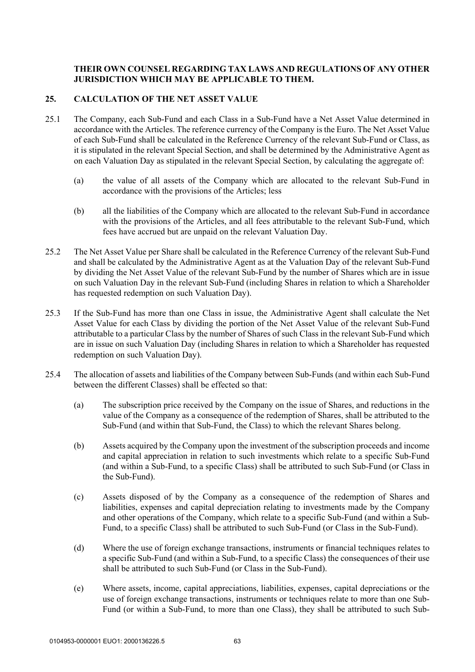# **THEIR OWN COUNSEL REGARDING TAX LAWS AND REGULATIONS OF ANY OTHER JURISDICTION WHICH MAY BE APPLICABLE TO THEM.**

## **25. CALCULATION OF THE NET ASSET VALUE**

- 25.1 The Company, each Sub-Fund and each Class in a Sub-Fund have a Net Asset Value determined in accordance with the Articles. The reference currency of the Company is the Euro. The Net Asset Value of each Sub-Fund shall be calculated in the Reference Currency of the relevant Sub-Fund or Class, as it is stipulated in the relevant Special Section, and shall be determined by the Administrative Agent as on each Valuation Day as stipulated in the relevant Special Section, by calculating the aggregate of:
	- (a) the value of all assets of the Company which are allocated to the relevant Sub-Fund in accordance with the provisions of the Articles; less
	- (b) all the liabilities of the Company which are allocated to the relevant Sub-Fund in accordance with the provisions of the Articles, and all fees attributable to the relevant Sub-Fund, which fees have accrued but are unpaid on the relevant Valuation Day.
- 25.2 The Net Asset Value per Share shall be calculated in the Reference Currency of the relevant Sub-Fund and shall be calculated by the Administrative Agent as at the Valuation Day of the relevant Sub-Fund by dividing the Net Asset Value of the relevant Sub-Fund by the number of Shares which are in issue on such Valuation Day in the relevant Sub-Fund (including Shares in relation to which a Shareholder has requested redemption on such Valuation Day).
- 25.3 If the Sub-Fund has more than one Class in issue, the Administrative Agent shall calculate the Net Asset Value for each Class by dividing the portion of the Net Asset Value of the relevant Sub-Fund attributable to a particular Class by the number of Shares of such Class in the relevant Sub-Fund which are in issue on such Valuation Day (including Shares in relation to which a Shareholder has requested redemption on such Valuation Day).
- 25.4 The allocation of assets and liabilities of the Company between Sub-Funds (and within each Sub-Fund between the different Classes) shall be effected so that:
	- (a) The subscription price received by the Company on the issue of Shares, and reductions in the value of the Company as a consequence of the redemption of Shares, shall be attributed to the Sub-Fund (and within that Sub-Fund, the Class) to which the relevant Shares belong.
	- (b) Assets acquired by the Company upon the investment of the subscription proceeds and income and capital appreciation in relation to such investments which relate to a specific Sub-Fund (and within a Sub-Fund, to a specific Class) shall be attributed to such Sub-Fund (or Class in the Sub-Fund).
	- (c) Assets disposed of by the Company as a consequence of the redemption of Shares and liabilities, expenses and capital depreciation relating to investments made by the Company and other operations of the Company, which relate to a specific Sub-Fund (and within a Sub-Fund, to a specific Class) shall be attributed to such Sub-Fund (or Class in the Sub-Fund).
	- (d) Where the use of foreign exchange transactions, instruments or financial techniques relates to a specific Sub-Fund (and within a Sub-Fund, to a specific Class) the consequences of their use shall be attributed to such Sub-Fund (or Class in the Sub-Fund).
	- (e) Where assets, income, capital appreciations, liabilities, expenses, capital depreciations or the use of foreign exchange transactions, instruments or techniques relate to more than one Sub-Fund (or within a Sub-Fund, to more than one Class), they shall be attributed to such Sub-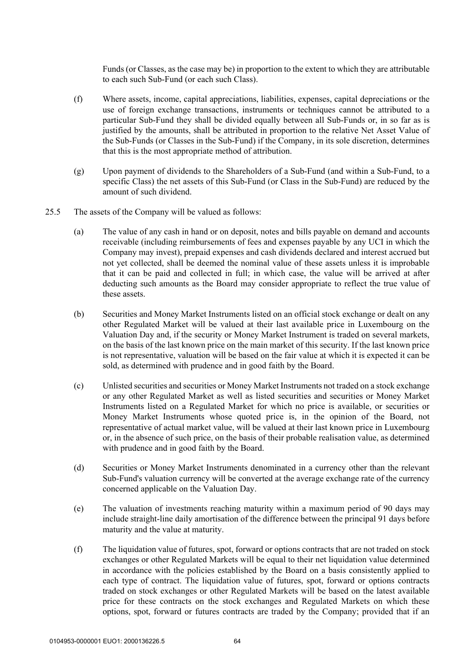Funds (or Classes, as the case may be) in proportion to the extent to which they are attributable to each such Sub-Fund (or each such Class).

- (f) Where assets, income, capital appreciations, liabilities, expenses, capital depreciations or the use of foreign exchange transactions, instruments or techniques cannot be attributed to a particular Sub-Fund they shall be divided equally between all Sub-Funds or, in so far as is justified by the amounts, shall be attributed in proportion to the relative Net Asset Value of the Sub-Funds (or Classes in the Sub-Fund) if the Company, in its sole discretion, determines that this is the most appropriate method of attribution.
- (g) Upon payment of dividends to the Shareholders of a Sub-Fund (and within a Sub-Fund, to a specific Class) the net assets of this Sub-Fund (or Class in the Sub-Fund) are reduced by the amount of such dividend.
- 25.5 The assets of the Company will be valued as follows:
	- (a) The value of any cash in hand or on deposit, notes and bills payable on demand and accounts receivable (including reimbursements of fees and expenses payable by any UCI in which the Company may invest), prepaid expenses and cash dividends declared and interest accrued but not yet collected, shall be deemed the nominal value of these assets unless it is improbable that it can be paid and collected in full; in which case, the value will be arrived at after deducting such amounts as the Board may consider appropriate to reflect the true value of these assets.
	- (b) Securities and Money Market Instruments listed on an official stock exchange or dealt on any other Regulated Market will be valued at their last available price in Luxembourg on the Valuation Day and, if the security or Money Market Instrument is traded on several markets, on the basis of the last known price on the main market of this security. If the last known price is not representative, valuation will be based on the fair value at which it is expected it can be sold, as determined with prudence and in good faith by the Board.
	- (c) Unlisted securities and securities or Money Market Instruments not traded on a stock exchange or any other Regulated Market as well as listed securities and securities or Money Market Instruments listed on a Regulated Market for which no price is available, or securities or Money Market Instruments whose quoted price is, in the opinion of the Board, not representative of actual market value, will be valued at their last known price in Luxembourg or, in the absence of such price, on the basis of their probable realisation value, as determined with prudence and in good faith by the Board.
	- (d) Securities or Money Market Instruments denominated in a currency other than the relevant Sub-Fund's valuation currency will be converted at the average exchange rate of the currency concerned applicable on the Valuation Day.
	- (e) The valuation of investments reaching maturity within a maximum period of 90 days may include straight-line daily amortisation of the difference between the principal 91 days before maturity and the value at maturity.
	- (f) The liquidation value of futures, spot, forward or options contracts that are not traded on stock exchanges or other Regulated Markets will be equal to their net liquidation value determined in accordance with the policies established by the Board on a basis consistently applied to each type of contract. The liquidation value of futures, spot, forward or options contracts traded on stock exchanges or other Regulated Markets will be based on the latest available price for these contracts on the stock exchanges and Regulated Markets on which these options, spot, forward or futures contracts are traded by the Company; provided that if an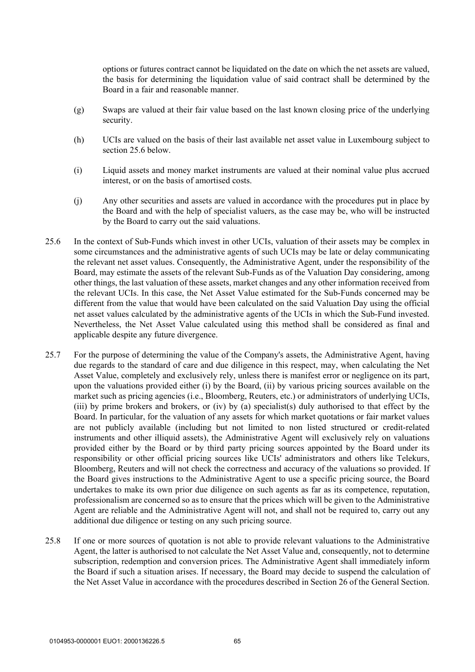options or futures contract cannot be liquidated on the date on which the net assets are valued, the basis for determining the liquidation value of said contract shall be determined by the Board in a fair and reasonable manner.

- (g) Swaps are valued at their fair value based on the last known closing price of the underlying security.
- (h) UCIs are valued on the basis of their last available net asset value in Luxembourg subject to section 25.6 below.
- (i) Liquid assets and money market instruments are valued at their nominal value plus accrued interest, or on the basis of amortised costs.
- (j) Any other securities and assets are valued in accordance with the procedures put in place by the Board and with the help of specialist valuers, as the case may be, who will be instructed by the Board to carry out the said valuations.
- 25.6 In the context of Sub-Funds which invest in other UCIs, valuation of their assets may be complex in some circumstances and the administrative agents of such UCIs may be late or delay communicating the relevant net asset values. Consequently, the Administrative Agent, under the responsibility of the Board, may estimate the assets of the relevant Sub-Funds as of the Valuation Day considering, among other things, the last valuation of these assets, market changes and any other information received from the relevant UCIs. In this case, the Net Asset Value estimated for the Sub-Funds concerned may be different from the value that would have been calculated on the said Valuation Day using the official net asset values calculated by the administrative agents of the UCIs in which the Sub-Fund invested. Nevertheless, the Net Asset Value calculated using this method shall be considered as final and applicable despite any future divergence.
- 25.7 For the purpose of determining the value of the Company's assets, the Administrative Agent, having due regards to the standard of care and due diligence in this respect, may, when calculating the Net Asset Value, completely and exclusively rely, unless there is manifest error or negligence on its part, upon the valuations provided either (i) by the Board, (ii) by various pricing sources available on the market such as pricing agencies (i.e., Bloomberg, Reuters, etc.) or administrators of underlying UCIs, (iii) by prime brokers and brokers, or (iv) by (a) specialist(s) duly authorised to that effect by the Board. In particular, for the valuation of any assets for which market quotations or fair market values are not publicly available (including but not limited to non listed structured or credit-related instruments and other illiquid assets), the Administrative Agent will exclusively rely on valuations provided either by the Board or by third party pricing sources appointed by the Board under its responsibility or other official pricing sources like UCIs' administrators and others like Telekurs, Bloomberg, Reuters and will not check the correctness and accuracy of the valuations so provided. If the Board gives instructions to the Administrative Agent to use a specific pricing source, the Board undertakes to make its own prior due diligence on such agents as far as its competence, reputation, professionalism are concerned so as to ensure that the prices which will be given to the Administrative Agent are reliable and the Administrative Agent will not, and shall not be required to, carry out any additional due diligence or testing on any such pricing source.
- 25.8 If one or more sources of quotation is not able to provide relevant valuations to the Administrative Agent, the latter is authorised to not calculate the Net Asset Value and, consequently, not to determine subscription, redemption and conversion prices. The Administrative Agent shall immediately inform the Board if such a situation arises. If necessary, the Board may decide to suspend the calculation of the Net Asset Value in accordance with the procedures described in Section 26 of the General Section.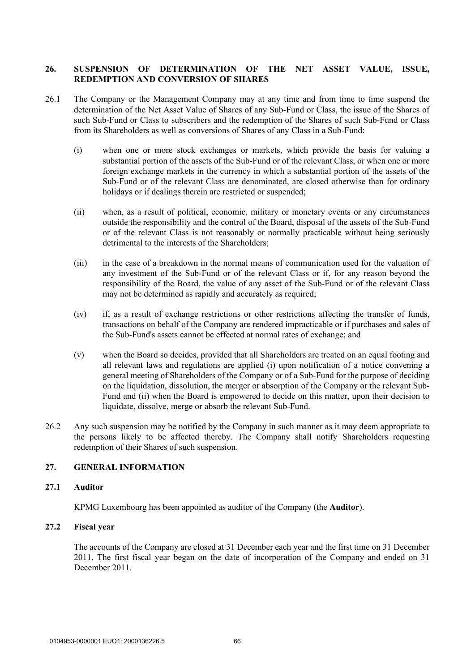# **26. SUSPENSION OF DETERMINATION OF THE NET ASSET VALUE, ISSUE, REDEMPTION AND CONVERSION OF SHARES**

- 26.1 The Company or the Management Company may at any time and from time to time suspend the determination of the Net Asset Value of Shares of any Sub-Fund or Class, the issue of the Shares of such Sub-Fund or Class to subscribers and the redemption of the Shares of such Sub-Fund or Class from its Shareholders as well as conversions of Shares of any Class in a Sub-Fund:
	- (i) when one or more stock exchanges or markets, which provide the basis for valuing a substantial portion of the assets of the Sub-Fund or of the relevant Class, or when one or more foreign exchange markets in the currency in which a substantial portion of the assets of the Sub-Fund or of the relevant Class are denominated, are closed otherwise than for ordinary holidays or if dealings therein are restricted or suspended:
	- (ii) when, as a result of political, economic, military or monetary events or any circumstances outside the responsibility and the control of the Board, disposal of the assets of the Sub-Fund or of the relevant Class is not reasonably or normally practicable without being seriously detrimental to the interests of the Shareholders;
	- (iii) in the case of a breakdown in the normal means of communication used for the valuation of any investment of the Sub-Fund or of the relevant Class or if, for any reason beyond the responsibility of the Board, the value of any asset of the Sub-Fund or of the relevant Class may not be determined as rapidly and accurately as required;
	- (iv) if, as a result of exchange restrictions or other restrictions affecting the transfer of funds, transactions on behalf of the Company are rendered impracticable or if purchases and sales of the Sub-Fund's assets cannot be effected at normal rates of exchange; and
	- (v) when the Board so decides, provided that all Shareholders are treated on an equal footing and all relevant laws and regulations are applied (i) upon notification of a notice convening a general meeting of Shareholders of the Company or of a Sub-Fund for the purpose of deciding on the liquidation, dissolution, the merger or absorption of the Company or the relevant Sub-Fund and (ii) when the Board is empowered to decide on this matter, upon their decision to liquidate, dissolve, merge or absorb the relevant Sub-Fund.
- 26.2 Any such suspension may be notified by the Company in such manner as it may deem appropriate to the persons likely to be affected thereby. The Company shall notify Shareholders requesting redemption of their Shares of such suspension.

# **27. GENERAL INFORMATION**

#### **27.1 Auditor**

KPMG Luxembourg has been appointed as auditor of the Company (the **Auditor**).

### **27.2 Fiscal year**

The accounts of the Company are closed at 31 December each year and the first time on 31 December 2011. The first fiscal year began on the date of incorporation of the Company and ended on 31 December 2011.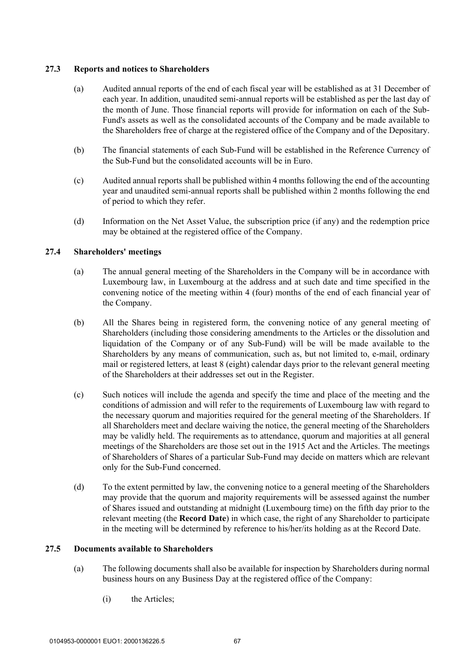### **27.3 Reports and notices to Shareholders**

- (a) Audited annual reports of the end of each fiscal year will be established as at 31 December of each year. In addition, unaudited semi-annual reports will be established as per the last day of the month of June. Those financial reports will provide for information on each of the Sub-Fund's assets as well as the consolidated accounts of the Company and be made available to the Shareholders free of charge at the registered office of the Company and of the Depositary.
- (b) The financial statements of each Sub-Fund will be established in the Reference Currency of the Sub-Fund but the consolidated accounts will be in Euro.
- (c) Audited annual reports shall be published within 4 months following the end of the accounting year and unaudited semi-annual reports shall be published within 2 months following the end of period to which they refer.
- (d) Information on the Net Asset Value, the subscription price (if any) and the redemption price may be obtained at the registered office of the Company.

# **27.4 Shareholders' meetings**

- (a) The annual general meeting of the Shareholders in the Company will be in accordance with Luxembourg law, in Luxembourg at the address and at such date and time specified in the convening notice of the meeting within 4 (four) months of the end of each financial year of the Company.
- (b) All the Shares being in registered form, the convening notice of any general meeting of Shareholders (including those considering amendments to the Articles or the dissolution and liquidation of the Company or of any Sub-Fund) will be will be made available to the Shareholders by any means of communication, such as, but not limited to, e-mail, ordinary mail or registered letters, at least 8 (eight) calendar days prior to the relevant general meeting of the Shareholders at their addresses set out in the Register.
- (c) Such notices will include the agenda and specify the time and place of the meeting and the conditions of admission and will refer to the requirements of Luxembourg law with regard to the necessary quorum and majorities required for the general meeting of the Shareholders. If all Shareholders meet and declare waiving the notice, the general meeting of the Shareholders may be validly held. The requirements as to attendance, quorum and majorities at all general meetings of the Shareholders are those set out in the 1915 Act and the Articles. The meetings of Shareholders of Shares of a particular Sub-Fund may decide on matters which are relevant only for the Sub-Fund concerned.
- (d) To the extent permitted by law, the convening notice to a general meeting of the Shareholders may provide that the quorum and majority requirements will be assessed against the number of Shares issued and outstanding at midnight (Luxembourg time) on the fifth day prior to the relevant meeting (the **Record Date**) in which case, the right of any Shareholder to participate in the meeting will be determined by reference to his/her/its holding as at the Record Date.

### **27.5 Documents available to Shareholders**

- (a) The following documents shall also be available for inspection by Shareholders during normal business hours on any Business Day at the registered office of the Company:
	- (i) the Articles;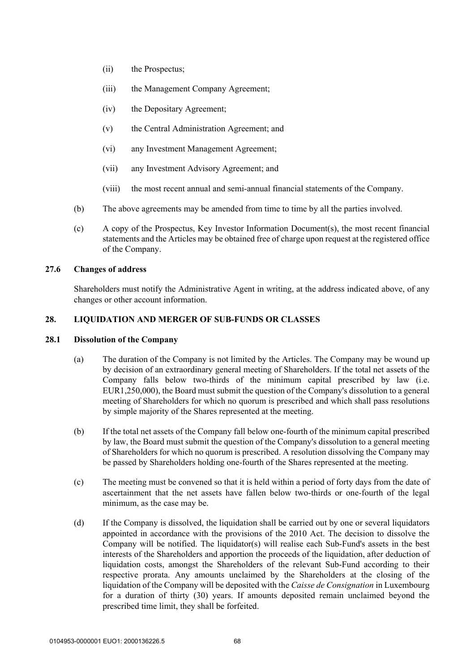- (ii) the Prospectus;
- (iii) the Management Company Agreement;
- (iv) the Depositary Agreement;
- (v) the Central Administration Agreement; and
- (vi) any Investment Management Agreement;
- (vii) any Investment Advisory Agreement; and
- (viii) the most recent annual and semi-annual financial statements of the Company.
- (b) The above agreements may be amended from time to time by all the parties involved.
- (c) A copy of the Prospectus, Key Investor Information Document(s), the most recent financial statements and the Articles may be obtained free of charge upon request at the registered office of the Company.

# **27.6 Changes of address**

Shareholders must notify the Administrative Agent in writing, at the address indicated above, of any changes or other account information.

# **28. LIQUIDATION AND MERGER OF SUB-FUNDS OR CLASSES**

# **28.1 Dissolution of the Company**

- (a) The duration of the Company is not limited by the Articles. The Company may be wound up by decision of an extraordinary general meeting of Shareholders. If the total net assets of the Company falls below two-thirds of the minimum capital prescribed by law (i.e. EUR1,250,000), the Board must submit the question of the Company's dissolution to a general meeting of Shareholders for which no quorum is prescribed and which shall pass resolutions by simple majority of the Shares represented at the meeting.
- (b) If the total net assets of the Company fall below one-fourth of the minimum capital prescribed by law, the Board must submit the question of the Company's dissolution to a general meeting of Shareholders for which no quorum is prescribed. A resolution dissolving the Company may be passed by Shareholders holding one-fourth of the Shares represented at the meeting.
- (c) The meeting must be convened so that it is held within a period of forty days from the date of ascertainment that the net assets have fallen below two-thirds or one-fourth of the legal minimum, as the case may be.
- (d) If the Company is dissolved, the liquidation shall be carried out by one or several liquidators appointed in accordance with the provisions of the 2010 Act. The decision to dissolve the Company will be notified. The liquidator(s) will realise each Sub-Fund's assets in the best interests of the Shareholders and apportion the proceeds of the liquidation, after deduction of liquidation costs, amongst the Shareholders of the relevant Sub-Fund according to their respective prorata. Any amounts unclaimed by the Shareholders at the closing of the liquidation of the Company will be deposited with the *Caisse de Consignation* in Luxembourg for a duration of thirty (30) years. If amounts deposited remain unclaimed beyond the prescribed time limit, they shall be forfeited.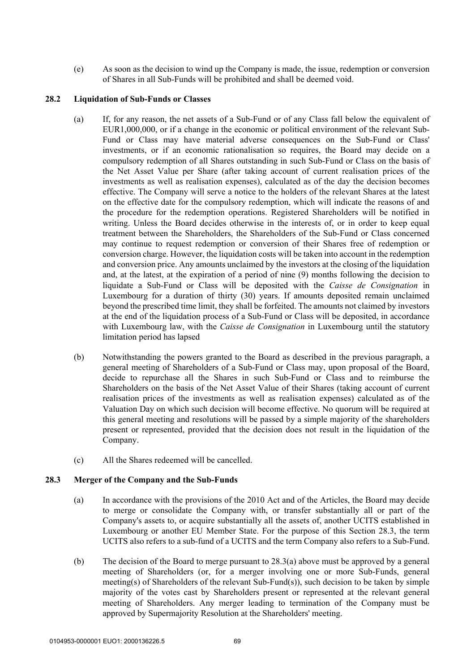(e) As soon as the decision to wind up the Company is made, the issue, redemption or conversion of Shares in all Sub-Funds will be prohibited and shall be deemed void.

#### **28.2 Liquidation of Sub-Funds or Classes**

- (a) If, for any reason, the net assets of a Sub-Fund or of any Class fall below the equivalent of EUR1,000,000, or if a change in the economic or political environment of the relevant Sub-Fund or Class may have material adverse consequences on the Sub-Fund or Class' investments, or if an economic rationalisation so requires, the Board may decide on a compulsory redemption of all Shares outstanding in such Sub-Fund or Class on the basis of the Net Asset Value per Share (after taking account of current realisation prices of the investments as well as realisation expenses), calculated as of the day the decision becomes effective. The Company will serve a notice to the holders of the relevant Shares at the latest on the effective date for the compulsory redemption, which will indicate the reasons of and the procedure for the redemption operations. Registered Shareholders will be notified in writing. Unless the Board decides otherwise in the interests of, or in order to keep equal treatment between the Shareholders, the Shareholders of the Sub-Fund or Class concerned may continue to request redemption or conversion of their Shares free of redemption or conversion charge. However, the liquidation costs will be taken into account in the redemption and conversion price. Any amounts unclaimed by the investors at the closing of the liquidation and, at the latest, at the expiration of a period of nine (9) months following the decision to liquidate a Sub-Fund or Class will be deposited with the *Caisse de Consignation* in Luxembourg for a duration of thirty (30) years. If amounts deposited remain unclaimed beyond the prescribed time limit, they shall be forfeited. The amounts not claimed by investors at the end of the liquidation process of a Sub-Fund or Class will be deposited, in accordance with Luxembourg law, with the *Caisse de Consignation* in Luxembourg until the statutory limitation period has lapsed
- (b) Notwithstanding the powers granted to the Board as described in the previous paragraph, a general meeting of Shareholders of a Sub-Fund or Class may, upon proposal of the Board, decide to repurchase all the Shares in such Sub-Fund or Class and to reimburse the Shareholders on the basis of the Net Asset Value of their Shares (taking account of current realisation prices of the investments as well as realisation expenses) calculated as of the Valuation Day on which such decision will become effective. No quorum will be required at this general meeting and resolutions will be passed by a simple majority of the shareholders present or represented, provided that the decision does not result in the liquidation of the Company.
- (c) All the Shares redeemed will be cancelled.

#### **28.3 Merger of the Company and the Sub-Funds**

- (a) In accordance with the provisions of the 2010 Act and of the Articles, the Board may decide to merge or consolidate the Company with, or transfer substantially all or part of the Company's assets to, or acquire substantially all the assets of, another UCITS established in Luxembourg or another EU Member State. For the purpose of this Section 28.3, the term UCITS also refers to a sub-fund of a UCITS and the term Company also refers to a Sub-Fund.
- (b) The decision of the Board to merge pursuant to 28.3(a) above must be approved by a general meeting of Shareholders (or, for a merger involving one or more Sub-Funds, general meeting(s) of Shareholders of the relevant Sub-Fund(s)), such decision to be taken by simple majority of the votes cast by Shareholders present or represented at the relevant general meeting of Shareholders. Any merger leading to termination of the Company must be approved by Supermajority Resolution at the Shareholders' meeting.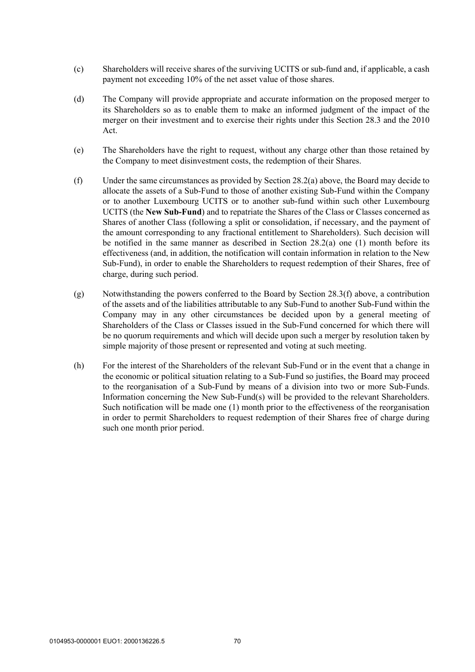- (c) Shareholders will receive shares of the surviving UCITS or sub-fund and, if applicable, a cash payment not exceeding 10% of the net asset value of those shares.
- (d) The Company will provide appropriate and accurate information on the proposed merger to its Shareholders so as to enable them to make an informed judgment of the impact of the merger on their investment and to exercise their rights under this Section 28.3 and the 2010 Act.
- (e) The Shareholders have the right to request, without any charge other than those retained by the Company to meet disinvestment costs, the redemption of their Shares.
- (f) Under the same circumstances as provided by Section 28.2(a) above, the Board may decide to allocate the assets of a Sub-Fund to those of another existing Sub-Fund within the Company or to another Luxembourg UCITS or to another sub-fund within such other Luxembourg UCITS (the **New Sub-Fund**) and to repatriate the Shares of the Class or Classes concerned as Shares of another Class (following a split or consolidation, if necessary, and the payment of the amount corresponding to any fractional entitlement to Shareholders). Such decision will be notified in the same manner as described in Section 28.2(a) one (1) month before its effectiveness (and, in addition, the notification will contain information in relation to the New Sub-Fund), in order to enable the Shareholders to request redemption of their Shares, free of charge, during such period.
- (g) Notwithstanding the powers conferred to the Board by Section 28.3(f) above, a contribution of the assets and of the liabilities attributable to any Sub-Fund to another Sub-Fund within the Company may in any other circumstances be decided upon by a general meeting of Shareholders of the Class or Classes issued in the Sub-Fund concerned for which there will be no quorum requirements and which will decide upon such a merger by resolution taken by simple majority of those present or represented and voting at such meeting.
- (h) For the interest of the Shareholders of the relevant Sub-Fund or in the event that a change in the economic or political situation relating to a Sub-Fund so justifies, the Board may proceed to the reorganisation of a Sub-Fund by means of a division into two or more Sub-Funds. Information concerning the New Sub-Fund(s) will be provided to the relevant Shareholders. Such notification will be made one (1) month prior to the effectiveness of the reorganisation in order to permit Shareholders to request redemption of their Shares free of charge during such one month prior period.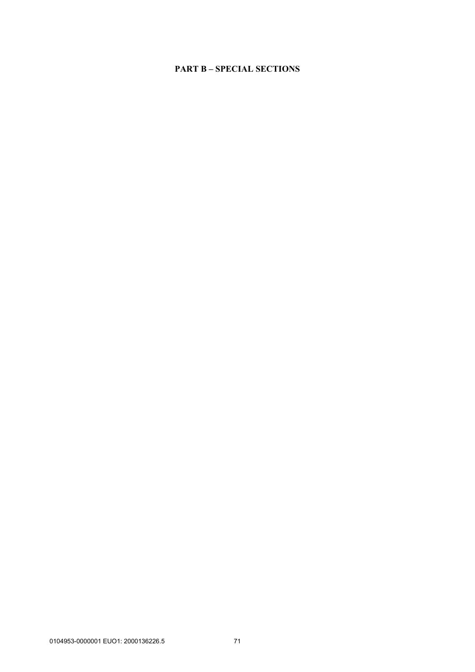# **PART B – SPECIAL SECTIONS**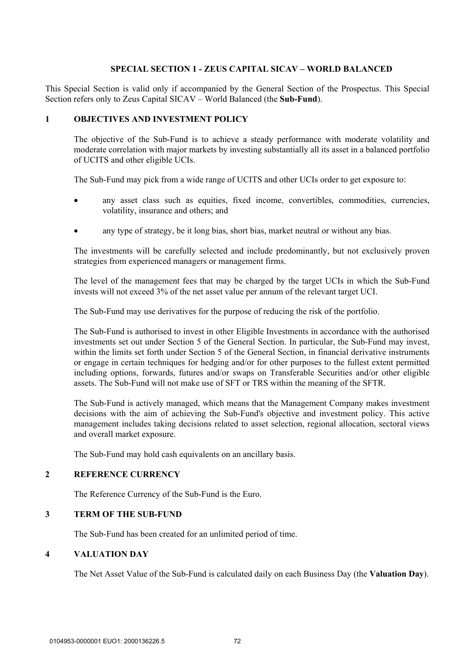### **SPECIAL SECTION 1 - ZEUS CAPITAL SICAV – WORLD BALANCED**

This Special Section is valid only if accompanied by the General Section of the Prospectus. This Special Section refers only to Zeus Capital SICAV – World Balanced (the **Sub-Fund**).

#### **1 OBJECTIVES AND INVESTMENT POLICY**

The objective of the Sub-Fund is to achieve a steady performance with moderate volatility and moderate correlation with major markets by investing substantially all its asset in a balanced portfolio of UCITS and other eligible UCIs.

The Sub-Fund may pick from a wide range of UCITS and other UCIs order to get exposure to:

- any asset class such as equities, fixed income, convertibles, commodities, currencies, volatility, insurance and others; and
- any type of strategy, be it long bias, short bias, market neutral or without any bias.

The investments will be carefully selected and include predominantly, but not exclusively proven strategies from experienced managers or management firms.

The level of the management fees that may be charged by the target UCIs in which the Sub-Fund invests will not exceed 3% of the net asset value per annum of the relevant target UCI.

The Sub-Fund may use derivatives for the purpose of reducing the risk of the portfolio.

The Sub-Fund is authorised to invest in other Eligible Investments in accordance with the authorised investments set out under Section 5 of the General Section. In particular, the Sub-Fund may invest, within the limits set forth under Section 5 of the General Section, in financial derivative instruments or engage in certain techniques for hedging and/or for other purposes to the fullest extent permitted including options, forwards, futures and/or swaps on Transferable Securities and/or other eligible assets. The Sub-Fund will not make use of SFT or TRS within the meaning of the SFTR.

The Sub-Fund is actively managed, which means that the Management Company makes investment decisions with the aim of achieving the Sub-Fund's objective and investment policy. This active management includes taking decisions related to asset selection, regional allocation, sectoral views and overall market exposure.

The Sub-Fund may hold cash equivalents on an ancillary basis.

#### **2 REFERENCE CURRENCY**

The Reference Currency of the Sub-Fund is the Euro.

#### **3 TERM OF THE SUB-FUND**

The Sub-Fund has been created for an unlimited period of time.

## **4 VALUATION DAY**

The Net Asset Value of the Sub-Fund is calculated daily on each Business Day (the **Valuation Day**).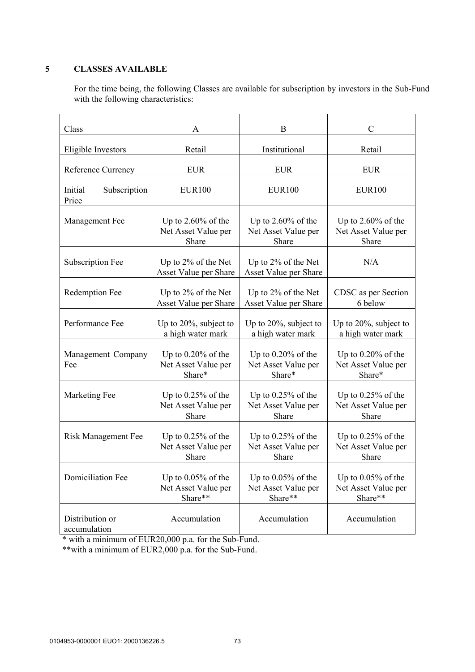# **5 CLASSES AVAILABLE**

For the time being, the following Classes are available for subscription by investors in the Sub-Fund with the following characteristics:

| Class                            | A                                                       | B                                                       | $\mathcal{C}$                                           |
|----------------------------------|---------------------------------------------------------|---------------------------------------------------------|---------------------------------------------------------|
| Eligible Investors               | Retail                                                  | Institutional                                           | Retail                                                  |
| Reference Currency               | <b>EUR</b>                                              | <b>EUR</b>                                              | <b>EUR</b>                                              |
| Initial<br>Subscription<br>Price | <b>EUR100</b>                                           | <b>EUR100</b>                                           | <b>EUR100</b>                                           |
| Management Fee                   | Up to $2.60\%$ of the<br>Net Asset Value per<br>Share   | Up to $2.60\%$ of the<br>Net Asset Value per<br>Share   | Up to $2.60\%$ of the<br>Net Asset Value per<br>Share   |
| Subscription Fee                 | Up to $2\%$ of the Net<br>Asset Value per Share         | Up to 2% of the Net<br>Asset Value per Share            | N/A                                                     |
| Redemption Fee                   | Up to $2\%$ of the Net<br>Asset Value per Share         | Up to 2% of the Net<br>Asset Value per Share            | CDSC as per Section<br>6 below                          |
| Performance Fee                  | Up to $20\%$ , subject to<br>a high water mark          | Up to $20\%$ , subject to<br>a high water mark          | Up to $20\%$ , subject to<br>a high water mark          |
| Management Company<br>Fee        | Up to $0.20\%$ of the<br>Net Asset Value per<br>Share*  | Up to $0.20\%$ of the<br>Net Asset Value per<br>Share*  | Up to 0.20% of the<br>Net Asset Value per<br>Share*     |
| Marketing Fee                    | Up to $0.25%$ of the<br>Net Asset Value per<br>Share    | Up to $0.25\%$ of the<br>Net Asset Value per<br>Share   | Up to $0.25%$ of the<br>Net Asset Value per<br>Share    |
| Risk Management Fee              | Up to $0.25%$ of the<br>Net Asset Value per<br>Share    | Up to $0.25\%$ of the<br>Net Asset Value per<br>Share   | Up to $0.25%$ of the<br>Net Asset Value per<br>Share    |
| <b>Domiciliation Fee</b>         | Up to $0.05\%$ of the<br>Net Asset Value per<br>Share** | Up to $0.05\%$ of the<br>Net Asset Value per<br>Share** | Up to $0.05\%$ of the<br>Net Asset Value per<br>Share** |
| Distribution or<br>accumulation  | Accumulation                                            | Accumulation                                            | Accumulation                                            |

\* with a minimum of EUR20,000 p.a. for the Sub-Fund.

\*\*with a minimum of EUR2,000 p.a. for the Sub-Fund.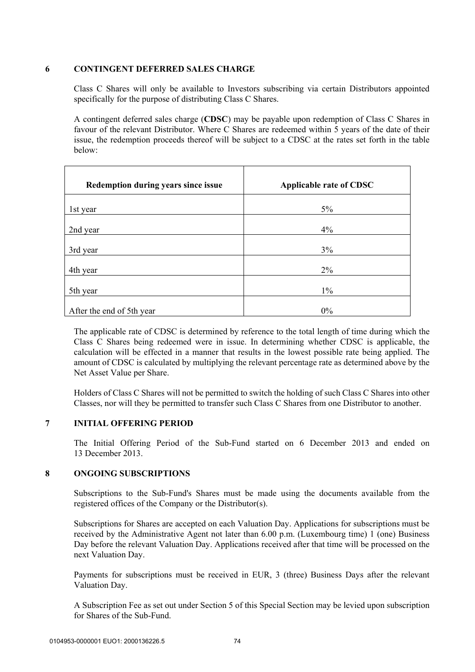### **6 CONTINGENT DEFERRED SALES CHARGE**

Class C Shares will only be available to Investors subscribing via certain Distributors appointed specifically for the purpose of distributing Class C Shares.

A contingent deferred sales charge (**CDSC**) may be payable upon redemption of Class C Shares in favour of the relevant Distributor. Where C Shares are redeemed within 5 years of the date of their issue, the redemption proceeds thereof will be subject to a CDSC at the rates set forth in the table below:

| Redemption during years since issue | <b>Applicable rate of CDSC</b> |
|-------------------------------------|--------------------------------|
| 1st year                            | $5\%$                          |
| 2nd year                            | $4\%$                          |
| 3rd year                            | 3%                             |
| 4th year                            | $2\%$                          |
| 5th year                            | $1\%$                          |
| After the end of 5th year           | 0%                             |

The applicable rate of CDSC is determined by reference to the total length of time during which the Class C Shares being redeemed were in issue. In determining whether CDSC is applicable, the calculation will be effected in a manner that results in the lowest possible rate being applied. The amount of CDSC is calculated by multiplying the relevant percentage rate as determined above by the Net Asset Value per Share.

Holders of Class C Shares will not be permitted to switch the holding of such Class C Shares into other Classes, nor will they be permitted to transfer such Class C Shares from one Distributor to another.

### **7 INITIAL OFFERING PERIOD**

The Initial Offering Period of the Sub-Fund started on 6 December 2013 and ended on 13 December 2013.

# **8 ONGOING SUBSCRIPTIONS**

Subscriptions to the Sub-Fund's Shares must be made using the documents available from the registered offices of the Company or the Distributor(s).

Subscriptions for Shares are accepted on each Valuation Day. Applications for subscriptions must be received by the Administrative Agent not later than 6.00 p.m. (Luxembourg time) 1 (one) Business Day before the relevant Valuation Day. Applications received after that time will be processed on the next Valuation Day.

Payments for subscriptions must be received in EUR, 3 (three) Business Days after the relevant Valuation Day.

A Subscription Fee as set out under Section 5 of this Special Section may be levied upon subscription for Shares of the Sub-Fund.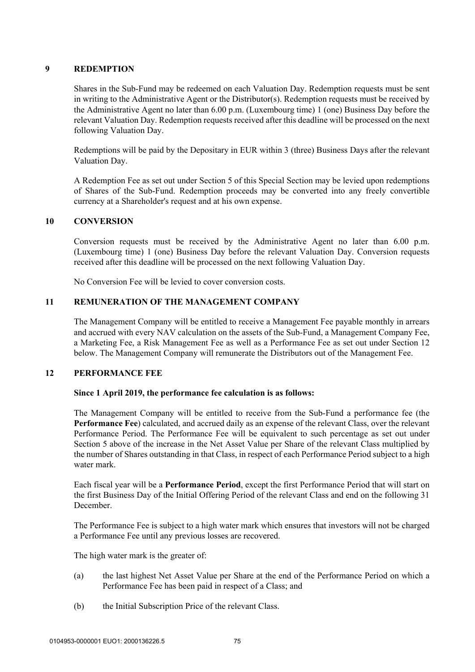## **9 REDEMPTION**

Shares in the Sub-Fund may be redeemed on each Valuation Day. Redemption requests must be sent in writing to the Administrative Agent or the Distributor(s). Redemption requests must be received by the Administrative Agent no later than 6.00 p.m. (Luxembourg time) 1 (one) Business Day before the relevant Valuation Day. Redemption requests received after this deadline will be processed on the next following Valuation Day.

Redemptions will be paid by the Depositary in EUR within 3 (three) Business Days after the relevant Valuation Day.

A Redemption Fee as set out under Section 5 of this Special Section may be levied upon redemptions of Shares of the Sub-Fund. Redemption proceeds may be converted into any freely convertible currency at a Shareholder's request and at his own expense.

### **10 CONVERSION**

Conversion requests must be received by the Administrative Agent no later than 6.00 p.m. (Luxembourg time) 1 (one) Business Day before the relevant Valuation Day. Conversion requests received after this deadline will be processed on the next following Valuation Day.

No Conversion Fee will be levied to cover conversion costs.

# **11 REMUNERATION OF THE MANAGEMENT COMPANY**

The Management Company will be entitled to receive a Management Fee payable monthly in arrears and accrued with every NAV calculation on the assets of the Sub-Fund, a Management Company Fee, a Marketing Fee, a Risk Management Fee as well as a Performance Fee as set out under Section 12 below. The Management Company will remunerate the Distributors out of the Management Fee.

### **12 PERFORMANCE FEE**

### **Since 1 April 2019, the performance fee calculation is as follows:**

The Management Company will be entitled to receive from the Sub-Fund a performance fee (the **Performance Fee**) calculated, and accrued daily as an expense of the relevant Class, over the relevant Performance Period. The Performance Fee will be equivalent to such percentage as set out under Section 5 above of the increase in the Net Asset Value per Share of the relevant Class multiplied by the number of Shares outstanding in that Class, in respect of each Performance Period subject to a high water mark.

Each fiscal year will be a **Performance Period**, except the first Performance Period that will start on the first Business Day of the Initial Offering Period of the relevant Class and end on the following 31 December.

The Performance Fee is subject to a high water mark which ensures that investors will not be charged a Performance Fee until any previous losses are recovered.

The high water mark is the greater of:

- (a) the last highest Net Asset Value per Share at the end of the Performance Period on which a Performance Fee has been paid in respect of a Class; and
- (b) the Initial Subscription Price of the relevant Class.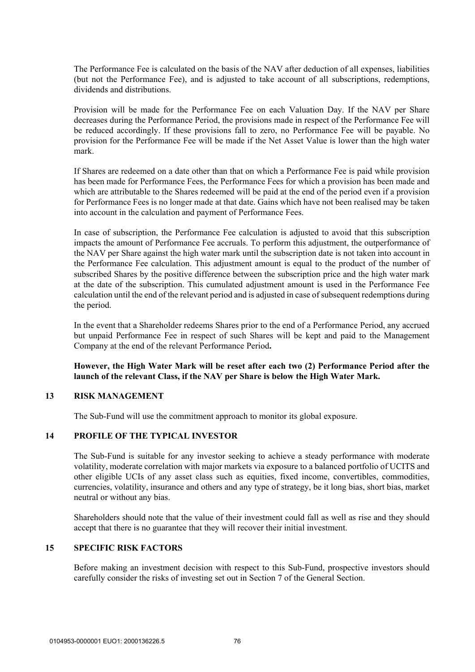The Performance Fee is calculated on the basis of the NAV after deduction of all expenses, liabilities (but not the Performance Fee), and is adjusted to take account of all subscriptions, redemptions, dividends and distributions.

Provision will be made for the Performance Fee on each Valuation Day. If the NAV per Share decreases during the Performance Period, the provisions made in respect of the Performance Fee will be reduced accordingly. If these provisions fall to zero, no Performance Fee will be payable. No provision for the Performance Fee will be made if the Net Asset Value is lower than the high water mark.

If Shares are redeemed on a date other than that on which a Performance Fee is paid while provision has been made for Performance Fees, the Performance Fees for which a provision has been made and which are attributable to the Shares redeemed will be paid at the end of the period even if a provision for Performance Fees is no longer made at that date. Gains which have not been realised may be taken into account in the calculation and payment of Performance Fees.

In case of subscription, the Performance Fee calculation is adjusted to avoid that this subscription impacts the amount of Performance Fee accruals. To perform this adjustment, the outperformance of the NAV per Share against the high water mark until the subscription date is not taken into account in the Performance Fee calculation. This adjustment amount is equal to the product of the number of subscribed Shares by the positive difference between the subscription price and the high water mark at the date of the subscription. This cumulated adjustment amount is used in the Performance Fee calculation until the end of the relevant period and is adjusted in case of subsequent redemptions during the period.

In the event that a Shareholder redeems Shares prior to the end of a Performance Period, any accrued but unpaid Performance Fee in respect of such Shares will be kept and paid to the Management Company at the end of the relevant Performance Period**.** 

# **However, the High Water Mark will be reset after each two (2) Performance Period after the launch of the relevant Class, if the NAV per Share is below the High Water Mark.**

#### **13 RISK MANAGEMENT**

The Sub-Fund will use the commitment approach to monitor its global exposure.

### **14 PROFILE OF THE TYPICAL INVESTOR**

The Sub-Fund is suitable for any investor seeking to achieve a steady performance with moderate volatility, moderate correlation with major markets via exposure to a balanced portfolio of UCITS and other eligible UCIs of any asset class such as equities, fixed income, convertibles, commodities, currencies, volatility, insurance and others and any type of strategy, be it long bias, short bias, market neutral or without any bias.

Shareholders should note that the value of their investment could fall as well as rise and they should accept that there is no guarantee that they will recover their initial investment.

### **15 SPECIFIC RISK FACTORS**

Before making an investment decision with respect to this Sub-Fund, prospective investors should carefully consider the risks of investing set out in Section 7 of the General Section.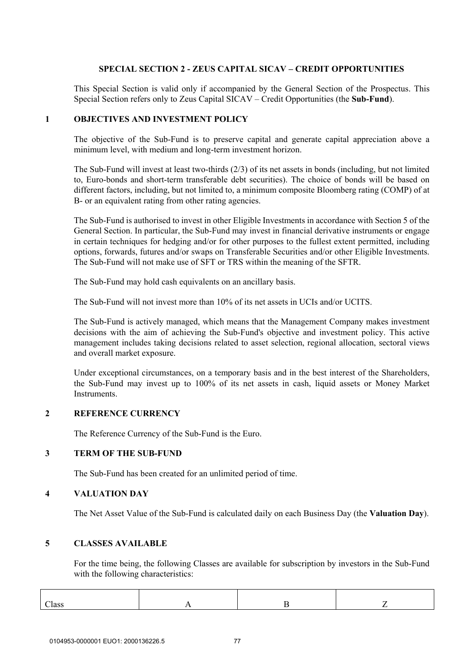## **SPECIAL SECTION 2 - ZEUS CAPITAL SICAV – CREDIT OPPORTUNITIES**

This Special Section is valid only if accompanied by the General Section of the Prospectus. This Special Section refers only to Zeus Capital SICAV – Credit Opportunities (the **Sub-Fund**).

#### **1 OBJECTIVES AND INVESTMENT POLICY**

The objective of the Sub-Fund is to preserve capital and generate capital appreciation above a minimum level, with medium and long-term investment horizon.

The Sub-Fund will invest at least two-thirds (2/3) of its net assets in bonds (including, but not limited to, Euro-bonds and short-term transferable debt securities). The choice of bonds will be based on different factors, including, but not limited to, a minimum composite Bloomberg rating (COMP) of at B- or an equivalent rating from other rating agencies.

The Sub-Fund is authorised to invest in other Eligible Investments in accordance with Section 5 of the General Section. In particular, the Sub-Fund may invest in financial derivative instruments or engage in certain techniques for hedging and/or for other purposes to the fullest extent permitted, including options, forwards, futures and/or swaps on Transferable Securities and/or other Eligible Investments. The Sub-Fund will not make use of SFT or TRS within the meaning of the SFTR.

The Sub-Fund may hold cash equivalents on an ancillary basis.

The Sub-Fund will not invest more than 10% of its net assets in UCIs and/or UCITS.

The Sub-Fund is actively managed, which means that the Management Company makes investment decisions with the aim of achieving the Sub-Fund's objective and investment policy. This active management includes taking decisions related to asset selection, regional allocation, sectoral views and overall market exposure.

Under exceptional circumstances, on a temporary basis and in the best interest of the Shareholders, the Sub-Fund may invest up to 100% of its net assets in cash, liquid assets or Money Market Instruments.

### **2 REFERENCE CURRENCY**

The Reference Currency of the Sub-Fund is the Euro.

#### **3 TERM OF THE SUB-FUND**

The Sub-Fund has been created for an unlimited period of time.

### **4 VALUATION DAY**

The Net Asset Value of the Sub-Fund is calculated daily on each Business Day (the **Valuation Day**).

### **5 CLASSES AVAILABLE**

For the time being, the following Classes are available for subscription by investors in the Sub-Fund with the following characteristics:

| $\sim$<br>Class |  |  |
|-----------------|--|--|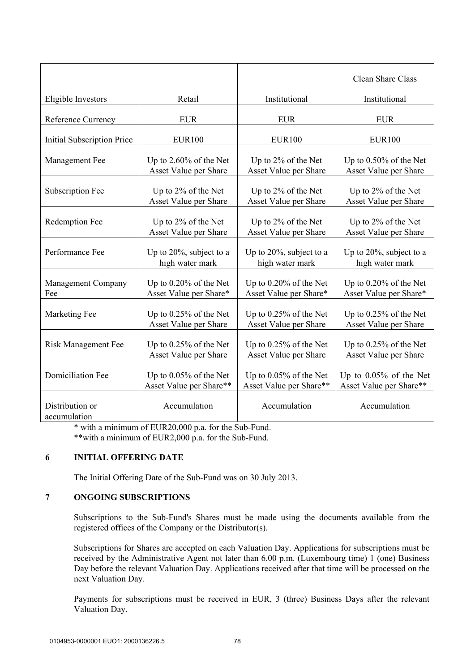|                                   |                         |                         | Clean Share Class         |
|-----------------------------------|-------------------------|-------------------------|---------------------------|
| Eligible Investors                | Retail                  | Institutional           | Institutional             |
| Reference Currency                | <b>EUR</b>              | <b>EUR</b>              | <b>EUR</b>                |
| <b>Initial Subscription Price</b> | <b>EUR100</b>           | <b>EUR100</b>           | <b>EUR100</b>             |
| Management Fee                    | Up to 2.60% of the Net  | Up to 2% of the Net     | Up to 0.50% of the Net    |
|                                   | Asset Value per Share   | Asset Value per Share   | Asset Value per Share     |
| Subscription Fee                  | Up to 2% of the Net     | Up to 2% of the Net     | Up to 2% of the Net       |
|                                   | Asset Value per Share   | Asset Value per Share   | Asset Value per Share     |
| <b>Redemption Fee</b>             | Up to 2% of the Net     | Up to 2% of the Net     | Up to 2% of the Net       |
|                                   | Asset Value per Share   | Asset Value per Share   | Asset Value per Share     |
| Performance Fee                   | Up to 20%, subject to a | Up to 20%, subject to a | Up to 20%, subject to a   |
|                                   | high water mark         | high water mark         | high water mark           |
| Management Company                | Up to 0.20% of the Net  | Up to 0.20% of the Net  | Up to 0.20% of the Net    |
| Fee                               | Asset Value per Share*  | Asset Value per Share*  | Asset Value per Share*    |
| Marketing Fee                     | Up to 0.25% of the Net  | Up to 0.25% of the Net  | Up to 0.25% of the Net    |
|                                   | Asset Value per Share   | Asset Value per Share   | Asset Value per Share     |
| <b>Risk Management Fee</b>        | Up to 0.25% of the Net  | Up to 0.25% of the Net  | Up to $0.25\%$ of the Net |
|                                   | Asset Value per Share   | Asset Value per Share   | Asset Value per Share     |
| <b>Domiciliation Fee</b>          | Up to 0.05% of the Net  | Up to 0.05% of the Net  | Up to $0.05\%$ of the Net |
|                                   | Asset Value per Share** | Asset Value per Share** | Asset Value per Share**   |
| Distribution or<br>accumulation   | Accumulation            | Accumulation            | Accumulation              |

\* with a minimum of EUR20,000 p.a. for the Sub-Fund. \*\*with a minimum of EUR2,000 p.a. for the Sub-Fund.

# **6 INITIAL OFFERING DATE**

The Initial Offering Date of the Sub-Fund was on 30 July 2013.

# **7 ONGOING SUBSCRIPTIONS**

Subscriptions to the Sub-Fund's Shares must be made using the documents available from the registered offices of the Company or the Distributor(s).

Subscriptions for Shares are accepted on each Valuation Day. Applications for subscriptions must be received by the Administrative Agent not later than 6.00 p.m. (Luxembourg time) 1 (one) Business Day before the relevant Valuation Day. Applications received after that time will be processed on the next Valuation Day.

Payments for subscriptions must be received in EUR, 3 (three) Business Days after the relevant Valuation Day.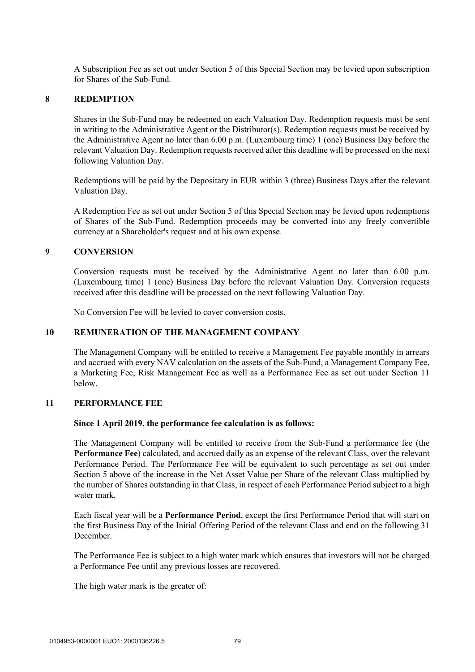A Subscription Fee as set out under Section 5 of this Special Section may be levied upon subscription for Shares of the Sub-Fund.

#### **8 REDEMPTION**

Shares in the Sub-Fund may be redeemed on each Valuation Day. Redemption requests must be sent in writing to the Administrative Agent or the Distributor(s). Redemption requests must be received by the Administrative Agent no later than 6.00 p.m. (Luxembourg time) 1 (one) Business Day before the relevant Valuation Day. Redemption requests received after this deadline will be processed on the next following Valuation Day.

Redemptions will be paid by the Depositary in EUR within 3 (three) Business Days after the relevant Valuation Day.

A Redemption Fee as set out under Section 5 of this Special Section may be levied upon redemptions of Shares of the Sub-Fund. Redemption proceeds may be converted into any freely convertible currency at a Shareholder's request and at his own expense.

#### **9 CONVERSION**

Conversion requests must be received by the Administrative Agent no later than 6.00 p.m. (Luxembourg time) 1 (one) Business Day before the relevant Valuation Day. Conversion requests received after this deadline will be processed on the next following Valuation Day.

No Conversion Fee will be levied to cover conversion costs.

#### **10 REMUNERATION OF THE MANAGEMENT COMPANY**

The Management Company will be entitled to receive a Management Fee payable monthly in arrears and accrued with every NAV calculation on the assets of the Sub-Fund, a Management Company Fee, a Marketing Fee, Risk Management Fee as well as a Performance Fee as set out under Section 11 below.

#### **11 PERFORMANCE FEE**

#### **Since 1 April 2019, the performance fee calculation is as follows:**

The Management Company will be entitled to receive from the Sub-Fund a performance fee (the **Performance Fee**) calculated, and accrued daily as an expense of the relevant Class, over the relevant Performance Period. The Performance Fee will be equivalent to such percentage as set out under Section 5 above of the increase in the Net Asset Value per Share of the relevant Class multiplied by the number of Shares outstanding in that Class, in respect of each Performance Period subject to a high water mark.

Each fiscal year will be a **Performance Period**, except the first Performance Period that will start on the first Business Day of the Initial Offering Period of the relevant Class and end on the following 31 December.

The Performance Fee is subject to a high water mark which ensures that investors will not be charged a Performance Fee until any previous losses are recovered.

The high water mark is the greater of: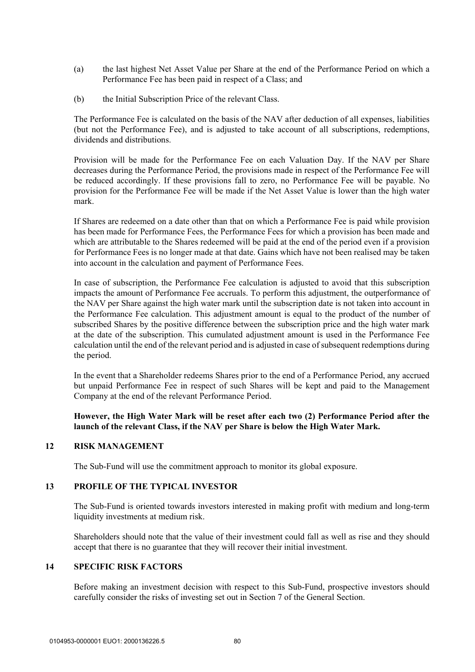- (a) the last highest Net Asset Value per Share at the end of the Performance Period on which a Performance Fee has been paid in respect of a Class; and
- (b) the Initial Subscription Price of the relevant Class.

The Performance Fee is calculated on the basis of the NAV after deduction of all expenses, liabilities (but not the Performance Fee), and is adjusted to take account of all subscriptions, redemptions, dividends and distributions.

Provision will be made for the Performance Fee on each Valuation Day. If the NAV per Share decreases during the Performance Period, the provisions made in respect of the Performance Fee will be reduced accordingly. If these provisions fall to zero, no Performance Fee will be payable. No provision for the Performance Fee will be made if the Net Asset Value is lower than the high water mark.

If Shares are redeemed on a date other than that on which a Performance Fee is paid while provision has been made for Performance Fees, the Performance Fees for which a provision has been made and which are attributable to the Shares redeemed will be paid at the end of the period even if a provision for Performance Fees is no longer made at that date. Gains which have not been realised may be taken into account in the calculation and payment of Performance Fees.

In case of subscription, the Performance Fee calculation is adjusted to avoid that this subscription impacts the amount of Performance Fee accruals. To perform this adjustment, the outperformance of the NAV per Share against the high water mark until the subscription date is not taken into account in the Performance Fee calculation. This adjustment amount is equal to the product of the number of subscribed Shares by the positive difference between the subscription price and the high water mark at the date of the subscription. This cumulated adjustment amount is used in the Performance Fee calculation until the end of the relevant period and is adjusted in case of subsequent redemptions during the period.

In the event that a Shareholder redeems Shares prior to the end of a Performance Period, any accrued but unpaid Performance Fee in respect of such Shares will be kept and paid to the Management Company at the end of the relevant Performance Period.

**However, the High Water Mark will be reset after each two (2) Performance Period after the launch of the relevant Class, if the NAV per Share is below the High Water Mark.** 

### **12 RISK MANAGEMENT**

The Sub-Fund will use the commitment approach to monitor its global exposure.

#### **13 PROFILE OF THE TYPICAL INVESTOR**

The Sub-Fund is oriented towards investors interested in making profit with medium and long-term liquidity investments at medium risk.

Shareholders should note that the value of their investment could fall as well as rise and they should accept that there is no guarantee that they will recover their initial investment.

## **14 SPECIFIC RISK FACTORS**

Before making an investment decision with respect to this Sub-Fund, prospective investors should carefully consider the risks of investing set out in Section 7 of the General Section.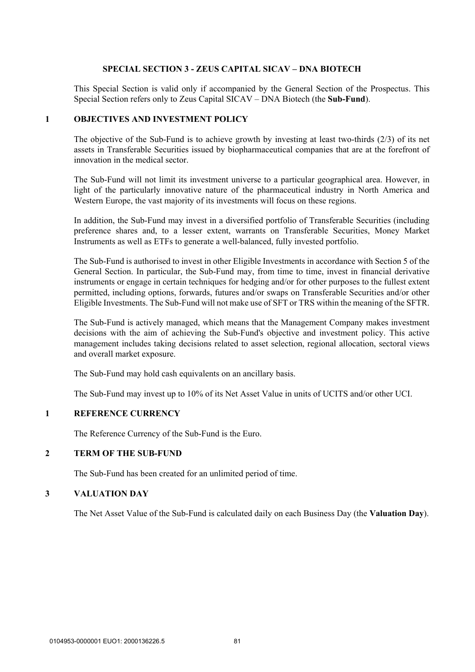#### **SPECIAL SECTION 3 - ZEUS CAPITAL SICAV – DNA BIOTECH**

This Special Section is valid only if accompanied by the General Section of the Prospectus. This Special Section refers only to Zeus Capital SICAV – DNA Biotech (the **Sub-Fund**).

#### **1 OBJECTIVES AND INVESTMENT POLICY**

The objective of the Sub-Fund is to achieve growth by investing at least two-thirds (2/3) of its net assets in Transferable Securities issued by biopharmaceutical companies that are at the forefront of innovation in the medical sector.

The Sub-Fund will not limit its investment universe to a particular geographical area. However, in light of the particularly innovative nature of the pharmaceutical industry in North America and Western Europe, the vast majority of its investments will focus on these regions.

In addition, the Sub-Fund may invest in a diversified portfolio of Transferable Securities (including preference shares and, to a lesser extent, warrants on Transferable Securities, Money Market Instruments as well as ETFs to generate a well-balanced, fully invested portfolio.

The Sub-Fund is authorised to invest in other Eligible Investments in accordance with Section 5 of the General Section. In particular, the Sub-Fund may, from time to time, invest in financial derivative instruments or engage in certain techniques for hedging and/or for other purposes to the fullest extent permitted, including options, forwards, futures and/or swaps on Transferable Securities and/or other Eligible Investments. The Sub-Fund will not make use of SFT or TRS within the meaning of the SFTR.

The Sub-Fund is actively managed, which means that the Management Company makes investment decisions with the aim of achieving the Sub-Fund's objective and investment policy. This active management includes taking decisions related to asset selection, regional allocation, sectoral views and overall market exposure.

The Sub-Fund may hold cash equivalents on an ancillary basis.

The Sub-Fund may invest up to 10% of its Net Asset Value in units of UCITS and/or other UCI.

### **1 REFERENCE CURRENCY**

The Reference Currency of the Sub-Fund is the Euro.

### **2 TERM OF THE SUB-FUND**

The Sub-Fund has been created for an unlimited period of time.

### **3 VALUATION DAY**

The Net Asset Value of the Sub-Fund is calculated daily on each Business Day (the **Valuation Day**).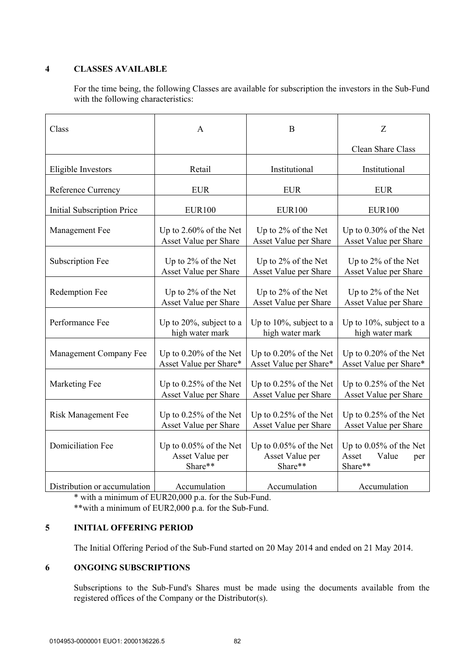# **4 CLASSES AVAILABLE**

For the time being, the following Classes are available for subscription the investors in the Sub-Fund with the following characteristics:

| Class                             | A                                                    | B                                                    | Z                                                             |
|-----------------------------------|------------------------------------------------------|------------------------------------------------------|---------------------------------------------------------------|
|                                   |                                                      |                                                      | Clean Share Class                                             |
| Eligible Investors                | Retail                                               | Institutional                                        | Institutional                                                 |
| Reference Currency                | <b>EUR</b>                                           | <b>EUR</b>                                           | <b>EUR</b>                                                    |
| <b>Initial Subscription Price</b> | <b>EUR100</b>                                        | <b>EUR100</b>                                        | <b>EUR100</b>                                                 |
| Management Fee                    | Up to $2.60\%$ of the Net                            | Up to 2% of the Net                                  | Up to $0.30\%$ of the Net                                     |
|                                   | Asset Value per Share                                | Asset Value per Share                                | Asset Value per Share                                         |
| Subscription Fee                  | Up to 2% of the Net                                  | Up to 2% of the Net                                  | Up to 2% of the Net                                           |
|                                   | Asset Value per Share                                | Asset Value per Share                                | Asset Value per Share                                         |
| Redemption Fee                    | Up to 2% of the Net                                  | Up to 2% of the Net                                  | Up to 2% of the Net                                           |
|                                   | Asset Value per Share                                | Asset Value per Share                                | Asset Value per Share                                         |
| Performance Fee                   | Up to 20%, subject to a                              | Up to 10%, subject to a                              | Up to 10%, subject to a                                       |
|                                   | high water mark                                      | high water mark                                      | high water mark                                               |
| Management Company Fee            | Up to 0.20% of the Net                               | Up to 0.20% of the Net                               | Up to 0.20% of the Net                                        |
|                                   | Asset Value per Share*                               | Asset Value per Share*                               | Asset Value per Share*                                        |
| Marketing Fee                     | Up to 0.25% of the Net                               | Up to 0.25% of the Net                               | Up to 0.25% of the Net                                        |
|                                   | Asset Value per Share                                | Asset Value per Share                                | Asset Value per Share                                         |
| <b>Risk Management Fee</b>        | Up to 0.25% of the Net                               | Up to 0.25% of the Net                               | Up to 0.25% of the Net                                        |
|                                   | Asset Value per Share                                | Asset Value per Share                                | Asset Value per Share                                         |
| <b>Domiciliation Fee</b>          | Up to 0.05% of the Net<br>Asset Value per<br>Share** | Up to 0.05% of the Net<br>Asset Value per<br>Share** | Up to $0.05\%$ of the Net<br>Asset<br>Value<br>per<br>Share** |
| Distribution or accumulation      | Accumulation                                         | Accumulation                                         | Accumulation                                                  |

\* with a minimum of EUR20,000 p.a. for the Sub-Fund.

\*\*with a minimum of EUR2,000 p.a. for the Sub-Fund.

# **5 INITIAL OFFERING PERIOD**

The Initial Offering Period of the Sub-Fund started on 20 May 2014 and ended on 21 May 2014.

# **6 ONGOING SUBSCRIPTIONS**

Subscriptions to the Sub-Fund's Shares must be made using the documents available from the registered offices of the Company or the Distributor(s).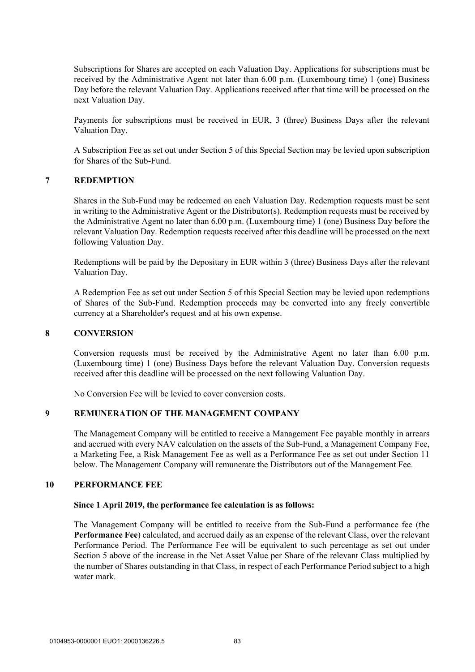Subscriptions for Shares are accepted on each Valuation Day. Applications for subscriptions must be received by the Administrative Agent not later than 6.00 p.m. (Luxembourg time) 1 (one) Business Day before the relevant Valuation Day. Applications received after that time will be processed on the next Valuation Day.

Payments for subscriptions must be received in EUR, 3 (three) Business Days after the relevant Valuation Day.

A Subscription Fee as set out under Section 5 of this Special Section may be levied upon subscription for Shares of the Sub-Fund.

# **7 REDEMPTION**

Shares in the Sub-Fund may be redeemed on each Valuation Day. Redemption requests must be sent in writing to the Administrative Agent or the Distributor(s). Redemption requests must be received by the Administrative Agent no later than 6.00 p.m. (Luxembourg time) 1 (one) Business Day before the relevant Valuation Day. Redemption requests received after this deadline will be processed on the next following Valuation Day.

Redemptions will be paid by the Depositary in EUR within 3 (three) Business Days after the relevant Valuation Day.

A Redemption Fee as set out under Section 5 of this Special Section may be levied upon redemptions of Shares of the Sub-Fund. Redemption proceeds may be converted into any freely convertible currency at a Shareholder's request and at his own expense.

#### **8 CONVERSION**

Conversion requests must be received by the Administrative Agent no later than 6.00 p.m. (Luxembourg time) 1 (one) Business Days before the relevant Valuation Day. Conversion requests received after this deadline will be processed on the next following Valuation Day.

No Conversion Fee will be levied to cover conversion costs.

### **9 REMUNERATION OF THE MANAGEMENT COMPANY**

The Management Company will be entitled to receive a Management Fee payable monthly in arrears and accrued with every NAV calculation on the assets of the Sub-Fund, a Management Company Fee, a Marketing Fee, a Risk Management Fee as well as a Performance Fee as set out under Section 11 below. The Management Company will remunerate the Distributors out of the Management Fee.

#### **10 PERFORMANCE FEE**

#### **Since 1 April 2019, the performance fee calculation is as follows:**

The Management Company will be entitled to receive from the Sub-Fund a performance fee (the **Performance Fee**) calculated, and accrued daily as an expense of the relevant Class, over the relevant Performance Period. The Performance Fee will be equivalent to such percentage as set out under Section 5 above of the increase in the Net Asset Value per Share of the relevant Class multiplied by the number of Shares outstanding in that Class, in respect of each Performance Period subject to a high water mark.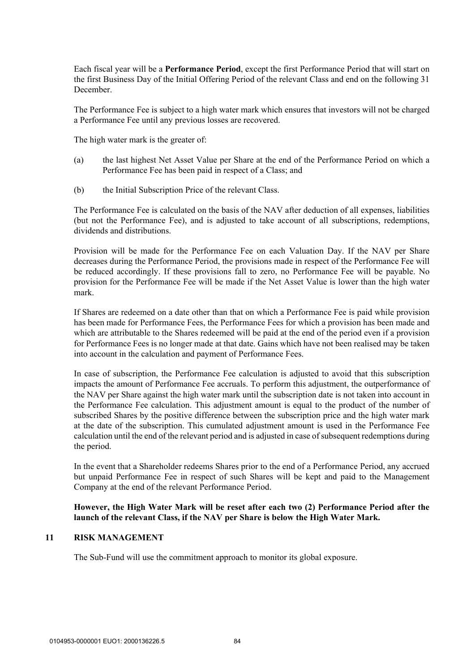Each fiscal year will be a **Performance Period**, except the first Performance Period that will start on the first Business Day of the Initial Offering Period of the relevant Class and end on the following 31 December.

The Performance Fee is subject to a high water mark which ensures that investors will not be charged a Performance Fee until any previous losses are recovered.

The high water mark is the greater of:

- (a) the last highest Net Asset Value per Share at the end of the Performance Period on which a Performance Fee has been paid in respect of a Class; and
- (b) the Initial Subscription Price of the relevant Class.

The Performance Fee is calculated on the basis of the NAV after deduction of all expenses, liabilities (but not the Performance Fee), and is adjusted to take account of all subscriptions, redemptions, dividends and distributions.

Provision will be made for the Performance Fee on each Valuation Day. If the NAV per Share decreases during the Performance Period, the provisions made in respect of the Performance Fee will be reduced accordingly. If these provisions fall to zero, no Performance Fee will be payable. No provision for the Performance Fee will be made if the Net Asset Value is lower than the high water mark.

If Shares are redeemed on a date other than that on which a Performance Fee is paid while provision has been made for Performance Fees, the Performance Fees for which a provision has been made and which are attributable to the Shares redeemed will be paid at the end of the period even if a provision for Performance Fees is no longer made at that date. Gains which have not been realised may be taken into account in the calculation and payment of Performance Fees.

In case of subscription, the Performance Fee calculation is adjusted to avoid that this subscription impacts the amount of Performance Fee accruals. To perform this adjustment, the outperformance of the NAV per Share against the high water mark until the subscription date is not taken into account in the Performance Fee calculation. This adjustment amount is equal to the product of the number of subscribed Shares by the positive difference between the subscription price and the high water mark at the date of the subscription. This cumulated adjustment amount is used in the Performance Fee calculation until the end of the relevant period and is adjusted in case of subsequent redemptions during the period.

In the event that a Shareholder redeems Shares prior to the end of a Performance Period, any accrued but unpaid Performance Fee in respect of such Shares will be kept and paid to the Management Company at the end of the relevant Performance Period.

## **However, the High Water Mark will be reset after each two (2) Performance Period after the launch of the relevant Class, if the NAV per Share is below the High Water Mark.**

## **11 RISK MANAGEMENT**

The Sub-Fund will use the commitment approach to monitor its global exposure.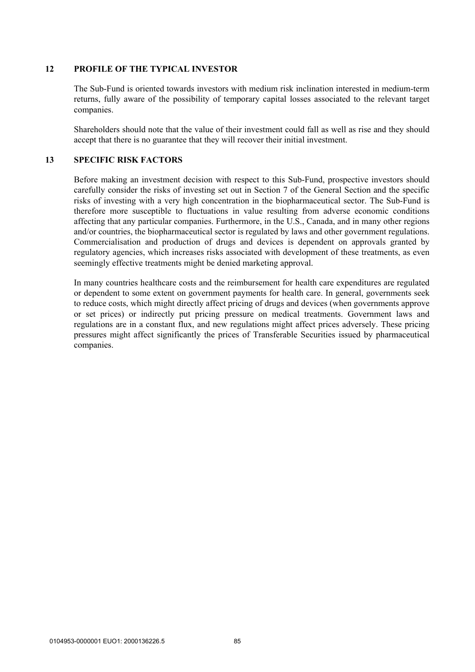### **12 PROFILE OF THE TYPICAL INVESTOR**

The Sub-Fund is oriented towards investors with medium risk inclination interested in medium-term returns, fully aware of the possibility of temporary capital losses associated to the relevant target companies.

Shareholders should note that the value of their investment could fall as well as rise and they should accept that there is no guarantee that they will recover their initial investment.

### **13 SPECIFIC RISK FACTORS**

Before making an investment decision with respect to this Sub-Fund, prospective investors should carefully consider the risks of investing set out in Section 7 of the General Section and the specific risks of investing with a very high concentration in the biopharmaceutical sector. The Sub-Fund is therefore more susceptible to fluctuations in value resulting from adverse economic conditions affecting that any particular companies. Furthermore, in the U.S., Canada, and in many other regions and/or countries, the biopharmaceutical sector is regulated by laws and other government regulations. Commercialisation and production of drugs and devices is dependent on approvals granted by regulatory agencies, which increases risks associated with development of these treatments, as even seemingly effective treatments might be denied marketing approval.

In many countries healthcare costs and the reimbursement for health care expenditures are regulated or dependent to some extent on government payments for health care. In general, governments seek to reduce costs, which might directly affect pricing of drugs and devices (when governments approve or set prices) or indirectly put pricing pressure on medical treatments. Government laws and regulations are in a constant flux, and new regulations might affect prices adversely. These pricing pressures might affect significantly the prices of Transferable Securities issued by pharmaceutical companies.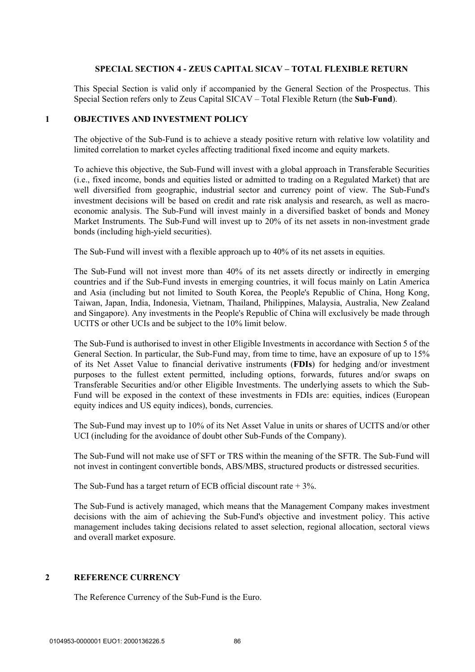### **SPECIAL SECTION 4 - ZEUS CAPITAL SICAV – TOTAL FLEXIBLE RETURN**

This Special Section is valid only if accompanied by the General Section of the Prospectus. This Special Section refers only to Zeus Capital SICAV – Total Flexible Return (the **Sub-Fund**).

#### **1 OBJECTIVES AND INVESTMENT POLICY**

The objective of the Sub-Fund is to achieve a steady positive return with relative low volatility and limited correlation to market cycles affecting traditional fixed income and equity markets.

To achieve this objective, the Sub-Fund will invest with a global approach in Transferable Securities (i.e., fixed income, bonds and equities listed or admitted to trading on a Regulated Market) that are well diversified from geographic, industrial sector and currency point of view. The Sub-Fund's investment decisions will be based on credit and rate risk analysis and research, as well as macroeconomic analysis. The Sub-Fund will invest mainly in a diversified basket of bonds and Money Market Instruments. The Sub-Fund will invest up to 20% of its net assets in non-investment grade bonds (including high-yield securities).

The Sub-Fund will invest with a flexible approach up to 40% of its net assets in equities.

The Sub-Fund will not invest more than 40% of its net assets directly or indirectly in emerging countries and if the Sub-Fund invests in emerging countries, it will focus mainly on Latin America and Asia (including but not limited to South Korea, the People's Republic of China, Hong Kong, Taiwan, Japan, India, Indonesia, Vietnam, Thailand, Philippines, Malaysia, Australia, New Zealand and Singapore). Any investments in the People's Republic of China will exclusively be made through UCITS or other UCIs and be subject to the 10% limit below.

The Sub-Fund is authorised to invest in other Eligible Investments in accordance with Section 5 of the General Section. In particular, the Sub-Fund may, from time to time, have an exposure of up to 15% of its Net Asset Value to financial derivative instruments (**FDIs**) for hedging and/or investment purposes to the fullest extent permitted, including options, forwards, futures and/or swaps on Transferable Securities and/or other Eligible Investments. The underlying assets to which the Sub-Fund will be exposed in the context of these investments in FDIs are: equities, indices (European equity indices and US equity indices), bonds, currencies.

The Sub-Fund may invest up to 10% of its Net Asset Value in units or shares of UCITS and/or other UCI (including for the avoidance of doubt other Sub-Funds of the Company).

The Sub-Fund will not make use of SFT or TRS within the meaning of the SFTR. The Sub-Fund will not invest in contingent convertible bonds, ABS/MBS, structured products or distressed securities.

The Sub-Fund has a target return of ECB official discount rate  $+3\%$ .

The Sub-Fund is actively managed, which means that the Management Company makes investment decisions with the aim of achieving the Sub-Fund's objective and investment policy. This active management includes taking decisions related to asset selection, regional allocation, sectoral views and overall market exposure.

### **2 REFERENCE CURRENCY**

The Reference Currency of the Sub-Fund is the Euro.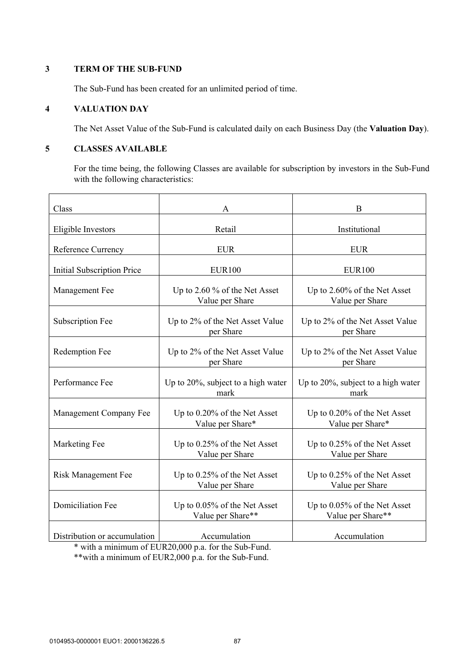# **3 TERM OF THE SUB-FUND**

The Sub-Fund has been created for an unlimited period of time.

## **4 VALUATION DAY**

The Net Asset Value of the Sub-Fund is calculated daily on each Business Day (the **Valuation Day**).

## **5 CLASSES AVAILABLE**

For the time being, the following Classes are available for subscription by investors in the Sub-Fund with the following characteristics:

| Class                             | A                                                 | B                                                 |
|-----------------------------------|---------------------------------------------------|---------------------------------------------------|
| Eligible Investors                | Retail                                            | Institutional                                     |
| Reference Currency                | <b>EUR</b>                                        | <b>EUR</b>                                        |
| <b>Initial Subscription Price</b> | <b>EUR100</b>                                     | <b>EUR100</b>                                     |
| Management Fee                    | Up to 2.60 % of the Net Asset<br>Value per Share  | Up to 2.60% of the Net Asset<br>Value per Share   |
| Subscription Fee                  | Up to 2% of the Net Asset Value<br>per Share      | Up to 2% of the Net Asset Value<br>per Share      |
| Redemption Fee                    | Up to 2% of the Net Asset Value<br>per Share      | Up to 2% of the Net Asset Value<br>per Share      |
| Performance Fee                   | Up to 20%, subject to a high water<br>mark        | Up to 20%, subject to a high water<br>mark        |
| Management Company Fee            | Up to 0.20% of the Net Asset<br>Value per Share*  | Up to 0.20% of the Net Asset<br>Value per Share*  |
| Marketing Fee                     | Up to 0.25% of the Net Asset<br>Value per Share   | Up to 0.25% of the Net Asset<br>Value per Share   |
| <b>Risk Management Fee</b>        | Up to 0.25% of the Net Asset<br>Value per Share   | Up to 0.25% of the Net Asset<br>Value per Share   |
| <b>Domiciliation Fee</b>          | Up to 0.05% of the Net Asset<br>Value per Share** | Up to 0.05% of the Net Asset<br>Value per Share** |
| Distribution or accumulation      | Accumulation                                      | Accumulation                                      |

\* with a minimum of EUR20,000 p.a. for the Sub-Fund.

\*\*with a minimum of EUR2,000 p.a. for the Sub-Fund.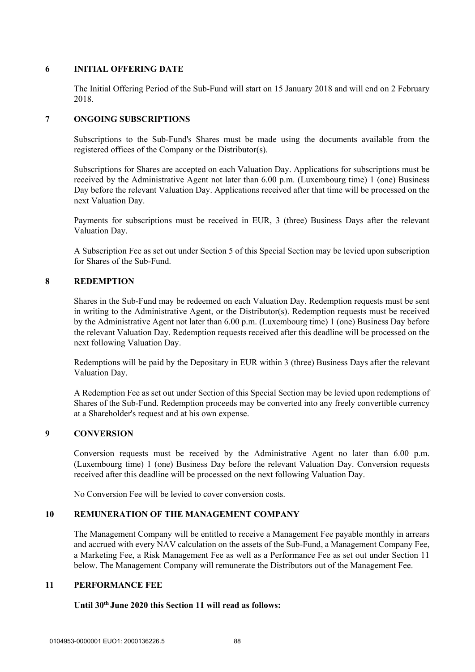## **6 INITIAL OFFERING DATE**

The Initial Offering Period of the Sub-Fund will start on 15 January 2018 and will end on 2 February 2018.

# **7 ONGOING SUBSCRIPTIONS**

Subscriptions to the Sub-Fund's Shares must be made using the documents available from the registered offices of the Company or the Distributor(s).

Subscriptions for Shares are accepted on each Valuation Day. Applications for subscriptions must be received by the Administrative Agent not later than 6.00 p.m. (Luxembourg time) 1 (one) Business Day before the relevant Valuation Day. Applications received after that time will be processed on the next Valuation Day.

Payments for subscriptions must be received in EUR, 3 (three) Business Days after the relevant Valuation Day.

A Subscription Fee as set out under Section 5 of this Special Section may be levied upon subscription for Shares of the Sub-Fund.

# **8 REDEMPTION**

Shares in the Sub-Fund may be redeemed on each Valuation Day. Redemption requests must be sent in writing to the Administrative Agent, or the Distributor(s). Redemption requests must be received by the Administrative Agent not later than 6.00 p.m. (Luxembourg time) 1 (one) Business Day before the relevant Valuation Day. Redemption requests received after this deadline will be processed on the next following Valuation Day.

Redemptions will be paid by the Depositary in EUR within 3 (three) Business Days after the relevant Valuation Day.

A Redemption Fee as set out under Section of this Special Section may be levied upon redemptions of Shares of the Sub-Fund. Redemption proceeds may be converted into any freely convertible currency at a Shareholder's request and at his own expense.

# **9 CONVERSION**

Conversion requests must be received by the Administrative Agent no later than 6.00 p.m. (Luxembourg time) 1 (one) Business Day before the relevant Valuation Day. Conversion requests received after this deadline will be processed on the next following Valuation Day.

No Conversion Fee will be levied to cover conversion costs.

# **10 REMUNERATION OF THE MANAGEMENT COMPANY**

The Management Company will be entitled to receive a Management Fee payable monthly in arrears and accrued with every NAV calculation on the assets of the Sub-Fund, a Management Company Fee, a Marketing Fee, a Risk Management Fee as well as a Performance Fee as set out under Section 11 below. The Management Company will remunerate the Distributors out of the Management Fee.

### **11 PERFORMANCE FEE**

# **Until 30th June 2020 this Section 11 will read as follows:**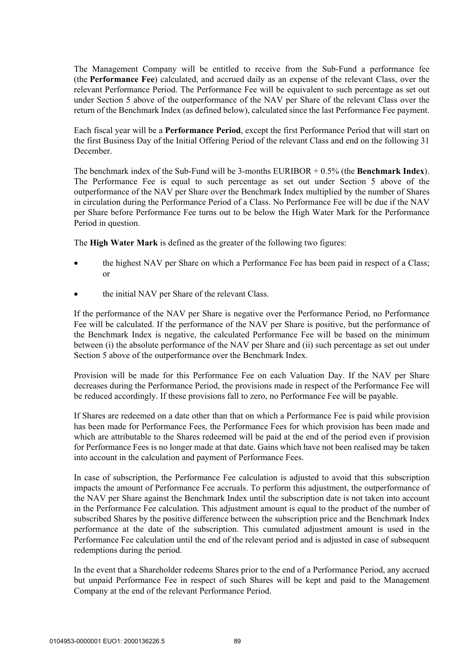The Management Company will be entitled to receive from the Sub-Fund a performance fee (the **Performance Fee**) calculated, and accrued daily as an expense of the relevant Class, over the relevant Performance Period. The Performance Fee will be equivalent to such percentage as set out under Section 5 above of the outperformance of the NAV per Share of the relevant Class over the return of the Benchmark Index (as defined below), calculated since the last Performance Fee payment.

Each fiscal year will be a **Performance Period**, except the first Performance Period that will start on the first Business Day of the Initial Offering Period of the relevant Class and end on the following 31 December.

The benchmark index of the Sub-Fund will be 3-months EURIBOR + 0.5% (the **Benchmark Index**). The Performance Fee is equal to such percentage as set out under Section 5 above of the outperformance of the NAV per Share over the Benchmark Index multiplied by the number of Shares in circulation during the Performance Period of a Class. No Performance Fee will be due if the NAV per Share before Performance Fee turns out to be below the High Water Mark for the Performance Period in question.

The **High Water Mark** is defined as the greater of the following two figures:

- the highest NAV per Share on which a Performance Fee has been paid in respect of a Class; or
- the initial NAV per Share of the relevant Class.

If the performance of the NAV per Share is negative over the Performance Period, no Performance Fee will be calculated. If the performance of the NAV per Share is positive, but the performance of the Benchmark Index is negative, the calculated Performance Fee will be based on the minimum between (i) the absolute performance of the NAV per Share and (ii) such percentage as set out under Section 5 above of the outperformance over the Benchmark Index.

Provision will be made for this Performance Fee on each Valuation Day. If the NAV per Share decreases during the Performance Period, the provisions made in respect of the Performance Fee will be reduced accordingly. If these provisions fall to zero, no Performance Fee will be payable.

If Shares are redeemed on a date other than that on which a Performance Fee is paid while provision has been made for Performance Fees, the Performance Fees for which provision has been made and which are attributable to the Shares redeemed will be paid at the end of the period even if provision for Performance Fees is no longer made at that date. Gains which have not been realised may be taken into account in the calculation and payment of Performance Fees.

In case of subscription, the Performance Fee calculation is adjusted to avoid that this subscription impacts the amount of Performance Fee accruals. To perform this adjustment, the outperformance of the NAV per Share against the Benchmark Index until the subscription date is not taken into account in the Performance Fee calculation. This adjustment amount is equal to the product of the number of subscribed Shares by the positive difference between the subscription price and the Benchmark Index performance at the date of the subscription. This cumulated adjustment amount is used in the Performance Fee calculation until the end of the relevant period and is adjusted in case of subsequent redemptions during the period.

In the event that a Shareholder redeems Shares prior to the end of a Performance Period, any accrued but unpaid Performance Fee in respect of such Shares will be kept and paid to the Management Company at the end of the relevant Performance Period.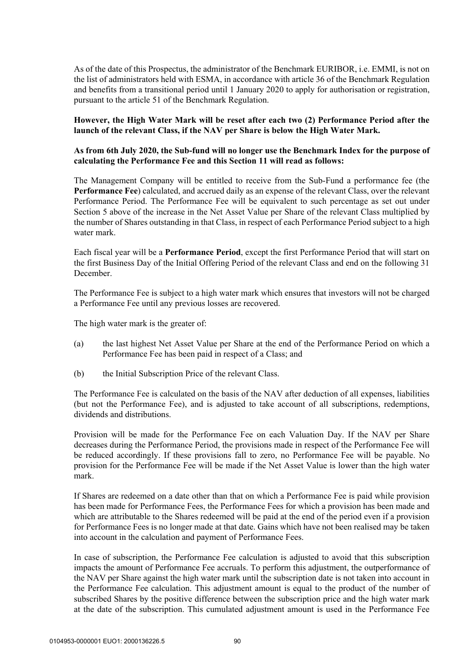As of the date of this Prospectus, the administrator of the Benchmark EURIBOR, i.e. EMMI, is not on the list of administrators held with ESMA, in accordance with article 36 of the Benchmark Regulation and benefits from a transitional period until 1 January 2020 to apply for authorisation or registration, pursuant to the article 51 of the Benchmark Regulation.

## **However, the High Water Mark will be reset after each two (2) Performance Period after the launch of the relevant Class, if the NAV per Share is below the High Water Mark.**

### **As from 6th July 2020, the Sub-fund will no longer use the Benchmark Index for the purpose of calculating the Performance Fee and this Section 11 will read as follows:**

The Management Company will be entitled to receive from the Sub-Fund a performance fee (the **Performance Fee**) calculated, and accrued daily as an expense of the relevant Class, over the relevant Performance Period. The Performance Fee will be equivalent to such percentage as set out under Section 5 above of the increase in the Net Asset Value per Share of the relevant Class multiplied by the number of Shares outstanding in that Class, in respect of each Performance Period subject to a high water mark.

Each fiscal year will be a **Performance Period**, except the first Performance Period that will start on the first Business Day of the Initial Offering Period of the relevant Class and end on the following 31 December.

The Performance Fee is subject to a high water mark which ensures that investors will not be charged a Performance Fee until any previous losses are recovered.

The high water mark is the greater of:

- (a) the last highest Net Asset Value per Share at the end of the Performance Period on which a Performance Fee has been paid in respect of a Class; and
- (b) the Initial Subscription Price of the relevant Class.

The Performance Fee is calculated on the basis of the NAV after deduction of all expenses, liabilities (but not the Performance Fee), and is adjusted to take account of all subscriptions, redemptions, dividends and distributions.

Provision will be made for the Performance Fee on each Valuation Day. If the NAV per Share decreases during the Performance Period, the provisions made in respect of the Performance Fee will be reduced accordingly. If these provisions fall to zero, no Performance Fee will be payable. No provision for the Performance Fee will be made if the Net Asset Value is lower than the high water mark.

If Shares are redeemed on a date other than that on which a Performance Fee is paid while provision has been made for Performance Fees, the Performance Fees for which a provision has been made and which are attributable to the Shares redeemed will be paid at the end of the period even if a provision for Performance Fees is no longer made at that date. Gains which have not been realised may be taken into account in the calculation and payment of Performance Fees.

In case of subscription, the Performance Fee calculation is adjusted to avoid that this subscription impacts the amount of Performance Fee accruals. To perform this adjustment, the outperformance of the NAV per Share against the high water mark until the subscription date is not taken into account in the Performance Fee calculation. This adjustment amount is equal to the product of the number of subscribed Shares by the positive difference between the subscription price and the high water mark at the date of the subscription. This cumulated adjustment amount is used in the Performance Fee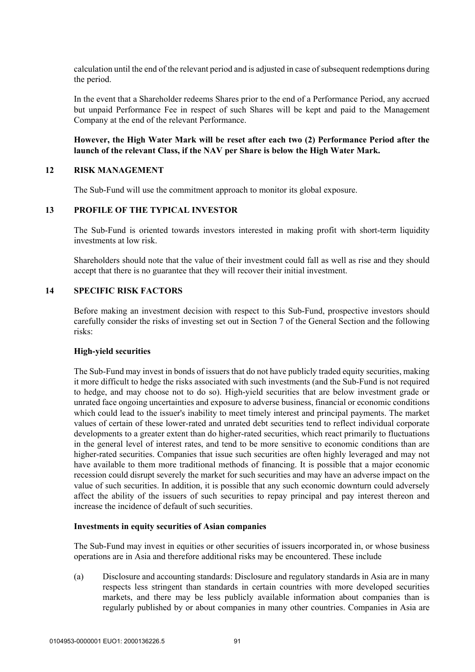calculation until the end of the relevant period and is adjusted in case of subsequent redemptions during the period.

In the event that a Shareholder redeems Shares prior to the end of a Performance Period, any accrued but unpaid Performance Fee in respect of such Shares will be kept and paid to the Management Company at the end of the relevant Performance.

### **However, the High Water Mark will be reset after each two (2) Performance Period after the launch of the relevant Class, if the NAV per Share is below the High Water Mark.**

### **12 RISK MANAGEMENT**

The Sub-Fund will use the commitment approach to monitor its global exposure.

#### **13 PROFILE OF THE TYPICAL INVESTOR**

The Sub-Fund is oriented towards investors interested in making profit with short-term liquidity investments at low risk.

Shareholders should note that the value of their investment could fall as well as rise and they should accept that there is no guarantee that they will recover their initial investment.

#### **14 SPECIFIC RISK FACTORS**

Before making an investment decision with respect to this Sub-Fund, prospective investors should carefully consider the risks of investing set out in Section 7 of the General Section and the following risks:

#### **High-yield securities**

The Sub-Fund may invest in bonds of issuers that do not have publicly traded equity securities, making it more difficult to hedge the risks associated with such investments (and the Sub-Fund is not required to hedge, and may choose not to do so). High-yield securities that are below investment grade or unrated face ongoing uncertainties and exposure to adverse business, financial or economic conditions which could lead to the issuer's inability to meet timely interest and principal payments. The market values of certain of these lower-rated and unrated debt securities tend to reflect individual corporate developments to a greater extent than do higher-rated securities, which react primarily to fluctuations in the general level of interest rates, and tend to be more sensitive to economic conditions than are higher-rated securities. Companies that issue such securities are often highly leveraged and may not have available to them more traditional methods of financing. It is possible that a major economic recession could disrupt severely the market for such securities and may have an adverse impact on the value of such securities. In addition, it is possible that any such economic downturn could adversely affect the ability of the issuers of such securities to repay principal and pay interest thereon and increase the incidence of default of such securities.

#### **Investments in equity securities of Asian companies**

The Sub-Fund may invest in equities or other securities of issuers incorporated in, or whose business operations are in Asia and therefore additional risks may be encountered. These include

(a) Disclosure and accounting standards: Disclosure and regulatory standards in Asia are in many respects less stringent than standards in certain countries with more developed securities markets, and there may be less publicly available information about companies than is regularly published by or about companies in many other countries. Companies in Asia are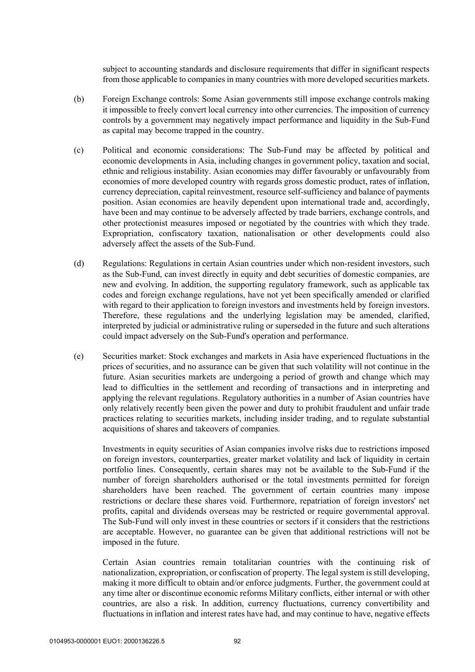subject to accounting standards and disclosure requirements that differ in significant respects from those applicable to companies in many countries with more developed securities markets.

- (b) Foreign Exchange controls: Some Asian governments still impose exchange controls making it impossible to freely convert local currency into other currencies. The imposition of currency controls by a government may negatively impact performance and liquidity in the Sub-Fund as capital may become trapped in the country.
- (c) Political and economic considerations: The Sub-Fund may be affected by political and economic developments in Asia, including changes in government policy, taxation and social, ethnic and religious instability. Asian economies may differ favourably or unfavourably from economies of more developed country with regards gross domestic product, rates of inflation, currency depreciation, capital reinvestment, resource self-sufficiency and balance of payments position. Asian economies are heavily dependent upon international trade and, accordingly, have been and may continue to be adversely affected by trade barriers, exchange controls, and other protectionist measures imposed or negotiated by the countries with which they trade. Expropriation, confiscatory taxation, nationalisation or other developments could also adversely affect the assets of the Sub-Fund.
- (d) Regulations: Regulations in certain Asian countries under which non-resident investors, such as the Sub-Fund, can invest directly in equity and debt securities of domestic companies, are new and evolving. In addition, the supporting regulatory framework, such as applicable tax codes and foreign exchange regulations, have not yet been specifically amended or clarified with regard to their application to foreign investors and investments held by foreign investors. Therefore, these regulations and the underlying legislation may be amended, clarified, interpreted by judicial or administrative ruling or superseded in the future and such alterations could impact adversely on the Sub-Fund's operation and performance.
- (e) Securities market: Stock exchanges and markets in Asia have experienced fluctuations in the prices of securities, and no assurance can be given that such volatility will not continue in the future. Asian securities markets are undergoing a period of growth and change which may lead to difficulties in the settlement and recording of transactions and in interpreting and applying the relevant regulations. Regulatory authorities in a number of Asian countries have only relatively recently been given the power and duty to prohibit fraudulent and unfair trade practices relating to securities markets, including insider trading, and to regulate substantial acquisitions of shares and takeovers of companies.

Investments in equity securities of Asian companies involve risks due to restrictions imposed on foreign investors, counterparties, greater market volatility and lack of liquidity in certain portfolio lines. Consequently, certain shares may not be available to the Sub-Fund if the number of foreign shareholders authorised or the total investments permitted for foreign shareholders have been reached. The government of certain countries many impose restrictions or declare these shares void. Furthermore, repatriation of foreign investors' net profits, capital and dividends overseas may be restricted or require governmental approval. The Sub-Fund will only invest in these countries or sectors if it considers that the restrictions are acceptable. However, no guarantee can be given that additional restrictions will not be imposed in the future.

Certain Asian countries remain totalitarian countries with the continuing risk of nationalization, expropriation, or confiscation of property. The legal system is still developing, making it more difficult to obtain and/or enforce judgments. Further, the government could at any time alter or discontinue economic reforms Military conflicts, either internal or with other countries, are also a risk. In addition, currency fluctuations, currency convertibility and fluctuations in inflation and interest rates have had, and may continue to have, negative effects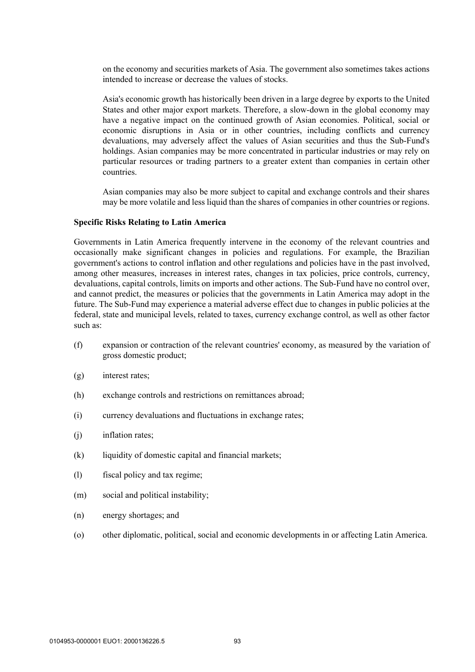on the economy and securities markets of Asia. The government also sometimes takes actions intended to increase or decrease the values of stocks.

Asia's economic growth has historically been driven in a large degree by exports to the United States and other major export markets. Therefore, a slow-down in the global economy may have a negative impact on the continued growth of Asian economies. Political, social or economic disruptions in Asia or in other countries, including conflicts and currency devaluations, may adversely affect the values of Asian securities and thus the Sub-Fund's holdings. Asian companies may be more concentrated in particular industries or may rely on particular resources or trading partners to a greater extent than companies in certain other countries.

Asian companies may also be more subject to capital and exchange controls and their shares may be more volatile and less liquid than the shares of companies in other countries or regions.

#### **Specific Risks Relating to Latin America**

Governments in Latin America frequently intervene in the economy of the relevant countries and occasionally make significant changes in policies and regulations. For example, the Brazilian government's actions to control inflation and other regulations and policies have in the past involved, among other measures, increases in interest rates, changes in tax policies, price controls, currency, devaluations, capital controls, limits on imports and other actions. The Sub-Fund have no control over, and cannot predict, the measures or policies that the governments in Latin America may adopt in the future. The Sub-Fund may experience a material adverse effect due to changes in public policies at the federal, state and municipal levels, related to taxes, currency exchange control, as well as other factor such as:

- (f) expansion or contraction of the relevant countries' economy, as measured by the variation of gross domestic product;
- (g) interest rates;
- (h) exchange controls and restrictions on remittances abroad;
- (i) currency devaluations and fluctuations in exchange rates;
- (j) inflation rates;
- (k) liquidity of domestic capital and financial markets;
- (l) fiscal policy and tax regime;
- (m) social and political instability;
- (n) energy shortages; and
- (o) other diplomatic, political, social and economic developments in or affecting Latin America.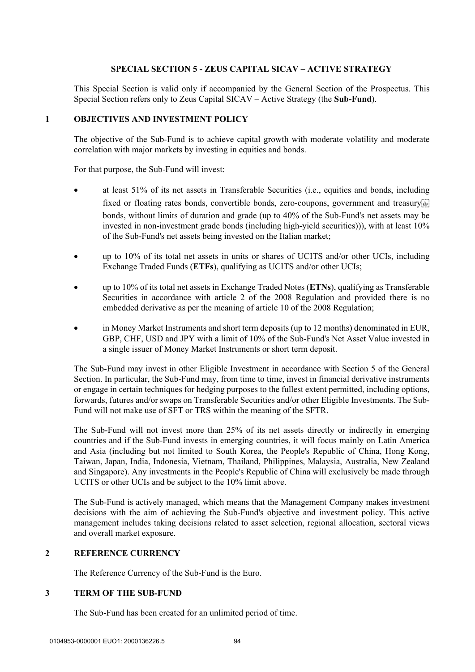## **SPECIAL SECTION 5 - ZEUS CAPITAL SICAV – ACTIVE STRATEGY**

This Special Section is valid only if accompanied by the General Section of the Prospectus. This Special Section refers only to Zeus Capital SICAV – Active Strategy (the **Sub-Fund**).

# **1 OBJECTIVES AND INVESTMENT POLICY**

The objective of the Sub-Fund is to achieve capital growth with moderate volatility and moderate correlation with major markets by investing in equities and bonds.

For that purpose, the Sub-Fund will invest:

- at least 51% of its net assets in Transferable Securities (i.e., equities and bonds, including fixed or floating rates bonds, convertible bonds, zero-coupons, government and treasury bonds, without limits of duration and grade (up to 40% of the Sub-Fund's net assets may be invested in non-investment grade bonds (including high-yield securities))), with at least 10% of the Sub-Fund's net assets being invested on the Italian market;
- up to 10% of its total net assets in units or shares of UCITS and/or other UCIs, including Exchange Traded Funds (**ETFs**), qualifying as UCITS and/or other UCIs;
- up to 10% of its total net assets in Exchange Traded Notes (**ETNs**), qualifying as Transferable Securities in accordance with article 2 of the 2008 Regulation and provided there is no embedded derivative as per the meaning of article 10 of the 2008 Regulation;
- in Money Market Instruments and short term deposits (up to 12 months) denominated in EUR, GBP, CHF, USD and JPY with a limit of 10% of the Sub-Fund's Net Asset Value invested in a single issuer of Money Market Instruments or short term deposit.

The Sub-Fund may invest in other Eligible Investment in accordance with Section 5 of the General Section. In particular, the Sub-Fund may, from time to time, invest in financial derivative instruments or engage in certain techniques for hedging purposes to the fullest extent permitted, including options, forwards, futures and/or swaps on Transferable Securities and/or other Eligible Investments. The Sub-Fund will not make use of SFT or TRS within the meaning of the SFTR.

The Sub-Fund will not invest more than 25% of its net assets directly or indirectly in emerging countries and if the Sub-Fund invests in emerging countries, it will focus mainly on Latin America and Asia (including but not limited to South Korea, the People's Republic of China, Hong Kong, Taiwan, Japan, India, Indonesia, Vietnam, Thailand, Philippines, Malaysia, Australia, New Zealand and Singapore). Any investments in the People's Republic of China will exclusively be made through UCITS or other UCIs and be subject to the 10% limit above.

The Sub-Fund is actively managed, which means that the Management Company makes investment decisions with the aim of achieving the Sub-Fund's objective and investment policy. This active management includes taking decisions related to asset selection, regional allocation, sectoral views and overall market exposure.

## **2 REFERENCE CURRENCY**

The Reference Currency of the Sub-Fund is the Euro.

### **3 TERM OF THE SUB-FUND**

The Sub-Fund has been created for an unlimited period of time.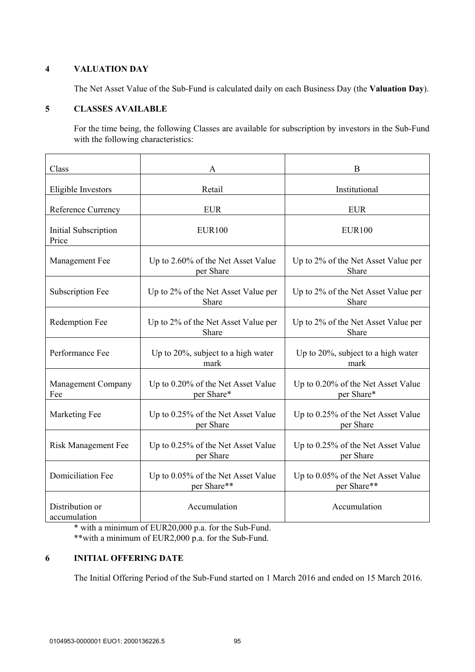# **4 VALUATION DAY**

The Net Asset Value of the Sub-Fund is calculated daily on each Business Day (the **Valuation Day**).

# **5 CLASSES AVAILABLE**

For the time being, the following Classes are available for subscription by investors in the Sub-Fund with the following characteristics:

| Class                           | А                                                 | B                                                 |
|---------------------------------|---------------------------------------------------|---------------------------------------------------|
| Eligible Investors              | Retail                                            | Institutional                                     |
| Reference Currency              | <b>EUR</b>                                        | <b>EUR</b>                                        |
| Initial Subscription<br>Price   | <b>EUR100</b>                                     | <b>EUR100</b>                                     |
| Management Fee                  | Up to 2.60% of the Net Asset Value<br>per Share   | Up to 2% of the Net Asset Value per<br>Share      |
| <b>Subscription Fee</b>         | Up to 2% of the Net Asset Value per<br>Share      | Up to 2% of the Net Asset Value per<br>Share      |
| Redemption Fee                  | Up to 2% of the Net Asset Value per<br>Share      | Up to 2% of the Net Asset Value per<br>Share      |
| Performance Fee                 | Up to 20%, subject to a high water<br>mark        | Up to 20%, subject to a high water<br>mark        |
| Management Company<br>Fee       | Up to 0.20% of the Net Asset Value<br>per Share*  | Up to 0.20% of the Net Asset Value<br>per Share*  |
| Marketing Fee                   | Up to 0.25% of the Net Asset Value<br>per Share   | Up to 0.25% of the Net Asset Value<br>per Share   |
| <b>Risk Management Fee</b>      | Up to 0.25% of the Net Asset Value<br>per Share   | Up to 0.25% of the Net Asset Value<br>per Share   |
| <b>Domiciliation Fee</b>        | Up to 0.05% of the Net Asset Value<br>per Share** | Up to 0.05% of the Net Asset Value<br>per Share** |
| Distribution or<br>accumulation | Accumulation                                      | Accumulation                                      |

\* with a minimum of EUR20,000 p.a. for the Sub-Fund. \*\*with a minimum of EUR2,000 p.a. for the Sub-Fund.

### **6 INITIAL OFFERING DATE**

The Initial Offering Period of the Sub-Fund started on 1 March 2016 and ended on 15 March 2016.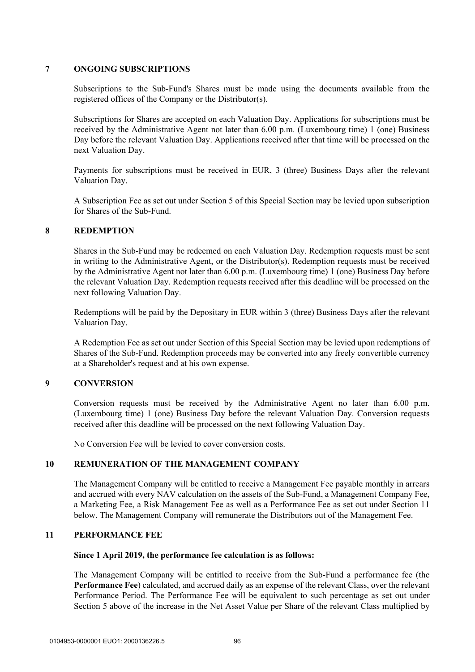### **7 ONGOING SUBSCRIPTIONS**

Subscriptions to the Sub-Fund's Shares must be made using the documents available from the registered offices of the Company or the Distributor(s).

Subscriptions for Shares are accepted on each Valuation Day. Applications for subscriptions must be received by the Administrative Agent not later than 6.00 p.m. (Luxembourg time) 1 (one) Business Day before the relevant Valuation Day. Applications received after that time will be processed on the next Valuation Day.

Payments for subscriptions must be received in EUR, 3 (three) Business Days after the relevant Valuation Day.

A Subscription Fee as set out under Section 5 of this Special Section may be levied upon subscription for Shares of the Sub-Fund.

### **8 REDEMPTION**

Shares in the Sub-Fund may be redeemed on each Valuation Day. Redemption requests must be sent in writing to the Administrative Agent, or the Distributor(s). Redemption requests must be received by the Administrative Agent not later than 6.00 p.m. (Luxembourg time) 1 (one) Business Day before the relevant Valuation Day. Redemption requests received after this deadline will be processed on the next following Valuation Day.

Redemptions will be paid by the Depositary in EUR within 3 (three) Business Days after the relevant Valuation Day.

A Redemption Fee as set out under Section of this Special Section may be levied upon redemptions of Shares of the Sub-Fund. Redemption proceeds may be converted into any freely convertible currency at a Shareholder's request and at his own expense.

### **9 CONVERSION**

Conversion requests must be received by the Administrative Agent no later than 6.00 p.m. (Luxembourg time) 1 (one) Business Day before the relevant Valuation Day. Conversion requests received after this deadline will be processed on the next following Valuation Day.

No Conversion Fee will be levied to cover conversion costs.

### **10 REMUNERATION OF THE MANAGEMENT COMPANY**

The Management Company will be entitled to receive a Management Fee payable monthly in arrears and accrued with every NAV calculation on the assets of the Sub-Fund, a Management Company Fee, a Marketing Fee, a Risk Management Fee as well as a Performance Fee as set out under Section 11 below. The Management Company will remunerate the Distributors out of the Management Fee.

### **11 PERFORMANCE FEE**

#### **Since 1 April 2019, the performance fee calculation is as follows:**

The Management Company will be entitled to receive from the Sub-Fund a performance fee (the **Performance Fee**) calculated, and accrued daily as an expense of the relevant Class, over the relevant Performance Period. The Performance Fee will be equivalent to such percentage as set out under Section 5 above of the increase in the Net Asset Value per Share of the relevant Class multiplied by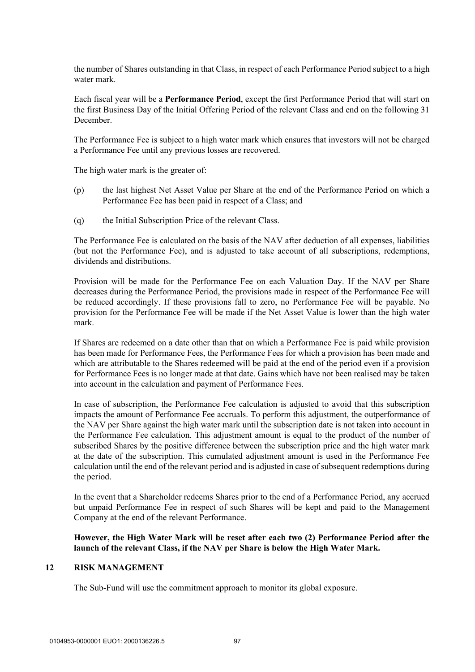the number of Shares outstanding in that Class, in respect of each Performance Period subject to a high water mark.

Each fiscal year will be a **Performance Period**, except the first Performance Period that will start on the first Business Day of the Initial Offering Period of the relevant Class and end on the following 31 December.

The Performance Fee is subject to a high water mark which ensures that investors will not be charged a Performance Fee until any previous losses are recovered.

The high water mark is the greater of:

- (p) the last highest Net Asset Value per Share at the end of the Performance Period on which a Performance Fee has been paid in respect of a Class; and
- (q) the Initial Subscription Price of the relevant Class.

The Performance Fee is calculated on the basis of the NAV after deduction of all expenses, liabilities (but not the Performance Fee), and is adjusted to take account of all subscriptions, redemptions, dividends and distributions.

Provision will be made for the Performance Fee on each Valuation Day. If the NAV per Share decreases during the Performance Period, the provisions made in respect of the Performance Fee will be reduced accordingly. If these provisions fall to zero, no Performance Fee will be payable. No provision for the Performance Fee will be made if the Net Asset Value is lower than the high water mark.

If Shares are redeemed on a date other than that on which a Performance Fee is paid while provision has been made for Performance Fees, the Performance Fees for which a provision has been made and which are attributable to the Shares redeemed will be paid at the end of the period even if a provision for Performance Fees is no longer made at that date. Gains which have not been realised may be taken into account in the calculation and payment of Performance Fees.

In case of subscription, the Performance Fee calculation is adjusted to avoid that this subscription impacts the amount of Performance Fee accruals. To perform this adjustment, the outperformance of the NAV per Share against the high water mark until the subscription date is not taken into account in the Performance Fee calculation. This adjustment amount is equal to the product of the number of subscribed Shares by the positive difference between the subscription price and the high water mark at the date of the subscription. This cumulated adjustment amount is used in the Performance Fee calculation until the end of the relevant period and is adjusted in case of subsequent redemptions during the period.

In the event that a Shareholder redeems Shares prior to the end of a Performance Period, any accrued but unpaid Performance Fee in respect of such Shares will be kept and paid to the Management Company at the end of the relevant Performance.

**However, the High Water Mark will be reset after each two (2) Performance Period after the launch of the relevant Class, if the NAV per Share is below the High Water Mark.** 

#### **12 RISK MANAGEMENT**

The Sub-Fund will use the commitment approach to monitor its global exposure.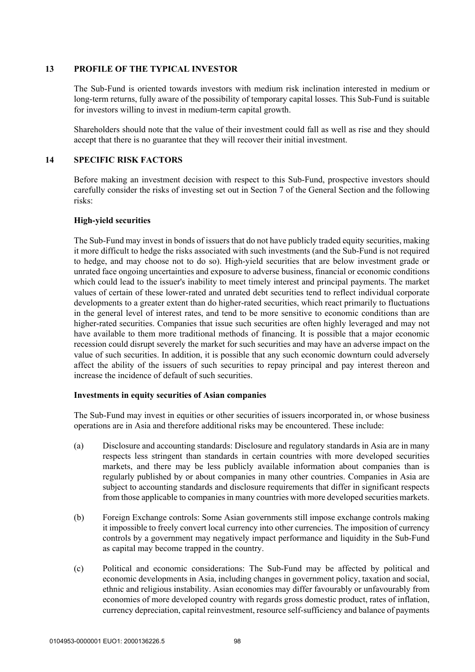## **13 PROFILE OF THE TYPICAL INVESTOR**

The Sub-Fund is oriented towards investors with medium risk inclination interested in medium or long-term returns, fully aware of the possibility of temporary capital losses. This Sub-Fund is suitable for investors willing to invest in medium-term capital growth.

Shareholders should note that the value of their investment could fall as well as rise and they should accept that there is no guarantee that they will recover their initial investment.

# **14 SPECIFIC RISK FACTORS**

Before making an investment decision with respect to this Sub-Fund, prospective investors should carefully consider the risks of investing set out in Section 7 of the General Section and the following risks:

## **High-yield securities**

The Sub-Fund may invest in bonds of issuers that do not have publicly traded equity securities, making it more difficult to hedge the risks associated with such investments (and the Sub-Fund is not required to hedge, and may choose not to do so). High-yield securities that are below investment grade or unrated face ongoing uncertainties and exposure to adverse business, financial or economic conditions which could lead to the issuer's inability to meet timely interest and principal payments. The market values of certain of these lower-rated and unrated debt securities tend to reflect individual corporate developments to a greater extent than do higher-rated securities, which react primarily to fluctuations in the general level of interest rates, and tend to be more sensitive to economic conditions than are higher-rated securities. Companies that issue such securities are often highly leveraged and may not have available to them more traditional methods of financing. It is possible that a major economic recession could disrupt severely the market for such securities and may have an adverse impact on the value of such securities. In addition, it is possible that any such economic downturn could adversely affect the ability of the issuers of such securities to repay principal and pay interest thereon and increase the incidence of default of such securities.

### **Investments in equity securities of Asian companies**

The Sub-Fund may invest in equities or other securities of issuers incorporated in, or whose business operations are in Asia and therefore additional risks may be encountered. These include:

- (a) Disclosure and accounting standards: Disclosure and regulatory standards in Asia are in many respects less stringent than standards in certain countries with more developed securities markets, and there may be less publicly available information about companies than is regularly published by or about companies in many other countries. Companies in Asia are subject to accounting standards and disclosure requirements that differ in significant respects from those applicable to companies in many countries with more developed securities markets.
- (b) Foreign Exchange controls: Some Asian governments still impose exchange controls making it impossible to freely convert local currency into other currencies. The imposition of currency controls by a government may negatively impact performance and liquidity in the Sub-Fund as capital may become trapped in the country.
- (c) Political and economic considerations: The Sub-Fund may be affected by political and economic developments in Asia, including changes in government policy, taxation and social, ethnic and religious instability. Asian economies may differ favourably or unfavourably from economies of more developed country with regards gross domestic product, rates of inflation, currency depreciation, capital reinvestment, resource self-sufficiency and balance of payments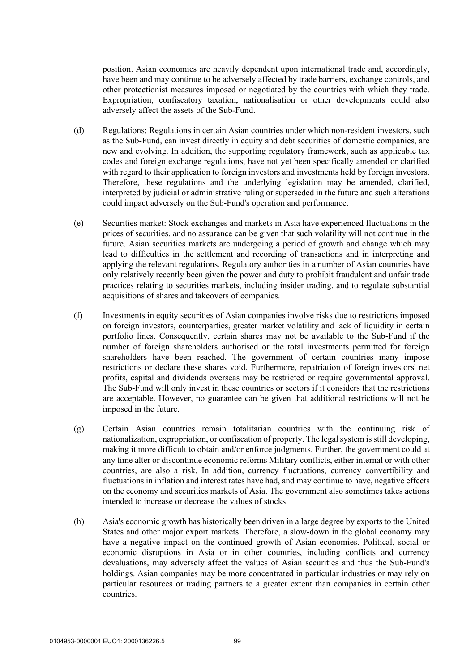position. Asian economies are heavily dependent upon international trade and, accordingly, have been and may continue to be adversely affected by trade barriers, exchange controls, and other protectionist measures imposed or negotiated by the countries with which they trade. Expropriation, confiscatory taxation, nationalisation or other developments could also adversely affect the assets of the Sub-Fund.

- (d) Regulations: Regulations in certain Asian countries under which non-resident investors, such as the Sub-Fund, can invest directly in equity and debt securities of domestic companies, are new and evolving. In addition, the supporting regulatory framework, such as applicable tax codes and foreign exchange regulations, have not yet been specifically amended or clarified with regard to their application to foreign investors and investments held by foreign investors. Therefore, these regulations and the underlying legislation may be amended, clarified, interpreted by judicial or administrative ruling or superseded in the future and such alterations could impact adversely on the Sub-Fund's operation and performance.
- (e) Securities market: Stock exchanges and markets in Asia have experienced fluctuations in the prices of securities, and no assurance can be given that such volatility will not continue in the future. Asian securities markets are undergoing a period of growth and change which may lead to difficulties in the settlement and recording of transactions and in interpreting and applying the relevant regulations. Regulatory authorities in a number of Asian countries have only relatively recently been given the power and duty to prohibit fraudulent and unfair trade practices relating to securities markets, including insider trading, and to regulate substantial acquisitions of shares and takeovers of companies.
- (f) Investments in equity securities of Asian companies involve risks due to restrictions imposed on foreign investors, counterparties, greater market volatility and lack of liquidity in certain portfolio lines. Consequently, certain shares may not be available to the Sub-Fund if the number of foreign shareholders authorised or the total investments permitted for foreign shareholders have been reached. The government of certain countries many impose restrictions or declare these shares void. Furthermore, repatriation of foreign investors' net profits, capital and dividends overseas may be restricted or require governmental approval. The Sub-Fund will only invest in these countries or sectors if it considers that the restrictions are acceptable. However, no guarantee can be given that additional restrictions will not be imposed in the future.
- (g) Certain Asian countries remain totalitarian countries with the continuing risk of nationalization, expropriation, or confiscation of property. The legal system is still developing, making it more difficult to obtain and/or enforce judgments. Further, the government could at any time alter or discontinue economic reforms Military conflicts, either internal or with other countries, are also a risk. In addition, currency fluctuations, currency convertibility and fluctuations in inflation and interest rates have had, and may continue to have, negative effects on the economy and securities markets of Asia. The government also sometimes takes actions intended to increase or decrease the values of stocks.
- (h) Asia's economic growth has historically been driven in a large degree by exports to the United States and other major export markets. Therefore, a slow-down in the global economy may have a negative impact on the continued growth of Asian economies. Political, social or economic disruptions in Asia or in other countries, including conflicts and currency devaluations, may adversely affect the values of Asian securities and thus the Sub-Fund's holdings. Asian companies may be more concentrated in particular industries or may rely on particular resources or trading partners to a greater extent than companies in certain other countries.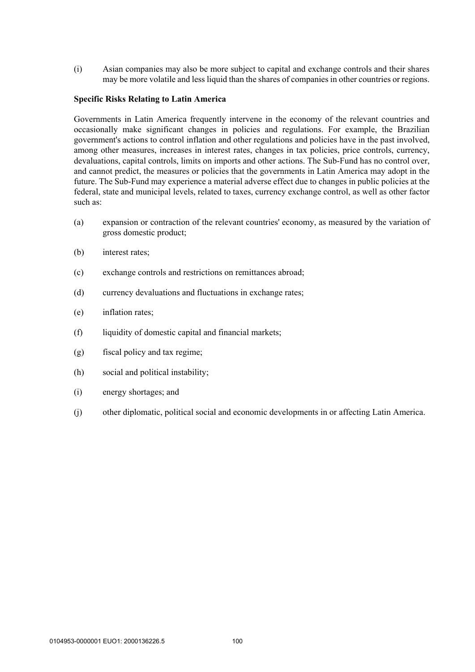(i) Asian companies may also be more subject to capital and exchange controls and their shares may be more volatile and less liquid than the shares of companies in other countries or regions.

#### **Specific Risks Relating to Latin America**

Governments in Latin America frequently intervene in the economy of the relevant countries and occasionally make significant changes in policies and regulations. For example, the Brazilian government's actions to control inflation and other regulations and policies have in the past involved, among other measures, increases in interest rates, changes in tax policies, price controls, currency, devaluations, capital controls, limits on imports and other actions. The Sub-Fund has no control over, and cannot predict, the measures or policies that the governments in Latin America may adopt in the future. The Sub-Fund may experience a material adverse effect due to changes in public policies at the federal, state and municipal levels, related to taxes, currency exchange control, as well as other factor such as:

- (a) expansion or contraction of the relevant countries' economy, as measured by the variation of gross domestic product;
- (b) interest rates;
- (c) exchange controls and restrictions on remittances abroad;
- (d) currency devaluations and fluctuations in exchange rates;
- (e) inflation rates;
- (f) liquidity of domestic capital and financial markets;
- (g) fiscal policy and tax regime;
- (h) social and political instability;
- (i) energy shortages; and
- (j) other diplomatic, political social and economic developments in or affecting Latin America.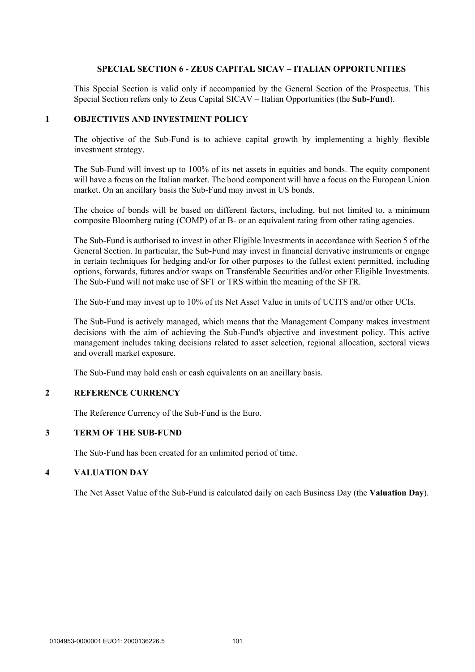### **SPECIAL SECTION 6 - ZEUS CAPITAL SICAV – ITALIAN OPPORTUNITIES**

This Special Section is valid only if accompanied by the General Section of the Prospectus. This Special Section refers only to Zeus Capital SICAV – Italian Opportunities (the **Sub-Fund**).

#### **1 OBJECTIVES AND INVESTMENT POLICY**

The objective of the Sub-Fund is to achieve capital growth by implementing a highly flexible investment strategy.

The Sub-Fund will invest up to 100% of its net assets in equities and bonds. The equity component will have a focus on the Italian market. The bond component will have a focus on the European Union market. On an ancillary basis the Sub-Fund may invest in US bonds.

The choice of bonds will be based on different factors, including, but not limited to, a minimum composite Bloomberg rating (COMP) of at B- or an equivalent rating from other rating agencies.

The Sub-Fund is authorised to invest in other Eligible Investments in accordance with Section 5 of the General Section. In particular, the Sub-Fund may invest in financial derivative instruments or engage in certain techniques for hedging and/or for other purposes to the fullest extent permitted, including options, forwards, futures and/or swaps on Transferable Securities and/or other Eligible Investments. The Sub-Fund will not make use of SFT or TRS within the meaning of the SFTR.

The Sub-Fund may invest up to 10% of its Net Asset Value in units of UCITS and/or other UCIs.

The Sub-Fund is actively managed, which means that the Management Company makes investment decisions with the aim of achieving the Sub-Fund's objective and investment policy. This active management includes taking decisions related to asset selection, regional allocation, sectoral views and overall market exposure.

The Sub-Fund may hold cash or cash equivalents on an ancillary basis.

### **2 REFERENCE CURRENCY**

The Reference Currency of the Sub-Fund is the Euro.

### **3 TERM OF THE SUB-FUND**

The Sub-Fund has been created for an unlimited period of time.

#### **4 VALUATION DAY**

The Net Asset Value of the Sub-Fund is calculated daily on each Business Day (the **Valuation Day**).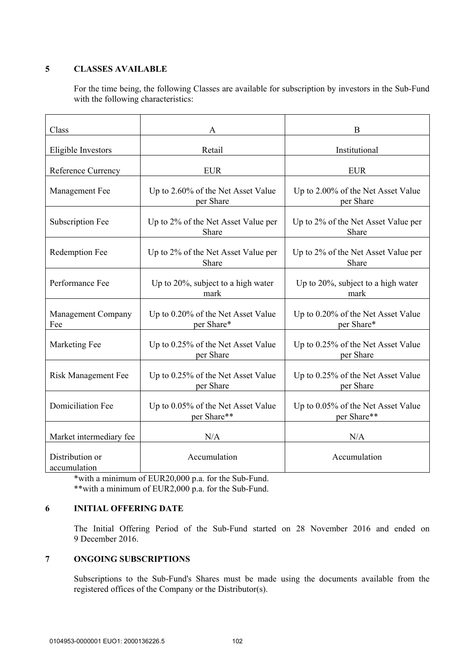# **5 CLASSES AVAILABLE**

For the time being, the following Classes are available for subscription by investors in the Sub-Fund with the following characteristics:

| Class                           | A                                                 | B                                                 |
|---------------------------------|---------------------------------------------------|---------------------------------------------------|
| Eligible Investors              | Retail                                            | Institutional                                     |
| Reference Currency              | <b>EUR</b>                                        | <b>EUR</b>                                        |
| Management Fee                  | Up to 2.60% of the Net Asset Value<br>per Share   | Up to 2.00% of the Net Asset Value<br>per Share   |
| Subscription Fee                | Up to 2% of the Net Asset Value per<br>Share      | Up to 2% of the Net Asset Value per<br>Share      |
| Redemption Fee                  | Up to 2% of the Net Asset Value per<br>Share      | Up to 2% of the Net Asset Value per<br>Share      |
| Performance Fee                 | Up to $20\%$ , subject to a high water<br>mark    | Up to $20\%$ , subject to a high water<br>mark    |
| Management Company<br>Fee       | Up to 0.20% of the Net Asset Value<br>per Share*  | Up to 0.20% of the Net Asset Value<br>per Share*  |
| Marketing Fee                   | Up to 0.25% of the Net Asset Value<br>per Share   | Up to 0.25% of the Net Asset Value<br>per Share   |
| <b>Risk Management Fee</b>      | Up to 0.25% of the Net Asset Value<br>per Share   | Up to 0.25% of the Net Asset Value<br>per Share   |
| <b>Domiciliation Fee</b>        | Up to 0.05% of the Net Asset Value<br>per Share** | Up to 0.05% of the Net Asset Value<br>per Share** |
| Market intermediary fee         | N/A                                               | N/A                                               |
| Distribution or<br>accumulation | Accumulation                                      | Accumulation                                      |

\*with a minimum of EUR20,000 p.a. for the Sub-Fund. \*\*with a minimum of EUR2,000 p.a. for the Sub-Fund.

### **6 INITIAL OFFERING DATE**

The Initial Offering Period of the Sub-Fund started on 28 November 2016 and ended on 9 December 2016.

### **7 ONGOING SUBSCRIPTIONS**

Subscriptions to the Sub-Fund's Shares must be made using the documents available from the registered offices of the Company or the Distributor(s).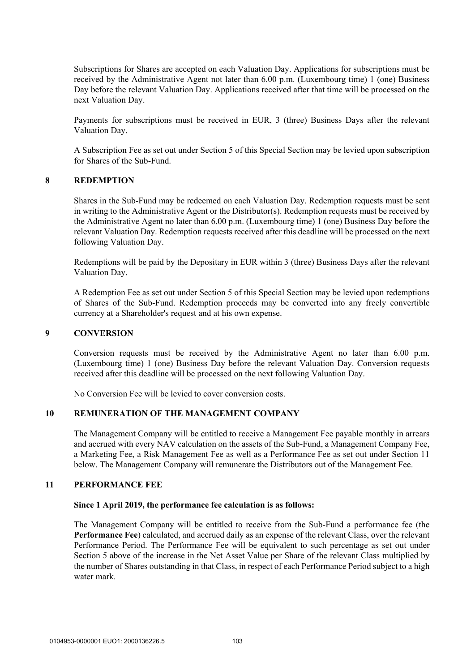Subscriptions for Shares are accepted on each Valuation Day. Applications for subscriptions must be received by the Administrative Agent not later than 6.00 p.m. (Luxembourg time) 1 (one) Business Day before the relevant Valuation Day. Applications received after that time will be processed on the next Valuation Day.

Payments for subscriptions must be received in EUR, 3 (three) Business Days after the relevant Valuation Day.

A Subscription Fee as set out under Section 5 of this Special Section may be levied upon subscription for Shares of the Sub-Fund.

#### **8 REDEMPTION**

Shares in the Sub-Fund may be redeemed on each Valuation Day. Redemption requests must be sent in writing to the Administrative Agent or the Distributor(s). Redemption requests must be received by the Administrative Agent no later than 6.00 p.m. (Luxembourg time) 1 (one) Business Day before the relevant Valuation Day. Redemption requests received after this deadline will be processed on the next following Valuation Day.

Redemptions will be paid by the Depositary in EUR within 3 (three) Business Days after the relevant Valuation Day.

A Redemption Fee as set out under Section 5 of this Special Section may be levied upon redemptions of Shares of the Sub-Fund. Redemption proceeds may be converted into any freely convertible currency at a Shareholder's request and at his own expense.

#### **9 CONVERSION**

Conversion requests must be received by the Administrative Agent no later than 6.00 p.m. (Luxembourg time) 1 (one) Business Day before the relevant Valuation Day. Conversion requests received after this deadline will be processed on the next following Valuation Day.

No Conversion Fee will be levied to cover conversion costs.

### **10 REMUNERATION OF THE MANAGEMENT COMPANY**

The Management Company will be entitled to receive a Management Fee payable monthly in arrears and accrued with every NAV calculation on the assets of the Sub-Fund, a Management Company Fee, a Marketing Fee, a Risk Management Fee as well as a Performance Fee as set out under Section 11 below. The Management Company will remunerate the Distributors out of the Management Fee.

### **11 PERFORMANCE FEE**

#### **Since 1 April 2019, the performance fee calculation is as follows:**

The Management Company will be entitled to receive from the Sub-Fund a performance fee (the **Performance Fee**) calculated, and accrued daily as an expense of the relevant Class, over the relevant Performance Period. The Performance Fee will be equivalent to such percentage as set out under Section 5 above of the increase in the Net Asset Value per Share of the relevant Class multiplied by the number of Shares outstanding in that Class, in respect of each Performance Period subject to a high water mark.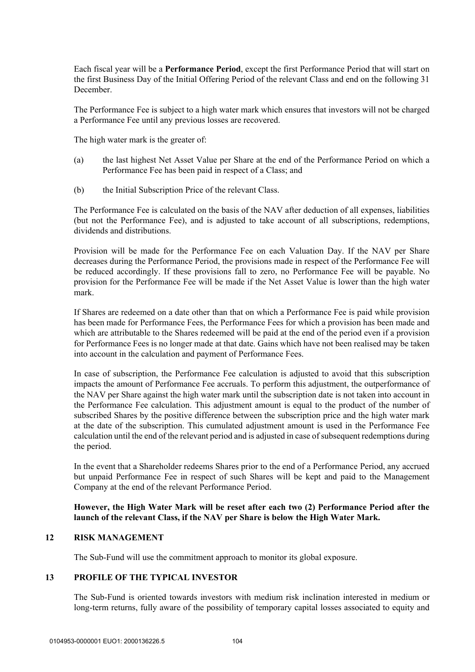Each fiscal year will be a **Performance Period**, except the first Performance Period that will start on the first Business Day of the Initial Offering Period of the relevant Class and end on the following 31 December.

The Performance Fee is subject to a high water mark which ensures that investors will not be charged a Performance Fee until any previous losses are recovered.

The high water mark is the greater of:

- (a) the last highest Net Asset Value per Share at the end of the Performance Period on which a Performance Fee has been paid in respect of a Class; and
- (b) the Initial Subscription Price of the relevant Class.

The Performance Fee is calculated on the basis of the NAV after deduction of all expenses, liabilities (but not the Performance Fee), and is adjusted to take account of all subscriptions, redemptions, dividends and distributions.

Provision will be made for the Performance Fee on each Valuation Day. If the NAV per Share decreases during the Performance Period, the provisions made in respect of the Performance Fee will be reduced accordingly. If these provisions fall to zero, no Performance Fee will be payable. No provision for the Performance Fee will be made if the Net Asset Value is lower than the high water mark.

If Shares are redeemed on a date other than that on which a Performance Fee is paid while provision has been made for Performance Fees, the Performance Fees for which a provision has been made and which are attributable to the Shares redeemed will be paid at the end of the period even if a provision for Performance Fees is no longer made at that date. Gains which have not been realised may be taken into account in the calculation and payment of Performance Fees.

In case of subscription, the Performance Fee calculation is adjusted to avoid that this subscription impacts the amount of Performance Fee accruals. To perform this adjustment, the outperformance of the NAV per Share against the high water mark until the subscription date is not taken into account in the Performance Fee calculation. This adjustment amount is equal to the product of the number of subscribed Shares by the positive difference between the subscription price and the high water mark at the date of the subscription. This cumulated adjustment amount is used in the Performance Fee calculation until the end of the relevant period and is adjusted in case of subsequent redemptions during the period.

In the event that a Shareholder redeems Shares prior to the end of a Performance Period, any accrued but unpaid Performance Fee in respect of such Shares will be kept and paid to the Management Company at the end of the relevant Performance Period.

## **However, the High Water Mark will be reset after each two (2) Performance Period after the launch of the relevant Class, if the NAV per Share is below the High Water Mark.**

### **12 RISK MANAGEMENT**

The Sub-Fund will use the commitment approach to monitor its global exposure.

### **13 PROFILE OF THE TYPICAL INVESTOR**

The Sub-Fund is oriented towards investors with medium risk inclination interested in medium or long-term returns, fully aware of the possibility of temporary capital losses associated to equity and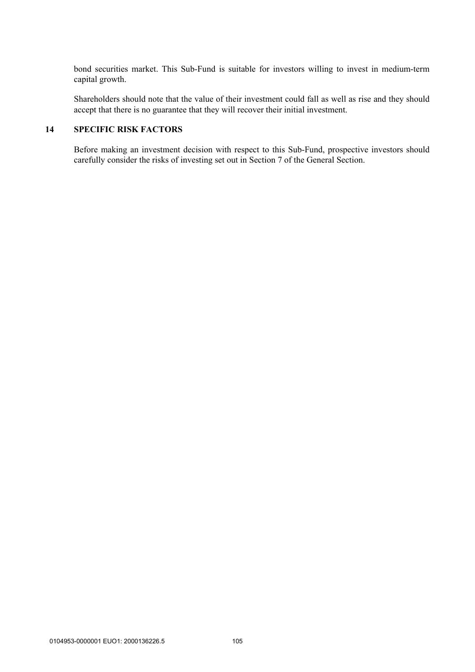bond securities market. This Sub-Fund is suitable for investors willing to invest in medium-term capital growth.

Shareholders should note that the value of their investment could fall as well as rise and they should accept that there is no guarantee that they will recover their initial investment.

# **14 SPECIFIC RISK FACTORS**

Before making an investment decision with respect to this Sub-Fund, prospective investors should carefully consider the risks of investing set out in Section 7 of the General Section.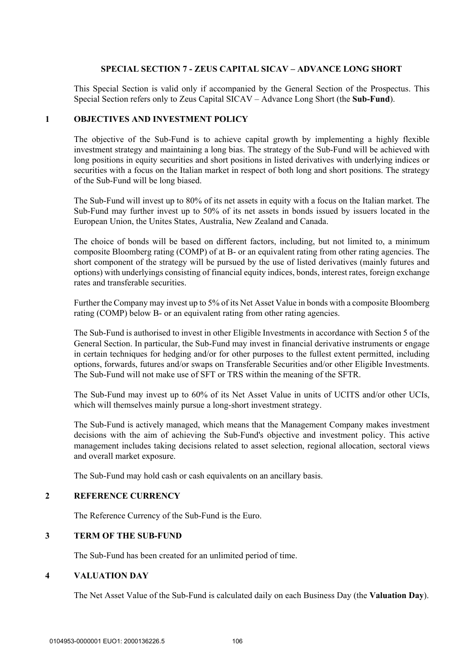### **SPECIAL SECTION 7 - ZEUS CAPITAL SICAV – ADVANCE LONG SHORT**

This Special Section is valid only if accompanied by the General Section of the Prospectus. This Special Section refers only to Zeus Capital SICAV – Advance Long Short (the **Sub-Fund**).

#### **1 OBJECTIVES AND INVESTMENT POLICY**

The objective of the Sub-Fund is to achieve capital growth by implementing a highly flexible investment strategy and maintaining a long bias. The strategy of the Sub-Fund will be achieved with long positions in equity securities and short positions in listed derivatives with underlying indices or securities with a focus on the Italian market in respect of both long and short positions. The strategy of the Sub-Fund will be long biased.

The Sub-Fund will invest up to 80% of its net assets in equity with a focus on the Italian market. The Sub-Fund may further invest up to 50% of its net assets in bonds issued by issuers located in the European Union, the Unites States, Australia, New Zealand and Canada.

The choice of bonds will be based on different factors, including, but not limited to, a minimum composite Bloomberg rating (COMP) of at B- or an equivalent rating from other rating agencies. The short component of the strategy will be pursued by the use of listed derivatives (mainly futures and options) with underlyings consisting of financial equity indices, bonds, interest rates, foreign exchange rates and transferable securities.

Further the Company may invest up to 5% of its Net Asset Value in bonds with a composite Bloomberg rating (COMP) below B- or an equivalent rating from other rating agencies.

The Sub-Fund is authorised to invest in other Eligible Investments in accordance with Section 5 of the General Section. In particular, the Sub-Fund may invest in financial derivative instruments or engage in certain techniques for hedging and/or for other purposes to the fullest extent permitted, including options, forwards, futures and/or swaps on Transferable Securities and/or other Eligible Investments. The Sub-Fund will not make use of SFT or TRS within the meaning of the SFTR.

The Sub-Fund may invest up to 60% of its Net Asset Value in units of UCITS and/or other UCIs, which will themselves mainly pursue a long-short investment strategy.

The Sub-Fund is actively managed, which means that the Management Company makes investment decisions with the aim of achieving the Sub-Fund's objective and investment policy. This active management includes taking decisions related to asset selection, regional allocation, sectoral views and overall market exposure.

The Sub-Fund may hold cash or cash equivalents on an ancillary basis.

# **2 REFERENCE CURRENCY**

The Reference Currency of the Sub-Fund is the Euro.

#### **3 TERM OF THE SUB-FUND**

The Sub-Fund has been created for an unlimited period of time.

#### **4 VALUATION DAY**

The Net Asset Value of the Sub-Fund is calculated daily on each Business Day (the **Valuation Day**).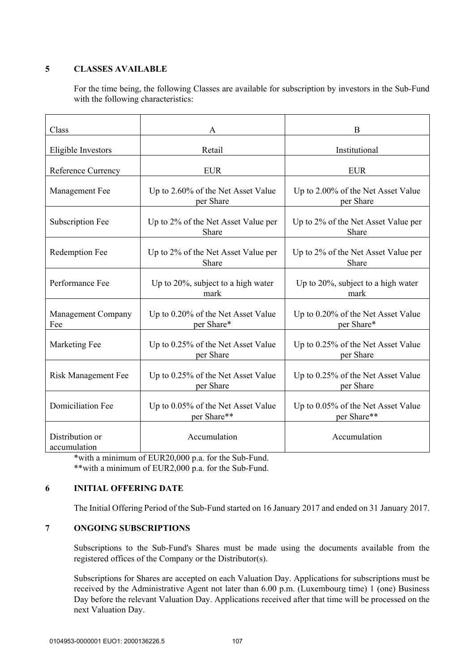# **5 CLASSES AVAILABLE**

For the time being, the following Classes are available for subscription by investors in the Sub-Fund with the following characteristics:

| Class                           | A                                                 | B                                                 |  |
|---------------------------------|---------------------------------------------------|---------------------------------------------------|--|
| Eligible Investors              | Retail                                            | Institutional                                     |  |
| Reference Currency              | <b>EUR</b>                                        | <b>EUR</b>                                        |  |
| Management Fee                  | Up to 2.60% of the Net Asset Value<br>per Share   | Up to 2.00% of the Net Asset Value<br>per Share   |  |
| Subscription Fee                | Up to 2% of the Net Asset Value per<br>Share      | Up to 2% of the Net Asset Value per<br>Share      |  |
| Redemption Fee                  | Up to 2% of the Net Asset Value per<br>Share      | Up to 2% of the Net Asset Value per<br>Share      |  |
| Performance Fee                 | Up to $20\%$ , subject to a high water<br>mark    | Up to $20\%$ , subject to a high water<br>mark    |  |
| Management Company<br>Fee       | Up to 0.20% of the Net Asset Value<br>per Share*  | Up to 0.20% of the Net Asset Value<br>per Share*  |  |
| Marketing Fee                   | Up to 0.25% of the Net Asset Value<br>per Share   | Up to 0.25% of the Net Asset Value<br>per Share   |  |
| <b>Risk Management Fee</b>      | Up to 0.25% of the Net Asset Value<br>per Share   | Up to 0.25% of the Net Asset Value<br>per Share   |  |
| <b>Domiciliation Fee</b>        | Up to 0.05% of the Net Asset Value<br>per Share** | Up to 0.05% of the Net Asset Value<br>per Share** |  |
| Distribution or<br>accumulation | Accumulation                                      | Accumulation                                      |  |

\*with a minimum of EUR20,000 p.a. for the Sub-Fund. \*\*with a minimum of EUR2,000 p.a. for the Sub-Fund.

### **6 INITIAL OFFERING DATE**

The Initial Offering Period of the Sub-Fund started on 16 January 2017 and ended on 31 January 2017.

# **7 ONGOING SUBSCRIPTIONS**

Subscriptions to the Sub-Fund's Shares must be made using the documents available from the registered offices of the Company or the Distributor(s).

Subscriptions for Shares are accepted on each Valuation Day. Applications for subscriptions must be received by the Administrative Agent not later than 6.00 p.m. (Luxembourg time) 1 (one) Business Day before the relevant Valuation Day. Applications received after that time will be processed on the next Valuation Day.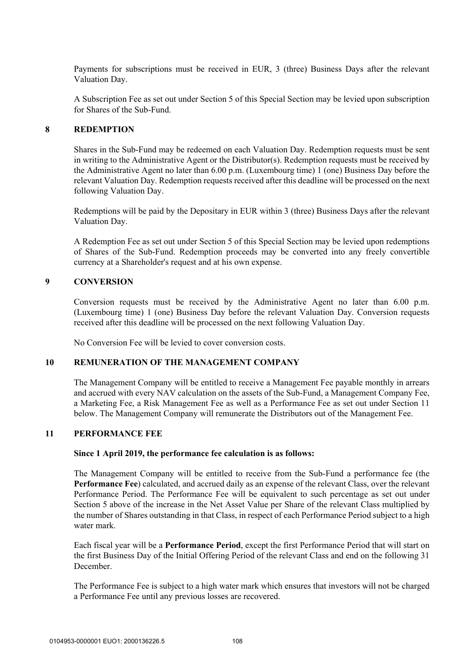Payments for subscriptions must be received in EUR, 3 (three) Business Days after the relevant Valuation Day.

A Subscription Fee as set out under Section 5 of this Special Section may be levied upon subscription for Shares of the Sub-Fund.

#### **8 REDEMPTION**

Shares in the Sub-Fund may be redeemed on each Valuation Day. Redemption requests must be sent in writing to the Administrative Agent or the Distributor(s). Redemption requests must be received by the Administrative Agent no later than 6.00 p.m. (Luxembourg time) 1 (one) Business Day before the relevant Valuation Day. Redemption requests received after this deadline will be processed on the next following Valuation Day.

Redemptions will be paid by the Depositary in EUR within 3 (three) Business Days after the relevant Valuation Day.

A Redemption Fee as set out under Section 5 of this Special Section may be levied upon redemptions of Shares of the Sub-Fund. Redemption proceeds may be converted into any freely convertible currency at a Shareholder's request and at his own expense.

#### **9 CONVERSION**

Conversion requests must be received by the Administrative Agent no later than 6.00 p.m. (Luxembourg time) 1 (one) Business Day before the relevant Valuation Day. Conversion requests received after this deadline will be processed on the next following Valuation Day.

No Conversion Fee will be levied to cover conversion costs.

#### **10 REMUNERATION OF THE MANAGEMENT COMPANY**

The Management Company will be entitled to receive a Management Fee payable monthly in arrears and accrued with every NAV calculation on the assets of the Sub-Fund, a Management Company Fee, a Marketing Fee, a Risk Management Fee as well as a Performance Fee as set out under Section 11 below. The Management Company will remunerate the Distributors out of the Management Fee.

#### **11 PERFORMANCE FEE**

#### **Since 1 April 2019, the performance fee calculation is as follows:**

The Management Company will be entitled to receive from the Sub-Fund a performance fee (the **Performance Fee**) calculated, and accrued daily as an expense of the relevant Class, over the relevant Performance Period. The Performance Fee will be equivalent to such percentage as set out under Section 5 above of the increase in the Net Asset Value per Share of the relevant Class multiplied by the number of Shares outstanding in that Class, in respect of each Performance Period subject to a high water mark.

Each fiscal year will be a **Performance Period**, except the first Performance Period that will start on the first Business Day of the Initial Offering Period of the relevant Class and end on the following 31 December.

The Performance Fee is subject to a high water mark which ensures that investors will not be charged a Performance Fee until any previous losses are recovered.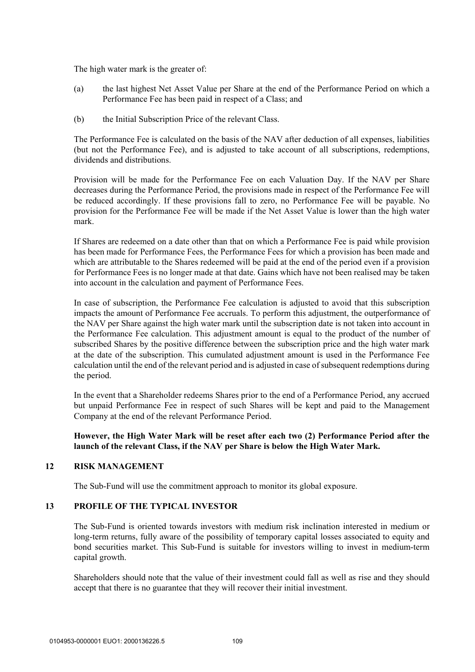The high water mark is the greater of:

- (a) the last highest Net Asset Value per Share at the end of the Performance Period on which a Performance Fee has been paid in respect of a Class; and
- (b) the Initial Subscription Price of the relevant Class.

The Performance Fee is calculated on the basis of the NAV after deduction of all expenses, liabilities (but not the Performance Fee), and is adjusted to take account of all subscriptions, redemptions, dividends and distributions.

Provision will be made for the Performance Fee on each Valuation Day. If the NAV per Share decreases during the Performance Period, the provisions made in respect of the Performance Fee will be reduced accordingly. If these provisions fall to zero, no Performance Fee will be payable. No provision for the Performance Fee will be made if the Net Asset Value is lower than the high water mark.

If Shares are redeemed on a date other than that on which a Performance Fee is paid while provision has been made for Performance Fees, the Performance Fees for which a provision has been made and which are attributable to the Shares redeemed will be paid at the end of the period even if a provision for Performance Fees is no longer made at that date. Gains which have not been realised may be taken into account in the calculation and payment of Performance Fees.

In case of subscription, the Performance Fee calculation is adjusted to avoid that this subscription impacts the amount of Performance Fee accruals. To perform this adjustment, the outperformance of the NAV per Share against the high water mark until the subscription date is not taken into account in the Performance Fee calculation. This adjustment amount is equal to the product of the number of subscribed Shares by the positive difference between the subscription price and the high water mark at the date of the subscription. This cumulated adjustment amount is used in the Performance Fee calculation until the end of the relevant period and is adjusted in case of subsequent redemptions during the period.

In the event that a Shareholder redeems Shares prior to the end of a Performance Period, any accrued but unpaid Performance Fee in respect of such Shares will be kept and paid to the Management Company at the end of the relevant Performance Period.

# **However, the High Water Mark will be reset after each two (2) Performance Period after the launch of the relevant Class, if the NAV per Share is below the High Water Mark.**

### **12 RISK MANAGEMENT**

The Sub-Fund will use the commitment approach to monitor its global exposure.

### **13 PROFILE OF THE TYPICAL INVESTOR**

The Sub-Fund is oriented towards investors with medium risk inclination interested in medium or long-term returns, fully aware of the possibility of temporary capital losses associated to equity and bond securities market. This Sub-Fund is suitable for investors willing to invest in medium-term capital growth.

Shareholders should note that the value of their investment could fall as well as rise and they should accept that there is no guarantee that they will recover their initial investment.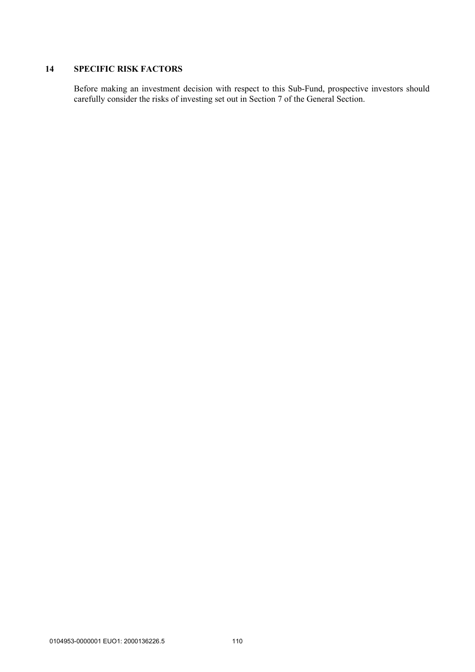# **14 SPECIFIC RISK FACTORS**

Before making an investment decision with respect to this Sub-Fund, prospective investors should carefully consider the risks of investing set out in Section 7 of the General Section.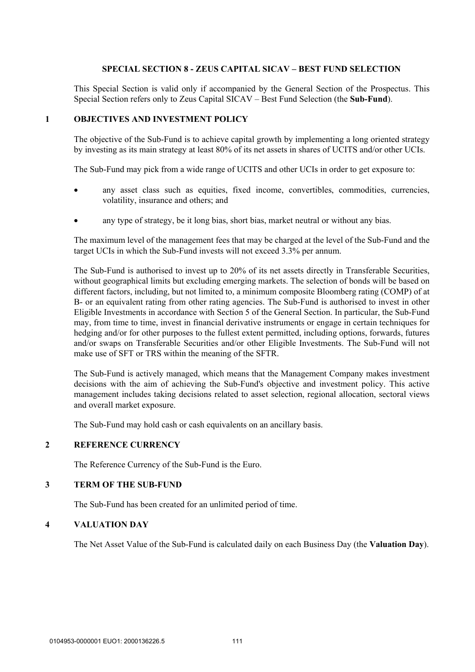### **SPECIAL SECTION 8 - ZEUS CAPITAL SICAV – BEST FUND SELECTION**

This Special Section is valid only if accompanied by the General Section of the Prospectus. This Special Section refers only to Zeus Capital SICAV – Best Fund Selection (the **Sub-Fund**).

#### **1 OBJECTIVES AND INVESTMENT POLICY**

The objective of the Sub-Fund is to achieve capital growth by implementing a long oriented strategy by investing as its main strategy at least 80% of its net assets in shares of UCITS and/or other UCIs.

The Sub-Fund may pick from a wide range of UCITS and other UCIs in order to get exposure to:

- any asset class such as equities, fixed income, convertibles, commodities, currencies, volatility, insurance and others; and
- any type of strategy, be it long bias, short bias, market neutral or without any bias.

The maximum level of the management fees that may be charged at the level of the Sub-Fund and the target UCIs in which the Sub-Fund invests will not exceed 3.3% per annum.

The Sub-Fund is authorised to invest up to 20% of its net assets directly in Transferable Securities, without geographical limits but excluding emerging markets. The selection of bonds will be based on different factors, including, but not limited to, a minimum composite Bloomberg rating (COMP) of at B- or an equivalent rating from other rating agencies. The Sub-Fund is authorised to invest in other Eligible Investments in accordance with Section 5 of the General Section. In particular, the Sub-Fund may, from time to time, invest in financial derivative instruments or engage in certain techniques for hedging and/or for other purposes to the fullest extent permitted, including options, forwards, futures and/or swaps on Transferable Securities and/or other Eligible Investments. The Sub-Fund will not make use of SFT or TRS within the meaning of the SFTR.

The Sub-Fund is actively managed, which means that the Management Company makes investment decisions with the aim of achieving the Sub-Fund's objective and investment policy. This active management includes taking decisions related to asset selection, regional allocation, sectoral views and overall market exposure.

The Sub-Fund may hold cash or cash equivalents on an ancillary basis.

#### **2 REFERENCE CURRENCY**

The Reference Currency of the Sub-Fund is the Euro.

### **3 TERM OF THE SUB-FUND**

The Sub-Fund has been created for an unlimited period of time.

#### **4 VALUATION DAY**

The Net Asset Value of the Sub-Fund is calculated daily on each Business Day (the **Valuation Day**).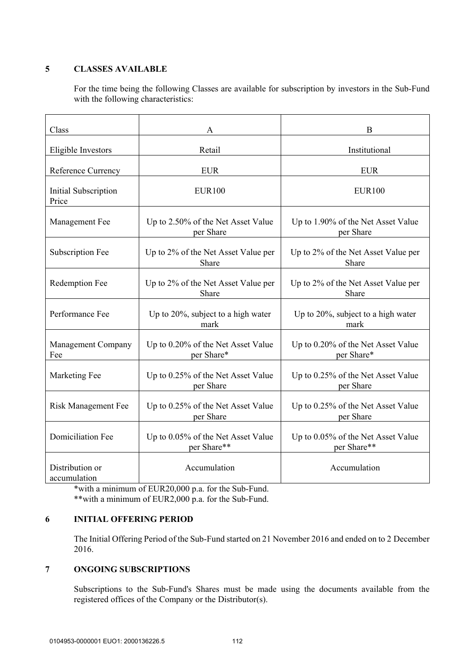# **5 CLASSES AVAILABLE**

For the time being the following Classes are available for subscription by investors in the Sub-Fund with the following characteristics:

| Class                            | A                                                 | B                                                 |  |
|----------------------------------|---------------------------------------------------|---------------------------------------------------|--|
| Eligible Investors               | Retail                                            | Institutional                                     |  |
| Reference Currency               | <b>EUR</b>                                        | <b>EUR</b>                                        |  |
| Initial Subscription<br>Price    | <b>EUR100</b>                                     | <b>EUR100</b>                                     |  |
| Management Fee                   | Up to 2.50% of the Net Asset Value<br>per Share   | Up to 1.90% of the Net Asset Value<br>per Share   |  |
| Subscription Fee                 | Up to 2% of the Net Asset Value per<br>Share      | Up to 2% of the Net Asset Value per<br>Share      |  |
| Redemption Fee                   | Up to 2% of the Net Asset Value per<br>Share      | Up to 2% of the Net Asset Value per<br>Share      |  |
| Performance Fee                  | Up to 20%, subject to a high water<br>mark        | Up to 20%, subject to a high water<br>mark        |  |
| <b>Management Company</b><br>Fee | Up to 0.20% of the Net Asset Value<br>per Share*  | Up to 0.20% of the Net Asset Value<br>per Share*  |  |
| Marketing Fee                    | Up to 0.25% of the Net Asset Value<br>per Share   | Up to 0.25% of the Net Asset Value<br>per Share   |  |
| <b>Risk Management Fee</b>       | Up to 0.25% of the Net Asset Value<br>per Share   | Up to 0.25% of the Net Asset Value<br>per Share   |  |
| <b>Domiciliation Fee</b>         | Up to 0.05% of the Net Asset Value<br>per Share** | Up to 0.05% of the Net Asset Value<br>per Share** |  |
| Distribution or<br>accumulation  | Accumulation                                      | Accumulation                                      |  |

\*with a minimum of EUR20,000 p.a. for the Sub-Fund. \*\*with a minimum of EUR2,000 p.a. for the Sub-Fund.

# **6 INITIAL OFFERING PERIOD**

The Initial Offering Period of the Sub-Fund started on 21 November 2016 and ended on to 2 December 2016.

# **7 ONGOING SUBSCRIPTIONS**

Subscriptions to the Sub-Fund's Shares must be made using the documents available from the registered offices of the Company or the Distributor(s).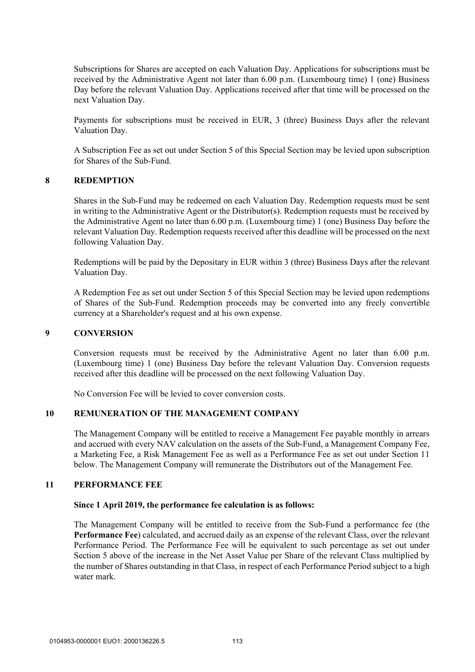Subscriptions for Shares are accepted on each Valuation Day. Applications for subscriptions must be received by the Administrative Agent not later than 6.00 p.m. (Luxembourg time) 1 (one) Business Day before the relevant Valuation Day. Applications received after that time will be processed on the next Valuation Day.

Payments for subscriptions must be received in EUR, 3 (three) Business Days after the relevant Valuation Day.

A Subscription Fee as set out under Section 5 of this Special Section may be levied upon subscription for Shares of the Sub-Fund.

# **8 REDEMPTION**

Shares in the Sub-Fund may be redeemed on each Valuation Day. Redemption requests must be sent in writing to the Administrative Agent or the Distributor(s). Redemption requests must be received by the Administrative Agent no later than 6.00 p.m. (Luxembourg time) 1 (one) Business Day before the relevant Valuation Day. Redemption requests received after this deadline will be processed on the next following Valuation Day.

Redemptions will be paid by the Depositary in EUR within 3 (three) Business Days after the relevant Valuation Day.

A Redemption Fee as set out under Section 5 of this Special Section may be levied upon redemptions of Shares of the Sub-Fund. Redemption proceeds may be converted into any freely convertible currency at a Shareholder's request and at his own expense.

#### **9 CONVERSION**

Conversion requests must be received by the Administrative Agent no later than 6.00 p.m. (Luxembourg time) 1 (one) Business Day before the relevant Valuation Day. Conversion requests received after this deadline will be processed on the next following Valuation Day.

No Conversion Fee will be levied to cover conversion costs.

### **10 REMUNERATION OF THE MANAGEMENT COMPANY**

The Management Company will be entitled to receive a Management Fee payable monthly in arrears and accrued with every NAV calculation on the assets of the Sub-Fund, a Management Company Fee, a Marketing Fee, a Risk Management Fee as well as a Performance Fee as set out under Section 11 below. The Management Company will remunerate the Distributors out of the Management Fee.

### **11 PERFORMANCE FEE**

#### **Since 1 April 2019, the performance fee calculation is as follows:**

The Management Company will be entitled to receive from the Sub-Fund a performance fee (the **Performance Fee**) calculated, and accrued daily as an expense of the relevant Class, over the relevant Performance Period. The Performance Fee will be equivalent to such percentage as set out under Section 5 above of the increase in the Net Asset Value per Share of the relevant Class multiplied by the number of Shares outstanding in that Class, in respect of each Performance Period subject to a high water mark.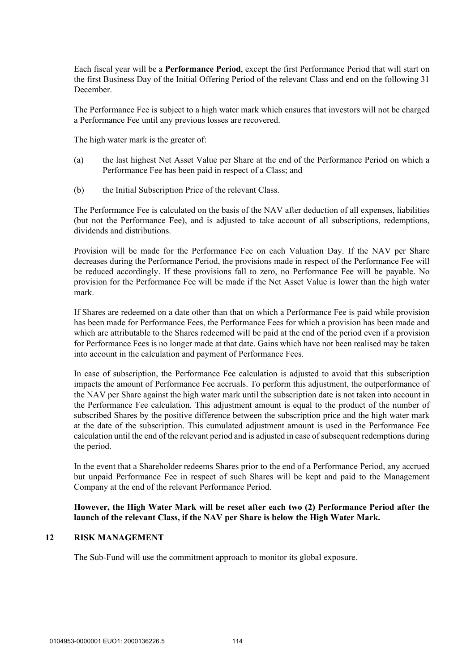Each fiscal year will be a **Performance Period**, except the first Performance Period that will start on the first Business Day of the Initial Offering Period of the relevant Class and end on the following 31 December.

The Performance Fee is subject to a high water mark which ensures that investors will not be charged a Performance Fee until any previous losses are recovered.

The high water mark is the greater of:

- (a) the last highest Net Asset Value per Share at the end of the Performance Period on which a Performance Fee has been paid in respect of a Class; and
- (b) the Initial Subscription Price of the relevant Class.

The Performance Fee is calculated on the basis of the NAV after deduction of all expenses, liabilities (but not the Performance Fee), and is adjusted to take account of all subscriptions, redemptions, dividends and distributions.

Provision will be made for the Performance Fee on each Valuation Day. If the NAV per Share decreases during the Performance Period, the provisions made in respect of the Performance Fee will be reduced accordingly. If these provisions fall to zero, no Performance Fee will be payable. No provision for the Performance Fee will be made if the Net Asset Value is lower than the high water mark.

If Shares are redeemed on a date other than that on which a Performance Fee is paid while provision has been made for Performance Fees, the Performance Fees for which a provision has been made and which are attributable to the Shares redeemed will be paid at the end of the period even if a provision for Performance Fees is no longer made at that date. Gains which have not been realised may be taken into account in the calculation and payment of Performance Fees.

In case of subscription, the Performance Fee calculation is adjusted to avoid that this subscription impacts the amount of Performance Fee accruals. To perform this adjustment, the outperformance of the NAV per Share against the high water mark until the subscription date is not taken into account in the Performance Fee calculation. This adjustment amount is equal to the product of the number of subscribed Shares by the positive difference between the subscription price and the high water mark at the date of the subscription. This cumulated adjustment amount is used in the Performance Fee calculation until the end of the relevant period and is adjusted in case of subsequent redemptions during the period.

In the event that a Shareholder redeems Shares prior to the end of a Performance Period, any accrued but unpaid Performance Fee in respect of such Shares will be kept and paid to the Management Company at the end of the relevant Performance Period.

# **However, the High Water Mark will be reset after each two (2) Performance Period after the launch of the relevant Class, if the NAV per Share is below the High Water Mark.**

### **12 RISK MANAGEMENT**

The Sub-Fund will use the commitment approach to monitor its global exposure.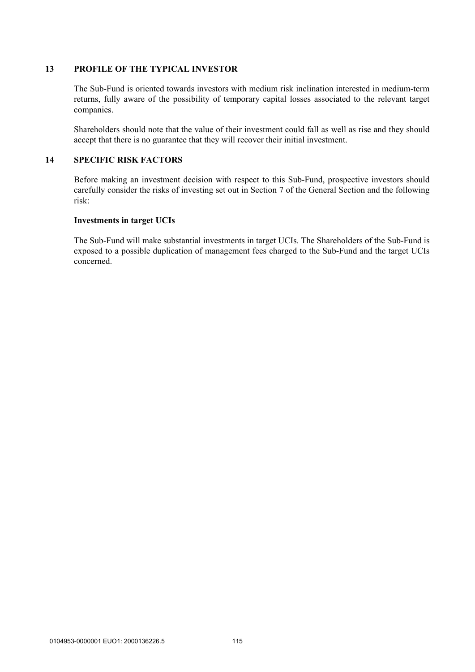# **13 PROFILE OF THE TYPICAL INVESTOR**

The Sub-Fund is oriented towards investors with medium risk inclination interested in medium-term returns, fully aware of the possibility of temporary capital losses associated to the relevant target companies.

Shareholders should note that the value of their investment could fall as well as rise and they should accept that there is no guarantee that they will recover their initial investment.

# **14 SPECIFIC RISK FACTORS**

Before making an investment decision with respect to this Sub-Fund, prospective investors should carefully consider the risks of investing set out in Section 7 of the General Section and the following risk:

### **Investments in target UCIs**

The Sub-Fund will make substantial investments in target UCIs. The Shareholders of the Sub-Fund is exposed to a possible duplication of management fees charged to the Sub-Fund and the target UCIs concerned.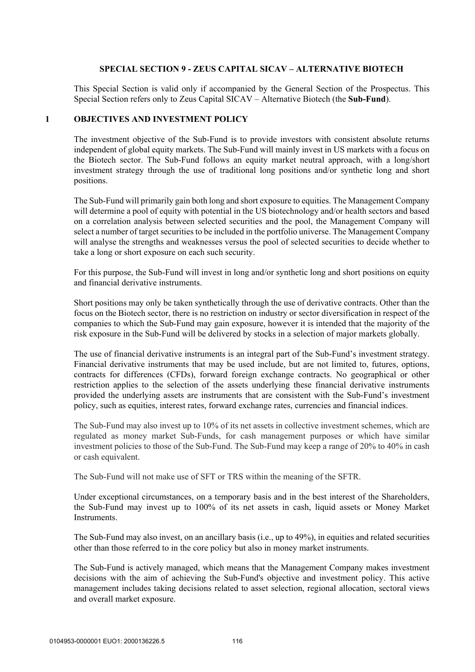### **SPECIAL SECTION 9 - ZEUS CAPITAL SICAV – ALTERNATIVE BIOTECH**

This Special Section is valid only if accompanied by the General Section of the Prospectus. This Special Section refers only to Zeus Capital SICAV – Alternative Biotech (the **Sub-Fund**).

#### **1 OBJECTIVES AND INVESTMENT POLICY**

The investment objective of the Sub-Fund is to provide investors with consistent absolute returns independent of global equity markets. The Sub-Fund will mainly invest in US markets with a focus on the Biotech sector. The Sub-Fund follows an equity market neutral approach, with a long/short investment strategy through the use of traditional long positions and/or synthetic long and short positions.

The Sub-Fund will primarily gain both long and short exposure to equities. The Management Company will determine a pool of equity with potential in the US biotechnology and/or health sectors and based on a correlation analysis between selected securities and the pool, the Management Company will select a number of target securities to be included in the portfolio universe. The Management Company will analyse the strengths and weaknesses versus the pool of selected securities to decide whether to take a long or short exposure on each such security.

For this purpose, the Sub-Fund will invest in long and/or synthetic long and short positions on equity and financial derivative instruments.

Short positions may only be taken synthetically through the use of derivative contracts. Other than the focus on the Biotech sector, there is no restriction on industry or sector diversification in respect of the companies to which the Sub-Fund may gain exposure, however it is intended that the majority of the risk exposure in the Sub-Fund will be delivered by stocks in a selection of major markets globally.

The use of financial derivative instruments is an integral part of the Sub-Fund's investment strategy. Financial derivative instruments that may be used include, but are not limited to, futures, options, contracts for differences (CFDs), forward foreign exchange contracts. No geographical or other restriction applies to the selection of the assets underlying these financial derivative instruments provided the underlying assets are instruments that are consistent with the Sub-Fund's investment policy, such as equities, interest rates, forward exchange rates, currencies and financial indices.

The Sub-Fund may also invest up to 10% of its net assets in collective investment schemes, which are regulated as money market Sub-Funds, for cash management purposes or which have similar investment policies to those of the Sub-Fund. The Sub-Fund may keep a range of 20% to 40% in cash or cash equivalent.

The Sub-Fund will not make use of SFT or TRS within the meaning of the SFTR.

Under exceptional circumstances, on a temporary basis and in the best interest of the Shareholders, the Sub-Fund may invest up to 100% of its net assets in cash, liquid assets or Money Market Instruments.

The Sub-Fund may also invest, on an ancillary basis (i.e., up to 49%), in equities and related securities other than those referred to in the core policy but also in money market instruments.

The Sub-Fund is actively managed, which means that the Management Company makes investment decisions with the aim of achieving the Sub-Fund's objective and investment policy. This active management includes taking decisions related to asset selection, regional allocation, sectoral views and overall market exposure.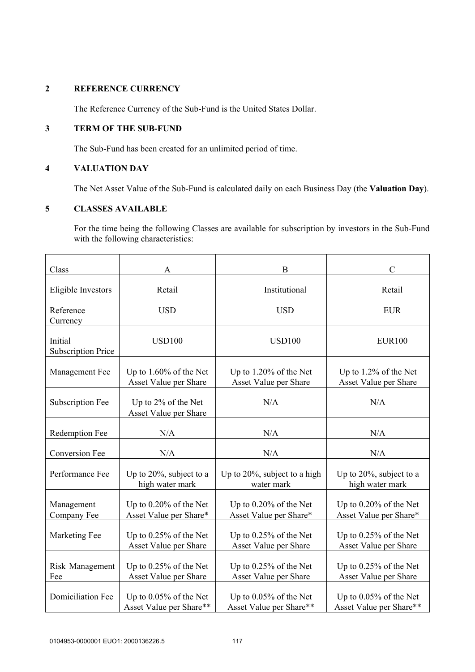# **2 REFERENCE CURRENCY**

The Reference Currency of the Sub-Fund is the United States Dollar.

# **3 TERM OF THE SUB-FUND**

The Sub-Fund has been created for an unlimited period of time.

# **4 VALUATION DAY**

The Net Asset Value of the Sub-Fund is calculated daily on each Business Day (the **Valuation Day**).

# **5 CLASSES AVAILABLE**

For the time being the following Classes are available for subscription by investors in the Sub-Fund with the following characteristics:

| Class                                | Α                                                  | B                                                  | $\mathsf{C}$                                       |
|--------------------------------------|----------------------------------------------------|----------------------------------------------------|----------------------------------------------------|
| Eligible Investors                   | Retail                                             | Institutional                                      | Retail                                             |
| Reference<br>Currency                | <b>USD</b>                                         | <b>USD</b>                                         | <b>EUR</b>                                         |
| Initial<br><b>Subscription Price</b> | <b>USD100</b>                                      | <b>USD100</b>                                      | <b>EUR100</b>                                      |
| Management Fee                       | Up to 1.60% of the Net<br>Asset Value per Share    | Up to 1.20% of the Net<br>Asset Value per Share    | Up to 1.2% of the Net<br>Asset Value per Share     |
| <b>Subscription Fee</b>              | Up to 2% of the Net<br>Asset Value per Share       | N/A                                                | N/A                                                |
| Redemption Fee                       | N/A                                                | N/A                                                | N/A                                                |
| <b>Conversion Fee</b>                | N/A                                                | N/A                                                | N/A                                                |
| Performance Fee                      | Up to $20\%$ , subject to a<br>high water mark     | Up to 20%, subject to a high<br>water mark         | Up to 20%, subject to a<br>high water mark         |
| Management<br>Company Fee            | Up to 0.20% of the Net<br>Asset Value per Share*   | Up to 0.20% of the Net<br>Asset Value per Share*   | Up to 0.20% of the Net<br>Asset Value per Share*   |
| Marketing Fee                        | Up to $0.25\%$ of the Net<br>Asset Value per Share | Up to 0.25% of the Net<br>Asset Value per Share    | Up to $0.25\%$ of the Net<br>Asset Value per Share |
| Risk Management<br>Fee               | Up to $0.25\%$ of the Net<br>Asset Value per Share | Up to $0.25\%$ of the Net<br>Asset Value per Share | Up to $0.25\%$ of the Net<br>Asset Value per Share |
| <b>Domiciliation Fee</b>             | Up to 0.05% of the Net<br>Asset Value per Share**  | Up to 0.05% of the Net<br>Asset Value per Share**  | Up to 0.05% of the Net<br>Asset Value per Share**  |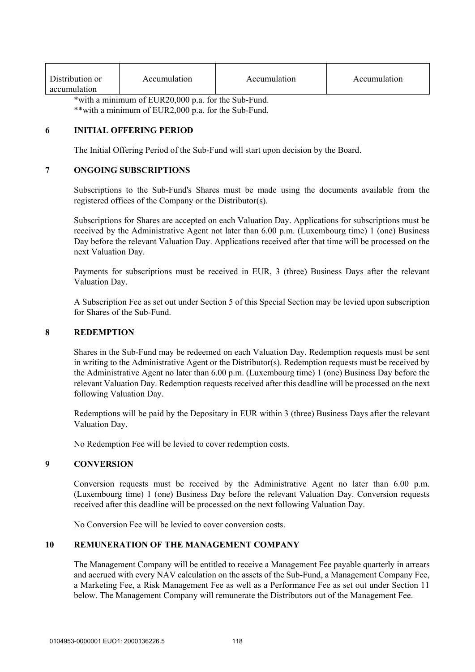| Distribution or | Accumulation | Accumulation | Accumulation |
|-----------------|--------------|--------------|--------------|
| accumulation    |              |              |              |

\*with a minimum of EUR20,000 p.a. for the Sub-Fund. \*\*with a minimum of EUR2,000 p.a. for the Sub-Fund.

### **6 INITIAL OFFERING PERIOD**

The Initial Offering Period of the Sub-Fund will start upon decision by the Board.

# **7 ONGOING SUBSCRIPTIONS**

Subscriptions to the Sub-Fund's Shares must be made using the documents available from the registered offices of the Company or the Distributor(s).

Subscriptions for Shares are accepted on each Valuation Day. Applications for subscriptions must be received by the Administrative Agent not later than 6.00 p.m. (Luxembourg time) 1 (one) Business Day before the relevant Valuation Day. Applications received after that time will be processed on the next Valuation Day.

Payments for subscriptions must be received in EUR, 3 (three) Business Days after the relevant Valuation Day.

A Subscription Fee as set out under Section 5 of this Special Section may be levied upon subscription for Shares of the Sub-Fund.

#### **8 REDEMPTION**

Shares in the Sub-Fund may be redeemed on each Valuation Day. Redemption requests must be sent in writing to the Administrative Agent or the Distributor(s). Redemption requests must be received by the Administrative Agent no later than 6.00 p.m. (Luxembourg time) 1 (one) Business Day before the relevant Valuation Day. Redemption requests received after this deadline will be processed on the next following Valuation Day.

Redemptions will be paid by the Depositary in EUR within 3 (three) Business Days after the relevant Valuation Day.

No Redemption Fee will be levied to cover redemption costs.

### **9 CONVERSION**

Conversion requests must be received by the Administrative Agent no later than 6.00 p.m. (Luxembourg time) 1 (one) Business Day before the relevant Valuation Day. Conversion requests received after this deadline will be processed on the next following Valuation Day.

No Conversion Fee will be levied to cover conversion costs.

### **10 REMUNERATION OF THE MANAGEMENT COMPANY**

The Management Company will be entitled to receive a Management Fee payable quarterly in arrears and accrued with every NAV calculation on the assets of the Sub-Fund, a Management Company Fee, a Marketing Fee, a Risk Management Fee as well as a Performance Fee as set out under Section 11 below. The Management Company will remunerate the Distributors out of the Management Fee.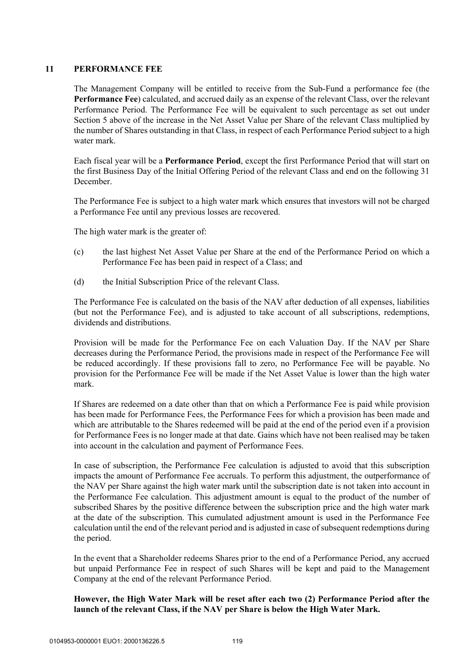## **11 PERFORMANCE FEE**

The Management Company will be entitled to receive from the Sub-Fund a performance fee (the **Performance Fee**) calculated, and accrued daily as an expense of the relevant Class, over the relevant Performance Period. The Performance Fee will be equivalent to such percentage as set out under Section 5 above of the increase in the Net Asset Value per Share of the relevant Class multiplied by the number of Shares outstanding in that Class, in respect of each Performance Period subject to a high water mark.

Each fiscal year will be a **Performance Period**, except the first Performance Period that will start on the first Business Day of the Initial Offering Period of the relevant Class and end on the following 31 December.

The Performance Fee is subject to a high water mark which ensures that investors will not be charged a Performance Fee until any previous losses are recovered.

The high water mark is the greater of:

- (c) the last highest Net Asset Value per Share at the end of the Performance Period on which a Performance Fee has been paid in respect of a Class; and
- (d) the Initial Subscription Price of the relevant Class.

The Performance Fee is calculated on the basis of the NAV after deduction of all expenses, liabilities (but not the Performance Fee), and is adjusted to take account of all subscriptions, redemptions, dividends and distributions.

Provision will be made for the Performance Fee on each Valuation Day. If the NAV per Share decreases during the Performance Period, the provisions made in respect of the Performance Fee will be reduced accordingly. If these provisions fall to zero, no Performance Fee will be payable. No provision for the Performance Fee will be made if the Net Asset Value is lower than the high water mark.

If Shares are redeemed on a date other than that on which a Performance Fee is paid while provision has been made for Performance Fees, the Performance Fees for which a provision has been made and which are attributable to the Shares redeemed will be paid at the end of the period even if a provision for Performance Fees is no longer made at that date. Gains which have not been realised may be taken into account in the calculation and payment of Performance Fees.

In case of subscription, the Performance Fee calculation is adjusted to avoid that this subscription impacts the amount of Performance Fee accruals. To perform this adjustment, the outperformance of the NAV per Share against the high water mark until the subscription date is not taken into account in the Performance Fee calculation. This adjustment amount is equal to the product of the number of subscribed Shares by the positive difference between the subscription price and the high water mark at the date of the subscription. This cumulated adjustment amount is used in the Performance Fee calculation until the end of the relevant period and is adjusted in case of subsequent redemptions during the period.

In the event that a Shareholder redeems Shares prior to the end of a Performance Period, any accrued but unpaid Performance Fee in respect of such Shares will be kept and paid to the Management Company at the end of the relevant Performance Period.

# **However, the High Water Mark will be reset after each two (2) Performance Period after the launch of the relevant Class, if the NAV per Share is below the High Water Mark.**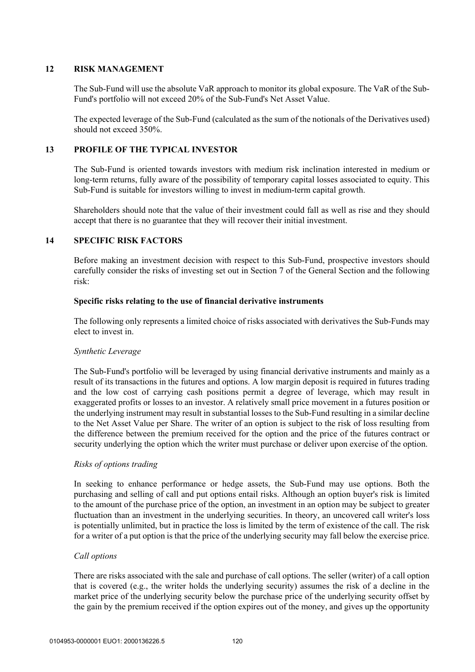### **12 RISK MANAGEMENT**

The Sub-Fund will use the absolute VaR approach to monitor its global exposure. The VaR of the Sub-Fund's portfolio will not exceed 20% of the Sub-Fund's Net Asset Value.

The expected leverage of the Sub-Fund (calculated as the sum of the notionals of the Derivatives used) should not exceed 350%.

# **13 PROFILE OF THE TYPICAL INVESTOR**

The Sub-Fund is oriented towards investors with medium risk inclination interested in medium or long-term returns, fully aware of the possibility of temporary capital losses associated to equity. This Sub-Fund is suitable for investors willing to invest in medium-term capital growth.

Shareholders should note that the value of their investment could fall as well as rise and they should accept that there is no guarantee that they will recover their initial investment.

# **14 SPECIFIC RISK FACTORS**

Before making an investment decision with respect to this Sub-Fund, prospective investors should carefully consider the risks of investing set out in Section 7 of the General Section and the following risk:

### **Specific risks relating to the use of financial derivative instruments**

The following only represents a limited choice of risks associated with derivatives the Sub-Funds may elect to invest in.

### *Synthetic Leverage*

The Sub-Fund's portfolio will be leveraged by using financial derivative instruments and mainly as a result of its transactions in the futures and options. A low margin deposit is required in futures trading and the low cost of carrying cash positions permit a degree of leverage, which may result in exaggerated profits or losses to an investor. A relatively small price movement in a futures position or the underlying instrument may result in substantial losses to the Sub-Fund resulting in a similar decline to the Net Asset Value per Share. The writer of an option is subject to the risk of loss resulting from the difference between the premium received for the option and the price of the futures contract or security underlying the option which the writer must purchase or deliver upon exercise of the option.

### *Risks of options trading*

In seeking to enhance performance or hedge assets, the Sub-Fund may use options. Both the purchasing and selling of call and put options entail risks. Although an option buyer's risk is limited to the amount of the purchase price of the option, an investment in an option may be subject to greater fluctuation than an investment in the underlying securities. In theory, an uncovered call writer's loss is potentially unlimited, but in practice the loss is limited by the term of existence of the call. The risk for a writer of a put option is that the price of the underlying security may fall below the exercise price.

## *Call options*

There are risks associated with the sale and purchase of call options. The seller (writer) of a call option that is covered (e.g., the writer holds the underlying security) assumes the risk of a decline in the market price of the underlying security below the purchase price of the underlying security offset by the gain by the premium received if the option expires out of the money, and gives up the opportunity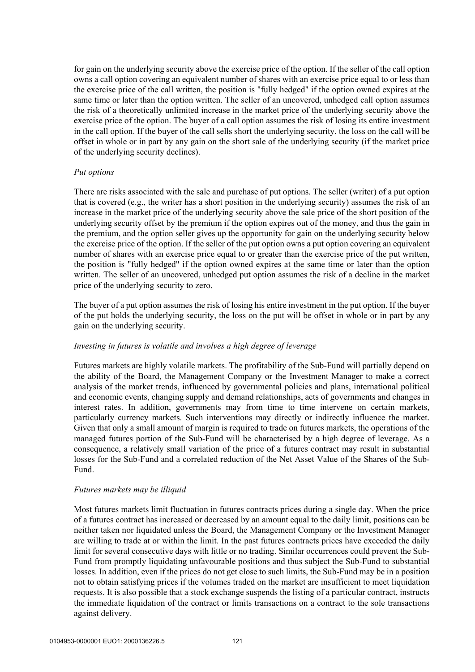for gain on the underlying security above the exercise price of the option. If the seller of the call option owns a call option covering an equivalent number of shares with an exercise price equal to or less than the exercise price of the call written, the position is "fully hedged" if the option owned expires at the same time or later than the option written. The seller of an uncovered, unhedged call option assumes the risk of a theoretically unlimited increase in the market price of the underlying security above the exercise price of the option. The buyer of a call option assumes the risk of losing its entire investment in the call option. If the buyer of the call sells short the underlying security, the loss on the call will be offset in whole or in part by any gain on the short sale of the underlying security (if the market price of the underlying security declines).

#### *Put options*

There are risks associated with the sale and purchase of put options. The seller (writer) of a put option that is covered (e.g., the writer has a short position in the underlying security) assumes the risk of an increase in the market price of the underlying security above the sale price of the short position of the underlying security offset by the premium if the option expires out of the money, and thus the gain in the premium, and the option seller gives up the opportunity for gain on the underlying security below the exercise price of the option. If the seller of the put option owns a put option covering an equivalent number of shares with an exercise price equal to or greater than the exercise price of the put written, the position is "fully hedged" if the option owned expires at the same time or later than the option written. The seller of an uncovered, unhedged put option assumes the risk of a decline in the market price of the underlying security to zero.

The buyer of a put option assumes the risk of losing his entire investment in the put option. If the buyer of the put holds the underlying security, the loss on the put will be offset in whole or in part by any gain on the underlying security.

### *Investing in futures is volatile and involves a high degree of leverage*

Futures markets are highly volatile markets. The profitability of the Sub-Fund will partially depend on the ability of the Board, the Management Company or the Investment Manager to make a correct analysis of the market trends, influenced by governmental policies and plans, international political and economic events, changing supply and demand relationships, acts of governments and changes in interest rates. In addition, governments may from time to time intervene on certain markets, particularly currency markets. Such interventions may directly or indirectly influence the market. Given that only a small amount of margin is required to trade on futures markets, the operations of the managed futures portion of the Sub-Fund will be characterised by a high degree of leverage. As a consequence, a relatively small variation of the price of a futures contract may result in substantial losses for the Sub-Fund and a correlated reduction of the Net Asset Value of the Shares of the Sub-Fund.

#### *Futures markets may be illiquid*

Most futures markets limit fluctuation in futures contracts prices during a single day. When the price of a futures contract has increased or decreased by an amount equal to the daily limit, positions can be neither taken nor liquidated unless the Board, the Management Company or the Investment Manager are willing to trade at or within the limit. In the past futures contracts prices have exceeded the daily limit for several consecutive days with little or no trading. Similar occurrences could prevent the Sub-Fund from promptly liquidating unfavourable positions and thus subject the Sub-Fund to substantial losses. In addition, even if the prices do not get close to such limits, the Sub-Fund may be in a position not to obtain satisfying prices if the volumes traded on the market are insufficient to meet liquidation requests. It is also possible that a stock exchange suspends the listing of a particular contract, instructs the immediate liquidation of the contract or limits transactions on a contract to the sole transactions against delivery.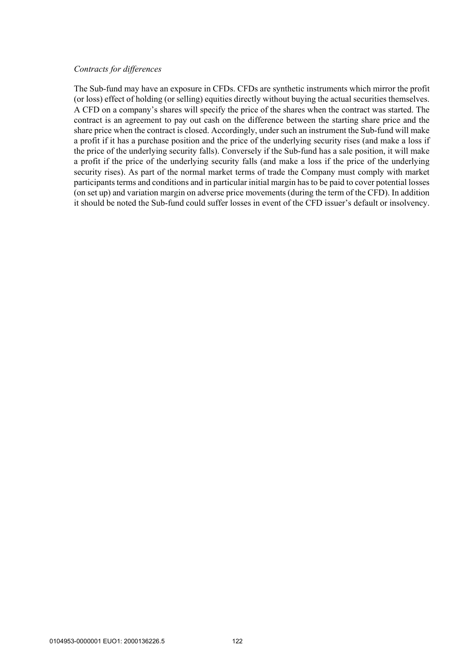#### *Contracts for differences*

The Sub-fund may have an exposure in CFDs. CFDs are synthetic instruments which mirror the profit (or loss) effect of holding (or selling) equities directly without buying the actual securities themselves. A CFD on a company's shares will specify the price of the shares when the contract was started. The contract is an agreement to pay out cash on the difference between the starting share price and the share price when the contract is closed. Accordingly, under such an instrument the Sub-fund will make a profit if it has a purchase position and the price of the underlying security rises (and make a loss if the price of the underlying security falls). Conversely if the Sub-fund has a sale position, it will make a profit if the price of the underlying security falls (and make a loss if the price of the underlying security rises). As part of the normal market terms of trade the Company must comply with market participants terms and conditions and in particular initial margin has to be paid to cover potential losses (on set up) and variation margin on adverse price movements (during the term of the CFD). In addition it should be noted the Sub-fund could suffer losses in event of the CFD issuer's default or insolvency.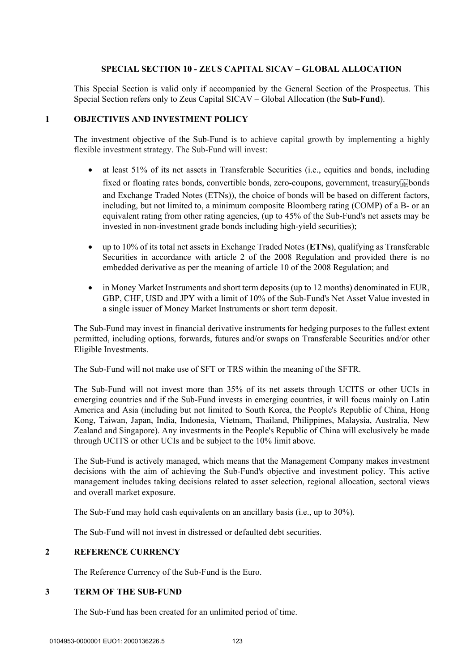# **SPECIAL SECTION 10 - ZEUS CAPITAL SICAV – GLOBAL ALLOCATION**

This Special Section is valid only if accompanied by the General Section of the Prospectus. This Special Section refers only to Zeus Capital SICAV – Global Allocation (the **Sub-Fund**).

#### **1 OBJECTIVES AND INVESTMENT POLICY**

The investment objective of the Sub-Fund is to achieve capital growth by implementing a highly flexible investment strategy. The Sub-Fund will invest:

- at least 51% of its net assets in Transferable Securities (i.e., equities and bonds, including fixed or floating rates bonds, convertible bonds, zero-coupons, government, treasury and Exchange Traded Notes (ETNs)), the choice of bonds will be based on different factors, including, but not limited to, a minimum composite Bloomberg rating (COMP) of a B- or an equivalent rating from other rating agencies, (up to 45% of the Sub-Fund's net assets may be invested in non-investment grade bonds including high-yield securities);
- up to 10% of its total net assets in Exchange Traded Notes (**ETNs**), qualifying as Transferable Securities in accordance with article 2 of the 2008 Regulation and provided there is no embedded derivative as per the meaning of article 10 of the 2008 Regulation; and
- in Money Market Instruments and short term deposits (up to 12 months) denominated in EUR, GBP, CHF, USD and JPY with a limit of 10% of the Sub-Fund's Net Asset Value invested in a single issuer of Money Market Instruments or short term deposit.

The Sub-Fund may invest in financial derivative instruments for hedging purposes to the fullest extent permitted, including options, forwards, futures and/or swaps on Transferable Securities and/or other Eligible Investments.

The Sub-Fund will not make use of SFT or TRS within the meaning of the SFTR.

The Sub-Fund will not invest more than 35% of its net assets through UCITS or other UCIs in emerging countries and if the Sub-Fund invests in emerging countries, it will focus mainly on Latin America and Asia (including but not limited to South Korea, the People's Republic of China, Hong Kong, Taiwan, Japan, India, Indonesia, Vietnam, Thailand, Philippines, Malaysia, Australia, New Zealand and Singapore). Any investments in the People's Republic of China will exclusively be made through UCITS or other UCIs and be subject to the 10% limit above.

The Sub-Fund is actively managed, which means that the Management Company makes investment decisions with the aim of achieving the Sub-Fund's objective and investment policy. This active management includes taking decisions related to asset selection, regional allocation, sectoral views and overall market exposure.

The Sub-Fund may hold cash equivalents on an ancillary basis (i.e., up to 30%).

The Sub-Fund will not invest in distressed or defaulted debt securities.

# **2 REFERENCE CURRENCY**

The Reference Currency of the Sub-Fund is the Euro.

# **3 TERM OF THE SUB-FUND**

The Sub-Fund has been created for an unlimited period of time.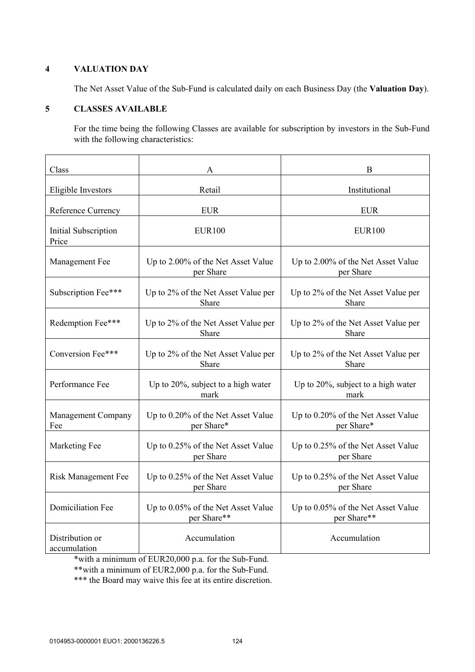# **4 VALUATION DAY**

The Net Asset Value of the Sub-Fund is calculated daily on each Business Day (the **Valuation Day**).

# **5 CLASSES AVAILABLE**

For the time being the following Classes are available for subscription by investors in the Sub-Fund with the following characteristics:

| Class                            | A                                                 | B                                                 |  |
|----------------------------------|---------------------------------------------------|---------------------------------------------------|--|
| Eligible Investors               | Retail                                            | Institutional                                     |  |
| <b>Reference Currency</b>        | <b>EUR</b>                                        | <b>EUR</b>                                        |  |
| Initial Subscription<br>Price    | <b>EUR100</b>                                     | <b>EUR100</b>                                     |  |
| Management Fee                   | Up to 2.00% of the Net Asset Value<br>per Share   | Up to 2.00% of the Net Asset Value<br>per Share   |  |
| Subscription Fee***              | Up to 2% of the Net Asset Value per<br>Share      | Up to 2% of the Net Asset Value per<br>Share      |  |
| Redemption Fee***                | Up to 2% of the Net Asset Value per<br>Share      | Up to 2% of the Net Asset Value per<br>Share      |  |
| Conversion Fee***                | Up to 2% of the Net Asset Value per<br>Share      | Up to 2% of the Net Asset Value per<br>Share      |  |
| Performance Fee                  | Up to 20%, subject to a high water<br>mark        | Up to 20%, subject to a high water<br>mark        |  |
| <b>Management Company</b><br>Fee | Up to 0.20% of the Net Asset Value<br>per Share*  | Up to 0.20% of the Net Asset Value<br>per Share*  |  |
| Marketing Fee                    | Up to 0.25% of the Net Asset Value<br>per Share   | Up to 0.25% of the Net Asset Value<br>per Share   |  |
| <b>Risk Management Fee</b>       | Up to 0.25% of the Net Asset Value<br>per Share   | Up to 0.25% of the Net Asset Value<br>per Share   |  |
| <b>Domiciliation Fee</b>         | Up to 0.05% of the Net Asset Value<br>per Share** | Up to 0.05% of the Net Asset Value<br>per Share** |  |
| Distribution or<br>accumulation  | Accumulation                                      | Accumulation                                      |  |

\*with a minimum of EUR20,000 p.a. for the Sub-Fund.

\*\*with a minimum of EUR2,000 p.a. for the Sub-Fund.

\*\*\* the Board may waive this fee at its entire discretion.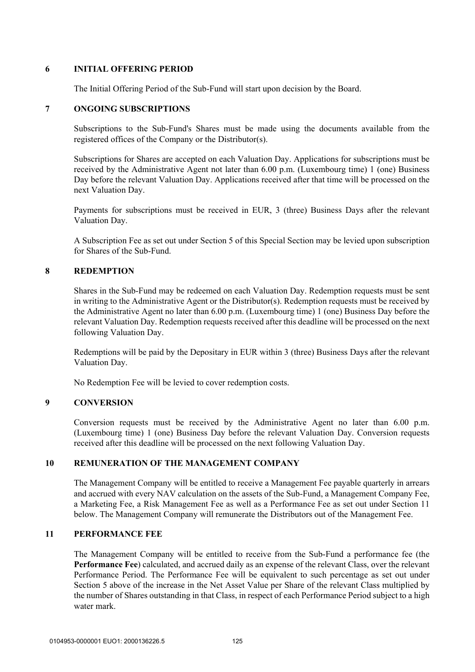### **6 INITIAL OFFERING PERIOD**

The Initial Offering Period of the Sub-Fund will start upon decision by the Board.

## **7 ONGOING SUBSCRIPTIONS**

Subscriptions to the Sub-Fund's Shares must be made using the documents available from the registered offices of the Company or the Distributor(s).

Subscriptions for Shares are accepted on each Valuation Day. Applications for subscriptions must be received by the Administrative Agent not later than 6.00 p.m. (Luxembourg time) 1 (one) Business Day before the relevant Valuation Day. Applications received after that time will be processed on the next Valuation Day.

Payments for subscriptions must be received in EUR, 3 (three) Business Days after the relevant Valuation Day.

A Subscription Fee as set out under Section 5 of this Special Section may be levied upon subscription for Shares of the Sub-Fund.

# **8 REDEMPTION**

Shares in the Sub-Fund may be redeemed on each Valuation Day. Redemption requests must be sent in writing to the Administrative Agent or the Distributor(s). Redemption requests must be received by the Administrative Agent no later than 6.00 p.m. (Luxembourg time) 1 (one) Business Day before the relevant Valuation Day. Redemption requests received after this deadline will be processed on the next following Valuation Day.

Redemptions will be paid by the Depositary in EUR within 3 (three) Business Days after the relevant Valuation Day.

No Redemption Fee will be levied to cover redemption costs.

# **9 CONVERSION**

Conversion requests must be received by the Administrative Agent no later than 6.00 p.m. (Luxembourg time) 1 (one) Business Day before the relevant Valuation Day. Conversion requests received after this deadline will be processed on the next following Valuation Day.

### **10 REMUNERATION OF THE MANAGEMENT COMPANY**

The Management Company will be entitled to receive a Management Fee payable quarterly in arrears and accrued with every NAV calculation on the assets of the Sub-Fund, a Management Company Fee, a Marketing Fee, a Risk Management Fee as well as a Performance Fee as set out under Section 11 below. The Management Company will remunerate the Distributors out of the Management Fee.

# **11 PERFORMANCE FEE**

The Management Company will be entitled to receive from the Sub-Fund a performance fee (the **Performance Fee**) calculated, and accrued daily as an expense of the relevant Class, over the relevant Performance Period. The Performance Fee will be equivalent to such percentage as set out under Section 5 above of the increase in the Net Asset Value per Share of the relevant Class multiplied by the number of Shares outstanding in that Class, in respect of each Performance Period subject to a high water mark.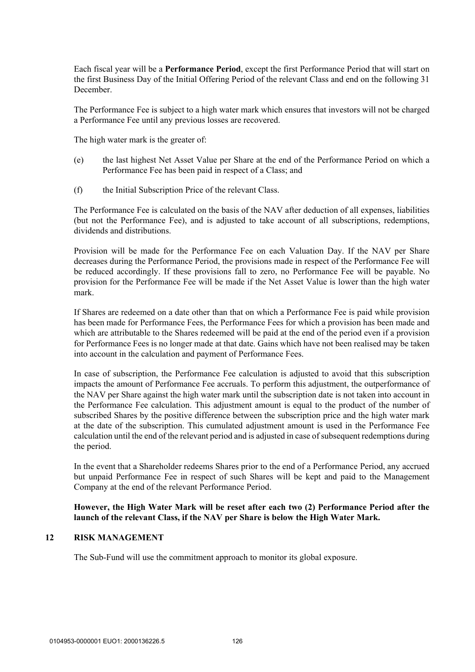Each fiscal year will be a **Performance Period**, except the first Performance Period that will start on the first Business Day of the Initial Offering Period of the relevant Class and end on the following 31 December.

The Performance Fee is subject to a high water mark which ensures that investors will not be charged a Performance Fee until any previous losses are recovered.

The high water mark is the greater of:

- (e) the last highest Net Asset Value per Share at the end of the Performance Period on which a Performance Fee has been paid in respect of a Class; and
- (f) the Initial Subscription Price of the relevant Class.

The Performance Fee is calculated on the basis of the NAV after deduction of all expenses, liabilities (but not the Performance Fee), and is adjusted to take account of all subscriptions, redemptions, dividends and distributions.

Provision will be made for the Performance Fee on each Valuation Day. If the NAV per Share decreases during the Performance Period, the provisions made in respect of the Performance Fee will be reduced accordingly. If these provisions fall to zero, no Performance Fee will be payable. No provision for the Performance Fee will be made if the Net Asset Value is lower than the high water mark.

If Shares are redeemed on a date other than that on which a Performance Fee is paid while provision has been made for Performance Fees, the Performance Fees for which a provision has been made and which are attributable to the Shares redeemed will be paid at the end of the period even if a provision for Performance Fees is no longer made at that date. Gains which have not been realised may be taken into account in the calculation and payment of Performance Fees.

In case of subscription, the Performance Fee calculation is adjusted to avoid that this subscription impacts the amount of Performance Fee accruals. To perform this adjustment, the outperformance of the NAV per Share against the high water mark until the subscription date is not taken into account in the Performance Fee calculation. This adjustment amount is equal to the product of the number of subscribed Shares by the positive difference between the subscription price and the high water mark at the date of the subscription. This cumulated adjustment amount is used in the Performance Fee calculation until the end of the relevant period and is adjusted in case of subsequent redemptions during the period.

In the event that a Shareholder redeems Shares prior to the end of a Performance Period, any accrued but unpaid Performance Fee in respect of such Shares will be kept and paid to the Management Company at the end of the relevant Performance Period.

# **However, the High Water Mark will be reset after each two (2) Performance Period after the launch of the relevant Class, if the NAV per Share is below the High Water Mark.**

### **12 RISK MANAGEMENT**

The Sub-Fund will use the commitment approach to monitor its global exposure.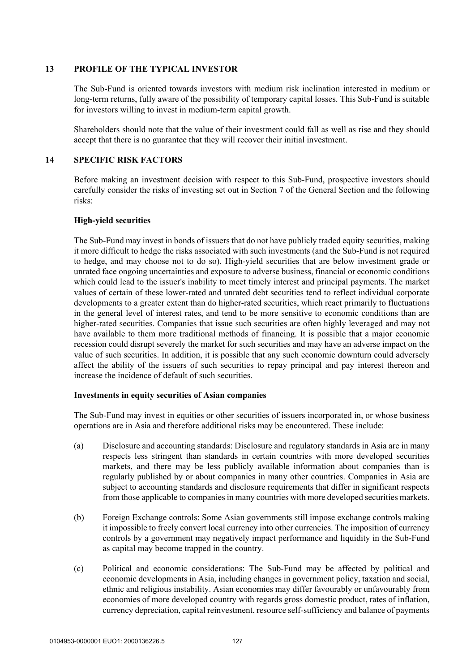## **13 PROFILE OF THE TYPICAL INVESTOR**

The Sub-Fund is oriented towards investors with medium risk inclination interested in medium or long-term returns, fully aware of the possibility of temporary capital losses. This Sub-Fund is suitable for investors willing to invest in medium-term capital growth.

Shareholders should note that the value of their investment could fall as well as rise and they should accept that there is no guarantee that they will recover their initial investment.

# **14 SPECIFIC RISK FACTORS**

Before making an investment decision with respect to this Sub-Fund, prospective investors should carefully consider the risks of investing set out in Section 7 of the General Section and the following risks:

# **High-yield securities**

The Sub-Fund may invest in bonds of issuers that do not have publicly traded equity securities, making it more difficult to hedge the risks associated with such investments (and the Sub-Fund is not required to hedge, and may choose not to do so). High-yield securities that are below investment grade or unrated face ongoing uncertainties and exposure to adverse business, financial or economic conditions which could lead to the issuer's inability to meet timely interest and principal payments. The market values of certain of these lower-rated and unrated debt securities tend to reflect individual corporate developments to a greater extent than do higher-rated securities, which react primarily to fluctuations in the general level of interest rates, and tend to be more sensitive to economic conditions than are higher-rated securities. Companies that issue such securities are often highly leveraged and may not have available to them more traditional methods of financing. It is possible that a major economic recession could disrupt severely the market for such securities and may have an adverse impact on the value of such securities. In addition, it is possible that any such economic downturn could adversely affect the ability of the issuers of such securities to repay principal and pay interest thereon and increase the incidence of default of such securities.

### **Investments in equity securities of Asian companies**

The Sub-Fund may invest in equities or other securities of issuers incorporated in, or whose business operations are in Asia and therefore additional risks may be encountered. These include:

- (a) Disclosure and accounting standards: Disclosure and regulatory standards in Asia are in many respects less stringent than standards in certain countries with more developed securities markets, and there may be less publicly available information about companies than is regularly published by or about companies in many other countries. Companies in Asia are subject to accounting standards and disclosure requirements that differ in significant respects from those applicable to companies in many countries with more developed securities markets.
- (b) Foreign Exchange controls: Some Asian governments still impose exchange controls making it impossible to freely convert local currency into other currencies. The imposition of currency controls by a government may negatively impact performance and liquidity in the Sub-Fund as capital may become trapped in the country.
- (c) Political and economic considerations: The Sub-Fund may be affected by political and economic developments in Asia, including changes in government policy, taxation and social, ethnic and religious instability. Asian economies may differ favourably or unfavourably from economies of more developed country with regards gross domestic product, rates of inflation, currency depreciation, capital reinvestment, resource self-sufficiency and balance of payments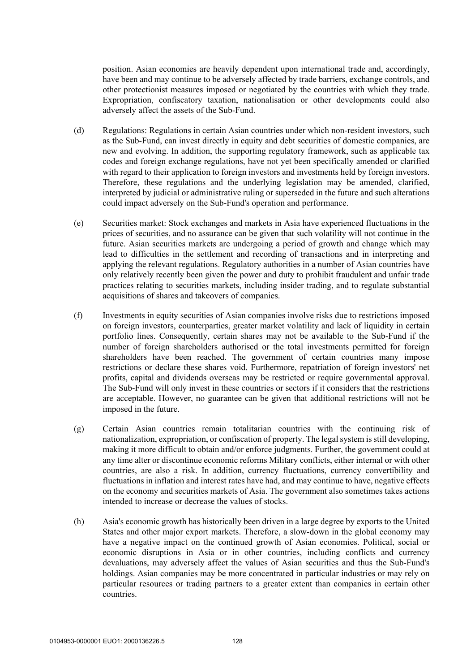position. Asian economies are heavily dependent upon international trade and, accordingly, have been and may continue to be adversely affected by trade barriers, exchange controls, and other protectionist measures imposed or negotiated by the countries with which they trade. Expropriation, confiscatory taxation, nationalisation or other developments could also adversely affect the assets of the Sub-Fund.

- (d) Regulations: Regulations in certain Asian countries under which non-resident investors, such as the Sub-Fund, can invest directly in equity and debt securities of domestic companies, are new and evolving. In addition, the supporting regulatory framework, such as applicable tax codes and foreign exchange regulations, have not yet been specifically amended or clarified with regard to their application to foreign investors and investments held by foreign investors. Therefore, these regulations and the underlying legislation may be amended, clarified, interpreted by judicial or administrative ruling or superseded in the future and such alterations could impact adversely on the Sub-Fund's operation and performance.
- (e) Securities market: Stock exchanges and markets in Asia have experienced fluctuations in the prices of securities, and no assurance can be given that such volatility will not continue in the future. Asian securities markets are undergoing a period of growth and change which may lead to difficulties in the settlement and recording of transactions and in interpreting and applying the relevant regulations. Regulatory authorities in a number of Asian countries have only relatively recently been given the power and duty to prohibit fraudulent and unfair trade practices relating to securities markets, including insider trading, and to regulate substantial acquisitions of shares and takeovers of companies.
- (f) Investments in equity securities of Asian companies involve risks due to restrictions imposed on foreign investors, counterparties, greater market volatility and lack of liquidity in certain portfolio lines. Consequently, certain shares may not be available to the Sub-Fund if the number of foreign shareholders authorised or the total investments permitted for foreign shareholders have been reached. The government of certain countries many impose restrictions or declare these shares void. Furthermore, repatriation of foreign investors' net profits, capital and dividends overseas may be restricted or require governmental approval. The Sub-Fund will only invest in these countries or sectors if it considers that the restrictions are acceptable. However, no guarantee can be given that additional restrictions will not be imposed in the future.
- (g) Certain Asian countries remain totalitarian countries with the continuing risk of nationalization, expropriation, or confiscation of property. The legal system is still developing, making it more difficult to obtain and/or enforce judgments. Further, the government could at any time alter or discontinue economic reforms Military conflicts, either internal or with other countries, are also a risk. In addition, currency fluctuations, currency convertibility and fluctuations in inflation and interest rates have had, and may continue to have, negative effects on the economy and securities markets of Asia. The government also sometimes takes actions intended to increase or decrease the values of stocks.
- (h) Asia's economic growth has historically been driven in a large degree by exports to the United States and other major export markets. Therefore, a slow-down in the global economy may have a negative impact on the continued growth of Asian economies. Political, social or economic disruptions in Asia or in other countries, including conflicts and currency devaluations, may adversely affect the values of Asian securities and thus the Sub-Fund's holdings. Asian companies may be more concentrated in particular industries or may rely on particular resources or trading partners to a greater extent than companies in certain other countries.